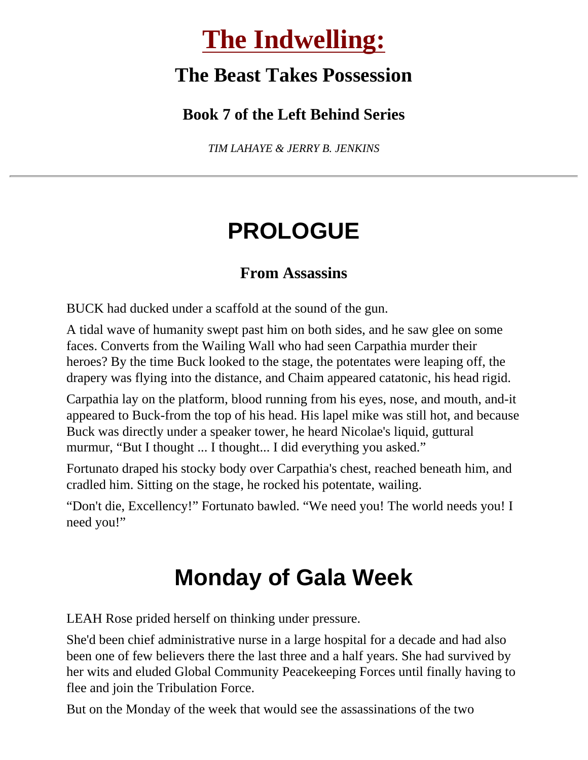## **The Indwelling:**

### **The Beast Takes Possession**

#### **Book 7 of the Left Behind Series**

*TIM LAHAYE & JERRY B. JENKINS*

## **PROLOGUE**

#### **From Assassins**

BUCK had ducked under a scaffold at the sound of the gun.

A tidal wave of humanity swept past him on both sides, and he saw glee on some faces. Converts from the Wailing Wall who had seen Carpathia murder their heroes? By the time Buck looked to the stage, the potentates were leaping off, the drapery was flying into the distance, and Chaim appeared catatonic, his head rigid.

Carpathia lay on the platform, blood running from his eyes, nose, and mouth, and-it appeared to Buck-from the top of his head. His lapel mike was still hot, and because Buck was directly under a speaker tower, he heard Nicolae's liquid, guttural murmur, "But I thought ... I thought... I did everything you asked."

Fortunato draped his stocky body over Carpathia's chest, reached beneath him, and cradled him. Sitting on the stage, he rocked his potentate, wailing.

"Don't die, Excellency!" Fortunato bawled. "We need you! The world needs you! I need you!"

# **Monday of Gala Week**

LEAH Rose prided herself on thinking under pressure.

She'd been chief administrative nurse in a large hospital for a decade and had also been one of few believers there the last three and a half years. She had survived by her wits and eluded Global Community Peacekeeping Forces until finally having to flee and join the Tribulation Force.

But on the Monday of the week that would see the assassinations of the two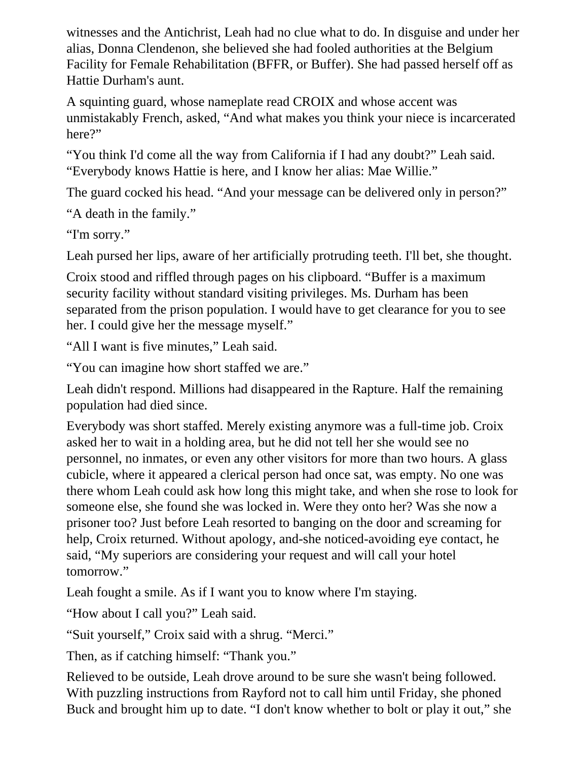witnesses and the Antichrist, Leah had no clue what to do. In disguise and under her alias, Donna Clendenon, she believed she had fooled authorities at the Belgium Facility for Female Rehabilitation (BFFR, or Buffer). She had passed herself off as Hattie Durham's aunt.

A squinting guard, whose nameplate read CROIX and whose accent was unmistakably French, asked, "And what makes you think your niece is incarcerated here?"

"You think I'd come all the way from California if I had any doubt?" Leah said. "Everybody knows Hattie is here, and I know her alias: Mae Willie."

The guard cocked his head. "And your message can be delivered only in person?"

"A death in the family."

"I'm sorry."

Leah pursed her lips, aware of her artificially protruding teeth. I'll bet, she thought.

Croix stood and riffled through pages on his clipboard. "Buffer is a maximum security facility without standard visiting privileges. Ms. Durham has been separated from the prison population. I would have to get clearance for you to see her. I could give her the message myself."

"All I want is five minutes," Leah said.

"You can imagine how short staffed we are."

Leah didn't respond. Millions had disappeared in the Rapture. Half the remaining population had died since.

Everybody was short staffed. Merely existing anymore was a full-time job. Croix asked her to wait in a holding area, but he did not tell her she would see no personnel, no inmates, or even any other visitors for more than two hours. A glass cubicle, where it appeared a clerical person had once sat, was empty. No one was there whom Leah could ask how long this might take, and when she rose to look for someone else, she found she was locked in. Were they onto her? Was she now a prisoner too? Just before Leah resorted to banging on the door and screaming for help, Croix returned. Without apology, and-she noticed-avoiding eye contact, he said, "My superiors are considering your request and will call your hotel tomorrow."

Leah fought a smile. As if I want you to know where I'm staying.

"How about I call you?" Leah said.

"Suit yourself," Croix said with a shrug. "Merci."

Then, as if catching himself: "Thank you."

Relieved to be outside, Leah drove around to be sure she wasn't being followed. With puzzling instructions from Rayford not to call him until Friday, she phoned Buck and brought him up to date. "I don't know whether to bolt or play it out," she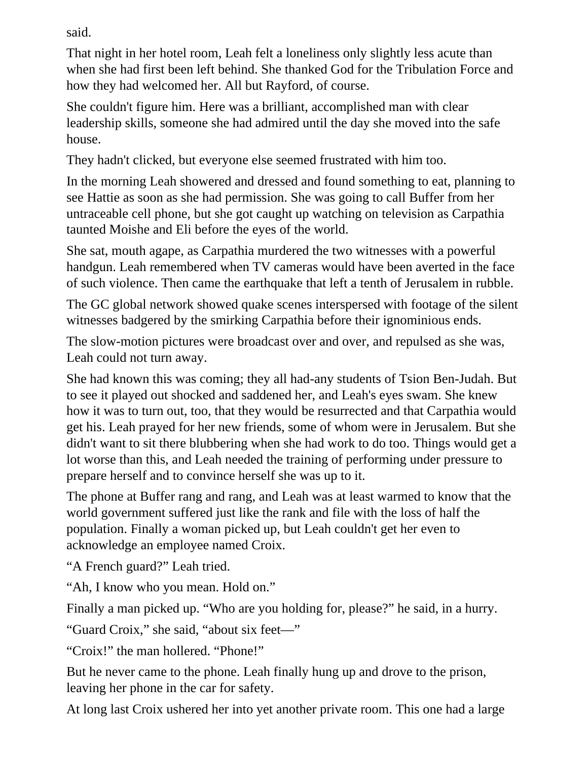said.

That night in her hotel room, Leah felt a loneliness only slightly less acute than when she had first been left behind. She thanked God for the Tribulation Force and how they had welcomed her. All but Rayford, of course.

She couldn't figure him. Here was a brilliant, accomplished man with clear leadership skills, someone she had admired until the day she moved into the safe house.

They hadn't clicked, but everyone else seemed frustrated with him too.

In the morning Leah showered and dressed and found something to eat, planning to see Hattie as soon as she had permission. She was going to call Buffer from her untraceable cell phone, but she got caught up watching on television as Carpathia taunted Moishe and Eli before the eyes of the world.

She sat, mouth agape, as Carpathia murdered the two witnesses with a powerful handgun. Leah remembered when TV cameras would have been averted in the face of such violence. Then came the earthquake that left a tenth of Jerusalem in rubble.

The GC global network showed quake scenes interspersed with footage of the silent witnesses badgered by the smirking Carpathia before their ignominious ends.

The slow-motion pictures were broadcast over and over, and repulsed as she was, Leah could not turn away.

She had known this was coming; they all had-any students of Tsion Ben-Judah. But to see it played out shocked and saddened her, and Leah's eyes swam. She knew how it was to turn out, too, that they would be resurrected and that Carpathia would get his. Leah prayed for her new friends, some of whom were in Jerusalem. But she didn't want to sit there blubbering when she had work to do too. Things would get a lot worse than this, and Leah needed the training of performing under pressure to prepare herself and to convince herself she was up to it.

The phone at Buffer rang and rang, and Leah was at least warmed to know that the world government suffered just like the rank and file with the loss of half the population. Finally a woman picked up, but Leah couldn't get her even to acknowledge an employee named Croix.

"A French guard?" Leah tried.

"Ah, I know who you mean. Hold on."

Finally a man picked up. "Who are you holding for, please?" he said, in a hurry.

"Guard Croix," she said, "about six feet—"

"Croix!" the man hollered. "Phone!"

But he never came to the phone. Leah finally hung up and drove to the prison, leaving her phone in the car for safety.

At long last Croix ushered her into yet another private room. This one had a large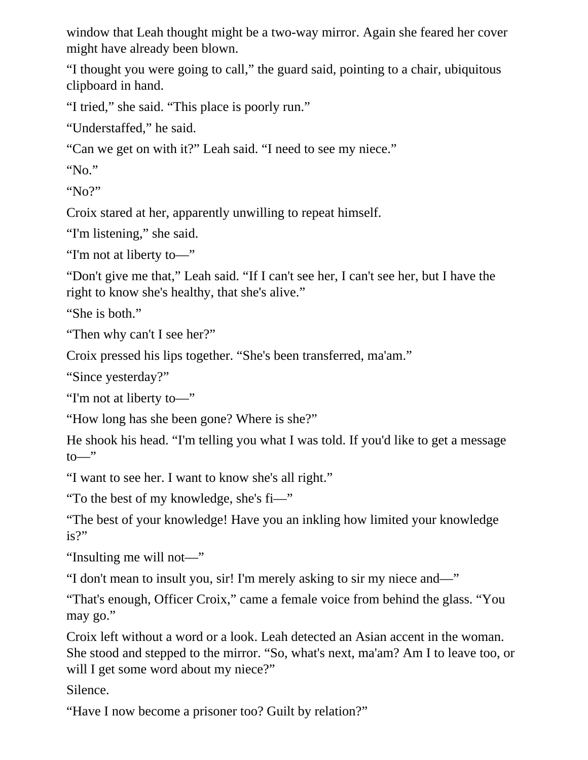window that Leah thought might be a two-way mirror. Again she feared her cover might have already been blown.

"I thought you were going to call," the guard said, pointing to a chair, ubiquitous clipboard in hand.

"I tried," she said. "This place is poorly run."

"Understaffed," he said.

"Can we get on with it?" Leah said. "I need to see my niece."

"No."

"No?"

Croix stared at her, apparently unwilling to repeat himself.

"I'm listening," she said.

"I'm not at liberty to—"

"Don't give me that," Leah said. "If I can't see her, I can't see her, but I have the right to know she's healthy, that she's alive."

"She is both."

"Then why can't I see her?"

Croix pressed his lips together. "She's been transferred, ma'am."

"Since yesterday?"

"I'm not at liberty to—"

"How long has she been gone? Where is she?"

He shook his head. "I'm telling you what I was told. If you'd like to get a message  $\overline{to}$   $\overline{to}$ 

"I want to see her. I want to know she's all right."

"To the best of my knowledge, she's fi—"

"The best of your knowledge! Have you an inkling how limited your knowledge is?"

"Insulting me will not—"

"I don't mean to insult you, sir! I'm merely asking to sir my niece and—"

"That's enough, Officer Croix," came a female voice from behind the glass. "You may go."

Croix left without a word or a look. Leah detected an Asian accent in the woman. She stood and stepped to the mirror. "So, what's next, ma'am? Am I to leave too, or will I get some word about my niece?"

Silence.

"Have I now become a prisoner too? Guilt by relation?"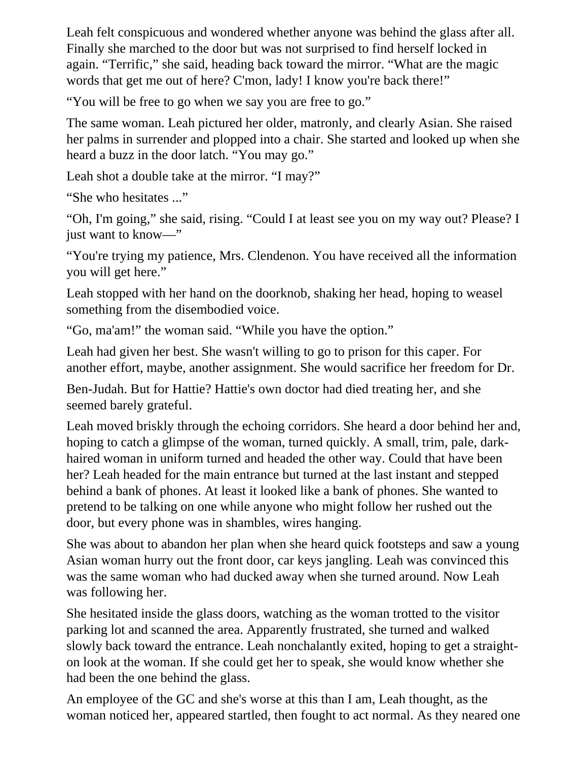Leah felt conspicuous and wondered whether anyone was behind the glass after all. Finally she marched to the door but was not surprised to find herself locked in again. "Terrific," she said, heading back toward the mirror. "What are the magic words that get me out of here? C'mon, lady! I know you're back there!"

"You will be free to go when we say you are free to go."

The same woman. Leah pictured her older, matronly, and clearly Asian. She raised her palms in surrender and plopped into a chair. She started and looked up when she heard a buzz in the door latch. "You may go."

Leah shot a double take at the mirror. "I may?"

"She who hesitates ..."

"Oh, I'm going," she said, rising. "Could I at least see you on my way out? Please? I just want to know—"

"You're trying my patience, Mrs. Clendenon. You have received all the information you will get here."

Leah stopped with her hand on the doorknob, shaking her head, hoping to weasel something from the disembodied voice.

"Go, ma'am!" the woman said. "While you have the option."

Leah had given her best. She wasn't willing to go to prison for this caper. For another effort, maybe, another assignment. She would sacrifice her freedom for Dr.

Ben-Judah. But for Hattie? Hattie's own doctor had died treating her, and she seemed barely grateful.

Leah moved briskly through the echoing corridors. She heard a door behind her and, hoping to catch a glimpse of the woman, turned quickly. A small, trim, pale, darkhaired woman in uniform turned and headed the other way. Could that have been her? Leah headed for the main entrance but turned at the last instant and stepped behind a bank of phones. At least it looked like a bank of phones. She wanted to pretend to be talking on one while anyone who might follow her rushed out the door, but every phone was in shambles, wires hanging.

She was about to abandon her plan when she heard quick footsteps and saw a young Asian woman hurry out the front door, car keys jangling. Leah was convinced this was the same woman who had ducked away when she turned around. Now Leah was following her.

She hesitated inside the glass doors, watching as the woman trotted to the visitor parking lot and scanned the area. Apparently frustrated, she turned and walked slowly back toward the entrance. Leah nonchalantly exited, hoping to get a straighton look at the woman. If she could get her to speak, she would know whether she had been the one behind the glass.

An employee of the GC and she's worse at this than I am, Leah thought, as the woman noticed her, appeared startled, then fought to act normal. As they neared one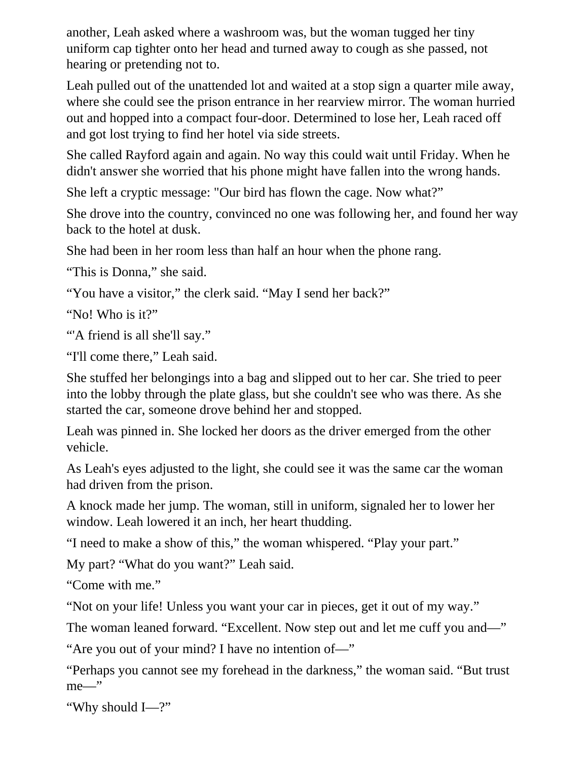another, Leah asked where a washroom was, but the woman tugged her tiny uniform cap tighter onto her head and turned away to cough as she passed, not hearing or pretending not to.

Leah pulled out of the unattended lot and waited at a stop sign a quarter mile away, where she could see the prison entrance in her rearview mirror. The woman hurried out and hopped into a compact four-door. Determined to lose her, Leah raced off and got lost trying to find her hotel via side streets.

She called Rayford again and again. No way this could wait until Friday. When he didn't answer she worried that his phone might have fallen into the wrong hands.

She left a cryptic message: "Our bird has flown the cage. Now what?"

She drove into the country, convinced no one was following her, and found her way back to the hotel at dusk.

She had been in her room less than half an hour when the phone rang.

"This is Donna," she said.

"You have a visitor," the clerk said. "May I send her back?"

"No! Who is it?"

"A friend is all she'll say."

"I'll come there," Leah said.

She stuffed her belongings into a bag and slipped out to her car. She tried to peer into the lobby through the plate glass, but she couldn't see who was there. As she started the car, someone drove behind her and stopped.

Leah was pinned in. She locked her doors as the driver emerged from the other vehicle.

As Leah's eyes adjusted to the light, she could see it was the same car the woman had driven from the prison.

A knock made her jump. The woman, still in uniform, signaled her to lower her window. Leah lowered it an inch, her heart thudding.

"I need to make a show of this," the woman whispered. "Play your part."

My part? "What do you want?" Leah said.

"Come with me."

"Not on your life! Unless you want your car in pieces, get it out of my way."

The woman leaned forward. "Excellent. Now step out and let me cuff you and—"

"Are you out of your mind? I have no intention of—"

"Perhaps you cannot see my forehead in the darkness," the woman said. "But trust me—"

"Why should I—?"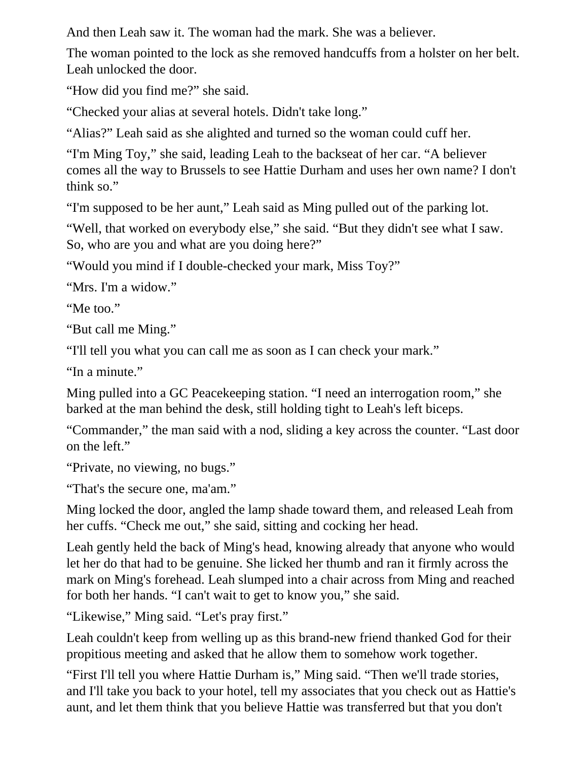And then Leah saw it. The woman had the mark. She was a believer.

The woman pointed to the lock as she removed handcuffs from a holster on her belt. Leah unlocked the door.

"How did you find me?" she said.

"Checked your alias at several hotels. Didn't take long."

"Alias?" Leah said as she alighted and turned so the woman could cuff her.

"I'm Ming Toy," she said, leading Leah to the backseat of her car. "A believer comes all the way to Brussels to see Hattie Durham and uses her own name? I don't think so."

"I'm supposed to be her aunt," Leah said as Ming pulled out of the parking lot.

"Well, that worked on everybody else," she said. "But they didn't see what I saw. So, who are you and what are you doing here?"

"Would you mind if I double-checked your mark, Miss Toy?"

"Mrs. I'm a widow."

"Me too."

"But call me Ming."

"I'll tell you what you can call me as soon as I can check your mark."

"In a minute."

Ming pulled into a GC Peacekeeping station. "I need an interrogation room," she barked at the man behind the desk, still holding tight to Leah's left biceps.

"Commander," the man said with a nod, sliding a key across the counter. "Last door on the left."

"Private, no viewing, no bugs."

"That's the secure one, ma'am."

Ming locked the door, angled the lamp shade toward them, and released Leah from her cuffs. "Check me out," she said, sitting and cocking her head.

Leah gently held the back of Ming's head, knowing already that anyone who would let her do that had to be genuine. She licked her thumb and ran it firmly across the mark on Ming's forehead. Leah slumped into a chair across from Ming and reached for both her hands. "I can't wait to get to know you," she said.

"Likewise," Ming said. "Let's pray first."

Leah couldn't keep from welling up as this brand-new friend thanked God for their propitious meeting and asked that he allow them to somehow work together.

"First I'll tell you where Hattie Durham is," Ming said. "Then we'll trade stories, and I'll take you back to your hotel, tell my associates that you check out as Hattie's aunt, and let them think that you believe Hattie was transferred but that you don't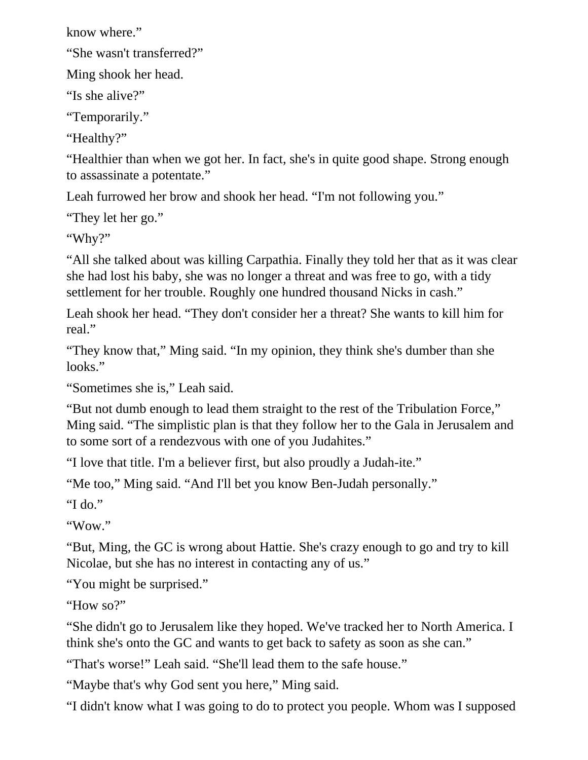know where."

"She wasn't transferred?"

Ming shook her head.

"Is she alive?"

"Temporarily."

"Healthy?"

"Healthier than when we got her. In fact, she's in quite good shape. Strong enough to assassinate a potentate."

Leah furrowed her brow and shook her head. "I'm not following you."

"They let her go."

"Why?"

"All she talked about was killing Carpathia. Finally they told her that as it was clear she had lost his baby, she was no longer a threat and was free to go, with a tidy settlement for her trouble. Roughly one hundred thousand Nicks in cash."

Leah shook her head. "They don't consider her a threat? She wants to kill him for real."

"They know that," Ming said. "In my opinion, they think she's dumber than she looks."

"Sometimes she is," Leah said.

"But not dumb enough to lead them straight to the rest of the Tribulation Force," Ming said. "The simplistic plan is that they follow her to the Gala in Jerusalem and to some sort of a rendezvous with one of you Judahites."

"I love that title. I'm a believer first, but also proudly a Judah-ite."

"Me too," Ming said. "And I'll bet you know Ben-Judah personally."

"I do."

"Wow."

"But, Ming, the GC is wrong about Hattie. She's crazy enough to go and try to kill Nicolae, but she has no interest in contacting any of us."

"You might be surprised."

"How so?"

"She didn't go to Jerusalem like they hoped. We've tracked her to North America. I think she's onto the GC and wants to get back to safety as soon as she can."

"That's worse!" Leah said. "She'll lead them to the safe house."

"Maybe that's why God sent you here," Ming said.

"I didn't know what I was going to do to protect you people. Whom was I supposed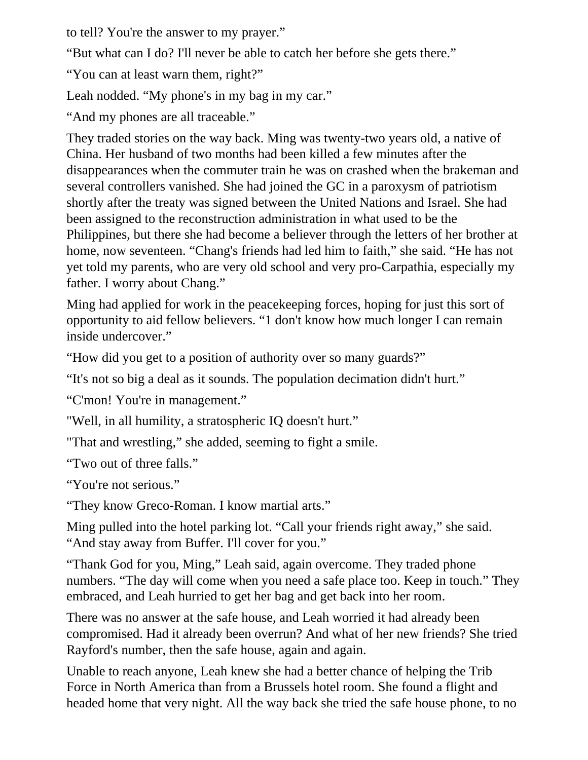to tell? You're the answer to my prayer."

"But what can I do? I'll never be able to catch her before she gets there."

"You can at least warn them, right?"

Leah nodded. "My phone's in my bag in my car."

"And my phones are all traceable."

They traded stories on the way back. Ming was twenty-two years old, a native of China. Her husband of two months had been killed a few minutes after the disappearances when the commuter train he was on crashed when the brakeman and several controllers vanished. She had joined the GC in a paroxysm of patriotism shortly after the treaty was signed between the United Nations and Israel. She had been assigned to the reconstruction administration in what used to be the Philippines, but there she had become a believer through the letters of her brother at home, now seventeen. "Chang's friends had led him to faith," she said. "He has not yet told my parents, who are very old school and very pro-Carpathia, especially my father. I worry about Chang."

Ming had applied for work in the peacekeeping forces, hoping for just this sort of opportunity to aid fellow believers. "1 don't know how much longer I can remain inside undercover."

"How did you get to a position of authority over so many guards?"

"It's not so big a deal as it sounds. The population decimation didn't hurt."

"C'mon! You're in management."

"Well, in all humility, a stratospheric IQ doesn't hurt."

"That and wrestling," she added, seeming to fight a smile.

"Two out of three falls."

"You're not serious."

"They know Greco-Roman. I know martial arts."

Ming pulled into the hotel parking lot. "Call your friends right away," she said. "And stay away from Buffer. I'll cover for you."

"Thank God for you, Ming," Leah said, again overcome. They traded phone numbers. "The day will come when you need a safe place too. Keep in touch." They embraced, and Leah hurried to get her bag and get back into her room.

There was no answer at the safe house, and Leah worried it had already been compromised. Had it already been overrun? And what of her new friends? She tried Rayford's number, then the safe house, again and again.

Unable to reach anyone, Leah knew she had a better chance of helping the Trib Force in North America than from a Brussels hotel room. She found a flight and headed home that very night. All the way back she tried the safe house phone, to no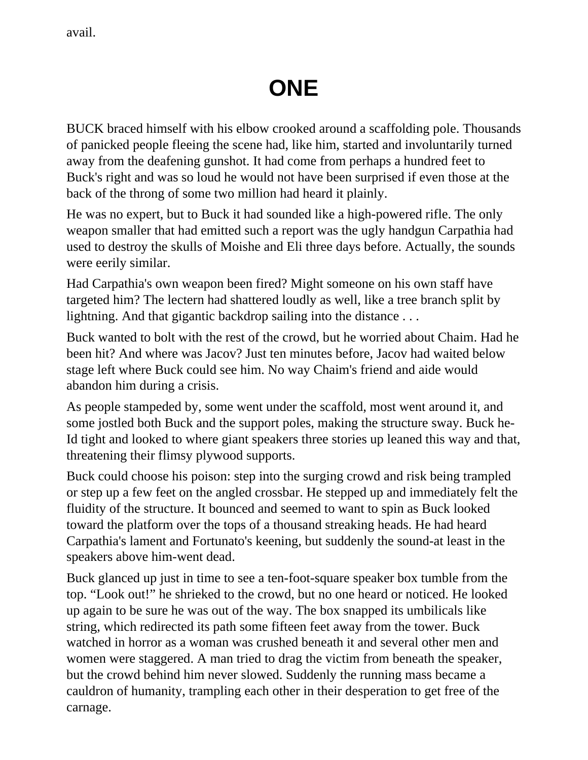# **ONE**

BUCK braced himself with his elbow crooked around a scaffolding pole. Thousands of panicked people fleeing the scene had, like him, started and involuntarily turned away from the deafening gunshot. It had come from perhaps a hundred feet to Buck's right and was so loud he would not have been surprised if even those at the back of the throng of some two million had heard it plainly.

He was no expert, but to Buck it had sounded like a high-powered rifle. The only weapon smaller that had emitted such a report was the ugly handgun Carpathia had used to destroy the skulls of Moishe and Eli three days before. Actually, the sounds were eerily similar.

Had Carpathia's own weapon been fired? Might someone on his own staff have targeted him? The lectern had shattered loudly as well, like a tree branch split by lightning. And that gigantic backdrop sailing into the distance . . .

Buck wanted to bolt with the rest of the crowd, but he worried about Chaim. Had he been hit? And where was Jacov? Just ten minutes before, Jacov had waited below stage left where Buck could see him. No way Chaim's friend and aide would abandon him during a crisis.

As people stampeded by, some went under the scaffold, most went around it, and some jostled both Buck and the support poles, making the structure sway. Buck he-Id tight and looked to where giant speakers three stories up leaned this way and that, threatening their flimsy plywood supports.

Buck could choose his poison: step into the surging crowd and risk being trampled or step up a few feet on the angled crossbar. He stepped up and immediately felt the fluidity of the structure. It bounced and seemed to want to spin as Buck looked toward the platform over the tops of a thousand streaking heads. He had heard Carpathia's lament and Fortunato's keening, but suddenly the sound-at least in the speakers above him-went dead.

Buck glanced up just in time to see a ten-foot-square speaker box tumble from the top. "Look out!" he shrieked to the crowd, but no one heard or noticed. He looked up again to be sure he was out of the way. The box snapped its umbilicals like string, which redirected its path some fifteen feet away from the tower. Buck watched in horror as a woman was crushed beneath it and several other men and women were staggered. A man tried to drag the victim from beneath the speaker, but the crowd behind him never slowed. Suddenly the running mass became a cauldron of humanity, trampling each other in their desperation to get free of the carnage.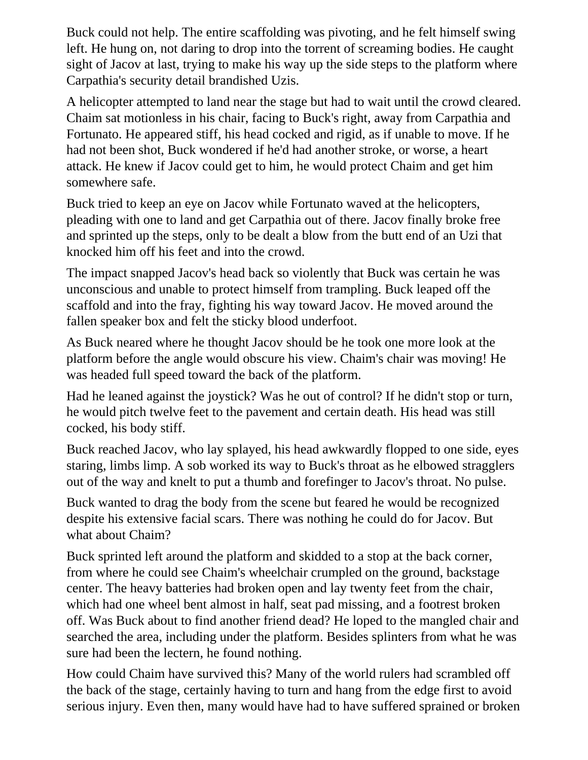Buck could not help. The entire scaffolding was pivoting, and he felt himself swing left. He hung on, not daring to drop into the torrent of screaming bodies. He caught sight of Jacov at last, trying to make his way up the side steps to the platform where Carpathia's security detail brandished Uzis.

A helicopter attempted to land near the stage but had to wait until the crowd cleared. Chaim sat motionless in his chair, facing to Buck's right, away from Carpathia and Fortunato. He appeared stiff, his head cocked and rigid, as if unable to move. If he had not been shot, Buck wondered if he'd had another stroke, or worse, a heart attack. He knew if Jacov could get to him, he would protect Chaim and get him somewhere safe.

Buck tried to keep an eye on Jacov while Fortunato waved at the helicopters, pleading with one to land and get Carpathia out of there. Jacov finally broke free and sprinted up the steps, only to be dealt a blow from the butt end of an Uzi that knocked him off his feet and into the crowd.

The impact snapped Jacov's head back so violently that Buck was certain he was unconscious and unable to protect himself from trampling. Buck leaped off the scaffold and into the fray, fighting his way toward Jacov. He moved around the fallen speaker box and felt the sticky blood underfoot.

As Buck neared where he thought Jacov should be he took one more look at the platform before the angle would obscure his view. Chaim's chair was moving! He was headed full speed toward the back of the platform.

Had he leaned against the joystick? Was he out of control? If he didn't stop or turn, he would pitch twelve feet to the pavement and certain death. His head was still cocked, his body stiff.

Buck reached Jacov, who lay splayed, his head awkwardly flopped to one side, eyes staring, limbs limp. A sob worked its way to Buck's throat as he elbowed stragglers out of the way and knelt to put a thumb and forefinger to Jacov's throat. No pulse.

Buck wanted to drag the body from the scene but feared he would be recognized despite his extensive facial scars. There was nothing he could do for Jacov. But what about Chaim?

Buck sprinted left around the platform and skidded to a stop at the back corner, from where he could see Chaim's wheelchair crumpled on the ground, backstage center. The heavy batteries had broken open and lay twenty feet from the chair, which had one wheel bent almost in half, seat pad missing, and a footrest broken off. Was Buck about to find another friend dead? He loped to the mangled chair and searched the area, including under the platform. Besides splinters from what he was sure had been the lectern, he found nothing.

How could Chaim have survived this? Many of the world rulers had scrambled off the back of the stage, certainly having to turn and hang from the edge first to avoid serious injury. Even then, many would have had to have suffered sprained or broken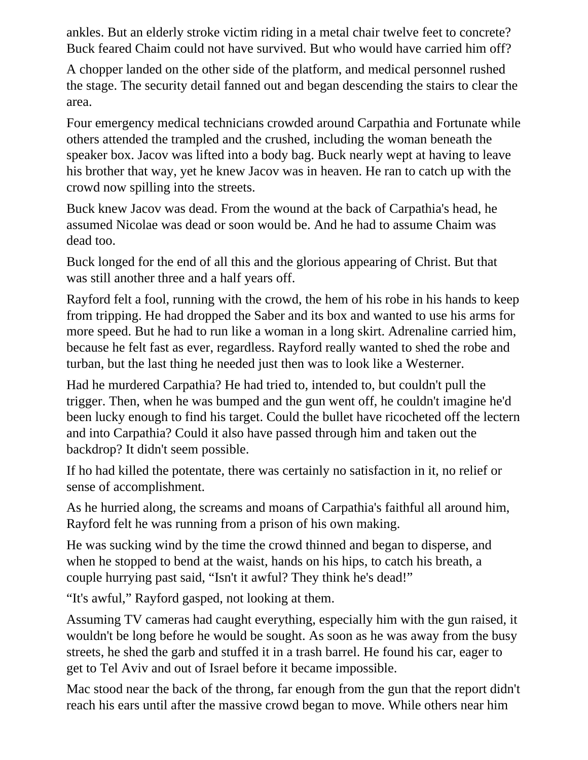ankles. But an elderly stroke victim riding in a metal chair twelve feet to concrete? Buck feared Chaim could not have survived. But who would have carried him off?

A chopper landed on the other side of the platform, and medical personnel rushed the stage. The security detail fanned out and began descending the stairs to clear the area.

Four emergency medical technicians crowded around Carpathia and Fortunate while others attended the trampled and the crushed, including the woman beneath the speaker box. Jacov was lifted into a body bag. Buck nearly wept at having to leave his brother that way, yet he knew Jacov was in heaven. He ran to catch up with the crowd now spilling into the streets.

Buck knew Jacov was dead. From the wound at the back of Carpathia's head, he assumed Nicolae was dead or soon would be. And he had to assume Chaim was dead too.

Buck longed for the end of all this and the glorious appearing of Christ. But that was still another three and a half years off.

Rayford felt a fool, running with the crowd, the hem of his robe in his hands to keep from tripping. He had dropped the Saber and its box and wanted to use his arms for more speed. But he had to run like a woman in a long skirt. Adrenaline carried him, because he felt fast as ever, regardless. Rayford really wanted to shed the robe and turban, but the last thing he needed just then was to look like a Westerner.

Had he murdered Carpathia? He had tried to, intended to, but couldn't pull the trigger. Then, when he was bumped and the gun went off, he couldn't imagine he'd been lucky enough to find his target. Could the bullet have ricocheted off the lectern and into Carpathia? Could it also have passed through him and taken out the backdrop? It didn't seem possible.

If ho had killed the potentate, there was certainly no satisfaction in it, no relief or sense of accomplishment.

As he hurried along, the screams and moans of Carpathia's faithful all around him, Rayford felt he was running from a prison of his own making.

He was sucking wind by the time the crowd thinned and began to disperse, and when he stopped to bend at the waist, hands on his hips, to catch his breath, a couple hurrying past said, "Isn't it awful? They think he's dead!"

"It's awful," Rayford gasped, not looking at them.

Assuming TV cameras had caught everything, especially him with the gun raised, it wouldn't be long before he would be sought. As soon as he was away from the busy streets, he shed the garb and stuffed it in a trash barrel. He found his car, eager to get to Tel Aviv and out of Israel before it became impossible.

Mac stood near the back of the throng, far enough from the gun that the report didn't reach his ears until after the massive crowd began to move. While others near him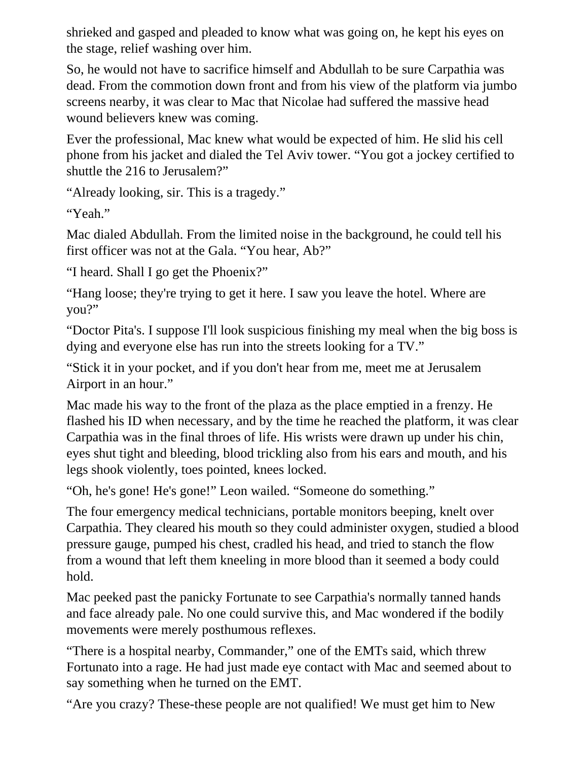shrieked and gasped and pleaded to know what was going on, he kept his eyes on the stage, relief washing over him.

So, he would not have to sacrifice himself and Abdullah to be sure Carpathia was dead. From the commotion down front and from his view of the platform via jumbo screens nearby, it was clear to Mac that Nicolae had suffered the massive head wound believers knew was coming.

Ever the professional, Mac knew what would be expected of him. He slid his cell phone from his jacket and dialed the Tel Aviv tower. "You got a jockey certified to shuttle the 216 to Jerusalem?"

"Already looking, sir. This is a tragedy."

"Yeah."

Mac dialed Abdullah. From the limited noise in the background, he could tell his first officer was not at the Gala. "You hear, Ab?"

"I heard. Shall I go get the Phoenix?"

"Hang loose; they're trying to get it here. I saw you leave the hotel. Where are you?"

"Doctor Pita's. I suppose I'll look suspicious finishing my meal when the big boss is dying and everyone else has run into the streets looking for a TV."

"Stick it in your pocket, and if you don't hear from me, meet me at Jerusalem Airport in an hour."

Mac made his way to the front of the plaza as the place emptied in a frenzy. He flashed his ID when necessary, and by the time he reached the platform, it was clear Carpathia was in the final throes of life. His wrists were drawn up under his chin, eyes shut tight and bleeding, blood trickling also from his ears and mouth, and his legs shook violently, toes pointed, knees locked.

"Oh, he's gone! He's gone!" Leon wailed. "Someone do something."

The four emergency medical technicians, portable monitors beeping, knelt over Carpathia. They cleared his mouth so they could administer oxygen, studied a blood pressure gauge, pumped his chest, cradled his head, and tried to stanch the flow from a wound that left them kneeling in more blood than it seemed a body could hold.

Mac peeked past the panicky Fortunate to see Carpathia's normally tanned hands and face already pale. No one could survive this, and Mac wondered if the bodily movements were merely posthumous reflexes.

"There is a hospital nearby, Commander," one of the EMTs said, which threw Fortunato into a rage. He had just made eye contact with Mac and seemed about to say something when he turned on the EMT.

"Are you crazy? These-these people are not qualified! We must get him to New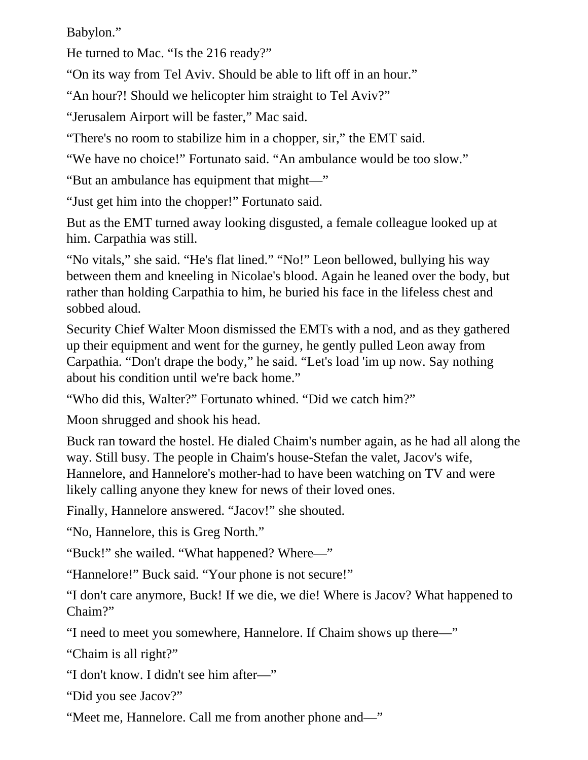Babylon."

He turned to Mac. "Is the 216 ready?"

"On its way from Tel Aviv. Should be able to lift off in an hour."

"An hour?! Should we helicopter him straight to Tel Aviv?"

"Jerusalem Airport will be faster," Mac said.

"There's no room to stabilize him in a chopper, sir," the EMT said.

"We have no choice!" Fortunato said. "An ambulance would be too slow."

"But an ambulance has equipment that might—"

"Just get him into the chopper!" Fortunato said.

But as the EMT turned away looking disgusted, a female colleague looked up at him. Carpathia was still.

"No vitals," she said. "He's flat lined." "No!" Leon bellowed, bullying his way between them and kneeling in Nicolae's blood. Again he leaned over the body, but rather than holding Carpathia to him, he buried his face in the lifeless chest and sobbed aloud.

Security Chief Walter Moon dismissed the EMTs with a nod, and as they gathered up their equipment and went for the gurney, he gently pulled Leon away from Carpathia. "Don't drape the body," he said. "Let's load 'im up now. Say nothing about his condition until we're back home."

"Who did this, Walter?" Fortunato whined. "Did we catch him?"

Moon shrugged and shook his head.

Buck ran toward the hostel. He dialed Chaim's number again, as he had all along the way. Still busy. The people in Chaim's house-Stefan the valet, Jacov's wife, Hannelore, and Hannelore's mother-had to have been watching on TV and were likely calling anyone they knew for news of their loved ones.

Finally, Hannelore answered. "Jacov!" she shouted.

"No, Hannelore, this is Greg North."

"Buck!" she wailed. "What happened? Where—"

"Hannelore!" Buck said. "Your phone is not secure!"

"I don't care anymore, Buck! If we die, we die! Where is Jacov? What happened to Chaim?"

"I need to meet you somewhere, Hannelore. If Chaim shows up there—"

"Chaim is all right?"

"I don't know. I didn't see him after—"

"Did you see Jacov?"

"Meet me, Hannelore. Call me from another phone and—"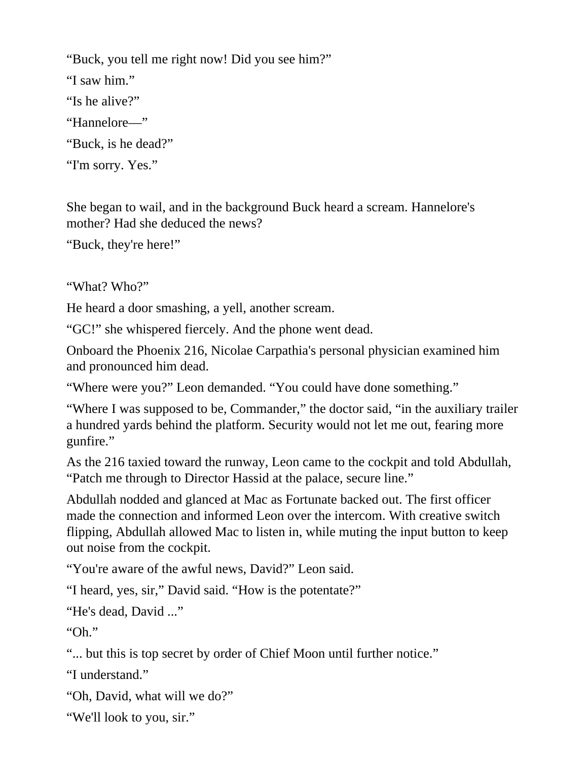"Buck, you tell me right now! Did you see him?" "I saw him." "Is he alive?" "Hannelore—" "Buck, is he dead?" "I'm sorry. Yes."

She began to wail, and in the background Buck heard a scream. Hannelore's mother? Had she deduced the news?

"Buck, they're here!"

"What? Who?"

He heard a door smashing, a yell, another scream.

"GC!" she whispered fiercely. And the phone went dead.

Onboard the Phoenix 216, Nicolae Carpathia's personal physician examined him and pronounced him dead.

"Where were you?" Leon demanded. "You could have done something."

"Where I was supposed to be, Commander," the doctor said, "in the auxiliary trailer a hundred yards behind the platform. Security would not let me out, fearing more gunfire."

As the 216 taxied toward the runway, Leon came to the cockpit and told Abdullah, "Patch me through to Director Hassid at the palace, secure line."

Abdullah nodded and glanced at Mac as Fortunate backed out. The first officer made the connection and informed Leon over the intercom. With creative switch flipping, Abdullah allowed Mac to listen in, while muting the input button to keep out noise from the cockpit.

"You're aware of the awful news, David?" Leon said.

"I heard, yes, sir," David said. "How is the potentate?"

"He's dead, David ..."

"Oh."

"... but this is top secret by order of Chief Moon until further notice."

"I understand."

"Oh, David, what will we do?"

"We'll look to you, sir."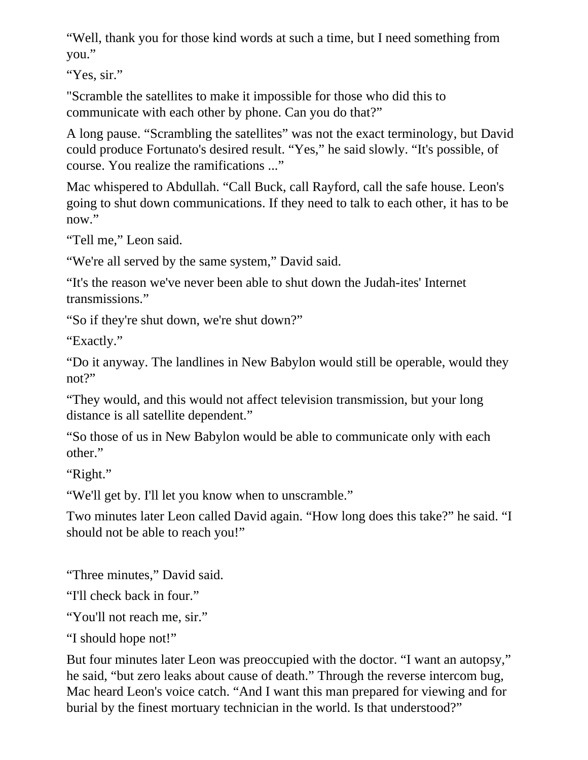"Well, thank you for those kind words at such a time, but I need something from you."

"Yes, sir."

"Scramble the satellites to make it impossible for those who did this to communicate with each other by phone. Can you do that?"

A long pause. "Scrambling the satellites" was not the exact terminology, but David could produce Fortunato's desired result. "Yes," he said slowly. "It's possible, of course. You realize the ramifications ..."

Mac whispered to Abdullah. "Call Buck, call Rayford, call the safe house. Leon's going to shut down communications. If they need to talk to each other, it has to be now."

"Tell me," Leon said.

"We're all served by the same system," David said.

"It's the reason we've never been able to shut down the Judah-ites' Internet transmissions."

"So if they're shut down, we're shut down?"

"Exactly."

"Do it anyway. The landlines in New Babylon would still be operable, would they not?"

"They would, and this would not affect television transmission, but your long distance is all satellite dependent."

"So those of us in New Babylon would be able to communicate only with each other."

"Right."

"We'll get by. I'll let you know when to unscramble."

Two minutes later Leon called David again. "How long does this take?" he said. "I should not be able to reach you!"

"Three minutes," David said.

"I'll check back in four."

"You'll not reach me, sir."

"I should hope not!"

But four minutes later Leon was preoccupied with the doctor. "I want an autopsy," he said, "but zero leaks about cause of death." Through the reverse intercom bug, Mac heard Leon's voice catch. "And I want this man prepared for viewing and for burial by the finest mortuary technician in the world. Is that understood?"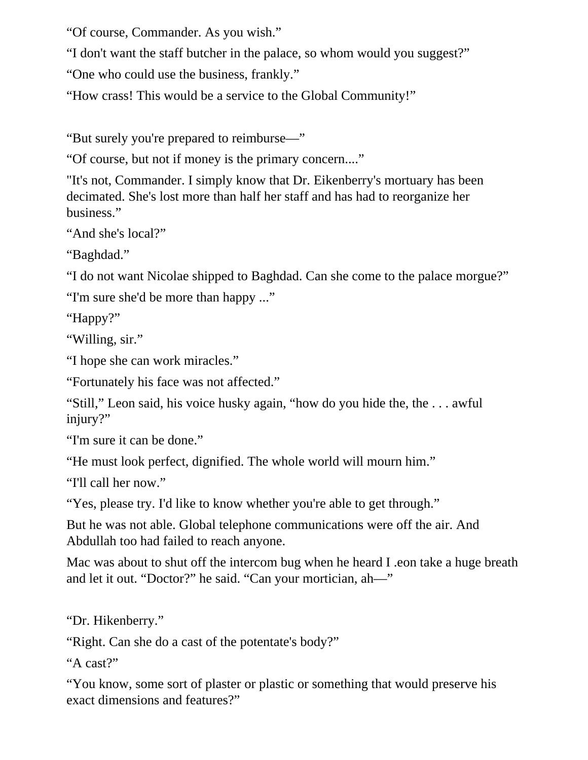"Of course, Commander. As you wish."

"I don't want the staff butcher in the palace, so whom would you suggest?"

"One who could use the business, frankly."

"How crass! This would be a service to the Global Community!"

"But surely you're prepared to reimburse—"

"Of course, but not if money is the primary concern...."

"It's not, Commander. I simply know that Dr. Eikenberry's mortuary has been decimated. She's lost more than half her staff and has had to reorganize her business."

"And she's local?"

"Baghdad."

"I do not want Nicolae shipped to Baghdad. Can she come to the palace morgue?"

"I'm sure she'd be more than happy ..."

"Happy?"

"Willing, sir."

"I hope she can work miracles."

"Fortunately his face was not affected."

"Still," Leon said, his voice husky again, "how do you hide the, the . . . awful injury?"

"I'm sure it can be done."

"He must look perfect, dignified. The whole world will mourn him."

"I'll call her now."

"Yes, please try. I'd like to know whether you're able to get through."

But he was not able. Global telephone communications were off the air. And Abdullah too had failed to reach anyone.

Mac was about to shut off the intercom bug when he heard I .eon take a huge breath and let it out. "Doctor?" he said. "Can your mortician, ah—"

"Dr. Hikenberry."

"Right. Can she do a cast of the potentate's body?"

"A cast?"

"You know, some sort of plaster or plastic or something that would preserve his exact dimensions and features?"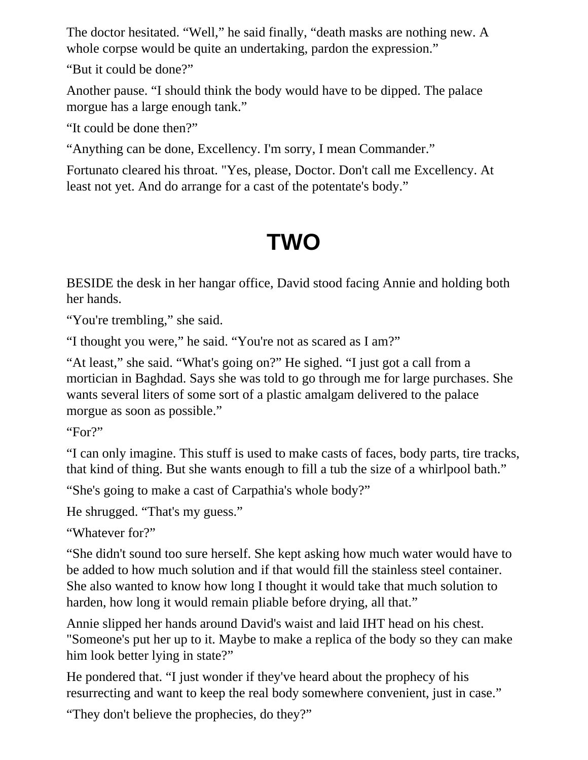The doctor hesitated. "Well," he said finally, "death masks are nothing new. A whole corpse would be quite an undertaking, pardon the expression."

"But it could be done?"

Another pause. "I should think the body would have to be dipped. The palace morgue has a large enough tank."

"It could be done then?"

"Anything can be done, Excellency. I'm sorry, I mean Commander."

Fortunato cleared his throat. "Yes, please, Doctor. Don't call me Excellency. At least not yet. And do arrange for a cast of the potentate's body."

### **TWO**

BESIDE the desk in her hangar office, David stood facing Annie and holding both her hands.

"You're trembling," she said.

"I thought you were," he said. "You're not as scared as I am?"

"At least," she said. "What's going on?" He sighed. "I just got a call from a mortician in Baghdad. Says she was told to go through me for large purchases. She wants several liters of some sort of a plastic amalgam delivered to the palace morgue as soon as possible."

"For?"

"I can only imagine. This stuff is used to make casts of faces, body parts, tire tracks, that kind of thing. But she wants enough to fill a tub the size of a whirlpool bath."

"She's going to make a cast of Carpathia's whole body?"

He shrugged. "That's my guess."

```
"Whatever for?"
```
"She didn't sound too sure herself. She kept asking how much water would have to be added to how much solution and if that would fill the stainless steel container. She also wanted to know how long I thought it would take that much solution to harden, how long it would remain pliable before drying, all that."

Annie slipped her hands around David's waist and laid IHT head on his chest. "Someone's put her up to it. Maybe to make a replica of the body so they can make him look better lying in state?"

He pondered that. "I just wonder if they've heard about the prophecy of his resurrecting and want to keep the real body somewhere convenient, just in case."

"They don't believe the prophecies, do they?"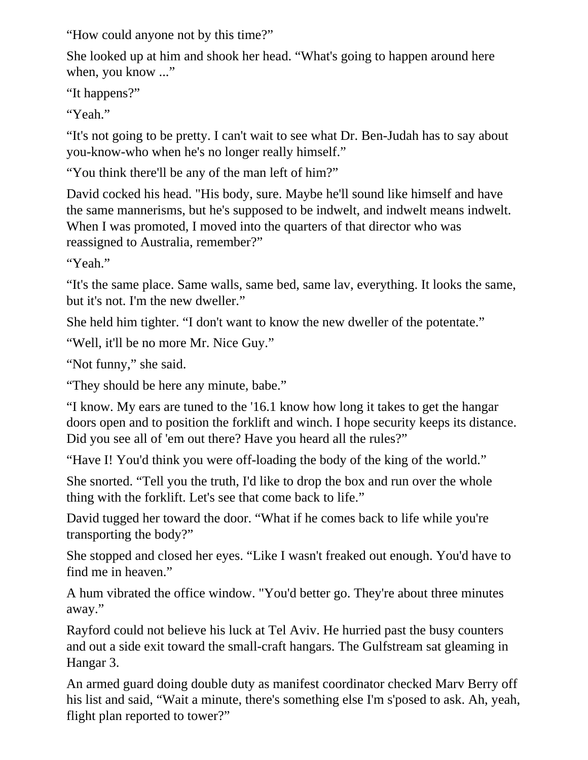"How could anyone not by this time?"

She looked up at him and shook her head. "What's going to happen around here when, you know ..."

"It happens?"

"Yeah."

"It's not going to be pretty. I can't wait to see what Dr. Ben-Judah has to say about you-know-who when he's no longer really himself."

"You think there'll be any of the man left of him?"

David cocked his head. "His body, sure. Maybe he'll sound like himself and have the same mannerisms, but he's supposed to be indwelt, and indwelt means indwelt. When I was promoted, I moved into the quarters of that director who was reassigned to Australia, remember?"

"Yeah."

"It's the same place. Same walls, same bed, same lav, everything. It looks the same, but it's not. I'm the new dweller."

She held him tighter. "I don't want to know the new dweller of the potentate."

"Well, it'll be no more Mr. Nice Guy."

"Not funny," she said.

"They should be here any minute, babe."

"I know. My ears are tuned to the '16.1 know how long it takes to get the hangar doors open and to position the forklift and winch. I hope security keeps its distance. Did you see all of 'em out there? Have you heard all the rules?"

"Have I! You'd think you were off-loading the body of the king of the world."

She snorted. "Tell you the truth, I'd like to drop the box and run over the whole thing with the forklift. Let's see that come back to life."

David tugged her toward the door. "What if he comes back to life while you're transporting the body?"

She stopped and closed her eyes. "Like I wasn't freaked out enough. You'd have to find me in heaven."

A hum vibrated the office window. "You'd better go. They're about three minutes away."

Rayford could not believe his luck at Tel Aviv. He hurried past the busy counters and out a side exit toward the small-craft hangars. The Gulfstream sat gleaming in Hangar 3.

An armed guard doing double duty as manifest coordinator checked Marv Berry off his list and said, "Wait a minute, there's something else I'm s'posed to ask. Ah, yeah, flight plan reported to tower?"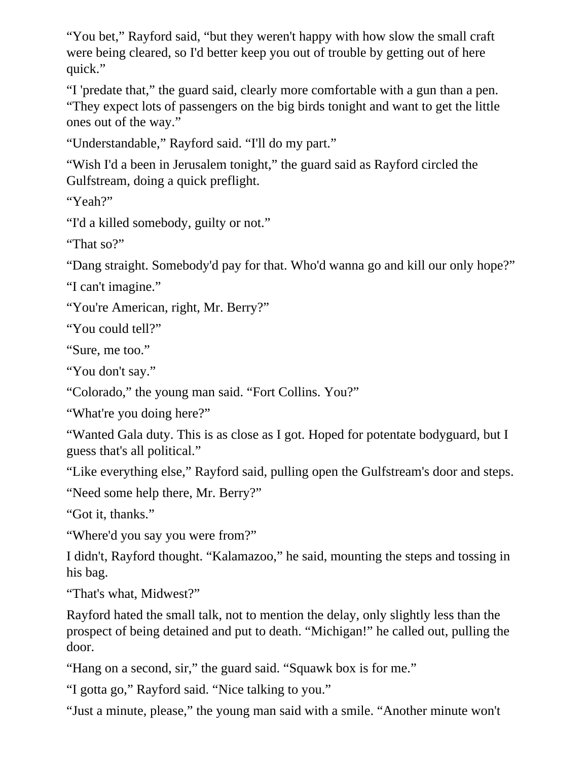"You bet," Rayford said, "but they weren't happy with how slow the small craft were being cleared, so I'd better keep you out of trouble by getting out of here quick."

"I 'predate that," the guard said, clearly more comfortable with a gun than a pen. "They expect lots of passengers on the big birds tonight and want to get the little ones out of the way."

"Understandable," Rayford said. "I'll do my part."

"Wish I'd a been in Jerusalem tonight," the guard said as Rayford circled the Gulfstream, doing a quick preflight.

"Yeah?"

"I'd a killed somebody, guilty or not."

"That so?"

"Dang straight. Somebody'd pay for that. Who'd wanna go and kill our only hope?"

"I can't imagine."

"You're American, right, Mr. Berry?"

"You could tell?"

"Sure, me too."

"You don't say."

"Colorado," the young man said. "Fort Collins. You?"

"What're you doing here?"

"Wanted Gala duty. This is as close as I got. Hoped for potentate bodyguard, but I guess that's all political."

"Like everything else," Rayford said, pulling open the Gulfstream's door and steps.

"Need some help there, Mr. Berry?"

"Got it, thanks."

"Where'd you say you were from?"

I didn't, Rayford thought. "Kalamazoo," he said, mounting the steps and tossing in his bag.

"That's what, Midwest?"

Rayford hated the small talk, not to mention the delay, only slightly less than the prospect of being detained and put to death. "Michigan!" he called out, pulling the door.

"Hang on a second, sir," the guard said. "Squawk box is for me."

"I gotta go," Rayford said. "Nice talking to you."

"Just a minute, please," the young man said with a smile. "Another minute won't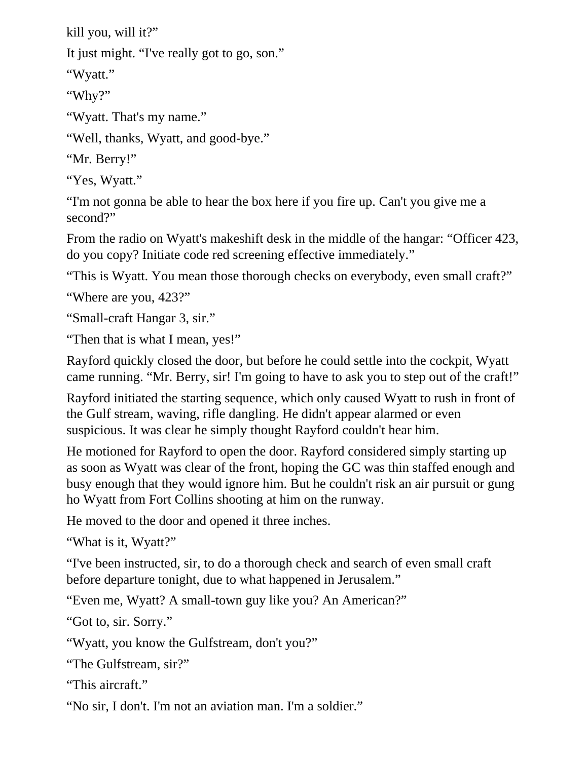kill you, will it?"

It just might. "I've really got to go, son."

"Wyatt."

"Why?"

"Wyatt. That's my name."

"Well, thanks, Wyatt, and good-bye."

"Mr. Berry!"

"Yes, Wyatt."

"I'm not gonna be able to hear the box here if you fire up. Can't you give me a second?"

From the radio on Wyatt's makeshift desk in the middle of the hangar: "Officer 423, do you copy? Initiate code red screening effective immediately."

"This is Wyatt. You mean those thorough checks on everybody, even small craft?"

"Where are you, 423?"

"Small-craft Hangar 3, sir."

"Then that is what I mean, yes!"

Rayford quickly closed the door, but before he could settle into the cockpit, Wyatt came running. "Mr. Berry, sir! I'm going to have to ask you to step out of the craft!"

Rayford initiated the starting sequence, which only caused Wyatt to rush in front of the Gulf stream, waving, rifle dangling. He didn't appear alarmed or even suspicious. It was clear he simply thought Rayford couldn't hear him.

He motioned for Rayford to open the door. Rayford considered simply starting up as soon as Wyatt was clear of the front, hoping the GC was thin staffed enough and busy enough that they would ignore him. But he couldn't risk an air pursuit or gung ho Wyatt from Fort Collins shooting at him on the runway.

He moved to the door and opened it three inches.

"What is it, Wyatt?"

"I've been instructed, sir, to do a thorough check and search of even small craft before departure tonight, due to what happened in Jerusalem."

"Even me, Wyatt? A small-town guy like you? An American?"

"Got to, sir. Sorry."

"Wyatt, you know the Gulfstream, don't you?"

"The Gulfstream, sir?"

"This aircraft."

"No sir, I don't. I'm not an aviation man. I'm a soldier."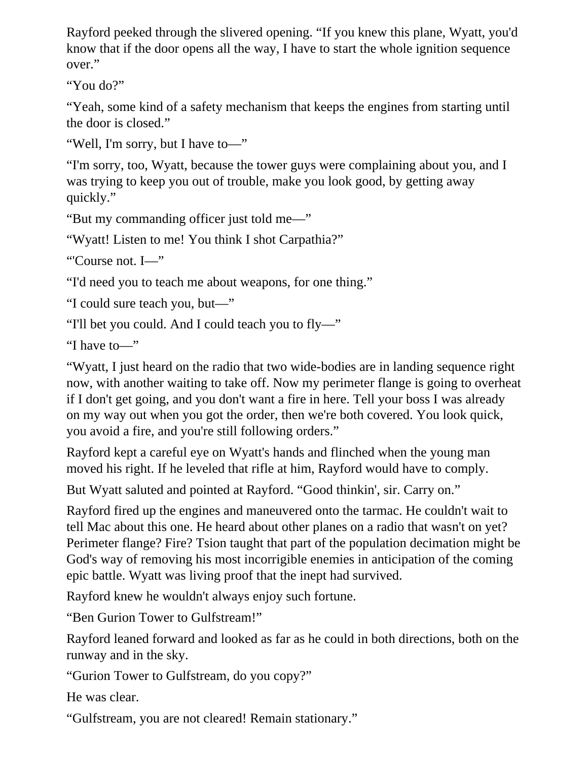Rayford peeked through the slivered opening. "If you knew this plane, Wyatt, you'd know that if the door opens all the way, I have to start the whole ignition sequence over."

"You do?"

"Yeah, some kind of a safety mechanism that keeps the engines from starting until the door is closed."

"Well, I'm sorry, but I have to—"

"I'm sorry, too, Wyatt, because the tower guys were complaining about you, and I was trying to keep you out of trouble, make you look good, by getting away quickly."

"But my commanding officer just told me—"

"Wyatt! Listen to me! You think I shot Carpathia?"

"'Course not. I—"

"I'd need you to teach me about weapons, for one thing."

"I could sure teach you, but—"

"I'll bet you could. And I could teach you to fly—"

"I have to—"

"Wyatt, I just heard on the radio that two wide-bodies are in landing sequence right now, with another waiting to take off. Now my perimeter flange is going to overheat if I don't get going, and you don't want a fire in here. Tell your boss I was already on my way out when you got the order, then we're both covered. You look quick, you avoid a fire, and you're still following orders."

Rayford kept a careful eye on Wyatt's hands and flinched when the young man moved his right. If he leveled that rifle at him, Rayford would have to comply.

But Wyatt saluted and pointed at Rayford. "Good thinkin', sir. Carry on."

Rayford fired up the engines and maneuvered onto the tarmac. He couldn't wait to tell Mac about this one. He heard about other planes on a radio that wasn't on yet? Perimeter flange? Fire? Tsion taught that part of the population decimation might be God's way of removing his most incorrigible enemies in anticipation of the coming epic battle. Wyatt was living proof that the inept had survived.

Rayford knew he wouldn't always enjoy such fortune.

"Ben Gurion Tower to Gulfstream!"

Rayford leaned forward and looked as far as he could in both directions, both on the runway and in the sky.

"Gurion Tower to Gulfstream, do you copy?"

He was clear.

"Gulfstream, you are not cleared! Remain stationary."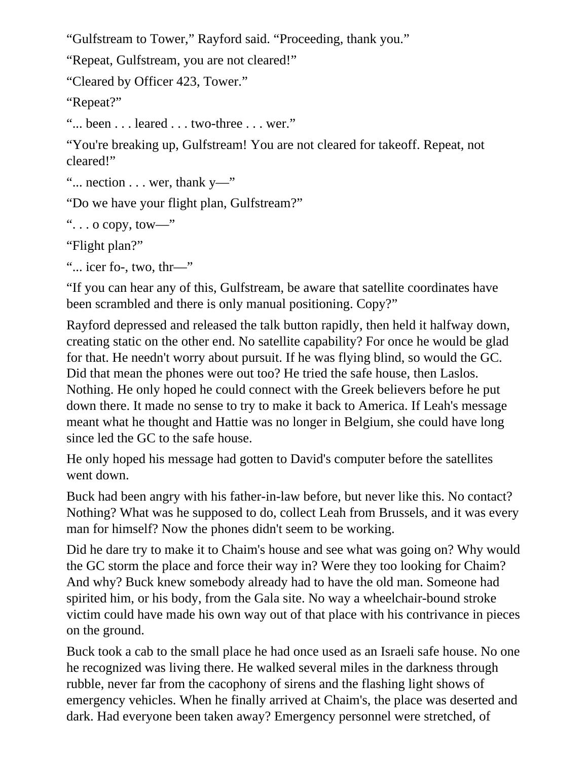"Gulfstream to Tower," Rayford said. "Proceeding, thank you."

"Repeat, Gulfstream, you are not cleared!"

"Cleared by Officer 423, Tower."

"Repeat?"

"... been . . . leared . . . two-three . . . wer."

"You're breaking up, Gulfstream! You are not cleared for takeoff. Repeat, not cleared!"

```
"... nection \dots wer, thank y<sup>"</sup>
```
"Do we have your flight plan, Gulfstream?"

" $\ldots$  o copy, tow—"

"Flight plan?"

"... icer fo-, two, thr—"

"If you can hear any of this, Gulfstream, be aware that satellite coordinates have been scrambled and there is only manual positioning. Copy?"

Rayford depressed and released the talk button rapidly, then held it halfway down, creating static on the other end. No satellite capability? For once he would be glad for that. He needn't worry about pursuit. If he was flying blind, so would the GC. Did that mean the phones were out too? He tried the safe house, then Laslos. Nothing. He only hoped he could connect with the Greek believers before he put down there. It made no sense to try to make it back to America. If Leah's message meant what he thought and Hattie was no longer in Belgium, she could have long since led the GC to the safe house.

He only hoped his message had gotten to David's computer before the satellites went down.

Buck had been angry with his father-in-law before, but never like this. No contact? Nothing? What was he supposed to do, collect Leah from Brussels, and it was every man for himself? Now the phones didn't seem to be working.

Did he dare try to make it to Chaim's house and see what was going on? Why would the GC storm the place and force their way in? Were they too looking for Chaim? And why? Buck knew somebody already had to have the old man. Someone had spirited him, or his body, from the Gala site. No way a wheelchair-bound stroke victim could have made his own way out of that place with his contrivance in pieces on the ground.

Buck took a cab to the small place he had once used as an Israeli safe house. No one he recognized was living there. He walked several miles in the darkness through rubble, never far from the cacophony of sirens and the flashing light shows of emergency vehicles. When he finally arrived at Chaim's, the place was deserted and dark. Had everyone been taken away? Emergency personnel were stretched, of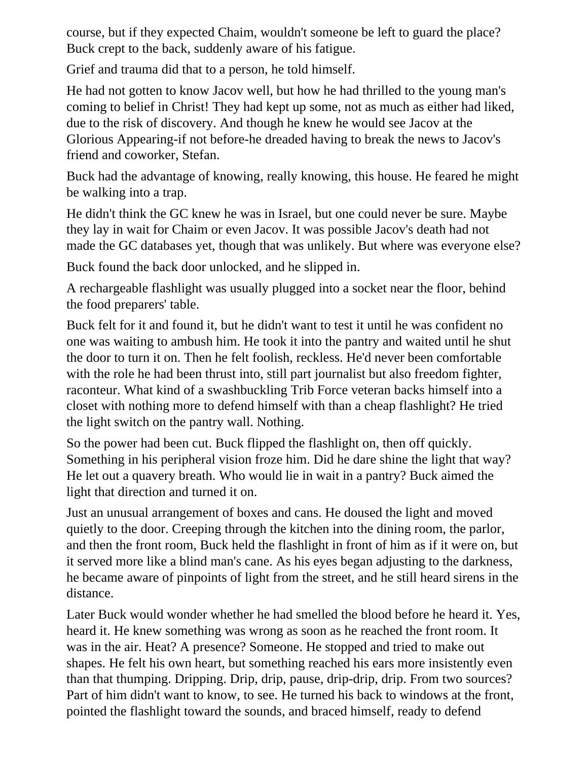course, but if they expected Chaim, wouldn't someone be left to guard the place? Buck crept to the back, suddenly aware of his fatigue.

Grief and trauma did that to a person, he told himself.

He had not gotten to know Jacov well, but how he had thrilled to the young man's coming to belief in Christ! They had kept up some, not as much as either had liked, due to the risk of discovery. And though he knew he would see Jacov at the Glorious Appearing-if not before-he dreaded having to break the news to Jacov's friend and coworker, Stefan.

Buck had the advantage of knowing, really knowing, this house. He feared he might be walking into a trap.

He didn't think the GC knew he was in Israel, but one could never be sure. Maybe they lay in wait for Chaim or even Jacov. It was possible Jacov's death had not made the GC databases yet, though that was unlikely. But where was everyone else?

Buck found the back door unlocked, and he slipped in.

A rechargeable flashlight was usually plugged into a socket near the floor, behind the food preparers' table.

Buck felt for it and found it, but he didn't want to test it until he was confident no one was waiting to ambush him. He took it into the pantry and waited until he shut the door to turn it on. Then he felt foolish, reckless. He'd never been comfortable with the role he had been thrust into, still part journalist but also freedom fighter, raconteur. What kind of a swashbuckling Trib Force veteran backs himself into a closet with nothing more to defend himself with than a cheap flashlight? He tried the light switch on the pantry wall. Nothing.

So the power had been cut. Buck flipped the flashlight on, then off quickly. Something in his peripheral vision froze him. Did he dare shine the light that way? He let out a quavery breath. Who would lie in wait in a pantry? Buck aimed the light that direction and turned it on.

Just an unusual arrangement of boxes and cans. He doused the light and moved quietly to the door. Creeping through the kitchen into the dining room, the parlor, and then the front room, Buck held the flashlight in front of him as if it were on, but it served more like a blind man's cane. As his eyes began adjusting to the darkness, he became aware of pinpoints of light from the street, and he still heard sirens in the distance.

Later Buck would wonder whether he had smelled the blood before he heard it. Yes, heard it. He knew something was wrong as soon as he reached the front room. It was in the air. Heat? A presence? Someone. He stopped and tried to make out shapes. He felt his own heart, but something reached his ears more insistently even than that thumping. Dripping. Drip, drip, pause, drip-drip, drip. From two sources? Part of him didn't want to know, to see. He turned his back to windows at the front, pointed the flashlight toward the sounds, and braced himself, ready to defend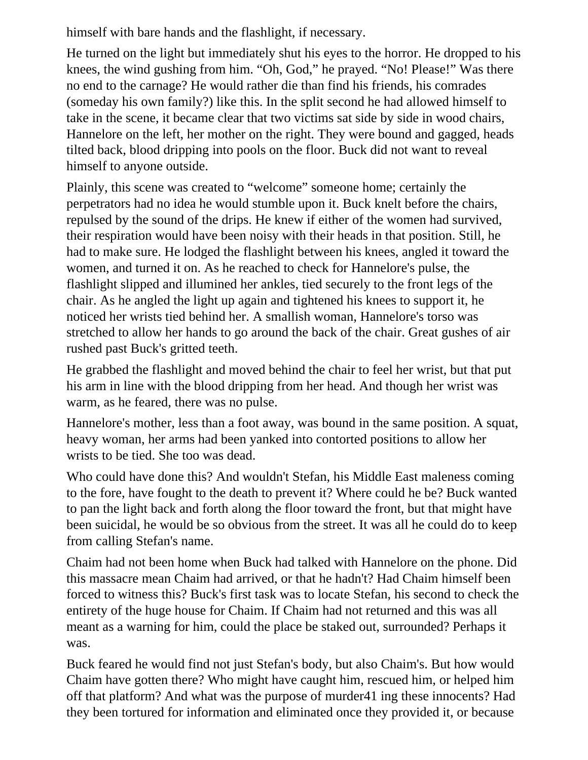himself with bare hands and the flashlight, if necessary.

He turned on the light but immediately shut his eyes to the horror. He dropped to his knees, the wind gushing from him. "Oh, God," he prayed. "No! Please!" Was there no end to the carnage? He would rather die than find his friends, his comrades (someday his own family?) like this. In the split second he had allowed himself to take in the scene, it became clear that two victims sat side by side in wood chairs, Hannelore on the left, her mother on the right. They were bound and gagged, heads tilted back, blood dripping into pools on the floor. Buck did not want to reveal himself to anyone outside.

Plainly, this scene was created to "welcome" someone home; certainly the perpetrators had no idea he would stumble upon it. Buck knelt before the chairs, repulsed by the sound of the drips. He knew if either of the women had survived, their respiration would have been noisy with their heads in that position. Still, he had to make sure. He lodged the flashlight between his knees, angled it toward the women, and turned it on. As he reached to check for Hannelore's pulse, the flashlight slipped and illumined her ankles, tied securely to the front legs of the chair. As he angled the light up again and tightened his knees to support it, he noticed her wrists tied behind her. A smallish woman, Hannelore's torso was stretched to allow her hands to go around the back of the chair. Great gushes of air rushed past Buck's gritted teeth.

He grabbed the flashlight and moved behind the chair to feel her wrist, but that put his arm in line with the blood dripping from her head. And though her wrist was warm, as he feared, there was no pulse.

Hannelore's mother, less than a foot away, was bound in the same position. A squat, heavy woman, her arms had been yanked into contorted positions to allow her wrists to be tied. She too was dead.

Who could have done this? And wouldn't Stefan, his Middle East maleness coming to the fore, have fought to the death to prevent it? Where could he be? Buck wanted to pan the light back and forth along the floor toward the front, but that might have been suicidal, he would be so obvious from the street. It was all he could do to keep from calling Stefan's name.

Chaim had not been home when Buck had talked with Hannelore on the phone. Did this massacre mean Chaim had arrived, or that he hadn't? Had Chaim himself been forced to witness this? Buck's first task was to locate Stefan, his second to check the entirety of the huge house for Chaim. If Chaim had not returned and this was all meant as a warning for him, could the place be staked out, surrounded? Perhaps it was.

Buck feared he would find not just Stefan's body, but also Chaim's. But how would Chaim have gotten there? Who might have caught him, rescued him, or helped him off that platform? And what was the purpose of murder41 ing these innocents? Had they been tortured for information and eliminated once they provided it, or because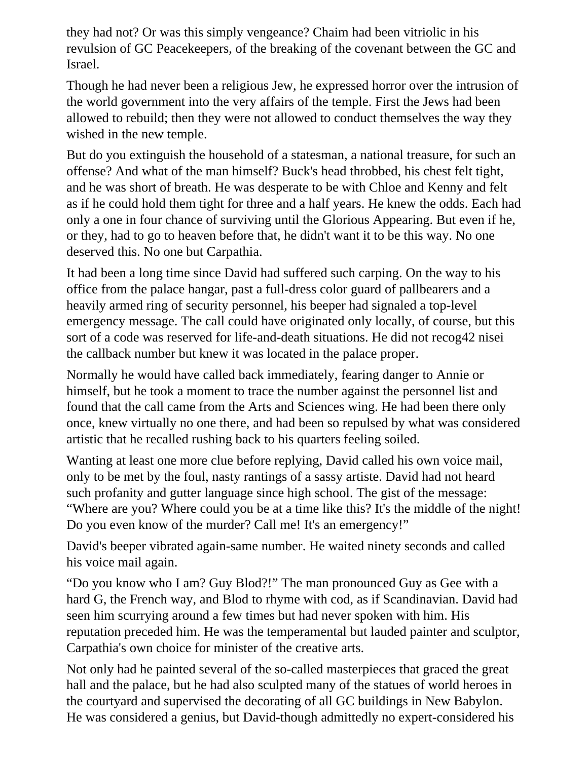they had not? Or was this simply vengeance? Chaim had been vitriolic in his revulsion of GC Peacekeepers, of the breaking of the covenant between the GC and Israel.

Though he had never been a religious Jew, he expressed horror over the intrusion of the world government into the very affairs of the temple. First the Jews had been allowed to rebuild; then they were not allowed to conduct themselves the way they wished in the new temple.

But do you extinguish the household of a statesman, a national treasure, for such an offense? And what of the man himself? Buck's head throbbed, his chest felt tight, and he was short of breath. He was desperate to be with Chloe and Kenny and felt as if he could hold them tight for three and a half years. He knew the odds. Each had only a one in four chance of surviving until the Glorious Appearing. But even if he, or they, had to go to heaven before that, he didn't want it to be this way. No one deserved this. No one but Carpathia.

It had been a long time since David had suffered such carping. On the way to his office from the palace hangar, past a full-dress color guard of pallbearers and a heavily armed ring of security personnel, his beeper had signaled a top-level emergency message. The call could have originated only locally, of course, but this sort of a code was reserved for life-and-death situations. He did not recog42 nisei the callback number but knew it was located in the palace proper.

Normally he would have called back immediately, fearing danger to Annie or himself, but he took a moment to trace the number against the personnel list and found that the call came from the Arts and Sciences wing. He had been there only once, knew virtually no one there, and had been so repulsed by what was considered artistic that he recalled rushing back to his quarters feeling soiled.

Wanting at least one more clue before replying, David called his own voice mail, only to be met by the foul, nasty rantings of a sassy artiste. David had not heard such profanity and gutter language since high school. The gist of the message: "Where are you? Where could you be at a time like this? It's the middle of the night! Do you even know of the murder? Call me! It's an emergency!"

David's beeper vibrated again-same number. He waited ninety seconds and called his voice mail again.

"Do you know who I am? Guy Blod?!" The man pronounced Guy as Gee with a hard G, the French way, and Blod to rhyme with cod, as if Scandinavian. David had seen him scurrying around a few times but had never spoken with him. His reputation preceded him. He was the temperamental but lauded painter and sculptor, Carpathia's own choice for minister of the creative arts.

Not only had he painted several of the so-called masterpieces that graced the great hall and the palace, but he had also sculpted many of the statues of world heroes in the courtyard and supervised the decorating of all GC buildings in New Babylon. He was considered a genius, but David-though admittedly no expert-considered his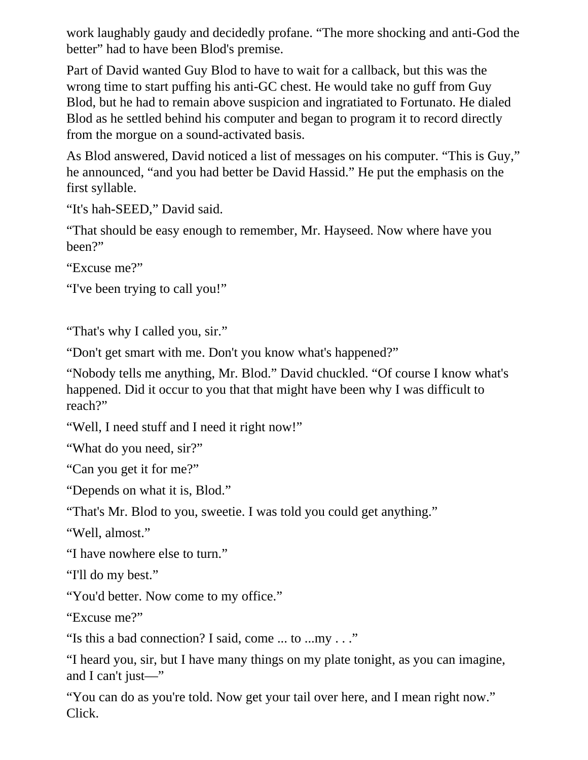work laughably gaudy and decidedly profane. "The more shocking and anti-God the better" had to have been Blod's premise.

Part of David wanted Guy Blod to have to wait for a callback, but this was the wrong time to start puffing his anti-GC chest. He would take no guff from Guy Blod, but he had to remain above suspicion and ingratiated to Fortunato. He dialed Blod as he settled behind his computer and began to program it to record directly from the morgue on a sound-activated basis.

As Blod answered, David noticed a list of messages on his computer. "This is Guy," he announced, "and you had better be David Hassid." He put the emphasis on the first syllable.

"It's hah-SEED," David said.

"That should be easy enough to remember, Mr. Hayseed. Now where have you been?"

"Excuse me?"

"I've been trying to call you!"

"That's why I called you, sir."

"Don't get smart with me. Don't you know what's happened?"

"Nobody tells me anything, Mr. Blod." David chuckled. "Of course I know what's happened. Did it occur to you that that might have been why I was difficult to reach?"

"Well, I need stuff and I need it right now!"

"What do you need, sir?"

"Can you get it for me?"

"Depends on what it is, Blod."

"That's Mr. Blod to you, sweetie. I was told you could get anything."

"Well, almost."

"I have nowhere else to turn."

"I'll do my best."

"You'd better. Now come to my office."

"Excuse me?"

"Is this a bad connection? I said, come ... to ...my . . ."

"I heard you, sir, but I have many things on my plate tonight, as you can imagine, and I can't just—"

"You can do as you're told. Now get your tail over here, and I mean right now." Click.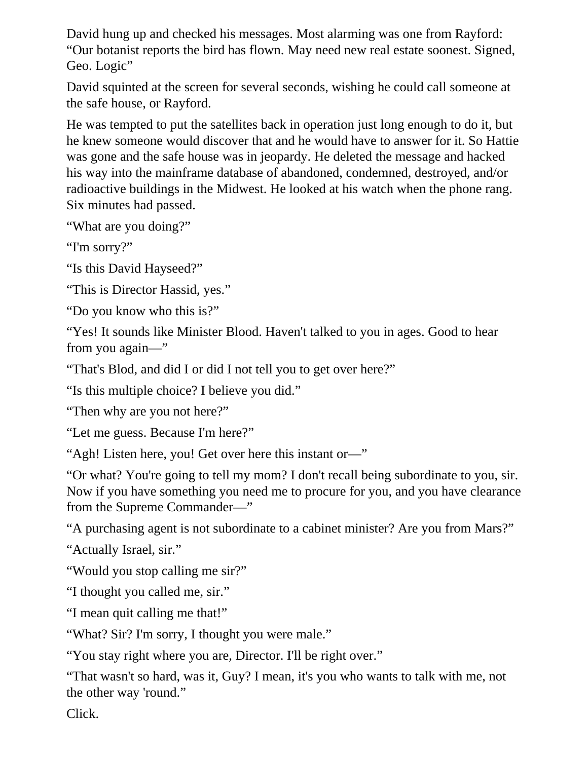David hung up and checked his messages. Most alarming was one from Rayford: "Our botanist reports the bird has flown. May need new real estate soonest. Signed, Geo. Logic"

David squinted at the screen for several seconds, wishing he could call someone at the safe house, or Rayford.

He was tempted to put the satellites back in operation just long enough to do it, but he knew someone would discover that and he would have to answer for it. So Hattie was gone and the safe house was in jeopardy. He deleted the message and hacked his way into the mainframe database of abandoned, condemned, destroyed, and/or radioactive buildings in the Midwest. He looked at his watch when the phone rang. Six minutes had passed.

"What are you doing?"

"I'm sorry?"

"Is this David Hayseed?"

"This is Director Hassid, yes."

"Do you know who this is?"

"Yes! It sounds like Minister Blood. Haven't talked to you in ages. Good to hear from you again—"

"That's Blod, and did I or did I not tell you to get over here?"

"Is this multiple choice? I believe you did."

"Then why are you not here?"

"Let me guess. Because I'm here?"

"Agh! Listen here, you! Get over here this instant or—"

"Or what? You're going to tell my mom? I don't recall being subordinate to you, sir. Now if you have something you need me to procure for you, and you have clearance from the Supreme Commander—"

"A purchasing agent is not subordinate to a cabinet minister? Are you from Mars?"

"Actually Israel, sir."

"Would you stop calling me sir?"

"I thought you called me, sir."

"I mean quit calling me that!"

"What? Sir? I'm sorry, I thought you were male."

"You stay right where you are, Director. I'll be right over."

"That wasn't so hard, was it, Guy? I mean, it's you who wants to talk with me, not the other way 'round."

Click.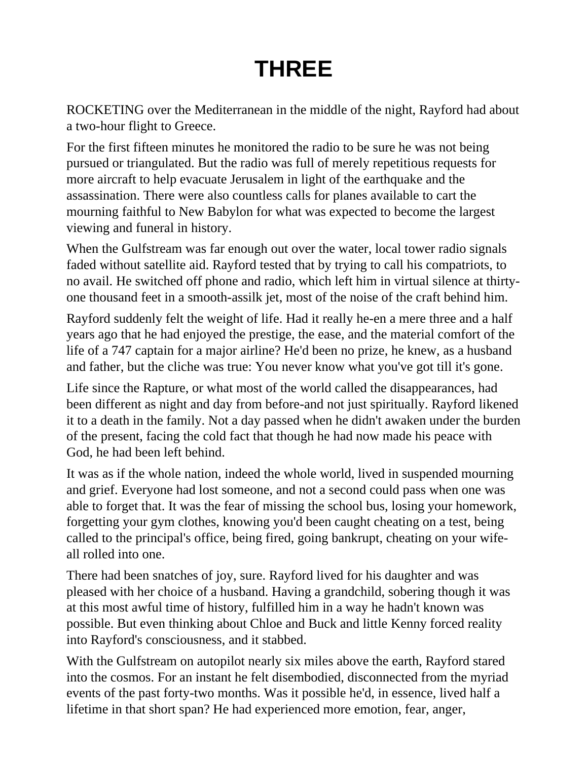# **THREE**

ROCKETING over the Mediterranean in the middle of the night, Rayford had about a two-hour flight to Greece.

For the first fifteen minutes he monitored the radio to be sure he was not being pursued or triangulated. But the radio was full of merely repetitious requests for more aircraft to help evacuate Jerusalem in light of the earthquake and the assassination. There were also countless calls for planes available to cart the mourning faithful to New Babylon for what was expected to become the largest viewing and funeral in history.

When the Gulfstream was far enough out over the water, local tower radio signals faded without satellite aid. Rayford tested that by trying to call his compatriots, to no avail. He switched off phone and radio, which left him in virtual silence at thirtyone thousand feet in a smooth-assilk jet, most of the noise of the craft behind him.

Rayford suddenly felt the weight of life. Had it really he-en a mere three and a half years ago that he had enjoyed the prestige, the ease, and the material comfort of the life of a 747 captain for a major airline? He'd been no prize, he knew, as a husband and father, but the cliche was true: You never know what you've got till it's gone.

Life since the Rapture, or what most of the world called the disappearances, had been different as night and day from before-and not just spiritually. Rayford likened it to a death in the family. Not a day passed when he didn't awaken under the burden of the present, facing the cold fact that though he had now made his peace with God, he had been left behind.

It was as if the whole nation, indeed the whole world, lived in suspended mourning and grief. Everyone had lost someone, and not a second could pass when one was able to forget that. It was the fear of missing the school bus, losing your homework, forgetting your gym clothes, knowing you'd been caught cheating on a test, being called to the principal's office, being fired, going bankrupt, cheating on your wifeall rolled into one.

There had been snatches of joy, sure. Rayford lived for his daughter and was pleased with her choice of a husband. Having a grandchild, sobering though it was at this most awful time of history, fulfilled him in a way he hadn't known was possible. But even thinking about Chloe and Buck and little Kenny forced reality into Rayford's consciousness, and it stabbed.

With the Gulfstream on autopilot nearly six miles above the earth, Rayford stared into the cosmos. For an instant he felt disembodied, disconnected from the myriad events of the past forty-two months. Was it possible he'd, in essence, lived half a lifetime in that short span? He had experienced more emotion, fear, anger,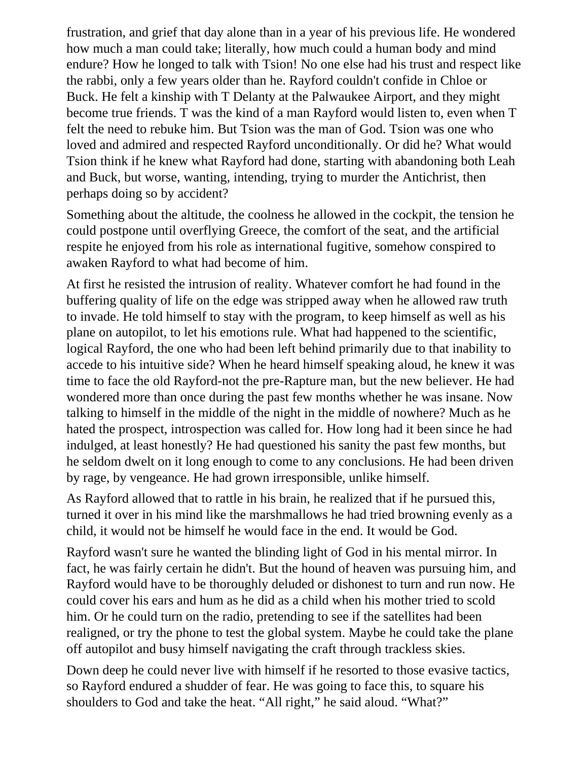frustration, and grief that day alone than in a year of his previous life. He wondered how much a man could take; literally, how much could a human body and mind endure? How he longed to talk with Tsion! No one else had his trust and respect like the rabbi, only a few years older than he. Rayford couldn't confide in Chloe or Buck. He felt a kinship with T Delanty at the Palwaukee Airport, and they might become true friends. T was the kind of a man Rayford would listen to, even when T felt the need to rebuke him. But Tsion was the man of God. Tsion was one who loved and admired and respected Rayford unconditionally. Or did he? What would Tsion think if he knew what Rayford had done, starting with abandoning both Leah and Buck, but worse, wanting, intending, trying to murder the Antichrist, then perhaps doing so by accident?

Something about the altitude, the coolness he allowed in the cockpit, the tension he could postpone until overflying Greece, the comfort of the seat, and the artificial respite he enjoyed from his role as international fugitive, somehow conspired to awaken Rayford to what had become of him.

At first he resisted the intrusion of reality. Whatever comfort he had found in the buffering quality of life on the edge was stripped away when he allowed raw truth to invade. He told himself to stay with the program, to keep himself as well as his plane on autopilot, to let his emotions rule. What had happened to the scientific, logical Rayford, the one who had been left behind primarily due to that inability to accede to his intuitive side? When he heard himself speaking aloud, he knew it was time to face the old Rayford-not the pre-Rapture man, but the new believer. He had wondered more than once during the past few months whether he was insane. Now talking to himself in the middle of the night in the middle of nowhere? Much as he hated the prospect, introspection was called for. How long had it been since he had indulged, at least honestly? He had questioned his sanity the past few months, but he seldom dwelt on it long enough to come to any conclusions. He had been driven by rage, by vengeance. He had grown irresponsible, unlike himself.

As Rayford allowed that to rattle in his brain, he realized that if he pursued this, turned it over in his mind like the marshmallows he had tried browning evenly as a child, it would not be himself he would face in the end. It would be God.

Rayford wasn't sure he wanted the blinding light of God in his mental mirror. In fact, he was fairly certain he didn't. But the hound of heaven was pursuing him, and Rayford would have to be thoroughly deluded or dishonest to turn and run now. He could cover his ears and hum as he did as a child when his mother tried to scold him. Or he could turn on the radio, pretending to see if the satellites had been realigned, or try the phone to test the global system. Maybe he could take the plane off autopilot and busy himself navigating the craft through trackless skies.

Down deep he could never live with himself if he resorted to those evasive tactics, so Rayford endured a shudder of fear. He was going to face this, to square his shoulders to God and take the heat. "All right," he said aloud. "What?"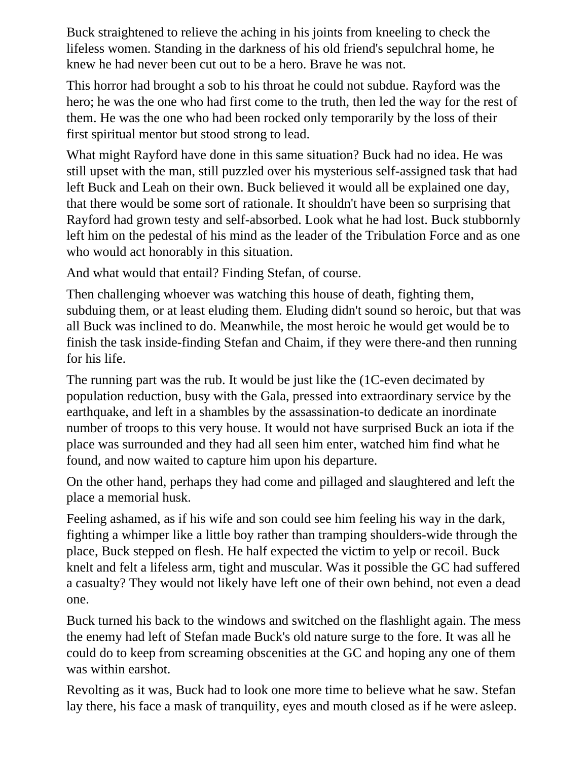Buck straightened to relieve the aching in his joints from kneeling to check the lifeless women. Standing in the darkness of his old friend's sepulchral home, he knew he had never been cut out to be a hero. Brave he was not.

This horror had brought a sob to his throat he could not subdue. Rayford was the hero; he was the one who had first come to the truth, then led the way for the rest of them. He was the one who had been rocked only temporarily by the loss of their first spiritual mentor but stood strong to lead.

What might Rayford have done in this same situation? Buck had no idea. He was still upset with the man, still puzzled over his mysterious self-assigned task that had left Buck and Leah on their own. Buck believed it would all be explained one day, that there would be some sort of rationale. It shouldn't have been so surprising that Rayford had grown testy and self-absorbed. Look what he had lost. Buck stubbornly left him on the pedestal of his mind as the leader of the Tribulation Force and as one who would act honorably in this situation.

And what would that entail? Finding Stefan, of course.

Then challenging whoever was watching this house of death, fighting them, subduing them, or at least eluding them. Eluding didn't sound so heroic, but that was all Buck was inclined to do. Meanwhile, the most heroic he would get would be to finish the task inside-finding Stefan and Chaim, if they were there-and then running for his life.

The running part was the rub. It would be just like the (1C-even decimated by population reduction, busy with the Gala, pressed into extraordinary service by the earthquake, and left in a shambles by the assassination-to dedicate an inordinate number of troops to this very house. It would not have surprised Buck an iota if the place was surrounded and they had all seen him enter, watched him find what he found, and now waited to capture him upon his departure.

On the other hand, perhaps they had come and pillaged and slaughtered and left the place a memorial husk.

Feeling ashamed, as if his wife and son could see him feeling his way in the dark, fighting a whimper like a little boy rather than tramping shoulders-wide through the place, Buck stepped on flesh. He half expected the victim to yelp or recoil. Buck knelt and felt a lifeless arm, tight and muscular. Was it possible the GC had suffered a casualty? They would not likely have left one of their own behind, not even a dead one.

Buck turned his back to the windows and switched on the flashlight again. The mess the enemy had left of Stefan made Buck's old nature surge to the fore. It was all he could do to keep from screaming obscenities at the GC and hoping any one of them was within earshot.

Revolting as it was, Buck had to look one more time to believe what he saw. Stefan lay there, his face a mask of tranquility, eyes and mouth closed as if he were asleep.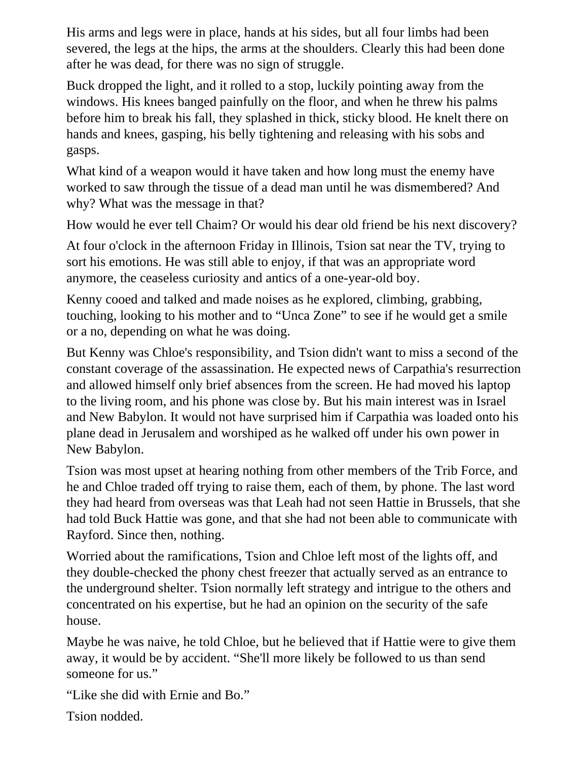His arms and legs were in place, hands at his sides, but all four limbs had been severed, the legs at the hips, the arms at the shoulders. Clearly this had been done after he was dead, for there was no sign of struggle.

Buck dropped the light, and it rolled to a stop, luckily pointing away from the windows. His knees banged painfully on the floor, and when he threw his palms before him to break his fall, they splashed in thick, sticky blood. He knelt there on hands and knees, gasping, his belly tightening and releasing with his sobs and gasps.

What kind of a weapon would it have taken and how long must the enemy have worked to saw through the tissue of a dead man until he was dismembered? And why? What was the message in that?

How would he ever tell Chaim? Or would his dear old friend be his next discovery?

At four o'clock in the afternoon Friday in Illinois, Tsion sat near the TV, trying to sort his emotions. He was still able to enjoy, if that was an appropriate word anymore, the ceaseless curiosity and antics of a one-year-old boy.

Kenny cooed and talked and made noises as he explored, climbing, grabbing, touching, looking to his mother and to "Unca Zone" to see if he would get a smile or a no, depending on what he was doing.

But Kenny was Chloe's responsibility, and Tsion didn't want to miss a second of the constant coverage of the assassination. He expected news of Carpathia's resurrection and allowed himself only brief absences from the screen. He had moved his laptop to the living room, and his phone was close by. But his main interest was in Israel and New Babylon. It would not have surprised him if Carpathia was loaded onto his plane dead in Jerusalem and worshiped as he walked off under his own power in New Babylon.

Tsion was most upset at hearing nothing from other members of the Trib Force, and he and Chloe traded off trying to raise them, each of them, by phone. The last word they had heard from overseas was that Leah had not seen Hattie in Brussels, that she had told Buck Hattie was gone, and that she had not been able to communicate with Rayford. Since then, nothing.

Worried about the ramifications, Tsion and Chloe left most of the lights off, and they double-checked the phony chest freezer that actually served as an entrance to the underground shelter. Tsion normally left strategy and intrigue to the others and concentrated on his expertise, but he had an opinion on the security of the safe house.

Maybe he was naive, he told Chloe, but he believed that if Hattie were to give them away, it would be by accident. "She'll more likely be followed to us than send someone for us."

```
"Like she did with Ernie and Bo."
```
Tsion nodded.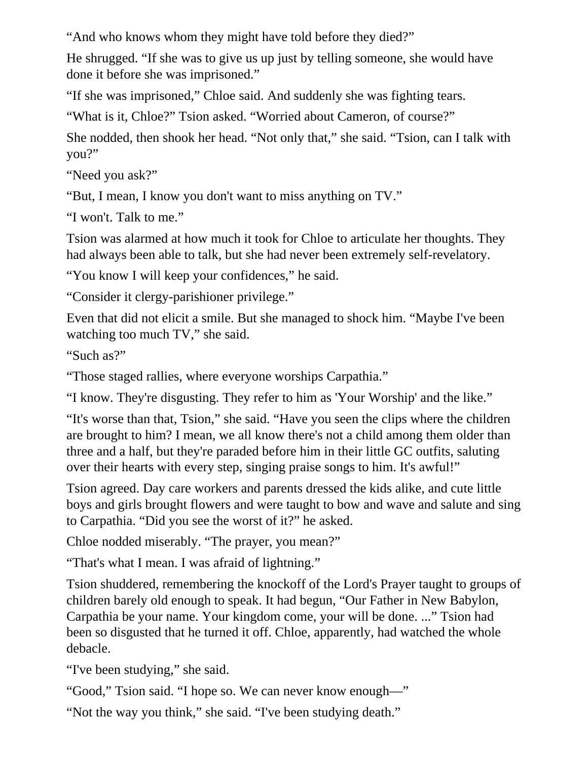"And who knows whom they might have told before they died?"

He shrugged. "If she was to give us up just by telling someone, she would have done it before she was imprisoned."

"If she was imprisoned," Chloe said. And suddenly she was fighting tears.

"What is it, Chloe?" Tsion asked. "Worried about Cameron, of course?"

She nodded, then shook her head. "Not only that," she said. "Tsion, can I talk with you?"

"Need you ask?"

"But, I mean, I know you don't want to miss anything on TV."

"I won't. Talk to me."

Tsion was alarmed at how much it took for Chloe to articulate her thoughts. They had always been able to talk, but she had never been extremely self-revelatory.

"You know I will keep your confidences," he said.

"Consider it clergy-parishioner privilege."

Even that did not elicit a smile. But she managed to shock him. "Maybe I've been watching too much TV," she said.

"Such as?"

"Those staged rallies, where everyone worships Carpathia."

"I know. They're disgusting. They refer to him as 'Your Worship' and the like."

"It's worse than that, Tsion," she said. "Have you seen the clips where the children are brought to him? I mean, we all know there's not a child among them older than three and a half, but they're paraded before him in their little GC outfits, saluting over their hearts with every step, singing praise songs to him. It's awful!"

Tsion agreed. Day care workers and parents dressed the kids alike, and cute little boys and girls brought flowers and were taught to bow and wave and salute and sing to Carpathia. "Did you see the worst of it?" he asked.

Chloe nodded miserably. "The prayer, you mean?"

"That's what I mean. I was afraid of lightning."

Tsion shuddered, remembering the knockoff of the Lord's Prayer taught to groups of children barely old enough to speak. It had begun, "Our Father in New Babylon, Carpathia be your name. Your kingdom come, your will be done. ..." Tsion had been so disgusted that he turned it off. Chloe, apparently, had watched the whole debacle.

"I've been studying," she said.

"Good," Tsion said. "I hope so. We can never know enough—"

"Not the way you think," she said. "I've been studying death."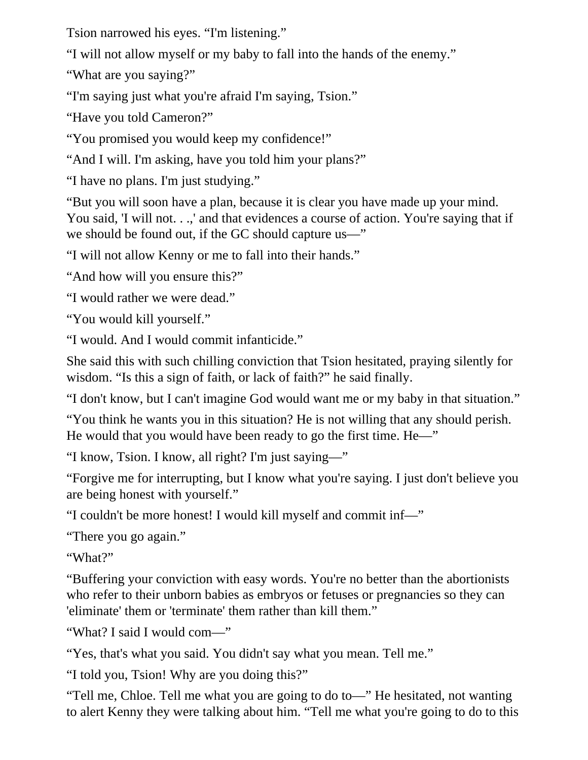Tsion narrowed his eyes. "I'm listening."

"I will not allow myself or my baby to fall into the hands of the enemy."

"What are you saying?"

"I'm saying just what you're afraid I'm saying, Tsion."

"Have you told Cameron?"

"You promised you would keep my confidence!"

"And I will. I'm asking, have you told him your plans?"

"I have no plans. I'm just studying."

"But you will soon have a plan, because it is clear you have made up your mind. You said, 'I will not. . .,' and that evidences a course of action. You're saying that if we should be found out, if the GC should capture us—"

"I will not allow Kenny or me to fall into their hands."

"And how will you ensure this?"

"I would rather we were dead."

"You would kill yourself."

"I would. And I would commit infanticide."

She said this with such chilling conviction that Tsion hesitated, praying silently for wisdom. "Is this a sign of faith, or lack of faith?" he said finally.

"I don't know, but I can't imagine God would want me or my baby in that situation."

"You think he wants you in this situation? He is not willing that any should perish. He would that you would have been ready to go the first time. He—"

"I know, Tsion. I know, all right? I'm just saying—"

"Forgive me for interrupting, but I know what you're saying. I just don't believe you are being honest with yourself."

"I couldn't be more honest! I would kill myself and commit inf—"

"There you go again."

"What?"

"Buffering your conviction with easy words. You're no better than the abortionists who refer to their unborn babies as embryos or fetuses or pregnancies so they can 'eliminate' them or 'terminate' them rather than kill them."

"What? I said I would com—"

"Yes, that's what you said. You didn't say what you mean. Tell me."

"I told you, Tsion! Why are you doing this?"

"Tell me, Chloe. Tell me what you are going to do to—" He hesitated, not wanting to alert Kenny they were talking about him. "Tell me what you're going to do to this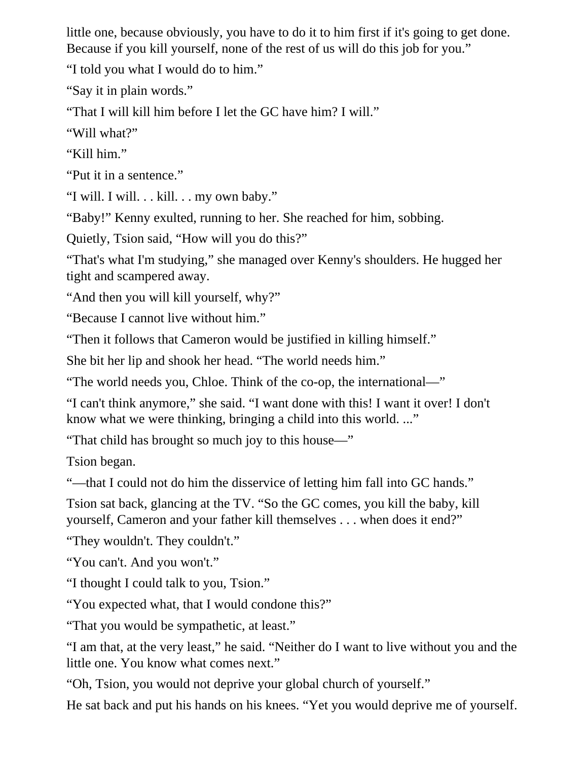little one, because obviously, you have to do it to him first if it's going to get done. Because if you kill yourself, none of the rest of us will do this job for you."

"I told you what I would do to him."

"Say it in plain words."

"That I will kill him before I let the GC have him? I will."

"Will what?"

"Kill him."

"Put it in a sentence."

"I will. I will. . . kill. . . my own baby."

"Baby!" Kenny exulted, running to her. She reached for him, sobbing.

Quietly, Tsion said, "How will you do this?"

"That's what I'm studying," she managed over Kenny's shoulders. He hugged her tight and scampered away.

"And then you will kill yourself, why?"

"Because I cannot live without him."

"Then it follows that Cameron would be justified in killing himself."

She bit her lip and shook her head. "The world needs him."

"The world needs you, Chloe. Think of the co-op, the international—"

"I can't think anymore," she said. "I want done with this! I want it over! I don't know what we were thinking, bringing a child into this world. ..."

"That child has brought so much joy to this house—"

Tsion began.

"—that I could not do him the disservice of letting him fall into GC hands."

Tsion sat back, glancing at the TV. "So the GC comes, you kill the baby, kill yourself, Cameron and your father kill themselves . . . when does it end?"

"They wouldn't. They couldn't."

"You can't. And you won't."

"I thought I could talk to you, Tsion."

"You expected what, that I would condone this?"

"That you would be sympathetic, at least."

"I am that, at the very least," he said. "Neither do I want to live without you and the little one. You know what comes next."

"Oh, Tsion, you would not deprive your global church of yourself."

He sat back and put his hands on his knees. "Yet you would deprive me of yourself.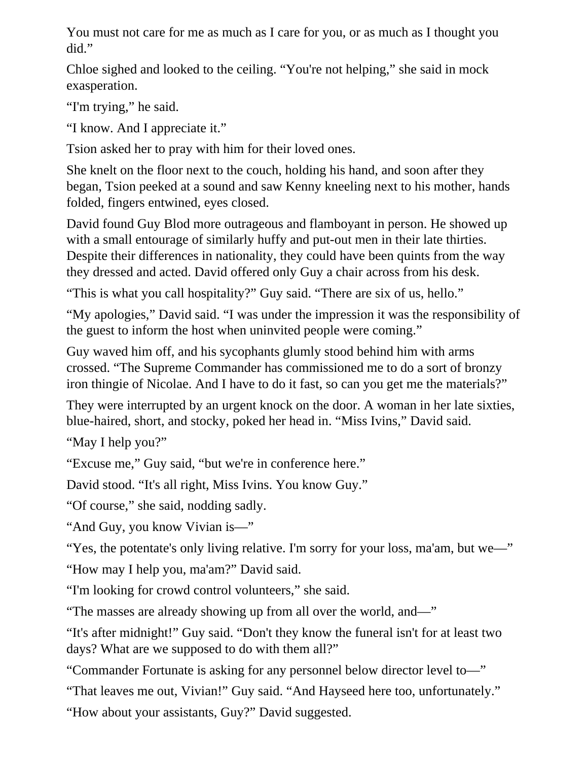You must not care for me as much as I care for you, or as much as I thought you did."

Chloe sighed and looked to the ceiling. "You're not helping," she said in mock exasperation.

"I'm trying," he said.

"I know. And I appreciate it."

Tsion asked her to pray with him for their loved ones.

She knelt on the floor next to the couch, holding his hand, and soon after they began, Tsion peeked at a sound and saw Kenny kneeling next to his mother, hands folded, fingers entwined, eyes closed.

David found Guy Blod more outrageous and flamboyant in person. He showed up with a small entourage of similarly huffy and put-out men in their late thirties. Despite their differences in nationality, they could have been quints from the way they dressed and acted. David offered only Guy a chair across from his desk.

"This is what you call hospitality?" Guy said. "There are six of us, hello."

"My apologies," David said. "I was under the impression it was the responsibility of the guest to inform the host when uninvited people were coming."

Guy waved him off, and his sycophants glumly stood behind him with arms crossed. "The Supreme Commander has commissioned me to do a sort of bronzy iron thingie of Nicolae. And I have to do it fast, so can you get me the materials?"

They were interrupted by an urgent knock on the door. A woman in her late sixties, blue-haired, short, and stocky, poked her head in. "Miss Ivins," David said.

"May I help you?"

"Excuse me," Guy said, "but we're in conference here."

David stood. "It's all right, Miss Ivins. You know Guy."

"Of course," she said, nodding sadly.

"And Guy, you know Vivian is—"

"Yes, the potentate's only living relative. I'm sorry for your loss, ma'am, but we—"

"How may I help you, ma'am?" David said.

"I'm looking for crowd control volunteers," she said.

"The masses are already showing up from all over the world, and—"

"It's after midnight!" Guy said. "Don't they know the funeral isn't for at least two days? What are we supposed to do with them all?"

"Commander Fortunate is asking for any personnel below director level to—"

"That leaves me out, Vivian!" Guy said. "And Hayseed here too, unfortunately."

"How about your assistants, Guy?" David suggested.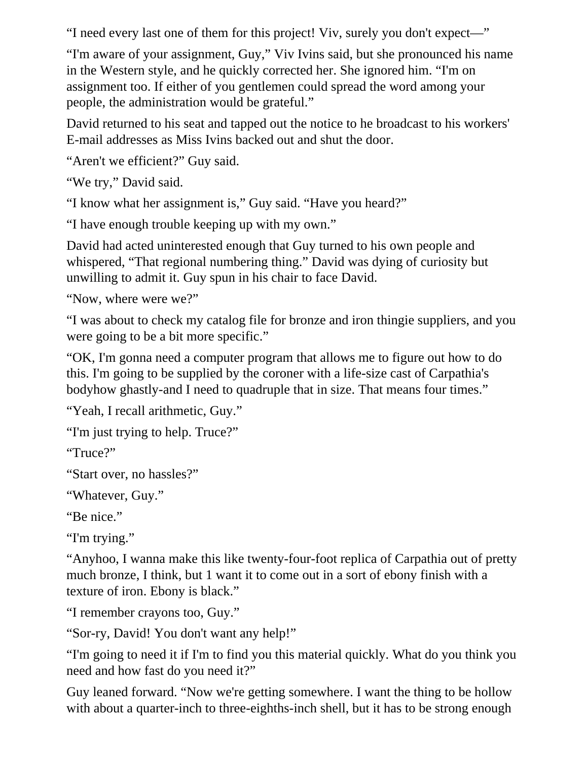"I need every last one of them for this project! Viv, surely you don't expect—"

"I'm aware of your assignment, Guy," Viv Ivins said, but she pronounced his name in the Western style, and he quickly corrected her. She ignored him. "I'm on assignment too. If either of you gentlemen could spread the word among your people, the administration would be grateful."

David returned to his seat and tapped out the notice to he broadcast to his workers' E-mail addresses as Miss Ivins backed out and shut the door.

"Aren't we efficient?" Guy said.

"We try," David said.

"I know what her assignment is," Guy said. "Have you heard?"

"I have enough trouble keeping up with my own."

David had acted uninterested enough that Guy turned to his own people and whispered, "That regional numbering thing." David was dying of curiosity but unwilling to admit it. Guy spun in his chair to face David.

"Now, where were we?"

"I was about to check my catalog file for bronze and iron thingie suppliers, and you were going to be a bit more specific."

"OK, I'm gonna need a computer program that allows me to figure out how to do this. I'm going to be supplied by the coroner with a life-size cast of Carpathia's bodyhow ghastly-and I need to quadruple that in size. That means four times."

"Yeah, I recall arithmetic, Guy."

```
"I'm just trying to help. Truce?"
```
"Truce?"

```
"Start over, no hassles?"
```
"Whatever, Guy."

"Be nice."

"I'm trying."

"Anyhoo, I wanna make this like twenty-four-foot replica of Carpathia out of pretty much bronze, I think, but 1 want it to come out in a sort of ebony finish with a texture of iron. Ebony is black."

"I remember crayons too, Guy."

"Sor-ry, David! You don't want any help!"

"I'm going to need it if I'm to find you this material quickly. What do you think you need and how fast do you need it?"

Guy leaned forward. "Now we're getting somewhere. I want the thing to be hollow with about a quarter-inch to three-eighths-inch shell, but it has to be strong enough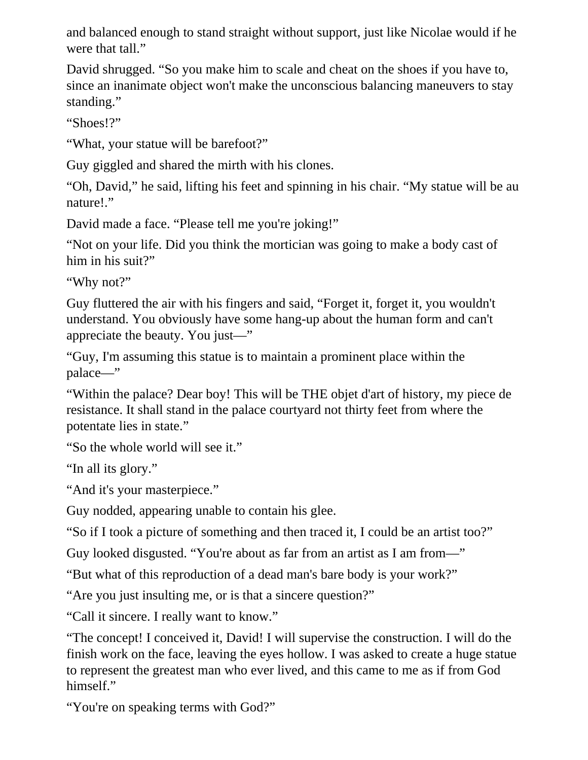and balanced enough to stand straight without support, just like Nicolae would if he were that tall."

David shrugged. "So you make him to scale and cheat on the shoes if you have to, since an inanimate object won't make the unconscious balancing maneuvers to stay standing."

"Shoes!?"

"What, your statue will be barefoot?"

Guy giggled and shared the mirth with his clones.

"Oh, David," he said, lifting his feet and spinning in his chair. "My statue will be au nature!."

David made a face. "Please tell me you're joking!"

"Not on your life. Did you think the mortician was going to make a body cast of him in his suit?"

"Why not?"

Guy fluttered the air with his fingers and said, "Forget it, forget it, you wouldn't understand. You obviously have some hang-up about the human form and can't appreciate the beauty. You just—"

"Guy, I'm assuming this statue is to maintain a prominent place within the palace—"

"Within the palace? Dear boy! This will be THE objet d'art of history, my piece de resistance. It shall stand in the palace courtyard not thirty feet from where the potentate lies in state."

"So the whole world will see it."

"In all its glory."

"And it's your masterpiece."

Guy nodded, appearing unable to contain his glee.

"So if I took a picture of something and then traced it, I could be an artist too?"

Guy looked disgusted. "You're about as far from an artist as I am from—"

"But what of this reproduction of a dead man's bare body is your work?"

"Are you just insulting me, or is that a sincere question?"

"Call it sincere. I really want to know."

"The concept! I conceived it, David! I will supervise the construction. I will do the finish work on the face, leaving the eyes hollow. I was asked to create a huge statue to represent the greatest man who ever lived, and this came to me as if from God himself."

"You're on speaking terms with God?"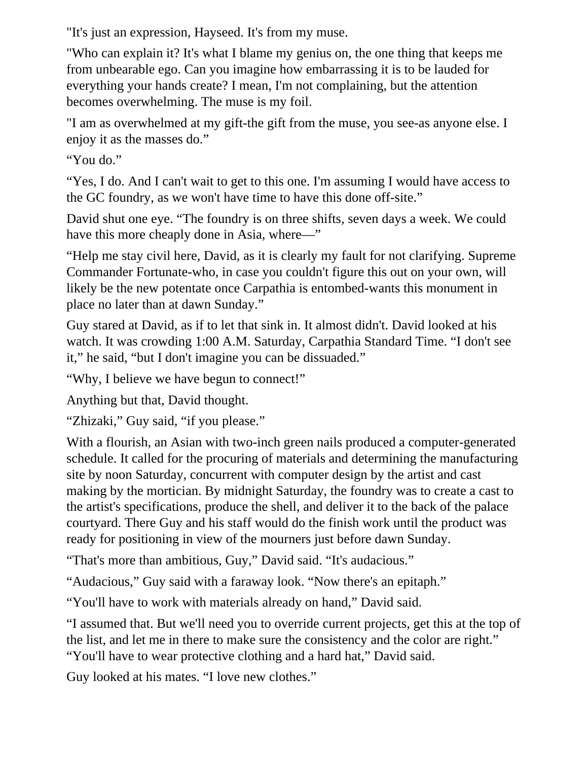"It's just an expression, Hayseed. It's from my muse.

"Who can explain it? It's what I blame my genius on, the one thing that keeps me from unbearable ego. Can you imagine how embarrassing it is to be lauded for everything your hands create? I mean, I'm not complaining, but the attention becomes overwhelming. The muse is my foil.

"I am as overwhelmed at my gift-the gift from the muse, you see-as anyone else. I enjoy it as the masses do."

"You do."

"Yes, I do. And I can't wait to get to this one. I'm assuming I would have access to the GC foundry, as we won't have time to have this done off-site."

David shut one eye. "The foundry is on three shifts, seven days a week. We could have this more cheaply done in Asia, where—"

"Help me stay civil here, David, as it is clearly my fault for not clarifying. Supreme Commander Fortunate-who, in case you couldn't figure this out on your own, will likely be the new potentate once Carpathia is entombed-wants this monument in place no later than at dawn Sunday."

Guy stared at David, as if to let that sink in. It almost didn't. David looked at his watch. It was crowding 1:00 A.M. Saturday, Carpathia Standard Time. "I don't see it," he said, "but I don't imagine you can be dissuaded."

"Why, I believe we have begun to connect!"

Anything but that, David thought.

"Zhizaki," Guy said, "if you please."

With a flourish, an Asian with two-inch green nails produced a computer-generated schedule. It called for the procuring of materials and determining the manufacturing site by noon Saturday, concurrent with computer design by the artist and cast making by the mortician. By midnight Saturday, the foundry was to create a cast to the artist's specifications, produce the shell, and deliver it to the back of the palace courtyard. There Guy and his staff would do the finish work until the product was ready for positioning in view of the mourners just before dawn Sunday.

"That's more than ambitious, Guy," David said. "It's audacious."

"Audacious," Guy said with a faraway look. "Now there's an epitaph."

"You'll have to work with materials already on hand," David said.

"I assumed that. But we'll need you to override current projects, get this at the top of the list, and let me in there to make sure the consistency and the color are right." "You'll have to wear protective clothing and a hard hat," David said.

Guy looked at his mates. "I love new clothes."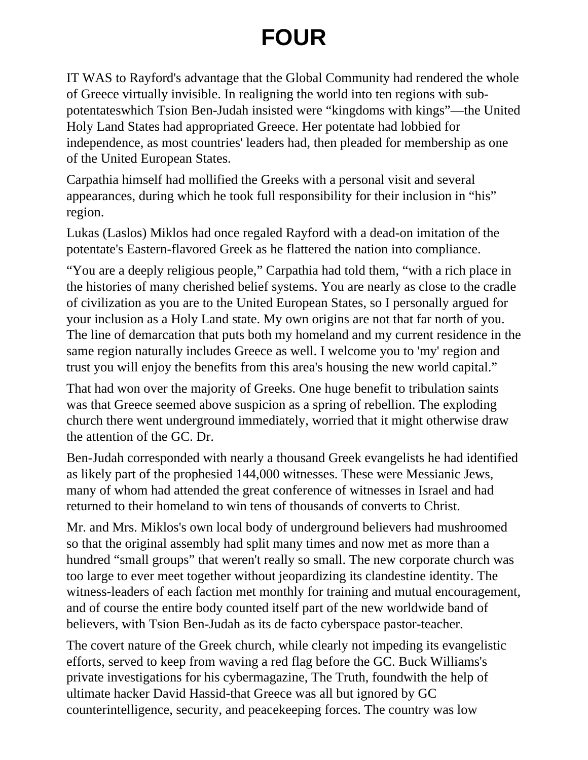# **FOUR**

IT WAS to Rayford's advantage that the Global Community had rendered the whole of Greece virtually invisible. In realigning the world into ten regions with subpotentateswhich Tsion Ben-Judah insisted were "kingdoms with kings"—the United Holy Land States had appropriated Greece. Her potentate had lobbied for independence, as most countries' leaders had, then pleaded for membership as one of the United European States.

Carpathia himself had mollified the Greeks with a personal visit and several appearances, during which he took full responsibility for their inclusion in "his" region.

Lukas (Laslos) Miklos had once regaled Rayford with a dead-on imitation of the potentate's Eastern-flavored Greek as he flattered the nation into compliance.

"You are a deeply religious people," Carpathia had told them, "with a rich place in the histories of many cherished belief systems. You are nearly as close to the cradle of civilization as you are to the United European States, so I personally argued for your inclusion as a Holy Land state. My own origins are not that far north of you. The line of demarcation that puts both my homeland and my current residence in the same region naturally includes Greece as well. I welcome you to 'my' region and trust you will enjoy the benefits from this area's housing the new world capital."

That had won over the majority of Greeks. One huge benefit to tribulation saints was that Greece seemed above suspicion as a spring of rebellion. The exploding church there went underground immediately, worried that it might otherwise draw the attention of the GC. Dr.

Ben-Judah corresponded with nearly a thousand Greek evangelists he had identified as likely part of the prophesied 144,000 witnesses. These were Messianic Jews, many of whom had attended the great conference of witnesses in Israel and had returned to their homeland to win tens of thousands of converts to Christ.

Mr. and Mrs. Miklos's own local body of underground believers had mushroomed so that the original assembly had split many times and now met as more than a hundred "small groups" that weren't really so small. The new corporate church was too large to ever meet together without jeopardizing its clandestine identity. The witness-leaders of each faction met monthly for training and mutual encouragement, and of course the entire body counted itself part of the new worldwide band of believers, with Tsion Ben-Judah as its de facto cyberspace pastor-teacher.

The covert nature of the Greek church, while clearly not impeding its evangelistic efforts, served to keep from waving a red flag before the GC. Buck Williams's private investigations for his cybermagazine, The Truth, foundwith the help of ultimate hacker David Hassid-that Greece was all but ignored by GC counterintelligence, security, and peacekeeping forces. The country was low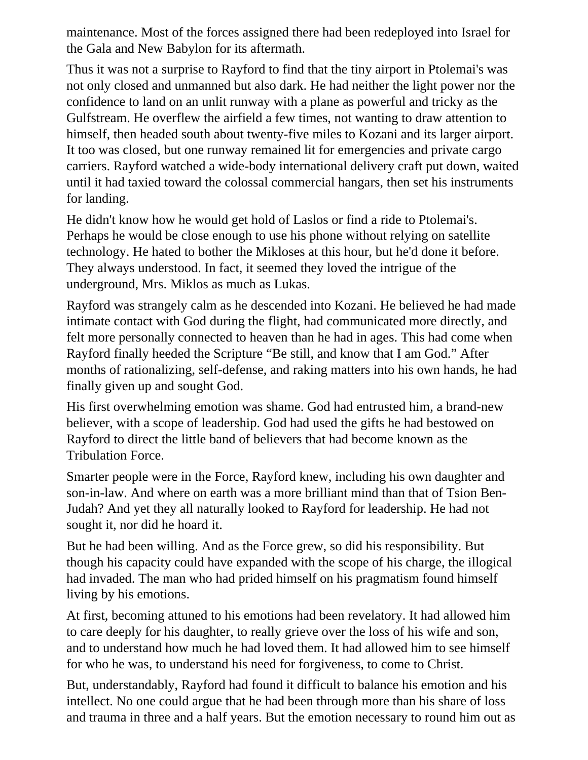maintenance. Most of the forces assigned there had been redeployed into Israel for the Gala and New Babylon for its aftermath.

Thus it was not a surprise to Rayford to find that the tiny airport in Ptolemai's was not only closed and unmanned but also dark. He had neither the light power nor the confidence to land on an unlit runway with a plane as powerful and tricky as the Gulfstream. He overflew the airfield a few times, not wanting to draw attention to himself, then headed south about twenty-five miles to Kozani and its larger airport. It too was closed, but one runway remained lit for emergencies and private cargo carriers. Rayford watched a wide-body international delivery craft put down, waited until it had taxied toward the colossal commercial hangars, then set his instruments for landing.

He didn't know how he would get hold of Laslos or find a ride to Ptolemai's. Perhaps he would be close enough to use his phone without relying on satellite technology. He hated to bother the Mikloses at this hour, but he'd done it before. They always understood. In fact, it seemed they loved the intrigue of the underground, Mrs. Miklos as much as Lukas.

Rayford was strangely calm as he descended into Kozani. He believed he had made intimate contact with God during the flight, had communicated more directly, and felt more personally connected to heaven than he had in ages. This had come when Rayford finally heeded the Scripture "Be still, and know that I am God." After months of rationalizing, self-defense, and raking matters into his own hands, he had finally given up and sought God.

His first overwhelming emotion was shame. God had entrusted him, a brand-new believer, with a scope of leadership. God had used the gifts he had bestowed on Rayford to direct the little band of believers that had become known as the Tribulation Force.

Smarter people were in the Force, Rayford knew, including his own daughter and son-in-law. And where on earth was a more brilliant mind than that of Tsion Ben-Judah? And yet they all naturally looked to Rayford for leadership. He had not sought it, nor did he hoard it.

But he had been willing. And as the Force grew, so did his responsibility. But though his capacity could have expanded with the scope of his charge, the illogical had invaded. The man who had prided himself on his pragmatism found himself living by his emotions.

At first, becoming attuned to his emotions had been revelatory. It had allowed him to care deeply for his daughter, to really grieve over the loss of his wife and son, and to understand how much he had loved them. It had allowed him to see himself for who he was, to understand his need for forgiveness, to come to Christ.

But, understandably, Rayford had found it difficult to balance his emotion and his intellect. No one could argue that he had been through more than his share of loss and trauma in three and a half years. But the emotion necessary to round him out as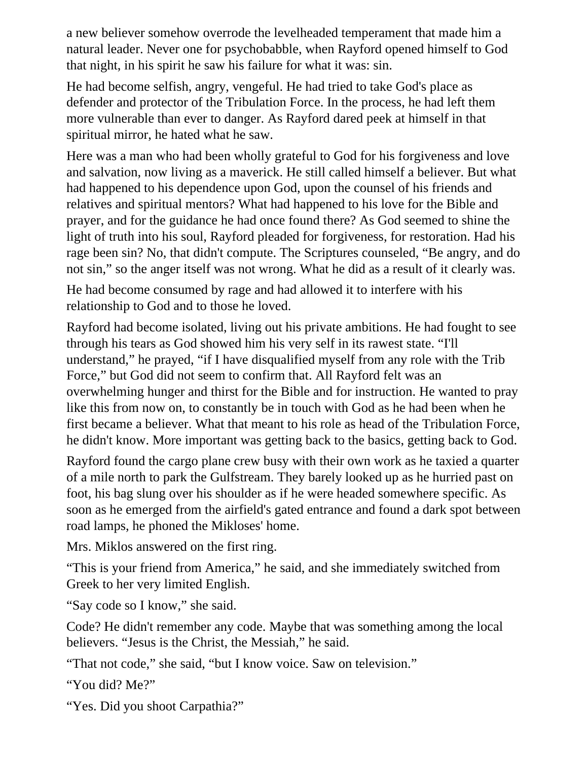a new believer somehow overrode the levelheaded temperament that made him a natural leader. Never one for psychobabble, when Rayford opened himself to God that night, in his spirit he saw his failure for what it was: sin.

He had become selfish, angry, vengeful. He had tried to take God's place as defender and protector of the Tribulation Force. In the process, he had left them more vulnerable than ever to danger. As Rayford dared peek at himself in that spiritual mirror, he hated what he saw.

Here was a man who had been wholly grateful to God for his forgiveness and love and salvation, now living as a maverick. He still called himself a believer. But what had happened to his dependence upon God, upon the counsel of his friends and relatives and spiritual mentors? What had happened to his love for the Bible and prayer, and for the guidance he had once found there? As God seemed to shine the light of truth into his soul, Rayford pleaded for forgiveness, for restoration. Had his rage been sin? No, that didn't compute. The Scriptures counseled, "Be angry, and do not sin," so the anger itself was not wrong. What he did as a result of it clearly was.

He had become consumed by rage and had allowed it to interfere with his relationship to God and to those he loved.

Rayford had become isolated, living out his private ambitions. He had fought to see through his tears as God showed him his very self in its rawest state. "I'll understand," he prayed, "if I have disqualified myself from any role with the Trib Force," but God did not seem to confirm that. All Rayford felt was an overwhelming hunger and thirst for the Bible and for instruction. He wanted to pray like this from now on, to constantly be in touch with God as he had been when he first became a believer. What that meant to his role as head of the Tribulation Force, he didn't know. More important was getting back to the basics, getting back to God.

Rayford found the cargo plane crew busy with their own work as he taxied a quarter of a mile north to park the Gulfstream. They barely looked up as he hurried past on foot, his bag slung over his shoulder as if he were headed somewhere specific. As soon as he emerged from the airfield's gated entrance and found a dark spot between road lamps, he phoned the Mikloses' home.

Mrs. Miklos answered on the first ring.

"This is your friend from America," he said, and she immediately switched from Greek to her very limited English.

"Say code so I know," she said.

Code? He didn't remember any code. Maybe that was something among the local believers. "Jesus is the Christ, the Messiah," he said.

"That not code," she said, "but I know voice. Saw on television."

"You did? Me?"

"Yes. Did you shoot Carpathia?"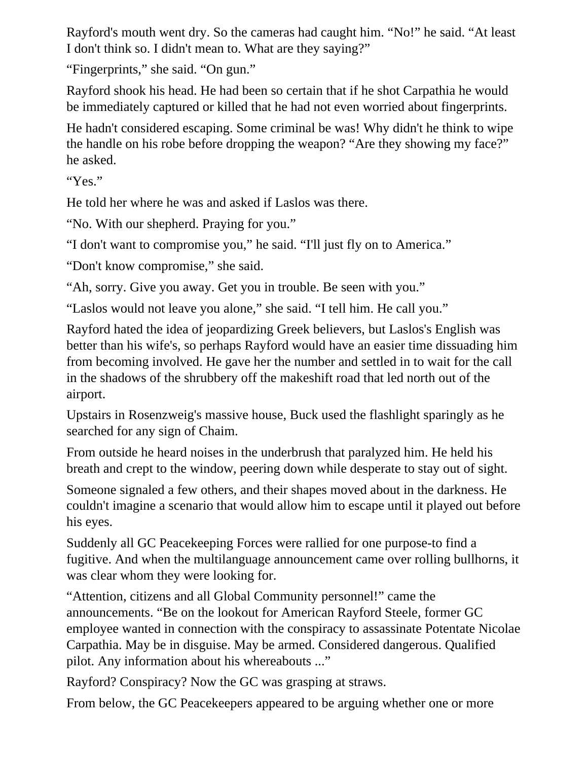Rayford's mouth went dry. So the cameras had caught him. "No!" he said. "At least I don't think so. I didn't mean to. What are they saying?"

"Fingerprints," she said. "On gun."

Rayford shook his head. He had been so certain that if he shot Carpathia he would be immediately captured or killed that he had not even worried about fingerprints.

He hadn't considered escaping. Some criminal be was! Why didn't he think to wipe the handle on his robe before dropping the weapon? "Are they showing my face?" he asked.

"Yes."

He told her where he was and asked if Laslos was there.

"No. With our shepherd. Praying for you."

"I don't want to compromise you," he said. "I'll just fly on to America."

"Don't know compromise," she said.

"Ah, sorry. Give you away. Get you in trouble. Be seen with you."

"Laslos would not leave you alone," she said. "I tell him. He call you."

Rayford hated the idea of jeopardizing Greek believers, but Laslos's English was better than his wife's, so perhaps Rayford would have an easier time dissuading him from becoming involved. He gave her the number and settled in to wait for the call in the shadows of the shrubbery off the makeshift road that led north out of the airport.

Upstairs in Rosenzweig's massive house, Buck used the flashlight sparingly as he searched for any sign of Chaim.

From outside he heard noises in the underbrush that paralyzed him. He held his breath and crept to the window, peering down while desperate to stay out of sight.

Someone signaled a few others, and their shapes moved about in the darkness. He couldn't imagine a scenario that would allow him to escape until it played out before his eyes.

Suddenly all GC Peacekeeping Forces were rallied for one purpose-to find a fugitive. And when the multilanguage announcement came over rolling bullhorns, it was clear whom they were looking for.

"Attention, citizens and all Global Community personnel!" came the announcements. "Be on the lookout for American Rayford Steele, former GC employee wanted in connection with the conspiracy to assassinate Potentate Nicolae Carpathia. May be in disguise. May be armed. Considered dangerous. Qualified pilot. Any information about his whereabouts ..."

Rayford? Conspiracy? Now the GC was grasping at straws.

From below, the GC Peacekeepers appeared to be arguing whether one or more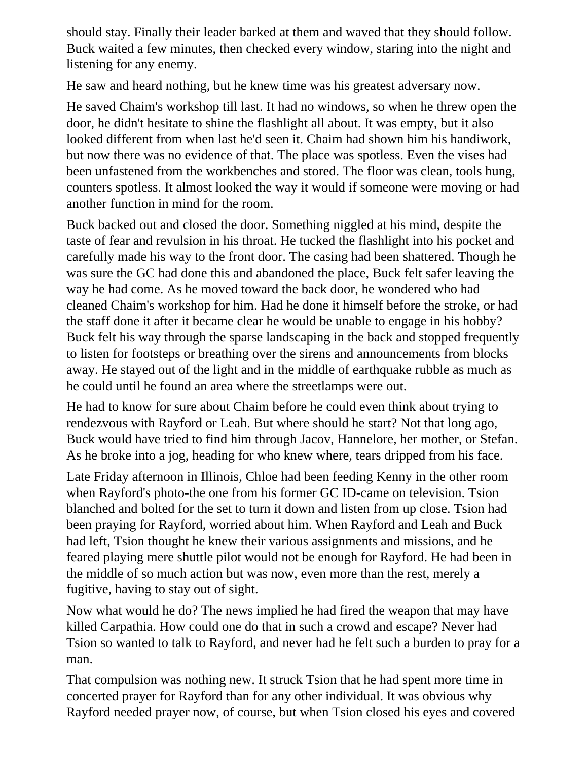should stay. Finally their leader barked at them and waved that they should follow. Buck waited a few minutes, then checked every window, staring into the night and listening for any enemy.

He saw and heard nothing, but he knew time was his greatest adversary now.

He saved Chaim's workshop till last. It had no windows, so when he threw open the door, he didn't hesitate to shine the flashlight all about. It was empty, but it also looked different from when last he'd seen it. Chaim had shown him his handiwork, but now there was no evidence of that. The place was spotless. Even the vises had been unfastened from the workbenches and stored. The floor was clean, tools hung, counters spotless. It almost looked the way it would if someone were moving or had another function in mind for the room.

Buck backed out and closed the door. Something niggled at his mind, despite the taste of fear and revulsion in his throat. He tucked the flashlight into his pocket and carefully made his way to the front door. The casing had been shattered. Though he was sure the GC had done this and abandoned the place, Buck felt safer leaving the way he had come. As he moved toward the back door, he wondered who had cleaned Chaim's workshop for him. Had he done it himself before the stroke, or had the staff done it after it became clear he would be unable to engage in his hobby? Buck felt his way through the sparse landscaping in the back and stopped frequently to listen for footsteps or breathing over the sirens and announcements from blocks away. He stayed out of the light and in the middle of earthquake rubble as much as he could until he found an area where the streetlamps were out.

He had to know for sure about Chaim before he could even think about trying to rendezvous with Rayford or Leah. But where should he start? Not that long ago, Buck would have tried to find him through Jacov, Hannelore, her mother, or Stefan. As he broke into a jog, heading for who knew where, tears dripped from his face.

Late Friday afternoon in Illinois, Chloe had been feeding Kenny in the other room when Rayford's photo-the one from his former GC ID-came on television. Tsion blanched and bolted for the set to turn it down and listen from up close. Tsion had been praying for Rayford, worried about him. When Rayford and Leah and Buck had left, Tsion thought he knew their various assignments and missions, and he feared playing mere shuttle pilot would not be enough for Rayford. He had been in the middle of so much action but was now, even more than the rest, merely a fugitive, having to stay out of sight.

Now what would he do? The news implied he had fired the weapon that may have killed Carpathia. How could one do that in such a crowd and escape? Never had Tsion so wanted to talk to Rayford, and never had he felt such a burden to pray for a man.

That compulsion was nothing new. It struck Tsion that he had spent more time in concerted prayer for Rayford than for any other individual. It was obvious why Rayford needed prayer now, of course, but when Tsion closed his eyes and covered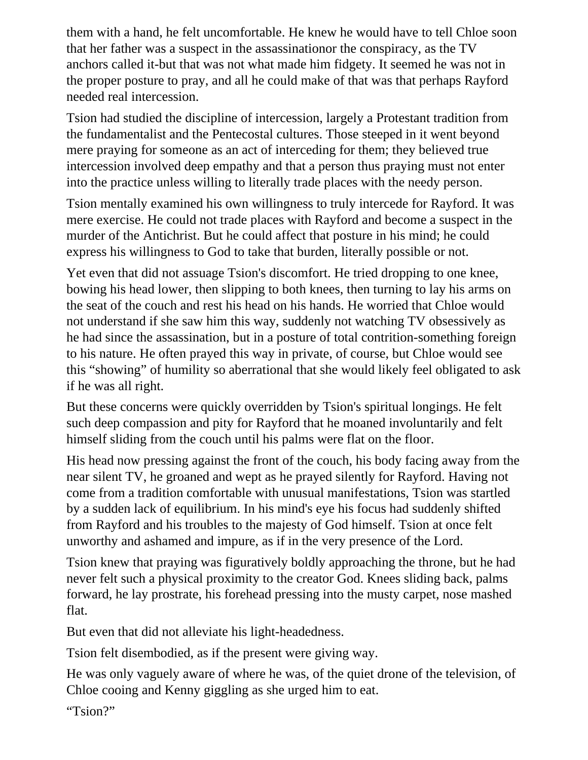them with a hand, he felt uncomfortable. He knew he would have to tell Chloe soon that her father was a suspect in the assassinationor the conspiracy, as the TV anchors called it-but that was not what made him fidgety. It seemed he was not in the proper posture to pray, and all he could make of that was that perhaps Rayford needed real intercession.

Tsion had studied the discipline of intercession, largely a Protestant tradition from the fundamentalist and the Pentecostal cultures. Those steeped in it went beyond mere praying for someone as an act of interceding for them; they believed true intercession involved deep empathy and that a person thus praying must not enter into the practice unless willing to literally trade places with the needy person.

Tsion mentally examined his own willingness to truly intercede for Rayford. It was mere exercise. He could not trade places with Rayford and become a suspect in the murder of the Antichrist. But he could affect that posture in his mind; he could express his willingness to God to take that burden, literally possible or not.

Yet even that did not assuage Tsion's discomfort. He tried dropping to one knee, bowing his head lower, then slipping to both knees, then turning to lay his arms on the seat of the couch and rest his head on his hands. He worried that Chloe would not understand if she saw him this way, suddenly not watching TV obsessively as he had since the assassination, but in a posture of total contrition-something foreign to his nature. He often prayed this way in private, of course, but Chloe would see this "showing" of humility so aberrational that she would likely feel obligated to ask if he was all right.

But these concerns were quickly overridden by Tsion's spiritual longings. He felt such deep compassion and pity for Rayford that he moaned involuntarily and felt himself sliding from the couch until his palms were flat on the floor.

His head now pressing against the front of the couch, his body facing away from the near silent TV, he groaned and wept as he prayed silently for Rayford. Having not come from a tradition comfortable with unusual manifestations, Tsion was startled by a sudden lack of equilibrium. In his mind's eye his focus had suddenly shifted from Rayford and his troubles to the majesty of God himself. Tsion at once felt unworthy and ashamed and impure, as if in the very presence of the Lord.

Tsion knew that praying was figuratively boldly approaching the throne, but he had never felt such a physical proximity to the creator God. Knees sliding back, palms forward, he lay prostrate, his forehead pressing into the musty carpet, nose mashed flat.

But even that did not alleviate his light-headedness.

Tsion felt disembodied, as if the present were giving way.

He was only vaguely aware of where he was, of the quiet drone of the television, of Chloe cooing and Kenny giggling as she urged him to eat.

"Tsion?"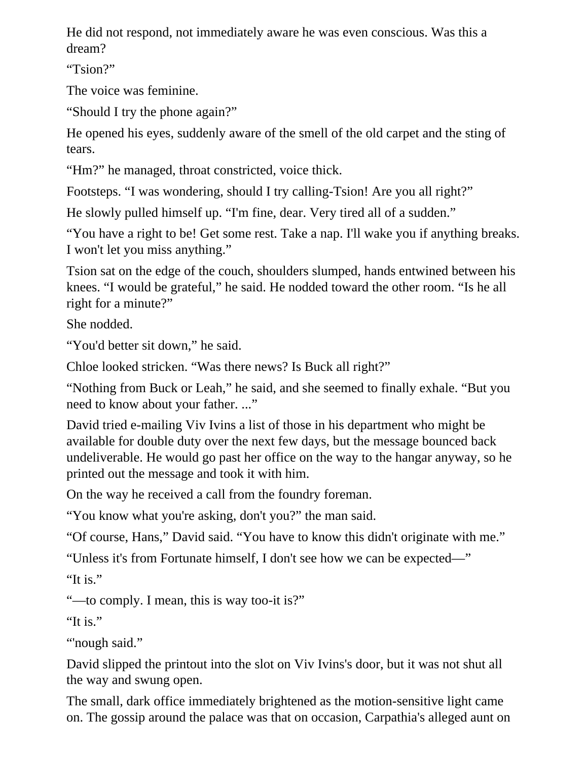He did not respond, not immediately aware he was even conscious. Was this a dream?

"Tsion?"

The voice was feminine.

"Should I try the phone again?"

He opened his eyes, suddenly aware of the smell of the old carpet and the sting of tears.

"Hm?" he managed, throat constricted, voice thick.

Footsteps. "I was wondering, should I try calling-Tsion! Are you all right?"

He slowly pulled himself up. "I'm fine, dear. Very tired all of a sudden."

"You have a right to be! Get some rest. Take a nap. I'll wake you if anything breaks. I won't let you miss anything."

Tsion sat on the edge of the couch, shoulders slumped, hands entwined between his knees. "I would be grateful," he said. He nodded toward the other room. "Is he all right for a minute?"

She nodded.

"You'd better sit down," he said.

Chloe looked stricken. "Was there news? Is Buck all right?"

"Nothing from Buck or Leah," he said, and she seemed to finally exhale. "But you need to know about your father. ..."

David tried e-mailing Viv Ivins a list of those in his department who might be available for double duty over the next few days, but the message bounced back undeliverable. He would go past her office on the way to the hangar anyway, so he printed out the message and took it with him.

On the way he received a call from the foundry foreman.

"You know what you're asking, don't you?" the man said.

"Of course, Hans," David said. "You have to know this didn't originate with me."

"Unless it's from Fortunate himself, I don't see how we can be expected—"

"It is."

"—to comply. I mean, this is way too-it is?"

"It is."

"nough said."

David slipped the printout into the slot on Viv Ivins's door, but it was not shut all the way and swung open.

The small, dark office immediately brightened as the motion-sensitive light came on. The gossip around the palace was that on occasion, Carpathia's alleged aunt on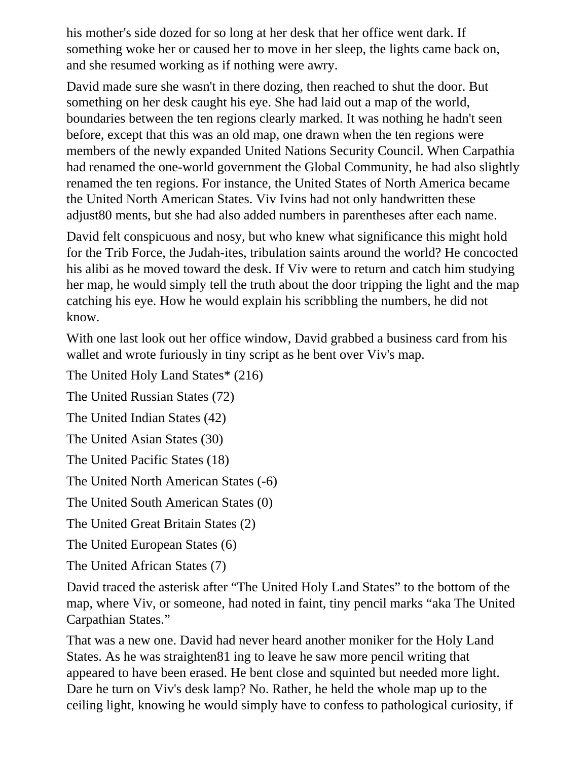his mother's side dozed for so long at her desk that her office went dark. If something woke her or caused her to move in her sleep, the lights came back on, and she resumed working as if nothing were awry.

David made sure she wasn't in there dozing, then reached to shut the door. But something on her desk caught his eye. She had laid out a map of the world, boundaries between the ten regions clearly marked. It was nothing he hadn't seen before, except that this was an old map, one drawn when the ten regions were members of the newly expanded United Nations Security Council. When Carpathia had renamed the one-world government the Global Community, he had also slightly renamed the ten regions. For instance, the United States of North America became the United North American States. Viv Ivins had not only handwritten these adjust80 ments, but she had also added numbers in parentheses after each name.

David felt conspicuous and nosy, but who knew what significance this might hold for the Trib Force, the Judah-ites, tribulation saints around the world? He concocted his alibi as he moved toward the desk. If Viv were to return and catch him studying her map, he would simply tell the truth about the door tripping the light and the map catching his eye. How he would explain his scribbling the numbers, he did not know.

With one last look out her office window, David grabbed a business card from his wallet and wrote furiously in tiny script as he bent over Viv's map.

The United Holy Land States\* (216)

The United Russian States (72)

The United Indian States (42)

The United Asian States (30)

The United Pacific States (18)

The United North American States (-6)

The United South American States (0)

The United Great Britain States (2)

The United European States (6)

The United African States (7)

David traced the asterisk after "The United Holy Land States" to the bottom of the map, where Viv, or someone, had noted in faint, tiny pencil marks "aka The United Carpathian States."

That was a new one. David had never heard another moniker for the Holy Land States. As he was straighten81 ing to leave he saw more pencil writing that appeared to have been erased. He bent close and squinted but needed more light. Dare he turn on Viv's desk lamp? No. Rather, he held the whole map up to the ceiling light, knowing he would simply have to confess to pathological curiosity, if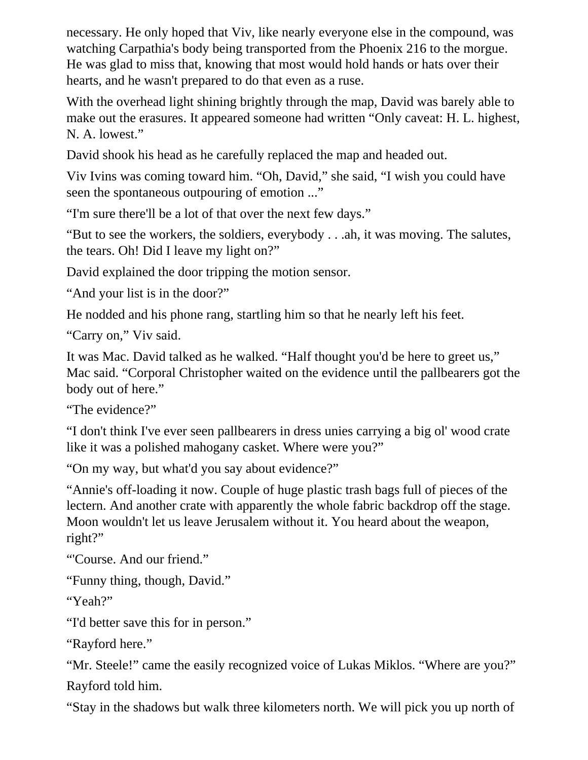necessary. He only hoped that Viv, like nearly everyone else in the compound, was watching Carpathia's body being transported from the Phoenix 216 to the morgue. He was glad to miss that, knowing that most would hold hands or hats over their hearts, and he wasn't prepared to do that even as a ruse.

With the overhead light shining brightly through the map, David was barely able to make out the erasures. It appeared someone had written "Only caveat: H. L. highest, N. A. lowest."

David shook his head as he carefully replaced the map and headed out.

Viv Ivins was coming toward him. "Oh, David," she said, "I wish you could have seen the spontaneous outpouring of emotion ..."

"I'm sure there'll be a lot of that over the next few days."

"But to see the workers, the soldiers, everybody . . .ah, it was moving. The salutes, the tears. Oh! Did I leave my light on?"

David explained the door tripping the motion sensor.

"And your list is in the door?"

He nodded and his phone rang, startling him so that he nearly left his feet.

"Carry on," Viv said.

It was Mac. David talked as he walked. "Half thought you'd be here to greet us," Mac said. "Corporal Christopher waited on the evidence until the pallbearers got the body out of here."

"The evidence?"

"I don't think I've ever seen pallbearers in dress unies carrying a big ol' wood crate like it was a polished mahogany casket. Where were you?"

"On my way, but what'd you say about evidence?"

"Annie's off-loading it now. Couple of huge plastic trash bags full of pieces of the lectern. And another crate with apparently the whole fabric backdrop off the stage. Moon wouldn't let us leave Jerusalem without it. You heard about the weapon, right?"

"'Course. And our friend."

"Funny thing, though, David."

"Yeah?"

"I'd better save this for in person."

"Rayford here."

"Mr. Steele!" came the easily recognized voice of Lukas Miklos. "Where are you?" Rayford told him.

"Stay in the shadows but walk three kilometers north. We will pick you up north of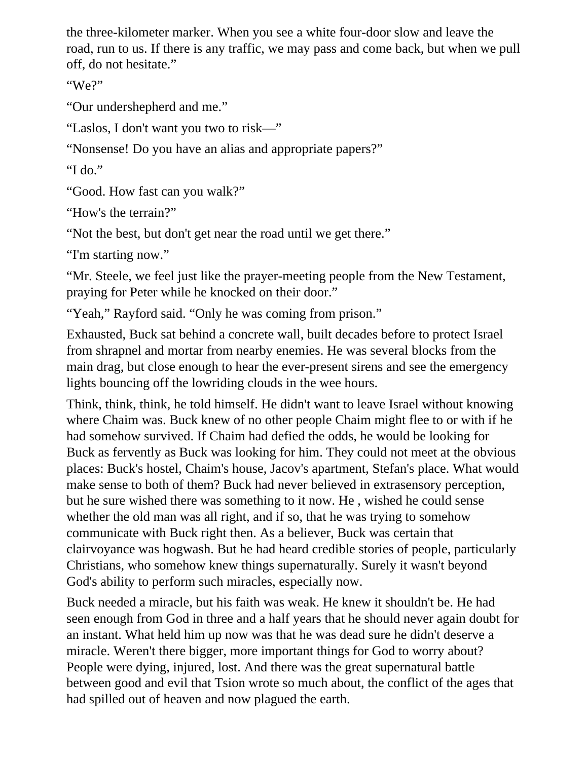the three-kilometer marker. When you see a white four-door slow and leave the road, run to us. If there is any traffic, we may pass and come back, but when we pull off, do not hesitate."

"We?"

"Our undershepherd and me."

"Laslos, I don't want you two to risk—"

"Nonsense! Do you have an alias and appropriate papers?"

"I do."

"Good. How fast can you walk?"

"How's the terrain?"

"Not the best, but don't get near the road until we get there."

"I'm starting now."

"Mr. Steele, we feel just like the prayer-meeting people from the New Testament, praying for Peter while he knocked on their door."

"Yeah," Rayford said. "Only he was coming from prison."

Exhausted, Buck sat behind a concrete wall, built decades before to protect Israel from shrapnel and mortar from nearby enemies. He was several blocks from the main drag, but close enough to hear the ever-present sirens and see the emergency lights bouncing off the lowriding clouds in the wee hours.

Think, think, think, he told himself. He didn't want to leave Israel without knowing where Chaim was. Buck knew of no other people Chaim might flee to or with if he had somehow survived. If Chaim had defied the odds, he would be looking for Buck as fervently as Buck was looking for him. They could not meet at the obvious places: Buck's hostel, Chaim's house, Jacov's apartment, Stefan's place. What would make sense to both of them? Buck had never believed in extrasensory perception, but he sure wished there was something to it now. He , wished he could sense whether the old man was all right, and if so, that he was trying to somehow communicate with Buck right then. As a believer, Buck was certain that clairvoyance was hogwash. But he had heard credible stories of people, particularly Christians, who somehow knew things supernaturally. Surely it wasn't beyond God's ability to perform such miracles, especially now.

Buck needed a miracle, but his faith was weak. He knew it shouldn't be. He had seen enough from God in three and a half years that he should never again doubt for an instant. What held him up now was that he was dead sure he didn't deserve a miracle. Weren't there bigger, more important things for God to worry about? People were dying, injured, lost. And there was the great supernatural battle between good and evil that Tsion wrote so much about, the conflict of the ages that had spilled out of heaven and now plagued the earth.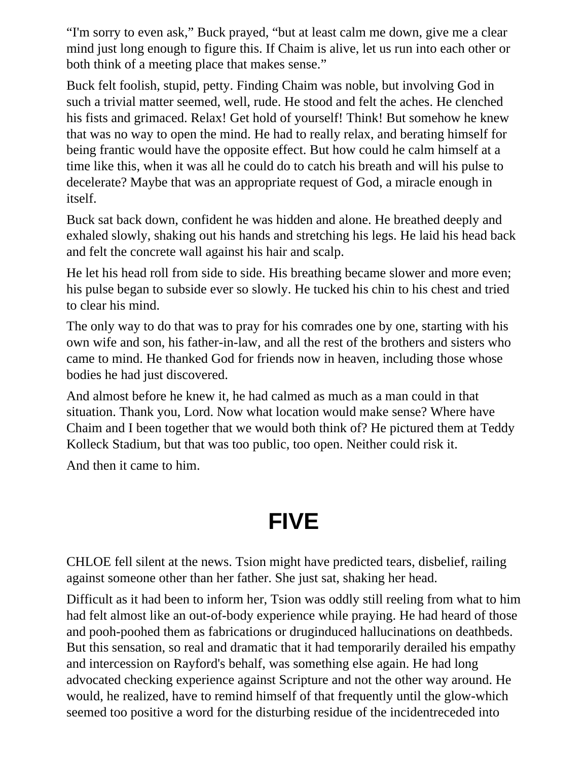"I'm sorry to even ask," Buck prayed, "but at least calm me down, give me a clear mind just long enough to figure this. If Chaim is alive, let us run into each other or both think of a meeting place that makes sense."

Buck felt foolish, stupid, petty. Finding Chaim was noble, but involving God in such a trivial matter seemed, well, rude. He stood and felt the aches. He clenched his fists and grimaced. Relax! Get hold of yourself! Think! But somehow he knew that was no way to open the mind. He had to really relax, and berating himself for being frantic would have the opposite effect. But how could he calm himself at a time like this, when it was all he could do to catch his breath and will his pulse to decelerate? Maybe that was an appropriate request of God, a miracle enough in itself.

Buck sat back down, confident he was hidden and alone. He breathed deeply and exhaled slowly, shaking out his hands and stretching his legs. He laid his head back and felt the concrete wall against his hair and scalp.

He let his head roll from side to side. His breathing became slower and more even; his pulse began to subside ever so slowly. He tucked his chin to his chest and tried to clear his mind.

The only way to do that was to pray for his comrades one by one, starting with his own wife and son, his father-in-law, and all the rest of the brothers and sisters who came to mind. He thanked God for friends now in heaven, including those whose bodies he had just discovered.

And almost before he knew it, he had calmed as much as a man could in that situation. Thank you, Lord. Now what location would make sense? Where have Chaim and I been together that we would both think of? He pictured them at Teddy Kolleck Stadium, but that was too public, too open. Neither could risk it.

And then it came to him.

### **FIVE**

CHLOE fell silent at the news. Tsion might have predicted tears, disbelief, railing against someone other than her father. She just sat, shaking her head.

Difficult as it had been to inform her, Tsion was oddly still reeling from what to him had felt almost like an out-of-body experience while praying. He had heard of those and pooh-poohed them as fabrications or druginduced hallucinations on deathbeds. But this sensation, so real and dramatic that it had temporarily derailed his empathy and intercession on Rayford's behalf, was something else again. He had long advocated checking experience against Scripture and not the other way around. He would, he realized, have to remind himself of that frequently until the glow-which seemed too positive a word for the disturbing residue of the incidentreceded into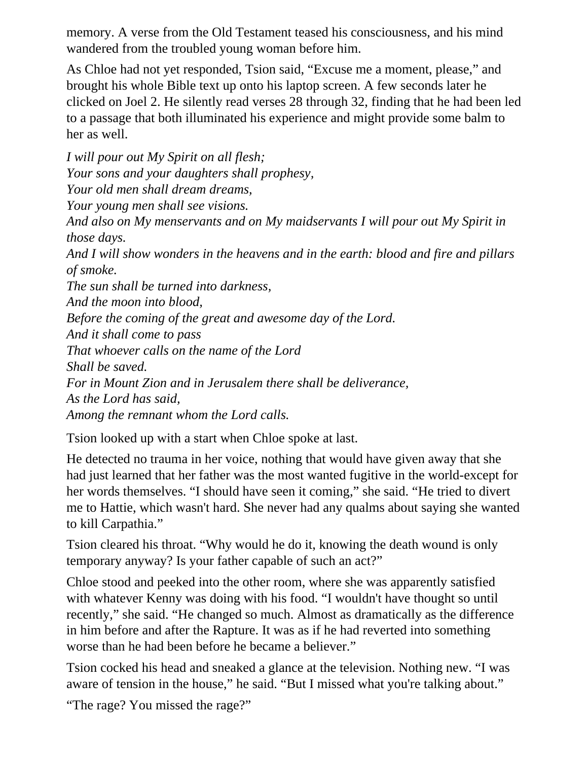memory. A verse from the Old Testament teased his consciousness, and his mind wandered from the troubled young woman before him.

As Chloe had not yet responded, Tsion said, "Excuse me a moment, please," and brought his whole Bible text up onto his laptop screen. A few seconds later he clicked on Joel 2. He silently read verses 28 through 32, finding that he had been led to a passage that both illuminated his experience and might provide some balm to her as well.

*I will pour out My Spirit on all flesh; Your sons and your daughters shall prophesy, Your old men shall dream dreams, Your young men shall see visions. And also on My menservants and on My maidservants I will pour out My Spirit in those days. And I will show wonders in the heavens and in the earth: blood and fire and pillars of smoke. The sun shall be turned into darkness, And the moon into blood, Before the coming of the great and awesome day of the Lord. And it shall come to pass That whoever calls on the name of the Lord Shall be saved. For in Mount Zion and in Jerusalem there shall be deliverance, As the Lord has said, Among the remnant whom the Lord calls.* 

Tsion looked up with a start when Chloe spoke at last.

He detected no trauma in her voice, nothing that would have given away that she had just learned that her father was the most wanted fugitive in the world-except for her words themselves. "I should have seen it coming," she said. "He tried to divert me to Hattie, which wasn't hard. She never had any qualms about saying she wanted to kill Carpathia."

Tsion cleared his throat. "Why would he do it, knowing the death wound is only temporary anyway? Is your father capable of such an act?"

Chloe stood and peeked into the other room, where she was apparently satisfied with whatever Kenny was doing with his food. "I wouldn't have thought so until recently," she said. "He changed so much. Almost as dramatically as the difference in him before and after the Rapture. It was as if he had reverted into something worse than he had been before he became a believer."

Tsion cocked his head and sneaked a glance at the television. Nothing new. "I was aware of tension in the house," he said. "But I missed what you're talking about."

"The rage? You missed the rage?"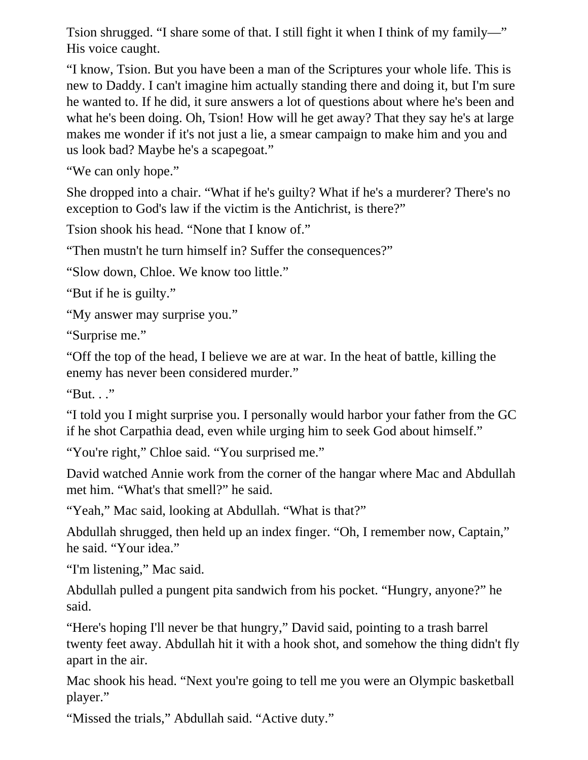Tsion shrugged. "I share some of that. I still fight it when I think of my family—" His voice caught.

"I know, Tsion. But you have been a man of the Scriptures your whole life. This is new to Daddy. I can't imagine him actually standing there and doing it, but I'm sure he wanted to. If he did, it sure answers a lot of questions about where he's been and what he's been doing. Oh, Tsion! How will he get away? That they say he's at large makes me wonder if it's not just a lie, a smear campaign to make him and you and us look bad? Maybe he's a scapegoat."

"We can only hope."

She dropped into a chair. "What if he's guilty? What if he's a murderer? There's no exception to God's law if the victim is the Antichrist, is there?"

Tsion shook his head. "None that I know of."

"Then mustn't he turn himself in? Suffer the consequences?"

"Slow down, Chloe. We know too little."

"But if he is guilty."

"My answer may surprise you."

"Surprise me."

"Off the top of the head, I believe we are at war. In the heat of battle, killing the enemy has never been considered murder."

"But. . ."

"I told you I might surprise you. I personally would harbor your father from the GC if he shot Carpathia dead, even while urging him to seek God about himself."

"You're right," Chloe said. "You surprised me."

David watched Annie work from the corner of the hangar where Mac and Abdullah met him. "What's that smell?" he said.

"Yeah," Mac said, looking at Abdullah. "What is that?"

Abdullah shrugged, then held up an index finger. "Oh, I remember now, Captain," he said. "Your idea."

"I'm listening," Mac said.

Abdullah pulled a pungent pita sandwich from his pocket. "Hungry, anyone?" he said.

"Here's hoping I'll never be that hungry," David said, pointing to a trash barrel twenty feet away. Abdullah hit it with a hook shot, and somehow the thing didn't fly apart in the air.

Mac shook his head. "Next you're going to tell me you were an Olympic basketball player."

"Missed the trials," Abdullah said. "Active duty."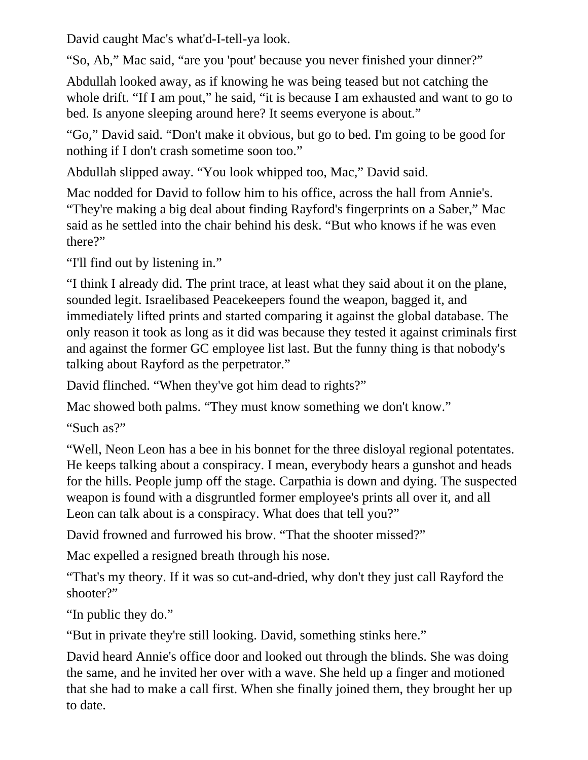David caught Mac's what'd-I-tell-ya look.

"So, Ab," Mac said, "are you 'pout' because you never finished your dinner?"

Abdullah looked away, as if knowing he was being teased but not catching the whole drift. "If I am pout," he said, "it is because I am exhausted and want to go to bed. Is anyone sleeping around here? It seems everyone is about."

"Go," David said. "Don't make it obvious, but go to bed. I'm going to be good for nothing if I don't crash sometime soon too."

Abdullah slipped away. "You look whipped too, Mac," David said.

Mac nodded for David to follow him to his office, across the hall from Annie's. "They're making a big deal about finding Rayford's fingerprints on a Saber," Mac said as he settled into the chair behind his desk. "But who knows if he was even there?"

"I'll find out by listening in."

"I think I already did. The print trace, at least what they said about it on the plane, sounded legit. Israelibased Peacekeepers found the weapon, bagged it, and immediately lifted prints and started comparing it against the global database. The only reason it took as long as it did was because they tested it against criminals first and against the former GC employee list last. But the funny thing is that nobody's talking about Rayford as the perpetrator."

David flinched. "When they've got him dead to rights?"

Mac showed both palms. "They must know something we don't know."

"Such as?"

"Well, Neon Leon has a bee in his bonnet for the three disloyal regional potentates. He keeps talking about a conspiracy. I mean, everybody hears a gunshot and heads for the hills. People jump off the stage. Carpathia is down and dying. The suspected weapon is found with a disgruntled former employee's prints all over it, and all Leon can talk about is a conspiracy. What does that tell you?"

David frowned and furrowed his brow. "That the shooter missed?"

Mac expelled a resigned breath through his nose.

"That's my theory. If it was so cut-and-dried, why don't they just call Rayford the shooter?"

"In public they do."

"But in private they're still looking. David, something stinks here."

David heard Annie's office door and looked out through the blinds. She was doing the same, and he invited her over with a wave. She held up a finger and motioned that she had to make a call first. When she finally joined them, they brought her up to date.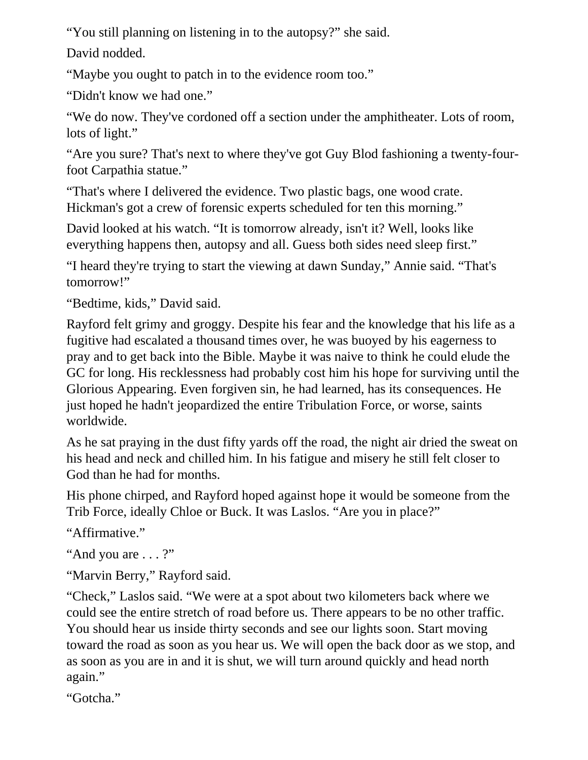"You still planning on listening in to the autopsy?" she said.

David nodded.

"Maybe you ought to patch in to the evidence room too."

"Didn't know we had one."

"We do now. They've cordoned off a section under the amphitheater. Lots of room, lots of light."

"Are you sure? That's next to where they've got Guy Blod fashioning a twenty-fourfoot Carpathia statue."

"That's where I delivered the evidence. Two plastic bags, one wood crate. Hickman's got a crew of forensic experts scheduled for ten this morning."

David looked at his watch. "It is tomorrow already, isn't it? Well, looks like everything happens then, autopsy and all. Guess both sides need sleep first."

"I heard they're trying to start the viewing at dawn Sunday," Annie said. "That's tomorrow!"

"Bedtime, kids," David said.

Rayford felt grimy and groggy. Despite his fear and the knowledge that his life as a fugitive had escalated a thousand times over, he was buoyed by his eagerness to pray and to get back into the Bible. Maybe it was naive to think he could elude the GC for long. His recklessness had probably cost him his hope for surviving until the Glorious Appearing. Even forgiven sin, he had learned, has its consequences. He just hoped he hadn't jeopardized the entire Tribulation Force, or worse, saints worldwide.

As he sat praying in the dust fifty yards off the road, the night air dried the sweat on his head and neck and chilled him. In his fatigue and misery he still felt closer to God than he had for months.

His phone chirped, and Rayford hoped against hope it would be someone from the Trib Force, ideally Chloe or Buck. It was Laslos. "Are you in place?"

"Affirmative."

"And you are . . . ?"

"Marvin Berry," Rayford said.

"Check," Laslos said. "We were at a spot about two kilometers back where we could see the entire stretch of road before us. There appears to be no other traffic. You should hear us inside thirty seconds and see our lights soon. Start moving toward the road as soon as you hear us. We will open the back door as we stop, and as soon as you are in and it is shut, we will turn around quickly and head north again."

"Gotcha."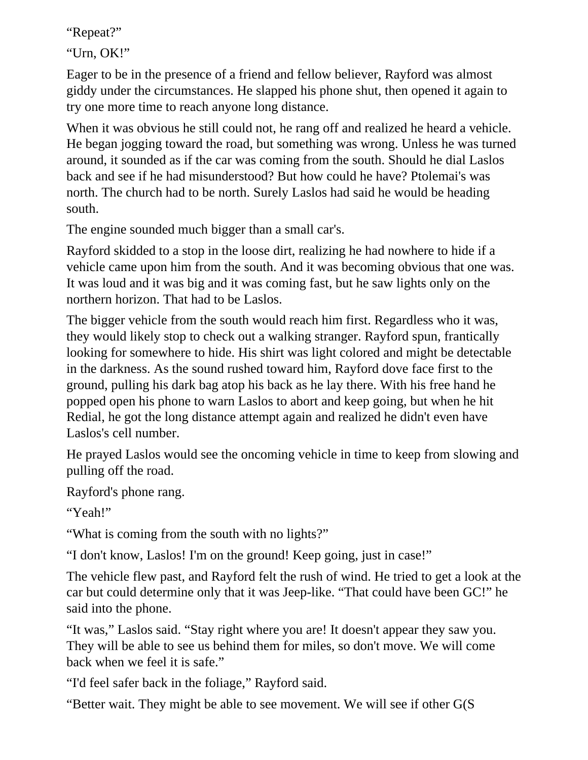"Repeat?"

"Urn, OK!"

Eager to be in the presence of a friend and fellow believer, Rayford was almost giddy under the circumstances. He slapped his phone shut, then opened it again to try one more time to reach anyone long distance.

When it was obvious he still could not, he rang off and realized he heard a vehicle. He began jogging toward the road, but something was wrong. Unless he was turned around, it sounded as if the car was coming from the south. Should he dial Laslos back and see if he had misunderstood? But how could he have? Ptolemai's was north. The church had to be north. Surely Laslos had said he would be heading south.

The engine sounded much bigger than a small car's.

Rayford skidded to a stop in the loose dirt, realizing he had nowhere to hide if a vehicle came upon him from the south. And it was becoming obvious that one was. It was loud and it was big and it was coming fast, but he saw lights only on the northern horizon. That had to be Laslos.

The bigger vehicle from the south would reach him first. Regardless who it was, they would likely stop to check out a walking stranger. Rayford spun, frantically looking for somewhere to hide. His shirt was light colored and might be detectable in the darkness. As the sound rushed toward him, Rayford dove face first to the ground, pulling his dark bag atop his back as he lay there. With his free hand he popped open his phone to warn Laslos to abort and keep going, but when he hit Redial, he got the long distance attempt again and realized he didn't even have Laslos's cell number.

He prayed Laslos would see the oncoming vehicle in time to keep from slowing and pulling off the road.

Rayford's phone rang.

"Yeah!"

"What is coming from the south with no lights?"

"I don't know, Laslos! I'm on the ground! Keep going, just in case!"

The vehicle flew past, and Rayford felt the rush of wind. He tried to get a look at the car but could determine only that it was Jeep-like. "That could have been GC!" he said into the phone.

"It was," Laslos said. "Stay right where you are! It doesn't appear they saw you. They will be able to see us behind them for miles, so don't move. We will come back when we feel it is safe."

"I'd feel safer back in the foliage," Rayford said.

"Better wait. They might be able to see movement. We will see if other G(S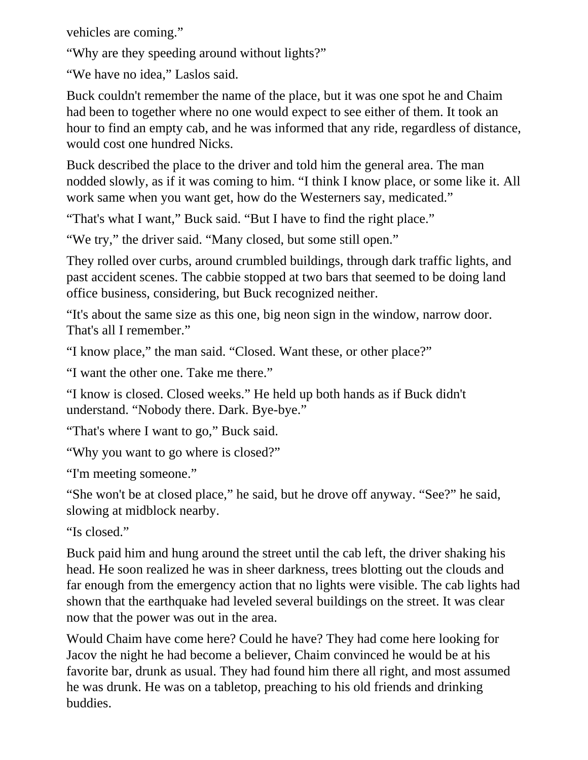vehicles are coming."

"Why are they speeding around without lights?"

"We have no idea," Laslos said.

Buck couldn't remember the name of the place, but it was one spot he and Chaim had been to together where no one would expect to see either of them. It took an hour to find an empty cab, and he was informed that any ride, regardless of distance, would cost one hundred Nicks.

Buck described the place to the driver and told him the general area. The man nodded slowly, as if it was coming to him. "I think I know place, or some like it. All work same when you want get, how do the Westerners say, medicated."

"That's what I want," Buck said. "But I have to find the right place."

"We try," the driver said. "Many closed, but some still open."

They rolled over curbs, around crumbled buildings, through dark traffic lights, and past accident scenes. The cabbie stopped at two bars that seemed to be doing land office business, considering, but Buck recognized neither.

"It's about the same size as this one, big neon sign in the window, narrow door. That's all I remember."

"I know place," the man said. "Closed. Want these, or other place?"

"I want the other one. Take me there."

"I know is closed. Closed weeks." He held up both hands as if Buck didn't understand. "Nobody there. Dark. Bye-bye."

"That's where I want to go," Buck said.

"Why you want to go where is closed?"

"I'm meeting someone."

"She won't be at closed place," he said, but he drove off anyway. "See?" he said, slowing at midblock nearby.

"Is closed."

Buck paid him and hung around the street until the cab left, the driver shaking his head. He soon realized he was in sheer darkness, trees blotting out the clouds and far enough from the emergency action that no lights were visible. The cab lights had shown that the earthquake had leveled several buildings on the street. It was clear now that the power was out in the area.

Would Chaim have come here? Could he have? They had come here looking for Jacov the night he had become a believer, Chaim convinced he would be at his favorite bar, drunk as usual. They had found him there all right, and most assumed he was drunk. He was on a tabletop, preaching to his old friends and drinking buddies.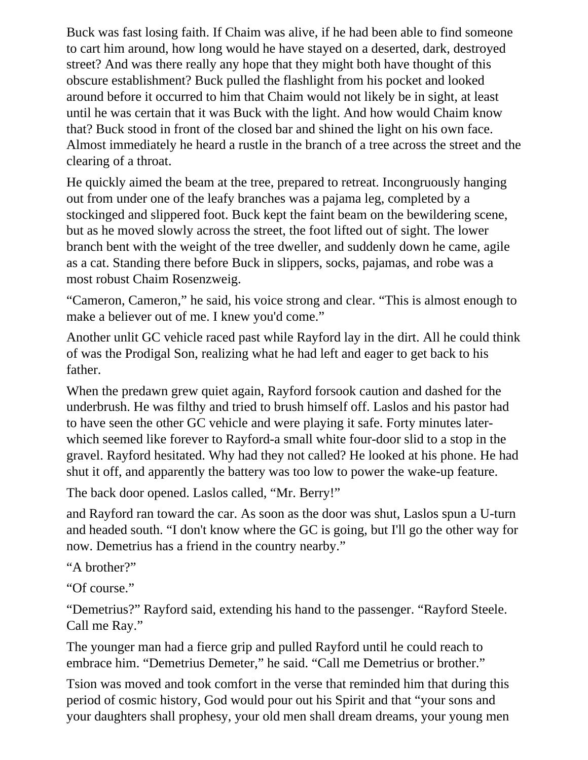Buck was fast losing faith. If Chaim was alive, if he had been able to find someone to cart him around, how long would he have stayed on a deserted, dark, destroyed street? And was there really any hope that they might both have thought of this obscure establishment? Buck pulled the flashlight from his pocket and looked around before it occurred to him that Chaim would not likely be in sight, at least until he was certain that it was Buck with the light. And how would Chaim know that? Buck stood in front of the closed bar and shined the light on his own face. Almost immediately he heard a rustle in the branch of a tree across the street and the clearing of a throat.

He quickly aimed the beam at the tree, prepared to retreat. Incongruously hanging out from under one of the leafy branches was a pajama leg, completed by a stockinged and slippered foot. Buck kept the faint beam on the bewildering scene, but as he moved slowly across the street, the foot lifted out of sight. The lower branch bent with the weight of the tree dweller, and suddenly down he came, agile as a cat. Standing there before Buck in slippers, socks, pajamas, and robe was a most robust Chaim Rosenzweig.

"Cameron, Cameron," he said, his voice strong and clear. "This is almost enough to make a believer out of me. I knew you'd come."

Another unlit GC vehicle raced past while Rayford lay in the dirt. All he could think of was the Prodigal Son, realizing what he had left and eager to get back to his father.

When the predawn grew quiet again, Rayford forsook caution and dashed for the underbrush. He was filthy and tried to brush himself off. Laslos and his pastor had to have seen the other GC vehicle and were playing it safe. Forty minutes laterwhich seemed like forever to Rayford-a small white four-door slid to a stop in the gravel. Rayford hesitated. Why had they not called? He looked at his phone. He had shut it off, and apparently the battery was too low to power the wake-up feature.

The back door opened. Laslos called, "Mr. Berry!"

and Rayford ran toward the car. As soon as the door was shut, Laslos spun a U-turn and headed south. "I don't know where the GC is going, but I'll go the other way for now. Demetrius has a friend in the country nearby."

"A brother?"

"Of course."

"Demetrius?" Rayford said, extending his hand to the passenger. "Rayford Steele. Call me Ray."

The younger man had a fierce grip and pulled Rayford until he could reach to embrace him. "Demetrius Demeter," he said. "Call me Demetrius or brother."

Tsion was moved and took comfort in the verse that reminded him that during this period of cosmic history, God would pour out his Spirit and that "your sons and your daughters shall prophesy, your old men shall dream dreams, your young men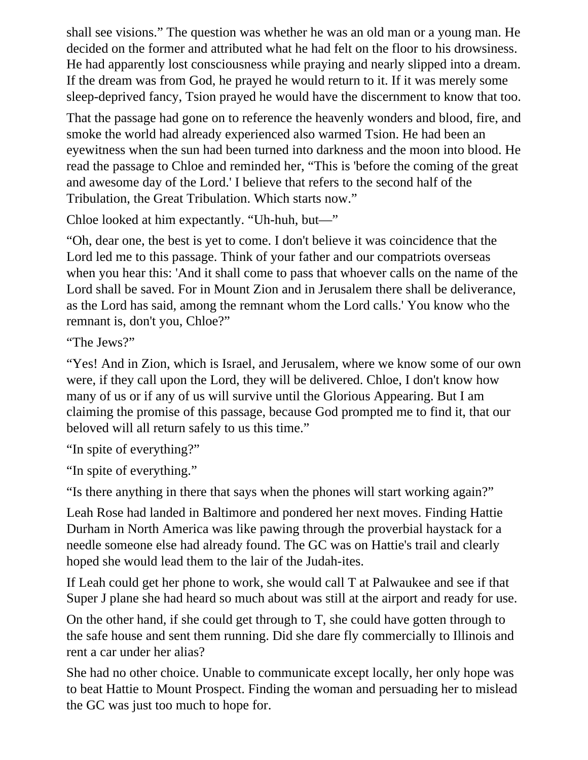shall see visions." The question was whether he was an old man or a young man. He decided on the former and attributed what he had felt on the floor to his drowsiness. He had apparently lost consciousness while praying and nearly slipped into a dream. If the dream was from God, he prayed he would return to it. If it was merely some sleep-deprived fancy, Tsion prayed he would have the discernment to know that too.

That the passage had gone on to reference the heavenly wonders and blood, fire, and smoke the world had already experienced also warmed Tsion. He had been an eyewitness when the sun had been turned into darkness and the moon into blood. He read the passage to Chloe and reminded her, "This is 'before the coming of the great and awesome day of the Lord.' I believe that refers to the second half of the Tribulation, the Great Tribulation. Which starts now."

Chloe looked at him expectantly. "Uh-huh, but—"

"Oh, dear one, the best is yet to come. I don't believe it was coincidence that the Lord led me to this passage. Think of your father and our compatriots overseas when you hear this: 'And it shall come to pass that whoever calls on the name of the Lord shall be saved. For in Mount Zion and in Jerusalem there shall be deliverance, as the Lord has said, among the remnant whom the Lord calls.' You know who the remnant is, don't you, Chloe?"

"The Jews?"

"Yes! And in Zion, which is Israel, and Jerusalem, where we know some of our own were, if they call upon the Lord, they will be delivered. Chloe, I don't know how many of us or if any of us will survive until the Glorious Appearing. But I am claiming the promise of this passage, because God prompted me to find it, that our beloved will all return safely to us this time."

"In spite of everything?"

"In spite of everything."

"Is there anything in there that says when the phones will start working again?"

Leah Rose had landed in Baltimore and pondered her next moves. Finding Hattie Durham in North America was like pawing through the proverbial haystack for a needle someone else had already found. The GC was on Hattie's trail and clearly hoped she would lead them to the lair of the Judah-ites.

If Leah could get her phone to work, she would call T at Palwaukee and see if that Super J plane she had heard so much about was still at the airport and ready for use.

On the other hand, if she could get through to T, she could have gotten through to the safe house and sent them running. Did she dare fly commercially to Illinois and rent a car under her alias?

She had no other choice. Unable to communicate except locally, her only hope was to beat Hattie to Mount Prospect. Finding the woman and persuading her to mislead the GC was just too much to hope for.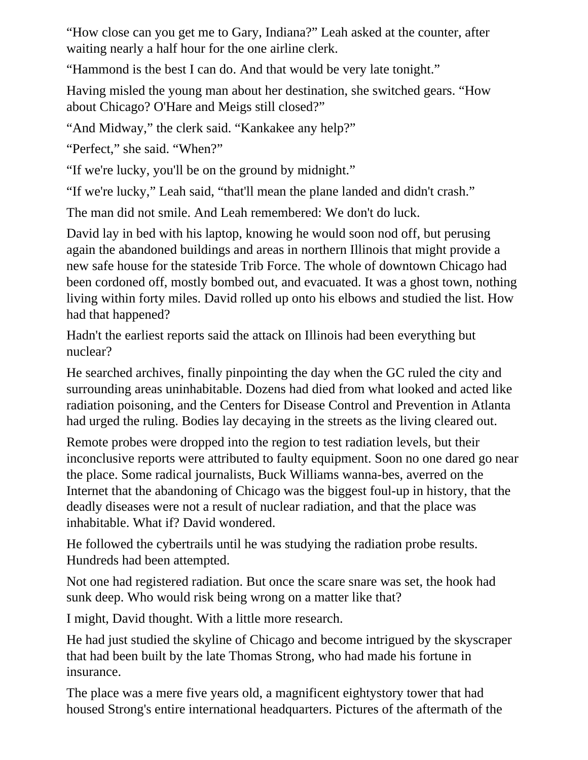"How close can you get me to Gary, Indiana?" Leah asked at the counter, after waiting nearly a half hour for the one airline clerk.

"Hammond is the best I can do. And that would be very late tonight."

Having misled the young man about her destination, she switched gears. "How about Chicago? O'Hare and Meigs still closed?"

"And Midway," the clerk said. "Kankakee any help?"

"Perfect," she said. "When?"

"If we're lucky, you'll be on the ground by midnight."

"If we're lucky," Leah said, "that'll mean the plane landed and didn't crash."

The man did not smile. And Leah remembered: We don't do luck.

David lay in bed with his laptop, knowing he would soon nod off, but perusing again the abandoned buildings and areas in northern Illinois that might provide a new safe house for the stateside Trib Force. The whole of downtown Chicago had been cordoned off, mostly bombed out, and evacuated. It was a ghost town, nothing living within forty miles. David rolled up onto his elbows and studied the list. How had that happened?

Hadn't the earliest reports said the attack on Illinois had been everything but nuclear?

He searched archives, finally pinpointing the day when the GC ruled the city and surrounding areas uninhabitable. Dozens had died from what looked and acted like radiation poisoning, and the Centers for Disease Control and Prevention in Atlanta had urged the ruling. Bodies lay decaying in the streets as the living cleared out.

Remote probes were dropped into the region to test radiation levels, but their inconclusive reports were attributed to faulty equipment. Soon no one dared go near the place. Some radical journalists, Buck Williams wanna-bes, averred on the Internet that the abandoning of Chicago was the biggest foul-up in history, that the deadly diseases were not a result of nuclear radiation, and that the place was inhabitable. What if? David wondered.

He followed the cybertrails until he was studying the radiation probe results. Hundreds had been attempted.

Not one had registered radiation. But once the scare snare was set, the hook had sunk deep. Who would risk being wrong on a matter like that?

I might, David thought. With a little more research.

He had just studied the skyline of Chicago and become intrigued by the skyscraper that had been built by the late Thomas Strong, who had made his fortune in insurance.

The place was a mere five years old, a magnificent eightystory tower that had housed Strong's entire international headquarters. Pictures of the aftermath of the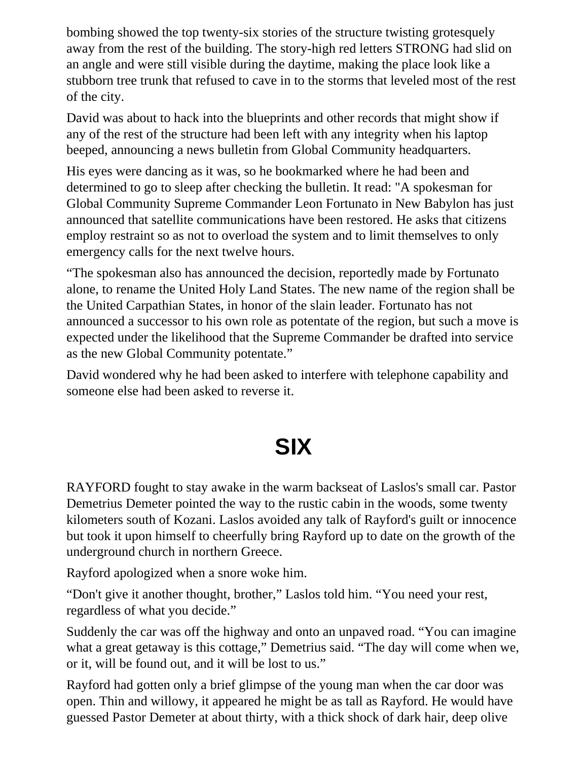bombing showed the top twenty-six stories of the structure twisting grotesquely away from the rest of the building. The story-high red letters STRONG had slid on an angle and were still visible during the daytime, making the place look like a stubborn tree trunk that refused to cave in to the storms that leveled most of the rest of the city.

David was about to hack into the blueprints and other records that might show if any of the rest of the structure had been left with any integrity when his laptop beeped, announcing a news bulletin from Global Community headquarters.

His eyes were dancing as it was, so he bookmarked where he had been and determined to go to sleep after checking the bulletin. It read: "A spokesman for Global Community Supreme Commander Leon Fortunato in New Babylon has just announced that satellite communications have been restored. He asks that citizens employ restraint so as not to overload the system and to limit themselves to only emergency calls for the next twelve hours.

"The spokesman also has announced the decision, reportedly made by Fortunato alone, to rename the United Holy Land States. The new name of the region shall be the United Carpathian States, in honor of the slain leader. Fortunato has not announced a successor to his own role as potentate of the region, but such a move is expected under the likelihood that the Supreme Commander be drafted into service as the new Global Community potentate."

David wondered why he had been asked to interfere with telephone capability and someone else had been asked to reverse it.

## **SIX**

RAYFORD fought to stay awake in the warm backseat of Laslos's small car. Pastor Demetrius Demeter pointed the way to the rustic cabin in the woods, some twenty kilometers south of Kozani. Laslos avoided any talk of Rayford's guilt or innocence but took it upon himself to cheerfully bring Rayford up to date on the growth of the underground church in northern Greece.

Rayford apologized when a snore woke him.

"Don't give it another thought, brother," Laslos told him. "You need your rest, regardless of what you decide."

Suddenly the car was off the highway and onto an unpaved road. "You can imagine what a great getaway is this cottage," Demetrius said. "The day will come when we, or it, will be found out, and it will be lost to us."

Rayford had gotten only a brief glimpse of the young man when the car door was open. Thin and willowy, it appeared he might be as tall as Rayford. He would have guessed Pastor Demeter at about thirty, with a thick shock of dark hair, deep olive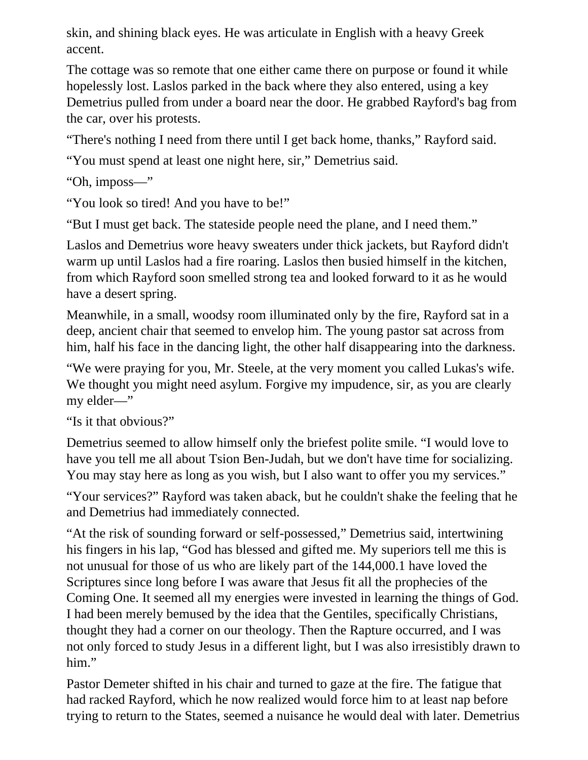skin, and shining black eyes. He was articulate in English with a heavy Greek accent.

The cottage was so remote that one either came there on purpose or found it while hopelessly lost. Laslos parked in the back where they also entered, using a key Demetrius pulled from under a board near the door. He grabbed Rayford's bag from the car, over his protests.

"There's nothing I need from there until I get back home, thanks," Rayford said.

"You must spend at least one night here, sir," Demetrius said.

"Oh, imposs—"

"You look so tired! And you have to be!"

"But I must get back. The stateside people need the plane, and I need them."

Laslos and Demetrius wore heavy sweaters under thick jackets, but Rayford didn't warm up until Laslos had a fire roaring. Laslos then busied himself in the kitchen, from which Rayford soon smelled strong tea and looked forward to it as he would have a desert spring.

Meanwhile, in a small, woodsy room illuminated only by the fire, Rayford sat in a deep, ancient chair that seemed to envelop him. The young pastor sat across from him, half his face in the dancing light, the other half disappearing into the darkness.

"We were praying for you, Mr. Steele, at the very moment you called Lukas's wife. We thought you might need asylum. Forgive my impudence, sir, as you are clearly my elder—"

"Is it that obvious?"

Demetrius seemed to allow himself only the briefest polite smile. "I would love to have you tell me all about Tsion Ben-Judah, but we don't have time for socializing. You may stay here as long as you wish, but I also want to offer you my services."

"Your services?" Rayford was taken aback, but he couldn't shake the feeling that he and Demetrius had immediately connected.

"At the risk of sounding forward or self-possessed," Demetrius said, intertwining his fingers in his lap, "God has blessed and gifted me. My superiors tell me this is not unusual for those of us who are likely part of the 144,000.1 have loved the Scriptures since long before I was aware that Jesus fit all the prophecies of the Coming One. It seemed all my energies were invested in learning the things of God. I had been merely bemused by the idea that the Gentiles, specifically Christians, thought they had a corner on our theology. Then the Rapture occurred, and I was not only forced to study Jesus in a different light, but I was also irresistibly drawn to him."

Pastor Demeter shifted in his chair and turned to gaze at the fire. The fatigue that had racked Rayford, which he now realized would force him to at least nap before trying to return to the States, seemed a nuisance he would deal with later. Demetrius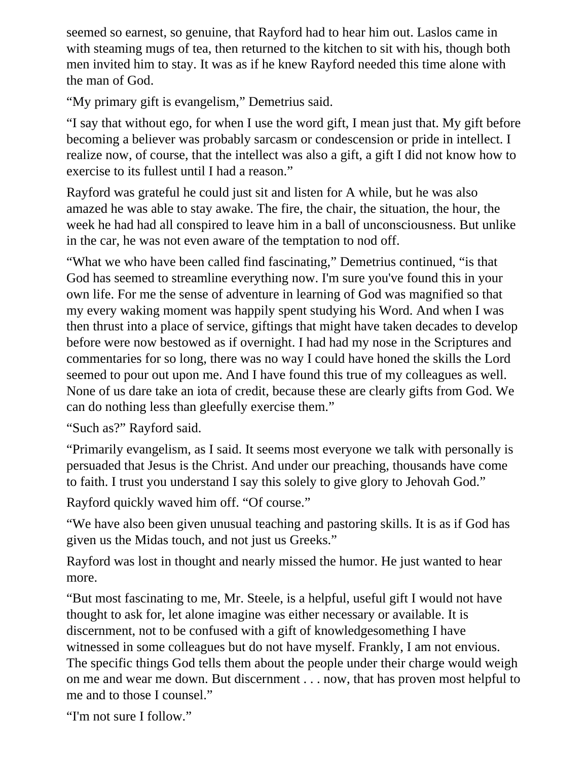seemed so earnest, so genuine, that Rayford had to hear him out. Laslos came in with steaming mugs of tea, then returned to the kitchen to sit with his, though both men invited him to stay. It was as if he knew Rayford needed this time alone with the man of God.

"My primary gift is evangelism," Demetrius said.

"I say that without ego, for when I use the word gift, I mean just that. My gift before becoming a believer was probably sarcasm or condescension or pride in intellect. I realize now, of course, that the intellect was also a gift, a gift I did not know how to exercise to its fullest until I had a reason."

Rayford was grateful he could just sit and listen for A while, but he was also amazed he was able to stay awake. The fire, the chair, the situation, the hour, the week he had had all conspired to leave him in a ball of unconsciousness. But unlike in the car, he was not even aware of the temptation to nod off.

"What we who have been called find fascinating," Demetrius continued, "is that God has seemed to streamline everything now. I'm sure you've found this in your own life. For me the sense of adventure in learning of God was magnified so that my every waking moment was happily spent studying his Word. And when I was then thrust into a place of service, giftings that might have taken decades to develop before were now bestowed as if overnight. I had had my nose in the Scriptures and commentaries for so long, there was no way I could have honed the skills the Lord seemed to pour out upon me. And I have found this true of my colleagues as well. None of us dare take an iota of credit, because these are clearly gifts from God. We can do nothing less than gleefully exercise them."

"Such as?" Rayford said.

"Primarily evangelism, as I said. It seems most everyone we talk with personally is persuaded that Jesus is the Christ. And under our preaching, thousands have come to faith. I trust you understand I say this solely to give glory to Jehovah God."

Rayford quickly waved him off. "Of course."

"We have also been given unusual teaching and pastoring skills. It is as if God has given us the Midas touch, and not just us Greeks."

Rayford was lost in thought and nearly missed the humor. He just wanted to hear more.

"But most fascinating to me, Mr. Steele, is a helpful, useful gift I would not have thought to ask for, let alone imagine was either necessary or available. It is discernment, not to be confused with a gift of knowledgesomething I have witnessed in some colleagues but do not have myself. Frankly, I am not envious. The specific things God tells them about the people under their charge would weigh on me and wear me down. But discernment . . . now, that has proven most helpful to me and to those I counsel."

"I'm not sure I follow."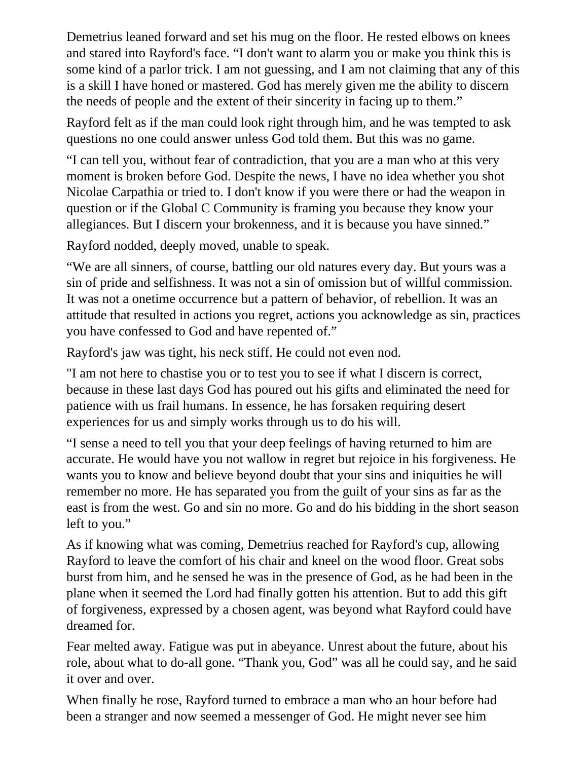Demetrius leaned forward and set his mug on the floor. He rested elbows on knees and stared into Rayford's face. "I don't want to alarm you or make you think this is some kind of a parlor trick. I am not guessing, and I am not claiming that any of this is a skill I have honed or mastered. God has merely given me the ability to discern the needs of people and the extent of their sincerity in facing up to them."

Rayford felt as if the man could look right through him, and he was tempted to ask questions no one could answer unless God told them. But this was no game.

"I can tell you, without fear of contradiction, that you are a man who at this very moment is broken before God. Despite the news, I have no idea whether you shot Nicolae Carpathia or tried to. I don't know if you were there or had the weapon in question or if the Global C Community is framing you because they know your allegiances. But I discern your brokenness, and it is because you have sinned."

Rayford nodded, deeply moved, unable to speak.

"We are all sinners, of course, battling our old natures every day. But yours was a sin of pride and selfishness. It was not a sin of omission but of willful commission. It was not a onetime occurrence but a pattern of behavior, of rebellion. It was an attitude that resulted in actions you regret, actions you acknowledge as sin, practices you have confessed to God and have repented of."

Rayford's jaw was tight, his neck stiff. He could not even nod.

"I am not here to chastise you or to test you to see if what I discern is correct, because in these last days God has poured out his gifts and eliminated the need for patience with us frail humans. In essence, he has forsaken requiring desert experiences for us and simply works through us to do his will.

"I sense a need to tell you that your deep feelings of having returned to him are accurate. He would have you not wallow in regret but rejoice in his forgiveness. He wants you to know and believe beyond doubt that your sins and iniquities he will remember no more. He has separated you from the guilt of your sins as far as the east is from the west. Go and sin no more. Go and do his bidding in the short season left to you."

As if knowing what was coming, Demetrius reached for Rayford's cup, allowing Rayford to leave the comfort of his chair and kneel on the wood floor. Great sobs burst from him, and he sensed he was in the presence of God, as he had been in the plane when it seemed the Lord had finally gotten his attention. But to add this gift of forgiveness, expressed by a chosen agent, was beyond what Rayford could have dreamed for.

Fear melted away. Fatigue was put in abeyance. Unrest about the future, about his role, about what to do-all gone. "Thank you, God" was all he could say, and he said it over and over.

When finally he rose, Rayford turned to embrace a man who an hour before had been a stranger and now seemed a messenger of God. He might never see him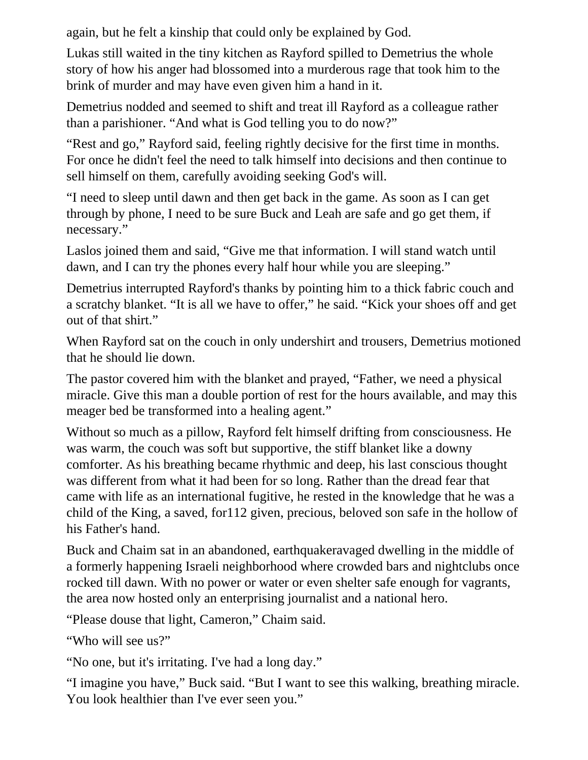again, but he felt a kinship that could only be explained by God.

Lukas still waited in the tiny kitchen as Rayford spilled to Demetrius the whole story of how his anger had blossomed into a murderous rage that took him to the brink of murder and may have even given him a hand in it.

Demetrius nodded and seemed to shift and treat ill Rayford as a colleague rather than a parishioner. "And what is God telling you to do now?"

"Rest and go," Rayford said, feeling rightly decisive for the first time in months. For once he didn't feel the need to talk himself into decisions and then continue to sell himself on them, carefully avoiding seeking God's will.

"I need to sleep until dawn and then get back in the game. As soon as I can get through by phone, I need to be sure Buck and Leah are safe and go get them, if necessary."

Laslos joined them and said, "Give me that information. I will stand watch until dawn, and I can try the phones every half hour while you are sleeping."

Demetrius interrupted Rayford's thanks by pointing him to a thick fabric couch and a scratchy blanket. "It is all we have to offer," he said. "Kick your shoes off and get out of that shirt."

When Rayford sat on the couch in only undershirt and trousers, Demetrius motioned that he should lie down.

The pastor covered him with the blanket and prayed, "Father, we need a physical miracle. Give this man a double portion of rest for the hours available, and may this meager bed be transformed into a healing agent."

Without so much as a pillow, Rayford felt himself drifting from consciousness. He was warm, the couch was soft but supportive, the stiff blanket like a downy comforter. As his breathing became rhythmic and deep, his last conscious thought was different from what it had been for so long. Rather than the dread fear that came with life as an international fugitive, he rested in the knowledge that he was a child of the King, a saved, for112 given, precious, beloved son safe in the hollow of his Father's hand.

Buck and Chaim sat in an abandoned, earthquakeravaged dwelling in the middle of a formerly happening Israeli neighborhood where crowded bars and nightclubs once rocked till dawn. With no power or water or even shelter safe enough for vagrants, the area now hosted only an enterprising journalist and a national hero.

"Please douse that light, Cameron," Chaim said.

"Who will see us?"

"No one, but it's irritating. I've had a long day."

"I imagine you have," Buck said. "But I want to see this walking, breathing miracle. You look healthier than I've ever seen you."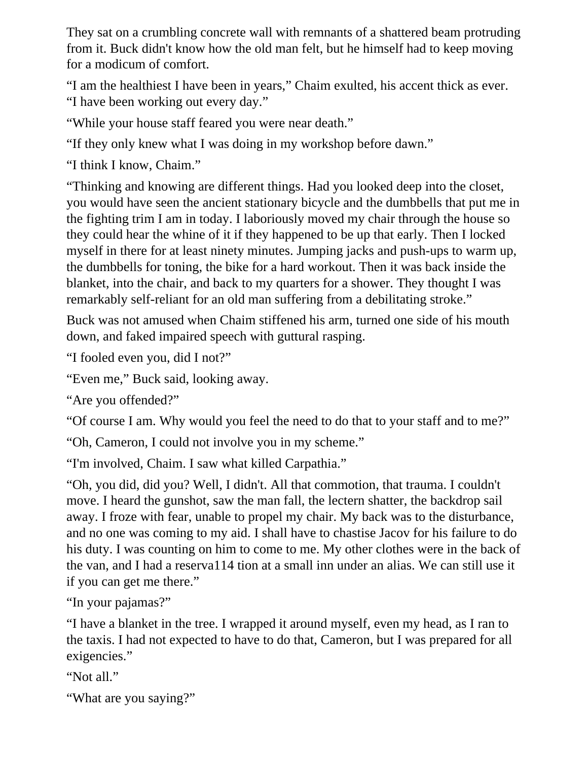They sat on a crumbling concrete wall with remnants of a shattered beam protruding from it. Buck didn't know how the old man felt, but he himself had to keep moving for a modicum of comfort.

"I am the healthiest I have been in years," Chaim exulted, his accent thick as ever. "I have been working out every day."

"While your house staff feared you were near death."

"If they only knew what I was doing in my workshop before dawn."

"I think I know, Chaim."

"Thinking and knowing are different things. Had you looked deep into the closet, you would have seen the ancient stationary bicycle and the dumbbells that put me in the fighting trim I am in today. I laboriously moved my chair through the house so they could hear the whine of it if they happened to be up that early. Then I locked myself in there for at least ninety minutes. Jumping jacks and push-ups to warm up, the dumbbells for toning, the bike for a hard workout. Then it was back inside the blanket, into the chair, and back to my quarters for a shower. They thought I was remarkably self-reliant for an old man suffering from a debilitating stroke."

Buck was not amused when Chaim stiffened his arm, turned one side of his mouth down, and faked impaired speech with guttural rasping.

"I fooled even you, did I not?"

"Even me," Buck said, looking away.

"Are you offended?"

"Of course I am. Why would you feel the need to do that to your staff and to me?"

"Oh, Cameron, I could not involve you in my scheme."

"I'm involved, Chaim. I saw what killed Carpathia."

"Oh, you did, did you? Well, I didn't. All that commotion, that trauma. I couldn't move. I heard the gunshot, saw the man fall, the lectern shatter, the backdrop sail away. I froze with fear, unable to propel my chair. My back was to the disturbance, and no one was coming to my aid. I shall have to chastise Jacov for his failure to do his duty. I was counting on him to come to me. My other clothes were in the back of the van, and I had a reserva114 tion at a small inn under an alias. We can still use it if you can get me there."

"In your pajamas?"

"I have a blanket in the tree. I wrapped it around myself, even my head, as I ran to the taxis. I had not expected to have to do that, Cameron, but I was prepared for all exigencies."

"Not all."

"What are you saying?"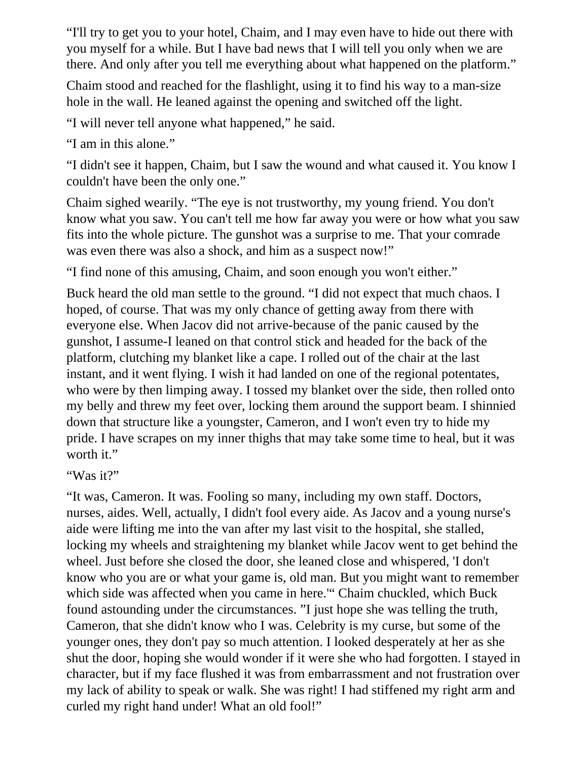"I'll try to get you to your hotel, Chaim, and I may even have to hide out there with you myself for a while. But I have bad news that I will tell you only when we are there. And only after you tell me everything about what happened on the platform."

Chaim stood and reached for the flashlight, using it to find his way to a man-size hole in the wall. He leaned against the opening and switched off the light.

"I will never tell anyone what happened," he said.

"I am in this alone."

"I didn't see it happen, Chaim, but I saw the wound and what caused it. You know I couldn't have been the only one."

Chaim sighed wearily. "The eye is not trustworthy, my young friend. You don't know what you saw. You can't tell me how far away you were or how what you saw fits into the whole picture. The gunshot was a surprise to me. That your comrade was even there was also a shock, and him as a suspect now!"

"I find none of this amusing, Chaim, and soon enough you won't either."

Buck heard the old man settle to the ground. "I did not expect that much chaos. I hoped, of course. That was my only chance of getting away from there with everyone else. When Jacov did not arrive-because of the panic caused by the gunshot, I assume-I leaned on that control stick and headed for the back of the platform, clutching my blanket like a cape. I rolled out of the chair at the last instant, and it went flying. I wish it had landed on one of the regional potentates, who were by then limping away. I tossed my blanket over the side, then rolled onto my belly and threw my feet over, locking them around the support beam. I shinnied down that structure like a youngster, Cameron, and I won't even try to hide my pride. I have scrapes on my inner thighs that may take some time to heal, but it was worth it."

"Was it?"

"It was, Cameron. It was. Fooling so many, including my own staff. Doctors, nurses, aides. Well, actually, I didn't fool every aide. As Jacov and a young nurse's aide were lifting me into the van after my last visit to the hospital, she stalled, locking my wheels and straightening my blanket while Jacov went to get behind the wheel. Just before she closed the door, she leaned close and whispered, 'I don't know who you are or what your game is, old man. But you might want to remember which side was affected when you came in here.'" Chaim chuckled, which Buck found astounding under the circumstances. "I just hope she was telling the truth, Cameron, that she didn't know who I was. Celebrity is my curse, but some of the younger ones, they don't pay so much attention. I looked desperately at her as she shut the door, hoping she would wonder if it were she who had forgotten. I stayed in character, but if my face flushed it was from embarrassment and not frustration over my lack of ability to speak or walk. She was right! I had stiffened my right arm and curled my right hand under! What an old fool!"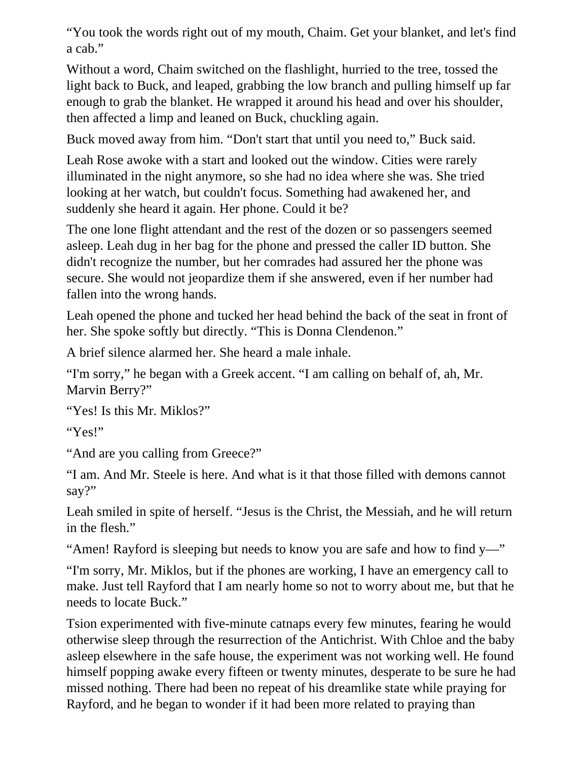"You took the words right out of my mouth, Chaim. Get your blanket, and let's find a cab."

Without a word, Chaim switched on the flashlight, hurried to the tree, tossed the light back to Buck, and leaped, grabbing the low branch and pulling himself up far enough to grab the blanket. He wrapped it around his head and over his shoulder, then affected a limp and leaned on Buck, chuckling again.

Buck moved away from him. "Don't start that until you need to," Buck said.

Leah Rose awoke with a start and looked out the window. Cities were rarely illuminated in the night anymore, so she had no idea where she was. She tried looking at her watch, but couldn't focus. Something had awakened her, and suddenly she heard it again. Her phone. Could it be?

The one lone flight attendant and the rest of the dozen or so passengers seemed asleep. Leah dug in her bag for the phone and pressed the caller ID button. She didn't recognize the number, but her comrades had assured her the phone was secure. She would not jeopardize them if she answered, even if her number had fallen into the wrong hands.

Leah opened the phone and tucked her head behind the back of the seat in front of her. She spoke softly but directly. "This is Donna Clendenon."

A brief silence alarmed her. She heard a male inhale.

"I'm sorry," he began with a Greek accent. "I am calling on behalf of, ah, Mr. Marvin Berry?"

"Yes! Is this Mr. Miklos?"

"Yes!"

"And are you calling from Greece?"

"I am. And Mr. Steele is here. And what is it that those filled with demons cannot say?"

Leah smiled in spite of herself. "Jesus is the Christ, the Messiah, and he will return in the flesh."

"Amen! Rayford is sleeping but needs to know you are safe and how to find y—"

"I'm sorry, Mr. Miklos, but if the phones are working, I have an emergency call to make. Just tell Rayford that I am nearly home so not to worry about me, but that he needs to locate Buck."

Tsion experimented with five-minute catnaps every few minutes, fearing he would otherwise sleep through the resurrection of the Antichrist. With Chloe and the baby asleep elsewhere in the safe house, the experiment was not working well. He found himself popping awake every fifteen or twenty minutes, desperate to be sure he had missed nothing. There had been no repeat of his dreamlike state while praying for Rayford, and he began to wonder if it had been more related to praying than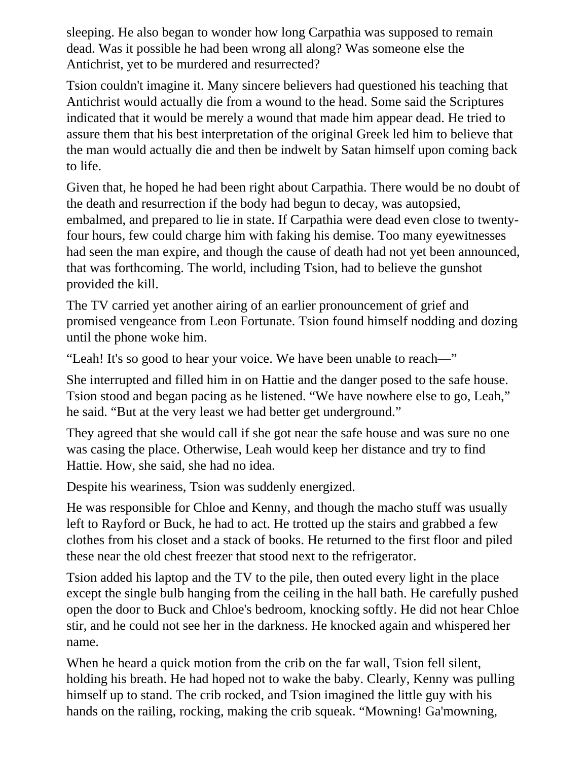sleeping. He also began to wonder how long Carpathia was supposed to remain dead. Was it possible he had been wrong all along? Was someone else the Antichrist, yet to be murdered and resurrected?

Tsion couldn't imagine it. Many sincere believers had questioned his teaching that Antichrist would actually die from a wound to the head. Some said the Scriptures indicated that it would be merely a wound that made him appear dead. He tried to assure them that his best interpretation of the original Greek led him to believe that the man would actually die and then be indwelt by Satan himself upon coming back to life.

Given that, he hoped he had been right about Carpathia. There would be no doubt of the death and resurrection if the body had begun to decay, was autopsied, embalmed, and prepared to lie in state. If Carpathia were dead even close to twentyfour hours, few could charge him with faking his demise. Too many eyewitnesses had seen the man expire, and though the cause of death had not yet been announced, that was forthcoming. The world, including Tsion, had to believe the gunshot provided the kill.

The TV carried yet another airing of an earlier pronouncement of grief and promised vengeance from Leon Fortunate. Tsion found himself nodding and dozing until the phone woke him.

"Leah! It's so good to hear your voice. We have been unable to reach—"

She interrupted and filled him in on Hattie and the danger posed to the safe house. Tsion stood and began pacing as he listened. "We have nowhere else to go, Leah," he said. "But at the very least we had better get underground."

They agreed that she would call if she got near the safe house and was sure no one was casing the place. Otherwise, Leah would keep her distance and try to find Hattie. How, she said, she had no idea.

Despite his weariness, Tsion was suddenly energized.

He was responsible for Chloe and Kenny, and though the macho stuff was usually left to Rayford or Buck, he had to act. He trotted up the stairs and grabbed a few clothes from his closet and a stack of books. He returned to the first floor and piled these near the old chest freezer that stood next to the refrigerator.

Tsion added his laptop and the TV to the pile, then outed every light in the place except the single bulb hanging from the ceiling in the hall bath. He carefully pushed open the door to Buck and Chloe's bedroom, knocking softly. He did not hear Chloe stir, and he could not see her in the darkness. He knocked again and whispered her name.

When he heard a quick motion from the crib on the far wall, Tsion fell silent, holding his breath. He had hoped not to wake the baby. Clearly, Kenny was pulling himself up to stand. The crib rocked, and Tsion imagined the little guy with his hands on the railing, rocking, making the crib squeak. "Mowning! Ga'mowning,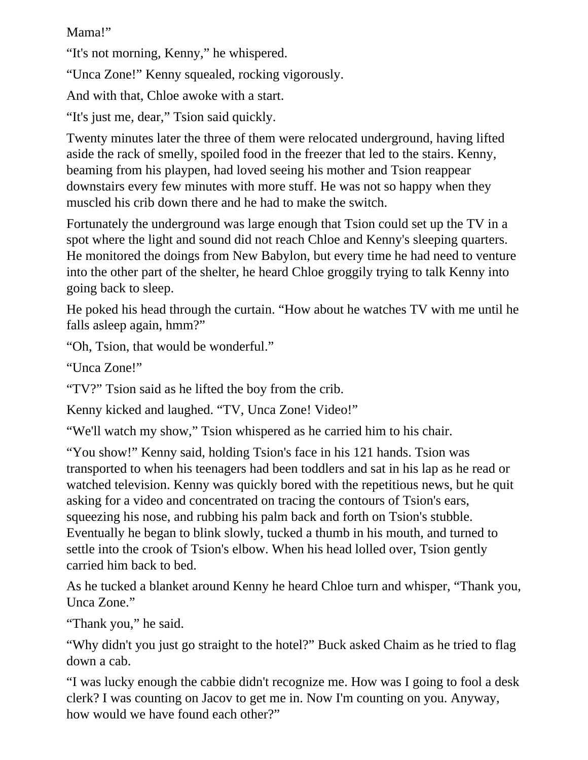#### Mama!"

"It's not morning, Kenny," he whispered.

"Unca Zone!" Kenny squealed, rocking vigorously.

And with that, Chloe awoke with a start.

"It's just me, dear," Tsion said quickly.

Twenty minutes later the three of them were relocated underground, having lifted aside the rack of smelly, spoiled food in the freezer that led to the stairs. Kenny, beaming from his playpen, had loved seeing his mother and Tsion reappear downstairs every few minutes with more stuff. He was not so happy when they muscled his crib down there and he had to make the switch.

Fortunately the underground was large enough that Tsion could set up the TV in a spot where the light and sound did not reach Chloe and Kenny's sleeping quarters. He monitored the doings from New Babylon, but every time he had need to venture into the other part of the shelter, he heard Chloe groggily trying to talk Kenny into going back to sleep.

He poked his head through the curtain. "How about he watches TV with me until he falls asleep again, hmm?"

"Oh, Tsion, that would be wonderful."

"Unca Zone!"

"TV?" Tsion said as he lifted the boy from the crib.

Kenny kicked and laughed. "TV, Unca Zone! Video!"

"We'll watch my show," Tsion whispered as he carried him to his chair.

"You show!" Kenny said, holding Tsion's face in his 121 hands. Tsion was transported to when his teenagers had been toddlers and sat in his lap as he read or watched television. Kenny was quickly bored with the repetitious news, but he quit asking for a video and concentrated on tracing the contours of Tsion's ears, squeezing his nose, and rubbing his palm back and forth on Tsion's stubble. Eventually he began to blink slowly, tucked a thumb in his mouth, and turned to settle into the crook of Tsion's elbow. When his head lolled over, Tsion gently carried him back to bed.

As he tucked a blanket around Kenny he heard Chloe turn and whisper, "Thank you, Unca Zone."

"Thank you," he said.

"Why didn't you just go straight to the hotel?" Buck asked Chaim as he tried to flag down a cab.

"I was lucky enough the cabbie didn't recognize me. How was I going to fool a desk clerk? I was counting on Jacov to get me in. Now I'm counting on you. Anyway, how would we have found each other?"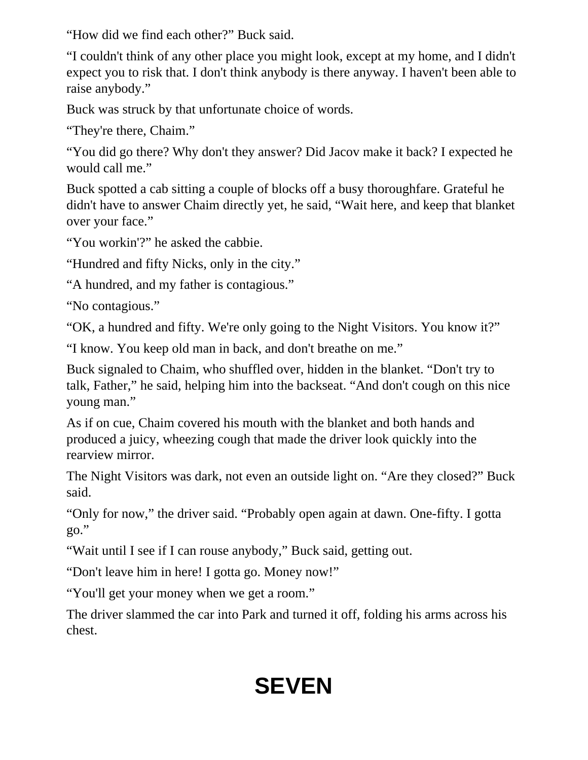"How did we find each other?" Buck said.

"I couldn't think of any other place you might look, except at my home, and I didn't expect you to risk that. I don't think anybody is there anyway. I haven't been able to raise anybody."

Buck was struck by that unfortunate choice of words.

"They're there, Chaim."

"You did go there? Why don't they answer? Did Jacov make it back? I expected he would call me."

Buck spotted a cab sitting a couple of blocks off a busy thoroughfare. Grateful he didn't have to answer Chaim directly yet, he said, "Wait here, and keep that blanket over your face."

"You workin'?" he asked the cabbie.

"Hundred and fifty Nicks, only in the city."

"A hundred, and my father is contagious."

"No contagious."

"OK, a hundred and fifty. We're only going to the Night Visitors. You know it?"

"I know. You keep old man in back, and don't breathe on me."

Buck signaled to Chaim, who shuffled over, hidden in the blanket. "Don't try to talk, Father," he said, helping him into the backseat. "And don't cough on this nice young man."

As if on cue, Chaim covered his mouth with the blanket and both hands and produced a juicy, wheezing cough that made the driver look quickly into the rearview mirror.

The Night Visitors was dark, not even an outside light on. "Are they closed?" Buck said.

"Only for now," the driver said. "Probably open again at dawn. One-fifty. I gotta go."

"Wait until I see if I can rouse anybody," Buck said, getting out.

"Don't leave him in here! I gotta go. Money now!"

"You'll get your money when we get a room."

The driver slammed the car into Park and turned it off, folding his arms across his chest.

#### **SEVEN**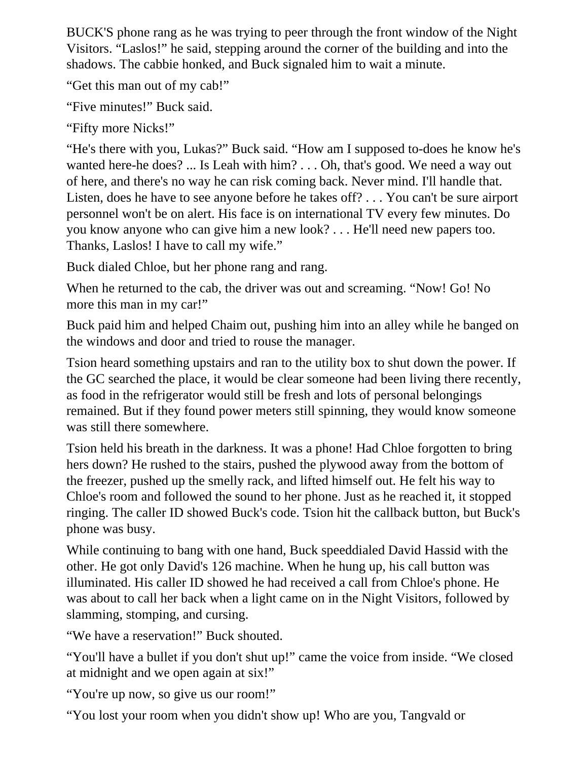BUCK'S phone rang as he was trying to peer through the front window of the Night Visitors. "Laslos!" he said, stepping around the corner of the building and into the shadows. The cabbie honked, and Buck signaled him to wait a minute.

"Get this man out of my cab!"

"Five minutes!" Buck said.

"Fifty more Nicks!"

"He's there with you, Lukas?" Buck said. "How am I supposed to-does he know he's wanted here-he does? ... Is Leah with him? . . . Oh, that's good. We need a way out of here, and there's no way he can risk coming back. Never mind. I'll handle that. Listen, does he have to see anyone before he takes off? . . . You can't be sure airport personnel won't be on alert. His face is on international TV every few minutes. Do you know anyone who can give him a new look? . . . He'll need new papers too. Thanks, Laslos! I have to call my wife."

Buck dialed Chloe, but her phone rang and rang.

When he returned to the cab, the driver was out and screaming. "Now! Go! No more this man in my car!"

Buck paid him and helped Chaim out, pushing him into an alley while he banged on the windows and door and tried to rouse the manager.

Tsion heard something upstairs and ran to the utility box to shut down the power. If the GC searched the place, it would be clear someone had been living there recently, as food in the refrigerator would still be fresh and lots of personal belongings remained. But if they found power meters still spinning, they would know someone was still there somewhere.

Tsion held his breath in the darkness. It was a phone! Had Chloe forgotten to bring hers down? He rushed to the stairs, pushed the plywood away from the bottom of the freezer, pushed up the smelly rack, and lifted himself out. He felt his way to Chloe's room and followed the sound to her phone. Just as he reached it, it stopped ringing. The caller ID showed Buck's code. Tsion hit the callback button, but Buck's phone was busy.

While continuing to bang with one hand, Buck speeddialed David Hassid with the other. He got only David's 126 machine. When he hung up, his call button was illuminated. His caller ID showed he had received a call from Chloe's phone. He was about to call her back when a light came on in the Night Visitors, followed by slamming, stomping, and cursing.

"We have a reservation!" Buck shouted.

"You'll have a bullet if you don't shut up!" came the voice from inside. "We closed at midnight and we open again at six!"

"You're up now, so give us our room!"

"You lost your room when you didn't show up! Who are you, Tangvald or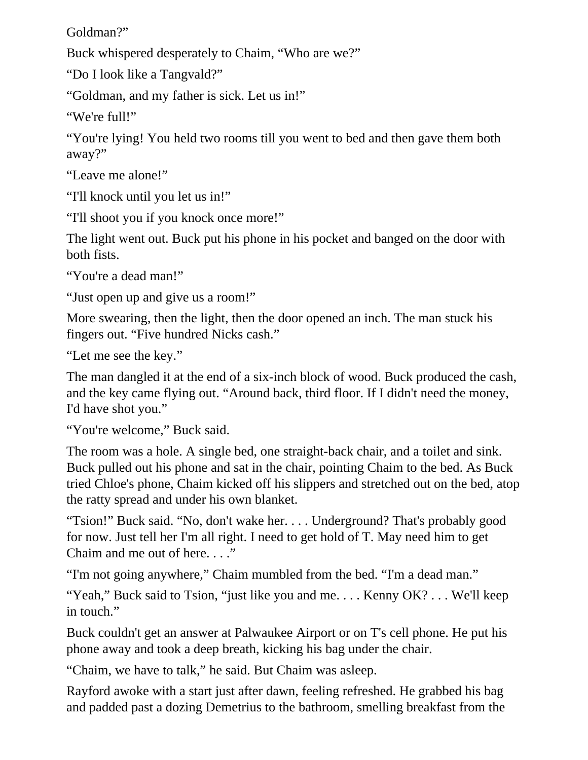Goldman?"

Buck whispered desperately to Chaim, "Who are we?"

"Do I look like a Tangvald?"

"Goldman, and my father is sick. Let us in!"

"We're full!"

"You're lying! You held two rooms till you went to bed and then gave them both away?"

"Leave me alone!"

"I'll knock until you let us in!"

"I'll shoot you if you knock once more!"

The light went out. Buck put his phone in his pocket and banged on the door with both fists.

"You're a dead man!"

"Just open up and give us a room!"

More swearing, then the light, then the door opened an inch. The man stuck his fingers out. "Five hundred Nicks cash."

"Let me see the key."

The man dangled it at the end of a six-inch block of wood. Buck produced the cash, and the key came flying out. "Around back, third floor. If I didn't need the money, I'd have shot you."

"You're welcome," Buck said.

The room was a hole. A single bed, one straight-back chair, and a toilet and sink. Buck pulled out his phone and sat in the chair, pointing Chaim to the bed. As Buck tried Chloe's phone, Chaim kicked off his slippers and stretched out on the bed, atop the ratty spread and under his own blanket.

"Tsion!" Buck said. "No, don't wake her. . . . Underground? That's probably good for now. Just tell her I'm all right. I need to get hold of T. May need him to get Chaim and me out of here...."

"I'm not going anywhere," Chaim mumbled from the bed. "I'm a dead man."

"Yeah," Buck said to Tsion, "just like you and me.... Kenny OK?... We'll keep in touch."

Buck couldn't get an answer at Palwaukee Airport or on T's cell phone. He put his phone away and took a deep breath, kicking his bag under the chair.

"Chaim, we have to talk," he said. But Chaim was asleep.

Rayford awoke with a start just after dawn, feeling refreshed. He grabbed his bag and padded past a dozing Demetrius to the bathroom, smelling breakfast from the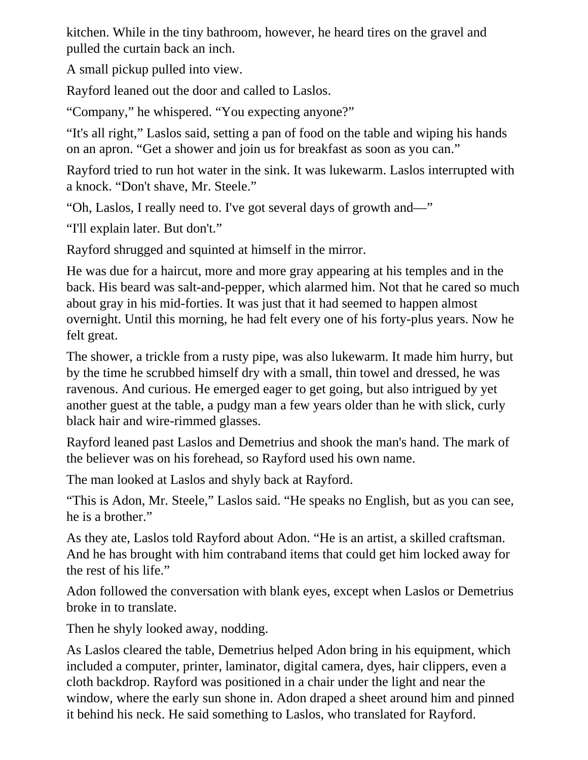kitchen. While in the tiny bathroom, however, he heard tires on the gravel and pulled the curtain back an inch.

A small pickup pulled into view.

Rayford leaned out the door and called to Laslos.

"Company," he whispered. "You expecting anyone?"

"It's all right," Laslos said, setting a pan of food on the table and wiping his hands on an apron. "Get a shower and join us for breakfast as soon as you can."

Rayford tried to run hot water in the sink. It was lukewarm. Laslos interrupted with a knock. "Don't shave, Mr. Steele."

"Oh, Laslos, I really need to. I've got several days of growth and—"

"I'll explain later. But don't."

Rayford shrugged and squinted at himself in the mirror.

He was due for a haircut, more and more gray appearing at his temples and in the back. His beard was salt-and-pepper, which alarmed him. Not that he cared so much about gray in his mid-forties. It was just that it had seemed to happen almost overnight. Until this morning, he had felt every one of his forty-plus years. Now he felt great.

The shower, a trickle from a rusty pipe, was also lukewarm. It made him hurry, but by the time he scrubbed himself dry with a small, thin towel and dressed, he was ravenous. And curious. He emerged eager to get going, but also intrigued by yet another guest at the table, a pudgy man a few years older than he with slick, curly black hair and wire-rimmed glasses.

Rayford leaned past Laslos and Demetrius and shook the man's hand. The mark of the believer was on his forehead, so Rayford used his own name.

The man looked at Laslos and shyly back at Rayford.

"This is Adon, Mr. Steele," Laslos said. "He speaks no English, but as you can see, he is a brother."

As they ate, Laslos told Rayford about Adon. "He is an artist, a skilled craftsman. And he has brought with him contraband items that could get him locked away for the rest of his life."

Adon followed the conversation with blank eyes, except when Laslos or Demetrius broke in to translate.

Then he shyly looked away, nodding.

As Laslos cleared the table, Demetrius helped Adon bring in his equipment, which included a computer, printer, laminator, digital camera, dyes, hair clippers, even a cloth backdrop. Rayford was positioned in a chair under the light and near the window, where the early sun shone in. Adon draped a sheet around him and pinned it behind his neck. He said something to Laslos, who translated for Rayford.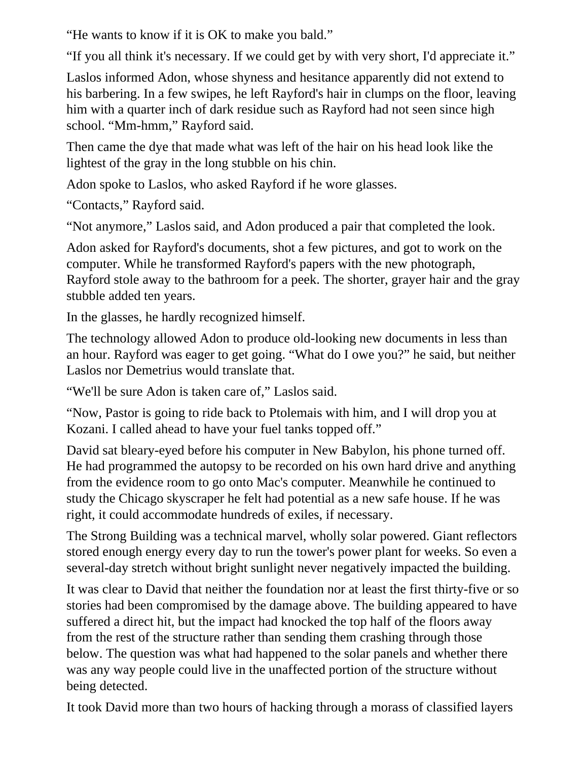"He wants to know if it is OK to make you bald."

"If you all think it's necessary. If we could get by with very short, I'd appreciate it."

Laslos informed Adon, whose shyness and hesitance apparently did not extend to his barbering. In a few swipes, he left Rayford's hair in clumps on the floor, leaving him with a quarter inch of dark residue such as Rayford had not seen since high school. "Mm-hmm," Rayford said.

Then came the dye that made what was left of the hair on his head look like the lightest of the gray in the long stubble on his chin.

Adon spoke to Laslos, who asked Rayford if he wore glasses.

"Contacts," Rayford said.

"Not anymore," Laslos said, and Adon produced a pair that completed the look.

Adon asked for Rayford's documents, shot a few pictures, and got to work on the computer. While he transformed Rayford's papers with the new photograph, Rayford stole away to the bathroom for a peek. The shorter, grayer hair and the gray stubble added ten years.

In the glasses, he hardly recognized himself.

The technology allowed Adon to produce old-looking new documents in less than an hour. Rayford was eager to get going. "What do I owe you?" he said, but neither Laslos nor Demetrius would translate that.

"We'll be sure Adon is taken care of," Laslos said.

"Now, Pastor is going to ride back to Ptolemais with him, and I will drop you at Kozani. I called ahead to have your fuel tanks topped off."

David sat bleary-eyed before his computer in New Babylon, his phone turned off. He had programmed the autopsy to be recorded on his own hard drive and anything from the evidence room to go onto Mac's computer. Meanwhile he continued to study the Chicago skyscraper he felt had potential as a new safe house. If he was right, it could accommodate hundreds of exiles, if necessary.

The Strong Building was a technical marvel, wholly solar powered. Giant reflectors stored enough energy every day to run the tower's power plant for weeks. So even a several-day stretch without bright sunlight never negatively impacted the building.

It was clear to David that neither the foundation nor at least the first thirty-five or so stories had been compromised by the damage above. The building appeared to have suffered a direct hit, but the impact had knocked the top half of the floors away from the rest of the structure rather than sending them crashing through those below. The question was what had happened to the solar panels and whether there was any way people could live in the unaffected portion of the structure without being detected.

It took David more than two hours of hacking through a morass of classified layers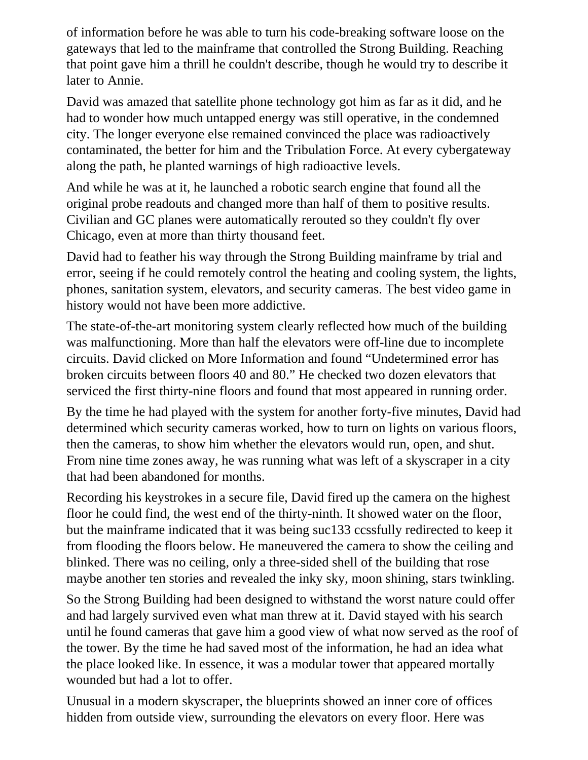of information before he was able to turn his code-breaking software loose on the gateways that led to the mainframe that controlled the Strong Building. Reaching that point gave him a thrill he couldn't describe, though he would try to describe it later to Annie.

David was amazed that satellite phone technology got him as far as it did, and he had to wonder how much untapped energy was still operative, in the condemned city. The longer everyone else remained convinced the place was radioactively contaminated, the better for him and the Tribulation Force. At every cybergateway along the path, he planted warnings of high radioactive levels.

And while he was at it, he launched a robotic search engine that found all the original probe readouts and changed more than half of them to positive results. Civilian and GC planes were automatically rerouted so they couldn't fly over Chicago, even at more than thirty thousand feet.

David had to feather his way through the Strong Building mainframe by trial and error, seeing if he could remotely control the heating and cooling system, the lights, phones, sanitation system, elevators, and security cameras. The best video game in history would not have been more addictive.

The state-of-the-art monitoring system clearly reflected how much of the building was malfunctioning. More than half the elevators were off-line due to incomplete circuits. David clicked on More Information and found "Undetermined error has broken circuits between floors 40 and 80." He checked two dozen elevators that serviced the first thirty-nine floors and found that most appeared in running order.

By the time he had played with the system for another forty-five minutes, David had determined which security cameras worked, how to turn on lights on various floors, then the cameras, to show him whether the elevators would run, open, and shut. From nine time zones away, he was running what was left of a skyscraper in a city that had been abandoned for months.

Recording his keystrokes in a secure file, David fired up the camera on the highest floor he could find, the west end of the thirty-ninth. It showed water on the floor, but the mainframe indicated that it was being suc133 ccssfully redirected to keep it from flooding the floors below. He maneuvered the camera to show the ceiling and blinked. There was no ceiling, only a three-sided shell of the building that rose maybe another ten stories and revealed the inky sky, moon shining, stars twinkling.

So the Strong Building had been designed to withstand the worst nature could offer and had largely survived even what man threw at it. David stayed with his search until he found cameras that gave him a good view of what now served as the roof of the tower. By the time he had saved most of the information, he had an idea what the place looked like. In essence, it was a modular tower that appeared mortally wounded but had a lot to offer.

Unusual in a modern skyscraper, the blueprints showed an inner core of offices hidden from outside view, surrounding the elevators on every floor. Here was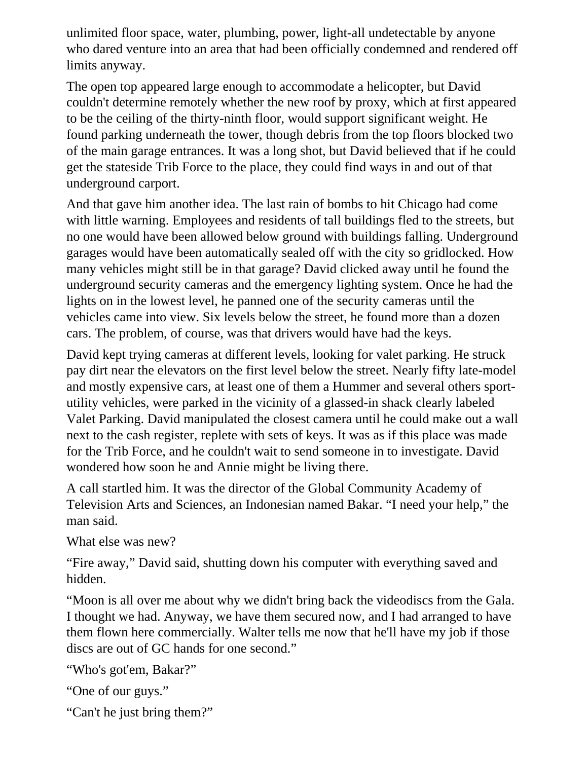unlimited floor space, water, plumbing, power, light-all undetectable by anyone who dared venture into an area that had been officially condemned and rendered off limits anyway.

The open top appeared large enough to accommodate a helicopter, but David couldn't determine remotely whether the new roof by proxy, which at first appeared to be the ceiling of the thirty-ninth floor, would support significant weight. He found parking underneath the tower, though debris from the top floors blocked two of the main garage entrances. It was a long shot, but David believed that if he could get the stateside Trib Force to the place, they could find ways in and out of that underground carport.

And that gave him another idea. The last rain of bombs to hit Chicago had come with little warning. Employees and residents of tall buildings fled to the streets, but no one would have been allowed below ground with buildings falling. Underground garages would have been automatically sealed off with the city so gridlocked. How many vehicles might still be in that garage? David clicked away until he found the underground security cameras and the emergency lighting system. Once he had the lights on in the lowest level, he panned one of the security cameras until the vehicles came into view. Six levels below the street, he found more than a dozen cars. The problem, of course, was that drivers would have had the keys.

David kept trying cameras at different levels, looking for valet parking. He struck pay dirt near the elevators on the first level below the street. Nearly fifty late-model and mostly expensive cars, at least one of them a Hummer and several others sportutility vehicles, were parked in the vicinity of a glassed-in shack clearly labeled Valet Parking. David manipulated the closest camera until he could make out a wall next to the cash register, replete with sets of keys. It was as if this place was made for the Trib Force, and he couldn't wait to send someone in to investigate. David wondered how soon he and Annie might be living there.

A call startled him. It was the director of the Global Community Academy of Television Arts and Sciences, an Indonesian named Bakar. "I need your help," the man said.

What else was new?

"Fire away," David said, shutting down his computer with everything saved and hidden.

"Moon is all over me about why we didn't bring back the videodiscs from the Gala. I thought we had. Anyway, we have them secured now, and I had arranged to have them flown here commercially. Walter tells me now that he'll have my job if those discs are out of GC hands for one second."

"Who's got'em, Bakar?"

"One of our guys."

"Can't he just bring them?"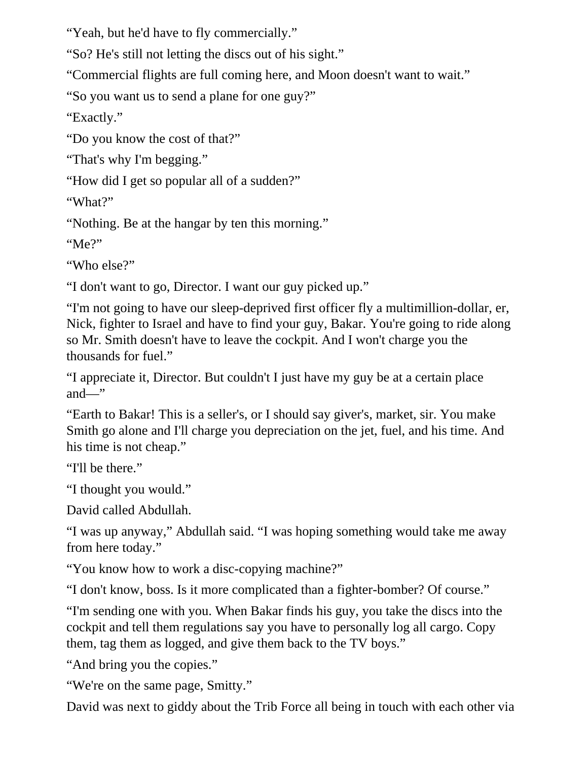"Yeah, but he'd have to fly commercially."

"So? He's still not letting the discs out of his sight."

"Commercial flights are full coming here, and Moon doesn't want to wait."

"So you want us to send a plane for one guy?"

"Exactly."

"Do you know the cost of that?"

"That's why I'm begging."

"How did I get so popular all of a sudden?"

"What?"

"Nothing. Be at the hangar by ten this morning."

"Me?"

"Who else?"

"I don't want to go, Director. I want our guy picked up."

"I'm not going to have our sleep-deprived first officer fly a multimillion-dollar, er, Nick, fighter to Israel and have to find your guy, Bakar. You're going to ride along so Mr. Smith doesn't have to leave the cockpit. And I won't charge you the thousands for fuel."

"I appreciate it, Director. But couldn't I just have my guy be at a certain place and—"

"Earth to Bakar! This is a seller's, or I should say giver's, market, sir. You make Smith go alone and I'll charge you depreciation on the jet, fuel, and his time. And his time is not cheap."

"I'll be there."

"I thought you would."

David called Abdullah.

"I was up anyway," Abdullah said. "I was hoping something would take me away from here today."

"You know how to work a disc-copying machine?"

"I don't know, boss. Is it more complicated than a fighter-bomber? Of course."

"I'm sending one with you. When Bakar finds his guy, you take the discs into the cockpit and tell them regulations say you have to personally log all cargo. Copy them, tag them as logged, and give them back to the TV boys."

"And bring you the copies."

"We're on the same page, Smitty."

David was next to giddy about the Trib Force all being in touch with each other via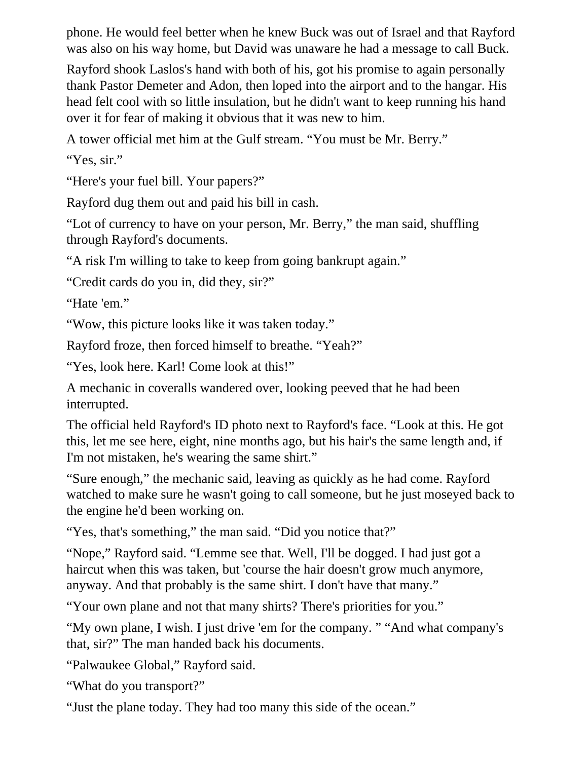phone. He would feel better when he knew Buck was out of Israel and that Rayford was also on his way home, but David was unaware he had a message to call Buck.

Rayford shook Laslos's hand with both of his, got his promise to again personally thank Pastor Demeter and Adon, then loped into the airport and to the hangar. His head felt cool with so little insulation, but he didn't want to keep running his hand over it for fear of making it obvious that it was new to him.

A tower official met him at the Gulf stream. "You must be Mr. Berry."

"Yes, sir."

"Here's your fuel bill. Your papers?"

Rayford dug them out and paid his bill in cash.

"Lot of currency to have on your person, Mr. Berry," the man said, shuffling through Rayford's documents.

"A risk I'm willing to take to keep from going bankrupt again."

"Credit cards do you in, did they, sir?"

"Hate 'em."

"Wow, this picture looks like it was taken today."

Rayford froze, then forced himself to breathe. "Yeah?"

"Yes, look here. Karl! Come look at this!"

A mechanic in coveralls wandered over, looking peeved that he had been interrupted.

The official held Rayford's ID photo next to Rayford's face. "Look at this. He got this, let me see here, eight, nine months ago, but his hair's the same length and, if I'm not mistaken, he's wearing the same shirt."

"Sure enough," the mechanic said, leaving as quickly as he had come. Rayford watched to make sure he wasn't going to call someone, but he just moseyed back to the engine he'd been working on.

"Yes, that's something," the man said. "Did you notice that?"

"Nope," Rayford said. "Lemme see that. Well, I'll be dogged. I had just got a haircut when this was taken, but 'course the hair doesn't grow much anymore, anyway. And that probably is the same shirt. I don't have that many."

"Your own plane and not that many shirts? There's priorities for you."

"My own plane, I wish. I just drive 'em for the company. " "And what company's that, sir?" The man handed back his documents.

"Palwaukee Global," Rayford said.

"What do you transport?"

"Just the plane today. They had too many this side of the ocean."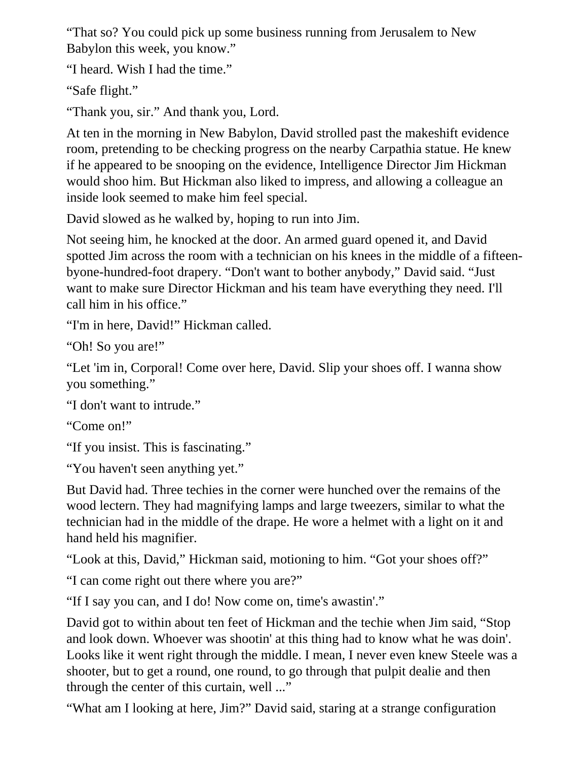"That so? You could pick up some business running from Jerusalem to New Babylon this week, you know."

"I heard. Wish I had the time."

"Safe flight."

"Thank you, sir." And thank you, Lord.

At ten in the morning in New Babylon, David strolled past the makeshift evidence room, pretending to be checking progress on the nearby Carpathia statue. He knew if he appeared to be snooping on the evidence, Intelligence Director Jim Hickman would shoo him. But Hickman also liked to impress, and allowing a colleague an inside look seemed to make him feel special.

David slowed as he walked by, hoping to run into Jim.

Not seeing him, he knocked at the door. An armed guard opened it, and David spotted Jim across the room with a technician on his knees in the middle of a fifteenbyone-hundred-foot drapery. "Don't want to bother anybody," David said. "Just want to make sure Director Hickman and his team have everything they need. I'll call him in his office."

"I'm in here, David!" Hickman called.

"Oh! So you are!"

"Let 'im in, Corporal! Come over here, David. Slip your shoes off. I wanna show you something."

"I don't want to intrude."

"Come on!"

"If you insist. This is fascinating."

"You haven't seen anything yet."

But David had. Three techies in the corner were hunched over the remains of the wood lectern. They had magnifying lamps and large tweezers, similar to what the technician had in the middle of the drape. He wore a helmet with a light on it and hand held his magnifier.

"Look at this, David," Hickman said, motioning to him. "Got your shoes off?"

"I can come right out there where you are?"

"If I say you can, and I do! Now come on, time's awastin'."

David got to within about ten feet of Hickman and the techie when Jim said, "Stop and look down. Whoever was shootin' at this thing had to know what he was doin'. Looks like it went right through the middle. I mean, I never even knew Steele was a shooter, but to get a round, one round, to go through that pulpit dealie and then through the center of this curtain, well ..."

"What am I looking at here, Jim?" David said, staring at a strange configuration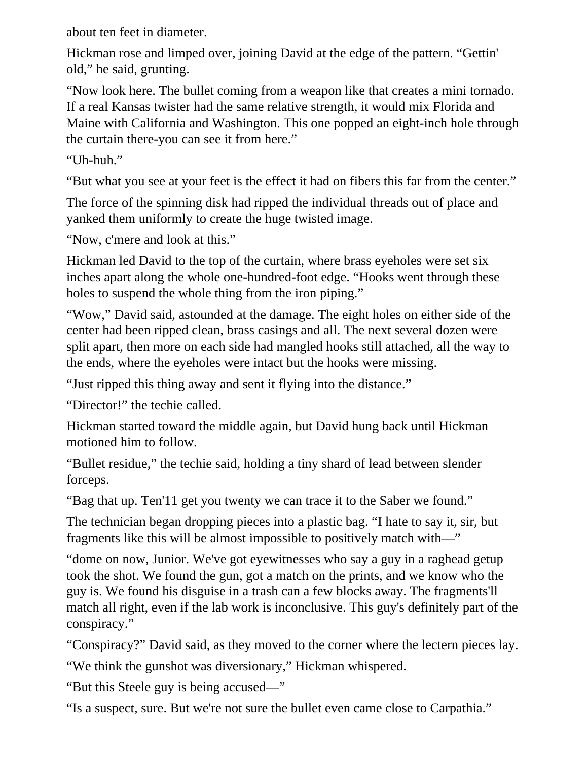about ten feet in diameter.

Hickman rose and limped over, joining David at the edge of the pattern. "Gettin' old," he said, grunting.

"Now look here. The bullet coming from a weapon like that creates a mini tornado. If a real Kansas twister had the same relative strength, it would mix Florida and Maine with California and Washington. This one popped an eight-inch hole through the curtain there-you can see it from here."

"Uh-huh."

"But what you see at your feet is the effect it had on fibers this far from the center."

The force of the spinning disk had ripped the individual threads out of place and yanked them uniformly to create the huge twisted image.

"Now, c'mere and look at this."

Hickman led David to the top of the curtain, where brass eyeholes were set six inches apart along the whole one-hundred-foot edge. "Hooks went through these holes to suspend the whole thing from the iron piping."

"Wow," David said, astounded at the damage. The eight holes on either side of the center had been ripped clean, brass casings and all. The next several dozen were split apart, then more on each side had mangled hooks still attached, all the way to the ends, where the eyeholes were intact but the hooks were missing.

"Just ripped this thing away and sent it flying into the distance."

"Director!" the techie called.

Hickman started toward the middle again, but David hung back until Hickman motioned him to follow.

"Bullet residue," the techie said, holding a tiny shard of lead between slender forceps.

"Bag that up. Ten'11 get you twenty we can trace it to the Saber we found."

The technician began dropping pieces into a plastic bag. "I hate to say it, sir, but fragments like this will be almost impossible to positively match with—"

"dome on now, Junior. We've got eyewitnesses who say a guy in a raghead getup took the shot. We found the gun, got a match on the prints, and we know who the guy is. We found his disguise in a trash can a few blocks away. The fragments'll match all right, even if the lab work is inconclusive. This guy's definitely part of the conspiracy."

"Conspiracy?" David said, as they moved to the corner where the lectern pieces lay.

"We think the gunshot was diversionary," Hickman whispered.

"But this Steele guy is being accused—"

"Is a suspect, sure. But we're not sure the bullet even came close to Carpathia."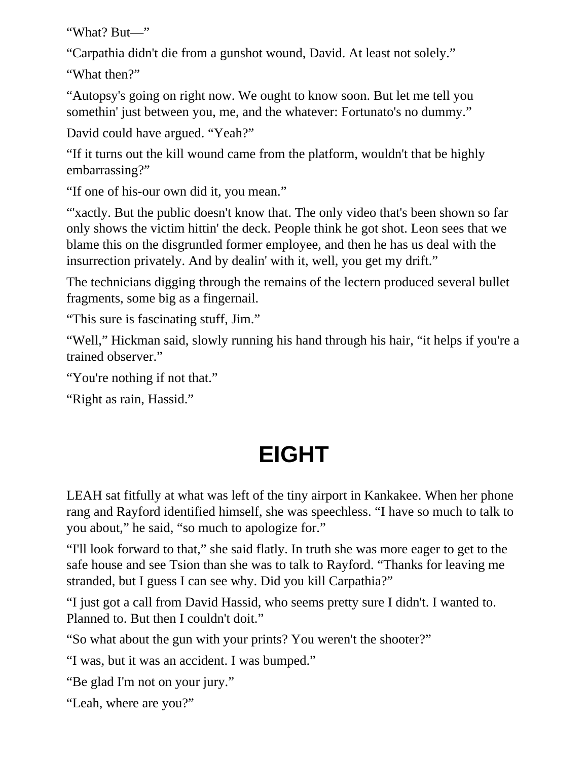"What? But—"

"Carpathia didn't die from a gunshot wound, David. At least not solely."

"What then?"

"Autopsy's going on right now. We ought to know soon. But let me tell you somethin' just between you, me, and the whatever: Fortunato's no dummy."

David could have argued. "Yeah?"

"If it turns out the kill wound came from the platform, wouldn't that be highly embarrassing?"

"If one of his-our own did it, you mean."

"'xactly. But the public doesn't know that. The only video that's been shown so far only shows the victim hittin' the deck. People think he got shot. Leon sees that we blame this on the disgruntled former employee, and then he has us deal with the insurrection privately. And by dealin' with it, well, you get my drift."

The technicians digging through the remains of the lectern produced several bullet fragments, some big as a fingernail.

"This sure is fascinating stuff, Jim."

"Well," Hickman said, slowly running his hand through his hair, "it helps if you're a trained observer."

"You're nothing if not that."

"Right as rain, Hassid."

## **EIGHT**

LEAH sat fitfully at what was left of the tiny airport in Kankakee. When her phone rang and Rayford identified himself, she was speechless. "I have so much to talk to you about," he said, "so much to apologize for."

"I'll look forward to that," she said flatly. In truth she was more eager to get to the safe house and see Tsion than she was to talk to Rayford. "Thanks for leaving me stranded, but I guess I can see why. Did you kill Carpathia?"

"I just got a call from David Hassid, who seems pretty sure I didn't. I wanted to. Planned to. But then I couldn't doit."

"So what about the gun with your prints? You weren't the shooter?"

"I was, but it was an accident. I was bumped."

"Be glad I'm not on your jury."

"Leah, where are you?"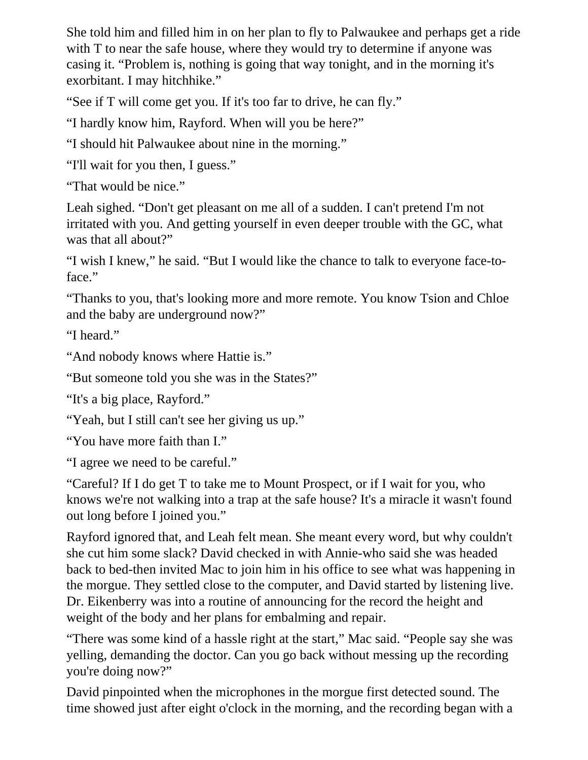She told him and filled him in on her plan to fly to Palwaukee and perhaps get a ride with T to near the safe house, where they would try to determine if anyone was casing it. "Problem is, nothing is going that way tonight, and in the morning it's exorbitant. I may hitchhike."

"See if T will come get you. If it's too far to drive, he can fly."

"I hardly know him, Rayford. When will you be here?"

"I should hit Palwaukee about nine in the morning."

"I'll wait for you then, I guess."

"That would be nice."

Leah sighed. "Don't get pleasant on me all of a sudden. I can't pretend I'm not irritated with you. And getting yourself in even deeper trouble with the GC, what was that all about?"

"I wish I knew," he said. "But I would like the chance to talk to everyone face-toface."

"Thanks to you, that's looking more and more remote. You know Tsion and Chloe and the baby are underground now?"

"I heard."

"And nobody knows where Hattie is."

"But someone told you she was in the States?"

"It's a big place, Rayford."

"Yeah, but I still can't see her giving us up."

"You have more faith than I."

"I agree we need to be careful."

"Careful? If I do get T to take me to Mount Prospect, or if I wait for you, who knows we're not walking into a trap at the safe house? It's a miracle it wasn't found out long before I joined you."

Rayford ignored that, and Leah felt mean. She meant every word, but why couldn't she cut him some slack? David checked in with Annie-who said she was headed back to bed-then invited Mac to join him in his office to see what was happening in the morgue. They settled close to the computer, and David started by listening live. Dr. Eikenberry was into a routine of announcing for the record the height and weight of the body and her plans for embalming and repair.

"There was some kind of a hassle right at the start," Mac said. "People say she was yelling, demanding the doctor. Can you go back without messing up the recording you're doing now?"

David pinpointed when the microphones in the morgue first detected sound. The time showed just after eight o'clock in the morning, and the recording began with a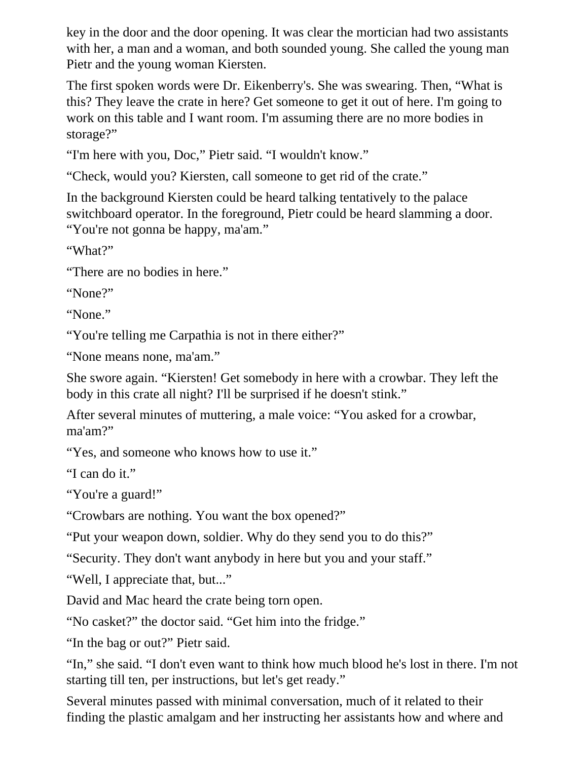key in the door and the door opening. It was clear the mortician had two assistants with her, a man and a woman, and both sounded young. She called the young man Pietr and the young woman Kiersten.

The first spoken words were Dr. Eikenberry's. She was swearing. Then, "What is this? They leave the crate in here? Get someone to get it out of here. I'm going to work on this table and I want room. I'm assuming there are no more bodies in storage?"

"I'm here with you, Doc," Pietr said. "I wouldn't know."

"Check, would you? Kiersten, call someone to get rid of the crate."

In the background Kiersten could be heard talking tentatively to the palace switchboard operator. In the foreground, Pietr could be heard slamming a door. "You're not gonna be happy, ma'am."

"What?"

"There are no bodies in here."

"None?"

"None."

"You're telling me Carpathia is not in there either?"

"None means none, ma'am."

She swore again. "Kiersten! Get somebody in here with a crowbar. They left the body in this crate all night? I'll be surprised if he doesn't stink."

After several minutes of muttering, a male voice: "You asked for a crowbar, ma'am?"

"Yes, and someone who knows how to use it."

"I can do it."

"You're a guard!"

"Crowbars are nothing. You want the box opened?"

"Put your weapon down, soldier. Why do they send you to do this?"

"Security. They don't want anybody in here but you and your staff."

"Well, I appreciate that, but..."

David and Mac heard the crate being torn open.

"No casket?" the doctor said. "Get him into the fridge."

"In the bag or out?" Pietr said.

"In," she said. "I don't even want to think how much blood he's lost in there. I'm not starting till ten, per instructions, but let's get ready."

Several minutes passed with minimal conversation, much of it related to their finding the plastic amalgam and her instructing her assistants how and where and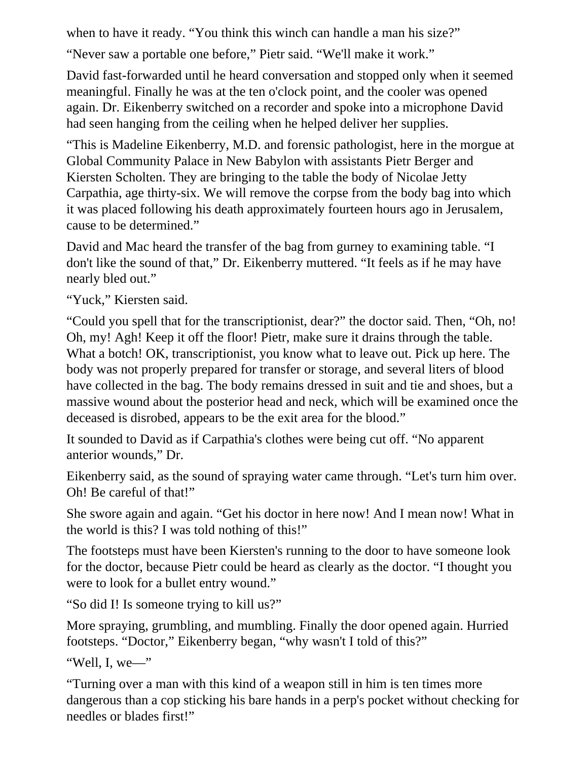when to have it ready. "You think this winch can handle a man his size?"

"Never saw a portable one before," Pietr said. "We'll make it work."

David fast-forwarded until he heard conversation and stopped only when it seemed meaningful. Finally he was at the ten o'clock point, and the cooler was opened again. Dr. Eikenberry switched on a recorder and spoke into a microphone David had seen hanging from the ceiling when he helped deliver her supplies.

"This is Madeline Eikenberry, M.D. and forensic pathologist, here in the morgue at Global Community Palace in New Babylon with assistants Pietr Berger and Kiersten Scholten. They are bringing to the table the body of Nicolae Jetty Carpathia, age thirty-six. We will remove the corpse from the body bag into which it was placed following his death approximately fourteen hours ago in Jerusalem, cause to be determined."

David and Mac heard the transfer of the bag from gurney to examining table. "I don't like the sound of that," Dr. Eikenberry muttered. "It feels as if he may have nearly bled out."

"Yuck," Kiersten said.

"Could you spell that for the transcriptionist, dear?" the doctor said. Then, "Oh, no! Oh, my! Agh! Keep it off the floor! Pietr, make sure it drains through the table. What a botch! OK, transcriptionist, you know what to leave out. Pick up here. The body was not properly prepared for transfer or storage, and several liters of blood have collected in the bag. The body remains dressed in suit and tie and shoes, but a massive wound about the posterior head and neck, which will be examined once the deceased is disrobed, appears to be the exit area for the blood."

It sounded to David as if Carpathia's clothes were being cut off. "No apparent anterior wounds," Dr.

Eikenberry said, as the sound of spraying water came through. "Let's turn him over. Oh! Be careful of that!"

She swore again and again. "Get his doctor in here now! And I mean now! What in the world is this? I was told nothing of this!"

The footsteps must have been Kiersten's running to the door to have someone look for the doctor, because Pietr could be heard as clearly as the doctor. "I thought you were to look for a bullet entry wound."

"So did I! Is someone trying to kill us?"

More spraying, grumbling, and mumbling. Finally the door opened again. Hurried footsteps. "Doctor," Eikenberry began, "why wasn't I told of this?"

"Well, I, we—"

"Turning over a man with this kind of a weapon still in him is ten times more dangerous than a cop sticking his bare hands in a perp's pocket without checking for needles or blades first!"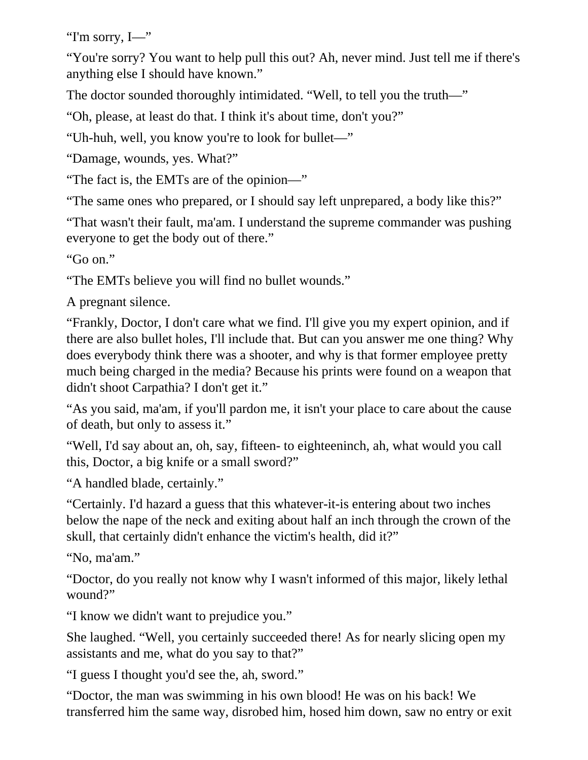"I'm sorry, I—"

"You're sorry? You want to help pull this out? Ah, never mind. Just tell me if there's anything else I should have known."

The doctor sounded thoroughly intimidated. "Well, to tell you the truth—"

"Oh, please, at least do that. I think it's about time, don't you?"

"Uh-huh, well, you know you're to look for bullet—"

"Damage, wounds, yes. What?"

"The fact is, the EMTs are of the opinion—"

"The same ones who prepared, or I should say left unprepared, a body like this?"

"That wasn't their fault, ma'am. I understand the supreme commander was pushing everyone to get the body out of there."

"Go on."

"The EMTs believe you will find no bullet wounds."

A pregnant silence.

"Frankly, Doctor, I don't care what we find. I'll give you my expert opinion, and if there are also bullet holes, I'll include that. But can you answer me one thing? Why does everybody think there was a shooter, and why is that former employee pretty much being charged in the media? Because his prints were found on a weapon that didn't shoot Carpathia? I don't get it."

"As you said, ma'am, if you'll pardon me, it isn't your place to care about the cause of death, but only to assess it."

"Well, I'd say about an, oh, say, fifteen- to eighteeninch, ah, what would you call this, Doctor, a big knife or a small sword?"

"A handled blade, certainly."

"Certainly. I'd hazard a guess that this whatever-it-is entering about two inches below the nape of the neck and exiting about half an inch through the crown of the skull, that certainly didn't enhance the victim's health, did it?"

"No, ma'am."

"Doctor, do you really not know why I wasn't informed of this major, likely lethal wound?"

"I know we didn't want to prejudice you."

She laughed. "Well, you certainly succeeded there! As for nearly slicing open my assistants and me, what do you say to that?"

"I guess I thought you'd see the, ah, sword."

"Doctor, the man was swimming in his own blood! He was on his back! We transferred him the same way, disrobed him, hosed him down, saw no entry or exit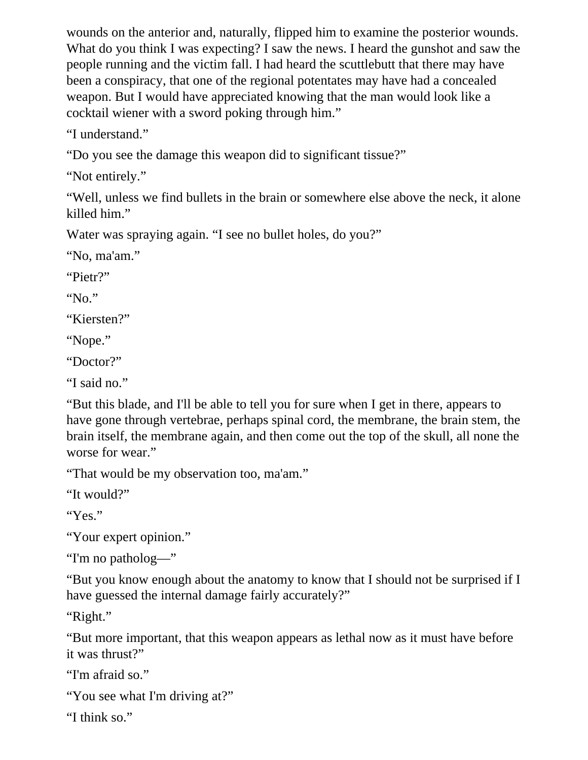wounds on the anterior and, naturally, flipped him to examine the posterior wounds. What do you think I was expecting? I saw the news. I heard the gunshot and saw the people running and the victim fall. I had heard the scuttlebutt that there may have been a conspiracy, that one of the regional potentates may have had a concealed weapon. But I would have appreciated knowing that the man would look like a cocktail wiener with a sword poking through him."

"I understand."

"Do you see the damage this weapon did to significant tissue?"

"Not entirely."

"Well, unless we find bullets in the brain or somewhere else above the neck, it alone killed him."

Water was spraying again. "I see no bullet holes, do you?"

"No, ma'am."

"Pietr?"

"No."

"Kiersten?"

"Nope."

"Doctor?"

"I said no."

"But this blade, and I'll be able to tell you for sure when I get in there, appears to have gone through vertebrae, perhaps spinal cord, the membrane, the brain stem, the brain itself, the membrane again, and then come out the top of the skull, all none the worse for wear."

"That would be my observation too, ma'am."

"It would?"

"Yes."

"Your expert opinion."

"I'm no patholog—"

"But you know enough about the anatomy to know that I should not be surprised if I have guessed the internal damage fairly accurately?"

"Right."

"But more important, that this weapon appears as lethal now as it must have before it was thrust?"

"I'm afraid so."

```
"You see what I'm driving at?"
```
"I think so."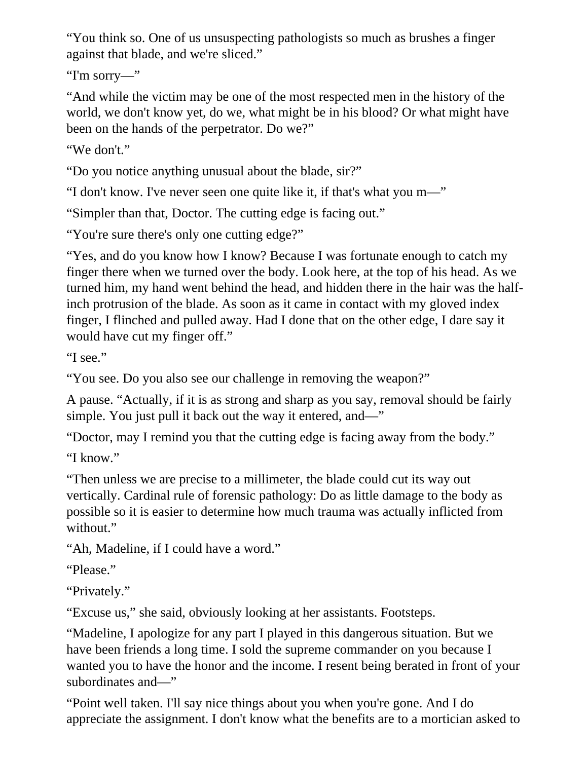"You think so. One of us unsuspecting pathologists so much as brushes a finger against that blade, and we're sliced."

"I'm sorry—"

"And while the victim may be one of the most respected men in the history of the world, we don't know yet, do we, what might be in his blood? Or what might have been on the hands of the perpetrator. Do we?"

"We don't"

"Do you notice anything unusual about the blade, sir?"

"I don't know. I've never seen one quite like it, if that's what you m—"

"Simpler than that, Doctor. The cutting edge is facing out."

"You're sure there's only one cutting edge?"

"Yes, and do you know how I know? Because I was fortunate enough to catch my finger there when we turned over the body. Look here, at the top of his head. As we turned him, my hand went behind the head, and hidden there in the hair was the halfinch protrusion of the blade. As soon as it came in contact with my gloved index finger, I flinched and pulled away. Had I done that on the other edge, I dare say it would have cut my finger off."

"I see."

"You see. Do you also see our challenge in removing the weapon?"

A pause. "Actually, if it is as strong and sharp as you say, removal should be fairly simple. You just pull it back out the way it entered, and—"

"Doctor, may I remind you that the cutting edge is facing away from the body."

"I know."

"Then unless we are precise to a millimeter, the blade could cut its way out vertically. Cardinal rule of forensic pathology: Do as little damage to the body as possible so it is easier to determine how much trauma was actually inflicted from without."

"Ah, Madeline, if I could have a word."

"Please."

"Privately."

"Excuse us," she said, obviously looking at her assistants. Footsteps.

"Madeline, I apologize for any part I played in this dangerous situation. But we have been friends a long time. I sold the supreme commander on you because I wanted you to have the honor and the income. I resent being berated in front of your subordinates and—"

"Point well taken. I'll say nice things about you when you're gone. And I do appreciate the assignment. I don't know what the benefits are to a mortician asked to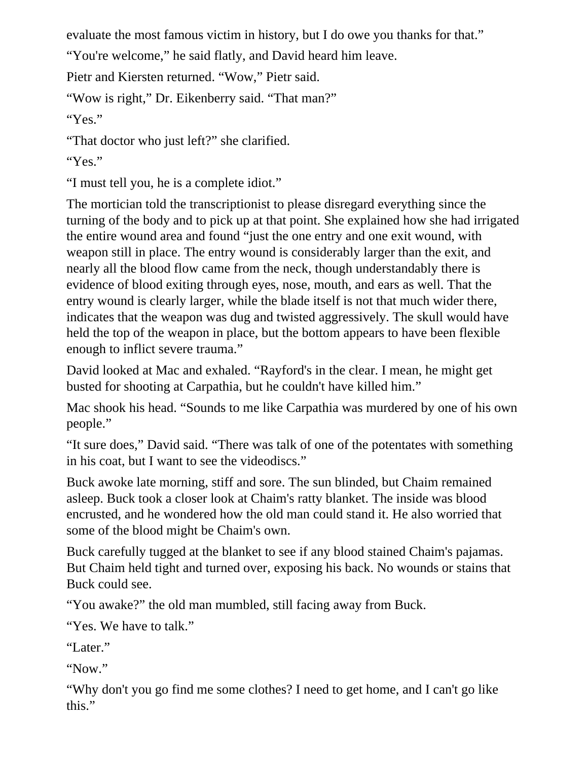evaluate the most famous victim in history, but I do owe you thanks for that."

"You're welcome," he said flatly, and David heard him leave.

Pietr and Kiersten returned. "Wow," Pietr said.

```
"Wow is right," Dr. Eikenberry said. "That man?"
```
"Yes."

"That doctor who just left?" she clarified.

"Yes."

"I must tell you, he is a complete idiot."

The mortician told the transcriptionist to please disregard everything since the turning of the body and to pick up at that point. She explained how she had irrigated the entire wound area and found "just the one entry and one exit wound, with weapon still in place. The entry wound is considerably larger than the exit, and nearly all the blood flow came from the neck, though understandably there is evidence of blood exiting through eyes, nose, mouth, and ears as well. That the entry wound is clearly larger, while the blade itself is not that much wider there, indicates that the weapon was dug and twisted aggressively. The skull would have held the top of the weapon in place, but the bottom appears to have been flexible enough to inflict severe trauma."

David looked at Mac and exhaled. "Rayford's in the clear. I mean, he might get busted for shooting at Carpathia, but he couldn't have killed him."

Mac shook his head. "Sounds to me like Carpathia was murdered by one of his own people."

"It sure does," David said. "There was talk of one of the potentates with something in his coat, but I want to see the videodiscs."

Buck awoke late morning, stiff and sore. The sun blinded, but Chaim remained asleep. Buck took a closer look at Chaim's ratty blanket. The inside was blood encrusted, and he wondered how the old man could stand it. He also worried that some of the blood might be Chaim's own.

Buck carefully tugged at the blanket to see if any blood stained Chaim's pajamas. But Chaim held tight and turned over, exposing his back. No wounds or stains that Buck could see.

"You awake?" the old man mumbled, still facing away from Buck.

"Yes. We have to talk."

"Later."

"Now."

"Why don't you go find me some clothes? I need to get home, and I can't go like this."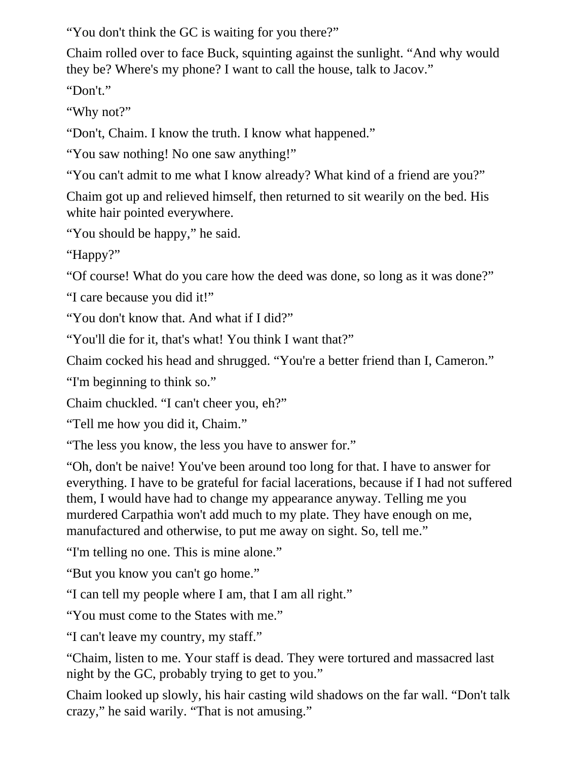"You don't think the GC is waiting for you there?"

Chaim rolled over to face Buck, squinting against the sunlight. "And why would they be? Where's my phone? I want to call the house, talk to Jacov."

"Don't."

"Why not?"

"Don't, Chaim. I know the truth. I know what happened."

"You saw nothing! No one saw anything!"

"You can't admit to me what I know already? What kind of a friend are you?"

Chaim got up and relieved himself, then returned to sit wearily on the bed. His white hair pointed everywhere.

"You should be happy," he said.

"Happy?"

"Of course! What do you care how the deed was done, so long as it was done?"

"I care because you did it!"

"You don't know that. And what if I did?"

"You'll die for it, that's what! You think I want that?"

Chaim cocked his head and shrugged. "You're a better friend than I, Cameron."

"I'm beginning to think so."

Chaim chuckled. "I can't cheer you, eh?"

"Tell me how you did it, Chaim."

"The less you know, the less you have to answer for."

"Oh, don't be naive! You've been around too long for that. I have to answer for everything. I have to be grateful for facial lacerations, because if I had not suffered them, I would have had to change my appearance anyway. Telling me you murdered Carpathia won't add much to my plate. They have enough on me, manufactured and otherwise, to put me away on sight. So, tell me."

"I'm telling no one. This is mine alone."

"But you know you can't go home."

"I can tell my people where I am, that I am all right."

"You must come to the States with me."

"I can't leave my country, my staff."

"Chaim, listen to me. Your staff is dead. They were tortured and massacred last night by the GC, probably trying to get to you."

Chaim looked up slowly, his hair casting wild shadows on the far wall. "Don't talk crazy," he said warily. "That is not amusing."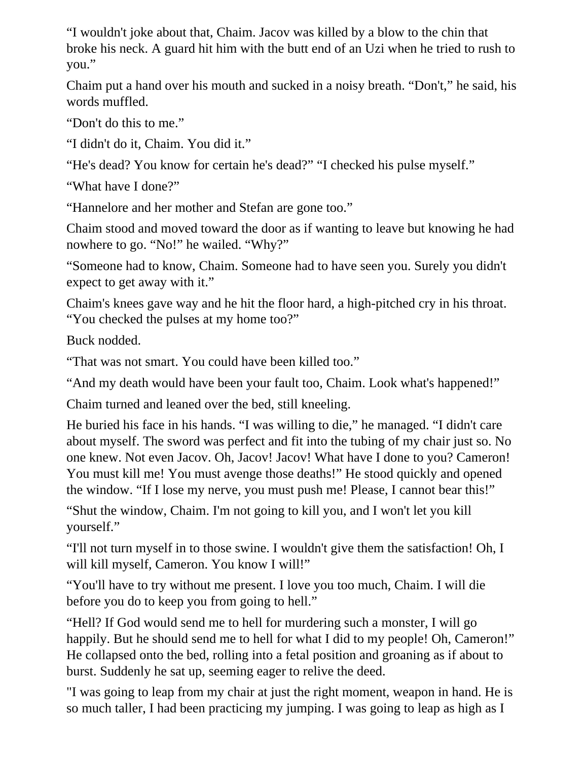"I wouldn't joke about that, Chaim. Jacov was killed by a blow to the chin that broke his neck. A guard hit him with the butt end of an Uzi when he tried to rush to you."

Chaim put a hand over his mouth and sucked in a noisy breath. "Don't," he said, his words muffled.

"Don't do this to me."

"I didn't do it, Chaim. You did it."

"He's dead? You know for certain he's dead?" "I checked his pulse myself."

"What have I done?"

"Hannelore and her mother and Stefan are gone too."

Chaim stood and moved toward the door as if wanting to leave but knowing he had nowhere to go. "No!" he wailed. "Why?"

"Someone had to know, Chaim. Someone had to have seen you. Surely you didn't expect to get away with it."

Chaim's knees gave way and he hit the floor hard, a high-pitched cry in his throat. "You checked the pulses at my home too?"

Buck nodded.

"That was not smart. You could have been killed too."

"And my death would have been your fault too, Chaim. Look what's happened!"

Chaim turned and leaned over the bed, still kneeling.

He buried his face in his hands. "I was willing to die," he managed. "I didn't care about myself. The sword was perfect and fit into the tubing of my chair just so. No one knew. Not even Jacov. Oh, Jacov! Jacov! What have I done to you? Cameron! You must kill me! You must avenge those deaths!" He stood quickly and opened the window. "If I lose my nerve, you must push me! Please, I cannot bear this!"

"Shut the window, Chaim. I'm not going to kill you, and I won't let you kill yourself."

"I'll not turn myself in to those swine. I wouldn't give them the satisfaction! Oh, I will kill myself, Cameron. You know I will!"

"You'll have to try without me present. I love you too much, Chaim. I will die before you do to keep you from going to hell."

"Hell? If God would send me to hell for murdering such a monster, I will go happily. But he should send me to hell for what I did to my people! Oh, Cameron!" He collapsed onto the bed, rolling into a fetal position and groaning as if about to burst. Suddenly he sat up, seeming eager to relive the deed.

"I was going to leap from my chair at just the right moment, weapon in hand. He is so much taller, I had been practicing my jumping. I was going to leap as high as I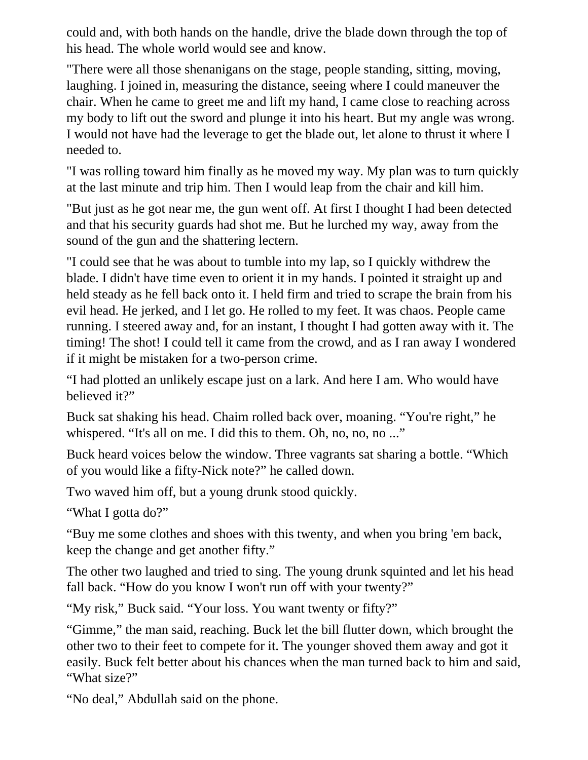could and, with both hands on the handle, drive the blade down through the top of his head. The whole world would see and know.

"There were all those shenanigans on the stage, people standing, sitting, moving, laughing. I joined in, measuring the distance, seeing where I could maneuver the chair. When he came to greet me and lift my hand, I came close to reaching across my body to lift out the sword and plunge it into his heart. But my angle was wrong. I would not have had the leverage to get the blade out, let alone to thrust it where I needed to.

"I was rolling toward him finally as he moved my way. My plan was to turn quickly at the last minute and trip him. Then I would leap from the chair and kill him.

"But just as he got near me, the gun went off. At first I thought I had been detected and that his security guards had shot me. But he lurched my way, away from the sound of the gun and the shattering lectern.

"I could see that he was about to tumble into my lap, so I quickly withdrew the blade. I didn't have time even to orient it in my hands. I pointed it straight up and held steady as he fell back onto it. I held firm and tried to scrape the brain from his evil head. He jerked, and I let go. He rolled to my feet. It was chaos. People came running. I steered away and, for an instant, I thought I had gotten away with it. The timing! The shot! I could tell it came from the crowd, and as I ran away I wondered if it might be mistaken for a two-person crime.

"I had plotted an unlikely escape just on a lark. And here I am. Who would have believed it?"

Buck sat shaking his head. Chaim rolled back over, moaning. "You're right," he whispered. "It's all on me. I did this to them. Oh, no, no, no ..."

Buck heard voices below the window. Three vagrants sat sharing a bottle. "Which of you would like a fifty-Nick note?" he called down.

Two waved him off, but a young drunk stood quickly.

"What I gotta do?"

"Buy me some clothes and shoes with this twenty, and when you bring 'em back, keep the change and get another fifty."

The other two laughed and tried to sing. The young drunk squinted and let his head fall back. "How do you know I won't run off with your twenty?"

"My risk," Buck said. "Your loss. You want twenty or fifty?"

"Gimme," the man said, reaching. Buck let the bill flutter down, which brought the other two to their feet to compete for it. The younger shoved them away and got it easily. Buck felt better about his chances when the man turned back to him and said, "What size?"

"No deal," Abdullah said on the phone.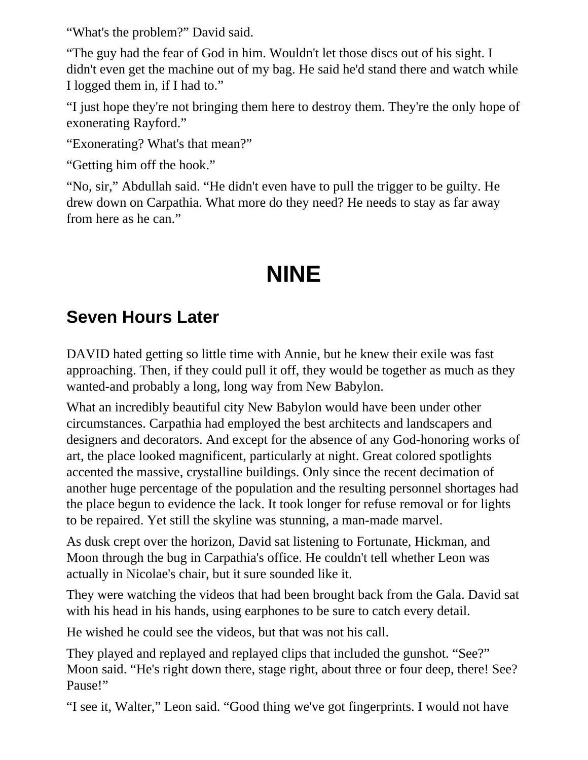"What's the problem?" David said.

"The guy had the fear of God in him. Wouldn't let those discs out of his sight. I didn't even get the machine out of my bag. He said he'd stand there and watch while I logged them in, if I had to."

"I just hope they're not bringing them here to destroy them. They're the only hope of exonerating Rayford."

"Exonerating? What's that mean?"

"Getting him off the hook."

"No, sir," Abdullah said. "He didn't even have to pull the trigger to be guilty. He drew down on Carpathia. What more do they need? He needs to stay as far away from here as he can."

## **NINE**

## **Seven Hours Later**

DAVID hated getting so little time with Annie, but he knew their exile was fast approaching. Then, if they could pull it off, they would be together as much as they wanted-and probably a long, long way from New Babylon.

What an incredibly beautiful city New Babylon would have been under other circumstances. Carpathia had employed the best architects and landscapers and designers and decorators. And except for the absence of any God-honoring works of art, the place looked magnificent, particularly at night. Great colored spotlights accented the massive, crystalline buildings. Only since the recent decimation of another huge percentage of the population and the resulting personnel shortages had the place begun to evidence the lack. It took longer for refuse removal or for lights to be repaired. Yet still the skyline was stunning, a man-made marvel.

As dusk crept over the horizon, David sat listening to Fortunate, Hickman, and Moon through the bug in Carpathia's office. He couldn't tell whether Leon was actually in Nicolae's chair, but it sure sounded like it.

They were watching the videos that had been brought back from the Gala. David sat with his head in his hands, using earphones to be sure to catch every detail.

He wished he could see the videos, but that was not his call.

They played and replayed and replayed clips that included the gunshot. "See?" Moon said. "He's right down there, stage right, about three or four deep, there! See? Pause!"

"I see it, Walter," Leon said. "Good thing we've got fingerprints. I would not have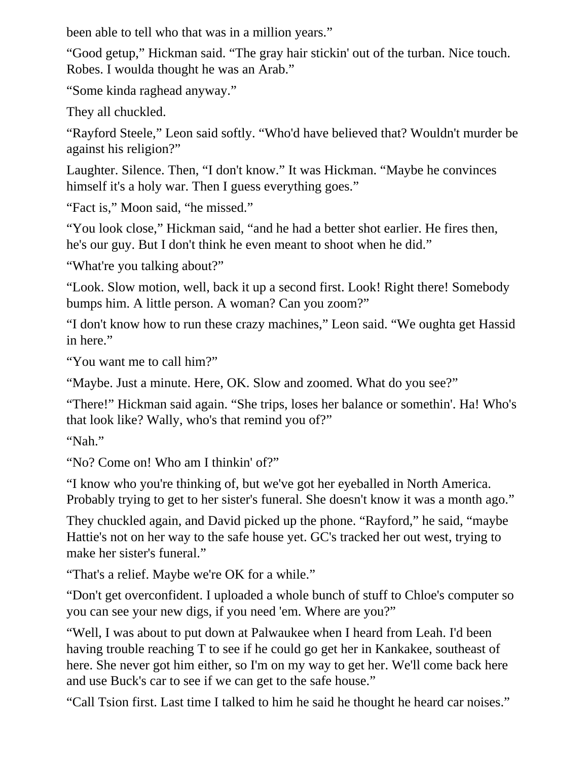been able to tell who that was in a million years."

"Good getup," Hickman said. "The gray hair stickin' out of the turban. Nice touch. Robes. I woulda thought he was an Arab."

"Some kinda raghead anyway."

They all chuckled.

"Rayford Steele," Leon said softly. "Who'd have believed that? Wouldn't murder be against his religion?"

Laughter. Silence. Then, "I don't know." It was Hickman. "Maybe he convinces himself it's a holy war. Then I guess everything goes."

"Fact is," Moon said, "he missed."

"You look close," Hickman said, "and he had a better shot earlier. He fires then, he's our guy. But I don't think he even meant to shoot when he did."

"What're you talking about?"

"Look. Slow motion, well, back it up a second first. Look! Right there! Somebody bumps him. A little person. A woman? Can you zoom?"

"I don't know how to run these crazy machines," Leon said. "We oughta get Hassid in here."

"You want me to call him?"

"Maybe. Just a minute. Here, OK. Slow and zoomed. What do you see?"

"There!" Hickman said again. "She trips, loses her balance or somethin'. Ha! Who's that look like? Wally, who's that remind you of?"

"Nah."

"No? Come on! Who am I thinkin' of?"

"I know who you're thinking of, but we've got her eyeballed in North America. Probably trying to get to her sister's funeral. She doesn't know it was a month ago."

They chuckled again, and David picked up the phone. "Rayford," he said, "maybe Hattie's not on her way to the safe house yet. GC's tracked her out west, trying to make her sister's funeral."

"That's a relief. Maybe we're OK for a while."

"Don't get overconfident. I uploaded a whole bunch of stuff to Chloe's computer so you can see your new digs, if you need 'em. Where are you?"

"Well, I was about to put down at Palwaukee when I heard from Leah. I'd been having trouble reaching T to see if he could go get her in Kankakee, southeast of here. She never got him either, so I'm on my way to get her. We'll come back here and use Buck's car to see if we can get to the safe house."

"Call Tsion first. Last time I talked to him he said he thought he heard car noises."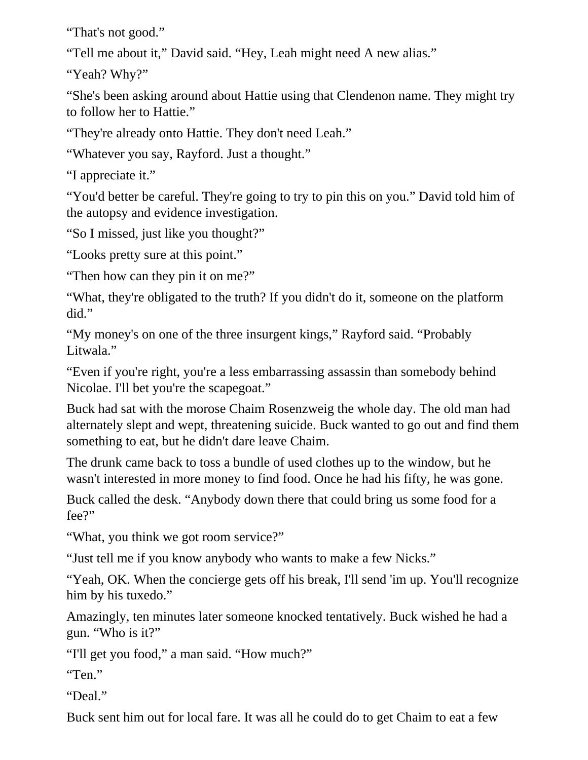"That's not good."

"Tell me about it," David said. "Hey, Leah might need A new alias."

"Yeah? Why?"

"She's been asking around about Hattie using that Clendenon name. They might try to follow her to Hattie."

"They're already onto Hattie. They don't need Leah."

"Whatever you say, Rayford. Just a thought."

"I appreciate it."

"You'd better be careful. They're going to try to pin this on you." David told him of the autopsy and evidence investigation.

"So I missed, just like you thought?"

"Looks pretty sure at this point."

"Then how can they pin it on me?"

"What, they're obligated to the truth? If you didn't do it, someone on the platform did."

"My money's on one of the three insurgent kings," Rayford said. "Probably Litwala."

"Even if you're right, you're a less embarrassing assassin than somebody behind Nicolae. I'll bet you're the scapegoat."

Buck had sat with the morose Chaim Rosenzweig the whole day. The old man had alternately slept and wept, threatening suicide. Buck wanted to go out and find them something to eat, but he didn't dare leave Chaim.

The drunk came back to toss a bundle of used clothes up to the window, but he wasn't interested in more money to find food. Once he had his fifty, he was gone.

Buck called the desk. "Anybody down there that could bring us some food for a fee?"

"What, you think we got room service?"

"Just tell me if you know anybody who wants to make a few Nicks."

"Yeah, OK. When the concierge gets off his break, I'll send 'im up. You'll recognize him by his tuxedo."

Amazingly, ten minutes later someone knocked tentatively. Buck wished he had a gun. "Who is it?"

"I'll get you food," a man said. "How much?"

"Ten."

"Deal."

Buck sent him out for local fare. It was all he could do to get Chaim to eat a few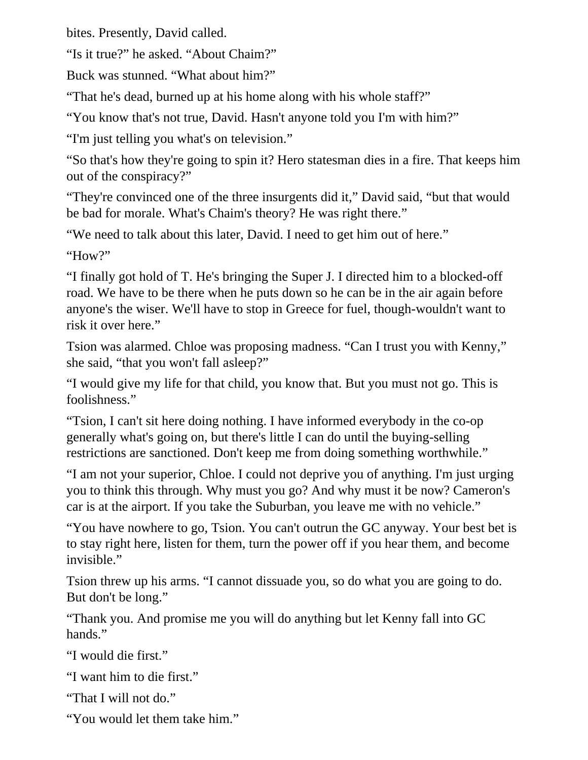bites. Presently, David called.

"Is it true?" he asked. "About Chaim?"

Buck was stunned. "What about him?"

"That he's dead, burned up at his home along with his whole staff?"

"You know that's not true, David. Hasn't anyone told you I'm with him?"

"I'm just telling you what's on television."

"So that's how they're going to spin it? Hero statesman dies in a fire. That keeps him out of the conspiracy?"

"They're convinced one of the three insurgents did it," David said, "but that would be bad for morale. What's Chaim's theory? He was right there."

"We need to talk about this later, David. I need to get him out of here."

"How"

"I finally got hold of T. He's bringing the Super J. I directed him to a blocked-off road. We have to be there when he puts down so he can be in the air again before anyone's the wiser. We'll have to stop in Greece for fuel, though-wouldn't want to risk it over here."

Tsion was alarmed. Chloe was proposing madness. "Can I trust you with Kenny," she said, "that you won't fall asleep?"

"I would give my life for that child, you know that. But you must not go. This is foolishness."

"Tsion, I can't sit here doing nothing. I have informed everybody in the co-op generally what's going on, but there's little I can do until the buying-selling restrictions are sanctioned. Don't keep me from doing something worthwhile."

"I am not your superior, Chloe. I could not deprive you of anything. I'm just urging you to think this through. Why must you go? And why must it be now? Cameron's car is at the airport. If you take the Suburban, you leave me with no vehicle."

"You have nowhere to go, Tsion. You can't outrun the GC anyway. Your best bet is to stay right here, listen for them, turn the power off if you hear them, and become invisible."

Tsion threw up his arms. "I cannot dissuade you, so do what you are going to do. But don't be long."

"Thank you. And promise me you will do anything but let Kenny fall into GC hands."

"I would die first."

"I want him to die first."

"That I will not do."

"You would let them take him."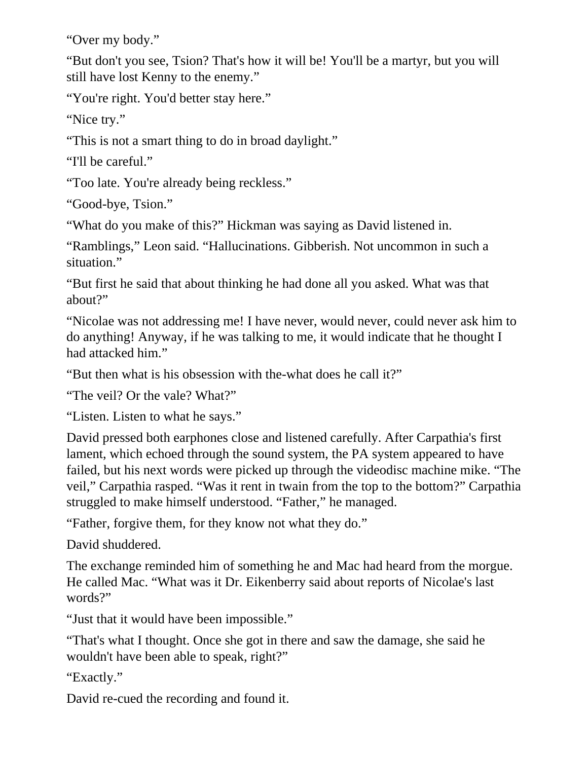"Over my body."

"But don't you see, Tsion? That's how it will be! You'll be a martyr, but you will still have lost Kenny to the enemy."

"You're right. You'd better stay here."

"Nice try."

"This is not a smart thing to do in broad daylight."

"I'll be careful."

"Too late. You're already being reckless."

"Good-bye, Tsion."

"What do you make of this?" Hickman was saying as David listened in.

"Ramblings," Leon said. "Hallucinations. Gibberish. Not uncommon in such a situation."

"But first he said that about thinking he had done all you asked. What was that about?"

"Nicolae was not addressing me! I have never, would never, could never ask him to do anything! Anyway, if he was talking to me, it would indicate that he thought I had attacked him."

"But then what is his obsession with the-what does he call it?"

"The veil? Or the vale? What?"

"Listen. Listen to what he says."

David pressed both earphones close and listened carefully. After Carpathia's first lament, which echoed through the sound system, the PA system appeared to have failed, but his next words were picked up through the videodisc machine mike. "The veil," Carpathia rasped. "Was it rent in twain from the top to the bottom?" Carpathia struggled to make himself understood. "Father," he managed.

"Father, forgive them, for they know not what they do."

David shuddered.

The exchange reminded him of something he and Mac had heard from the morgue. He called Mac. "What was it Dr. Eikenberry said about reports of Nicolae's last words?"

"Just that it would have been impossible."

"That's what I thought. Once she got in there and saw the damage, she said he wouldn't have been able to speak, right?"

"Exactly."

David re-cued the recording and found it.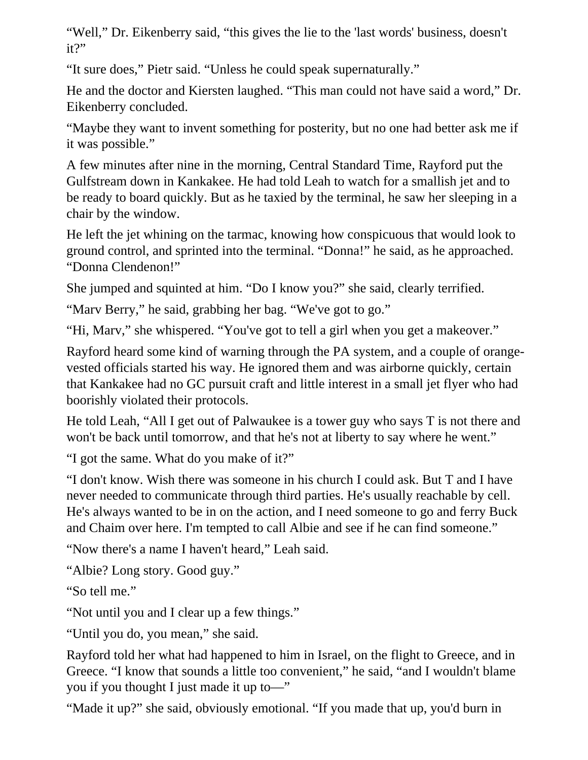"Well," Dr. Eikenberry said, "this gives the lie to the 'last words' business, doesn't it?"

"It sure does," Pietr said. "Unless he could speak supernaturally."

He and the doctor and Kiersten laughed. "This man could not have said a word," Dr. Eikenberry concluded.

"Maybe they want to invent something for posterity, but no one had better ask me if it was possible."

A few minutes after nine in the morning, Central Standard Time, Rayford put the Gulfstream down in Kankakee. He had told Leah to watch for a smallish jet and to be ready to board quickly. But as he taxied by the terminal, he saw her sleeping in a chair by the window.

He left the jet whining on the tarmac, knowing how conspicuous that would look to ground control, and sprinted into the terminal. "Donna!" he said, as he approached. "Donna Clendenon!"

She jumped and squinted at him. "Do I know you?" she said, clearly terrified.

"Marv Berry," he said, grabbing her bag. "We've got to go."

"Hi, Marv," she whispered. "You've got to tell a girl when you get a makeover."

Rayford heard some kind of warning through the PA system, and a couple of orangevested officials started his way. He ignored them and was airborne quickly, certain that Kankakee had no GC pursuit craft and little interest in a small jet flyer who had boorishly violated their protocols.

He told Leah, "All I get out of Palwaukee is a tower guy who says T is not there and won't be back until tomorrow, and that he's not at liberty to say where he went."

"I got the same. What do you make of it?"

"I don't know. Wish there was someone in his church I could ask. But T and I have never needed to communicate through third parties. He's usually reachable by cell. He's always wanted to be in on the action, and I need someone to go and ferry Buck and Chaim over here. I'm tempted to call Albie and see if he can find someone."

"Now there's a name I haven't heard," Leah said.

"Albie? Long story. Good guy."

"So tell me."

"Not until you and I clear up a few things."

"Until you do, you mean," she said.

Rayford told her what had happened to him in Israel, on the flight to Greece, and in Greece. "I know that sounds a little too convenient," he said, "and I wouldn't blame you if you thought I just made it up to—"

"Made it up?" she said, obviously emotional. "If you made that up, you'd burn in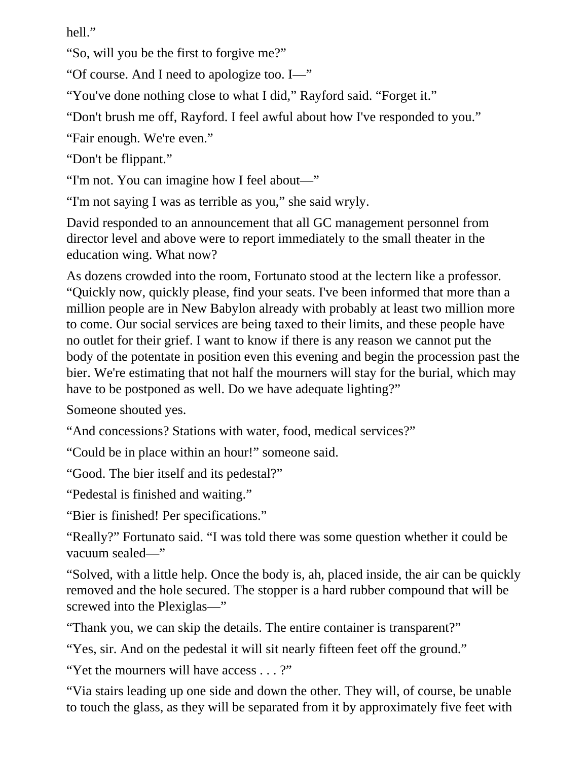hell."

"So, will you be the first to forgive me?"

"Of course. And I need to apologize too. I—"

"You've done nothing close to what I did," Rayford said. "Forget it."

"Don't brush me off, Rayford. I feel awful about how I've responded to you."

"Fair enough. We're even."

"Don't be flippant."

"I'm not. You can imagine how I feel about—"

"I'm not saying I was as terrible as you," she said wryly.

David responded to an announcement that all GC management personnel from director level and above were to report immediately to the small theater in the education wing. What now?

As dozens crowded into the room, Fortunato stood at the lectern like a professor. "Quickly now, quickly please, find your seats. I've been informed that more than a million people are in New Babylon already with probably at least two million more to come. Our social services are being taxed to their limits, and these people have no outlet for their grief. I want to know if there is any reason we cannot put the body of the potentate in position even this evening and begin the procession past the bier. We're estimating that not half the mourners will stay for the burial, which may have to be postponed as well. Do we have adequate lighting?"

Someone shouted yes.

"And concessions? Stations with water, food, medical services?"

"Could be in place within an hour!" someone said.

"Good. The bier itself and its pedestal?"

"Pedestal is finished and waiting."

"Bier is finished! Per specifications."

"Really?" Fortunato said. "I was told there was some question whether it could be vacuum sealed—"

"Solved, with a little help. Once the body is, ah, placed inside, the air can be quickly removed and the hole secured. The stopper is a hard rubber compound that will be screwed into the Plexiglas—"

"Thank you, we can skip the details. The entire container is transparent?"

"Yes, sir. And on the pedestal it will sit nearly fifteen feet off the ground."

"Yet the mourners will have access . . . ?"

"Via stairs leading up one side and down the other. They will, of course, be unable to touch the glass, as they will be separated from it by approximately five feet with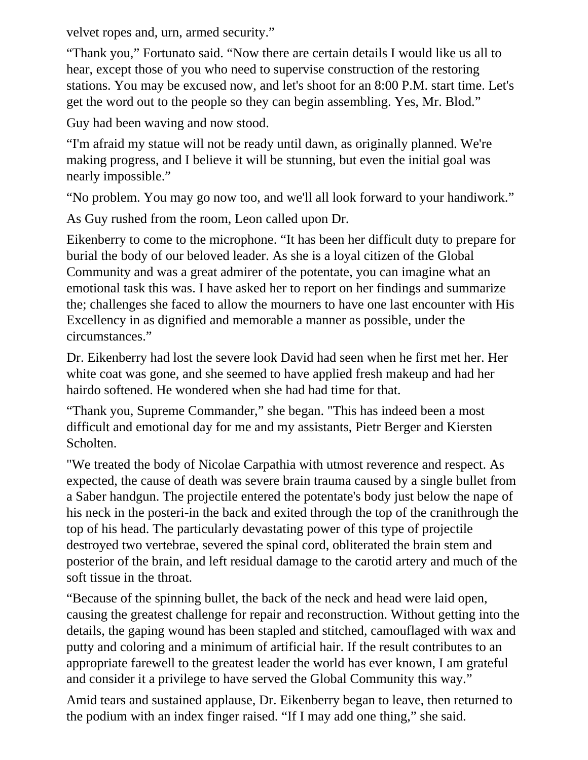velvet ropes and, urn, armed security."

"Thank you," Fortunato said. "Now there are certain details I would like us all to hear, except those of you who need to supervise construction of the restoring stations. You may be excused now, and let's shoot for an 8:00 P.M. start time. Let's get the word out to the people so they can begin assembling. Yes, Mr. Blod."

Guy had been waving and now stood.

"I'm afraid my statue will not be ready until dawn, as originally planned. We're making progress, and I believe it will be stunning, but even the initial goal was nearly impossible."

"No problem. You may go now too, and we'll all look forward to your handiwork."

As Guy rushed from the room, Leon called upon Dr.

Eikenberry to come to the microphone. "It has been her difficult duty to prepare for burial the body of our beloved leader. As she is a loyal citizen of the Global Community and was a great admirer of the potentate, you can imagine what an emotional task this was. I have asked her to report on her findings and summarize the; challenges she faced to allow the mourners to have one last encounter with His Excellency in as dignified and memorable a manner as possible, under the circumstances."

Dr. Eikenberry had lost the severe look David had seen when he first met her. Her white coat was gone, and she seemed to have applied fresh makeup and had her hairdo softened. He wondered when she had had time for that.

"Thank you, Supreme Commander," she began. "This has indeed been a most difficult and emotional day for me and my assistants, Pietr Berger and Kiersten Scholten.

"We treated the body of Nicolae Carpathia with utmost reverence and respect. As expected, the cause of death was severe brain trauma caused by a single bullet from a Saber handgun. The projectile entered the potentate's body just below the nape of his neck in the posteri-in the back and exited through the top of the cranithrough the top of his head. The particularly devastating power of this type of projectile destroyed two vertebrae, severed the spinal cord, obliterated the brain stem and posterior of the brain, and left residual damage to the carotid artery and much of the soft tissue in the throat.

"Because of the spinning bullet, the back of the neck and head were laid open, causing the greatest challenge for repair and reconstruction. Without getting into the details, the gaping wound has been stapled and stitched, camouflaged with wax and putty and coloring and a minimum of artificial hair. If the result contributes to an appropriate farewell to the greatest leader the world has ever known, I am grateful and consider it a privilege to have served the Global Community this way."

Amid tears and sustained applause, Dr. Eikenberry began to leave, then returned to the podium with an index finger raised. "If I may add one thing," she said.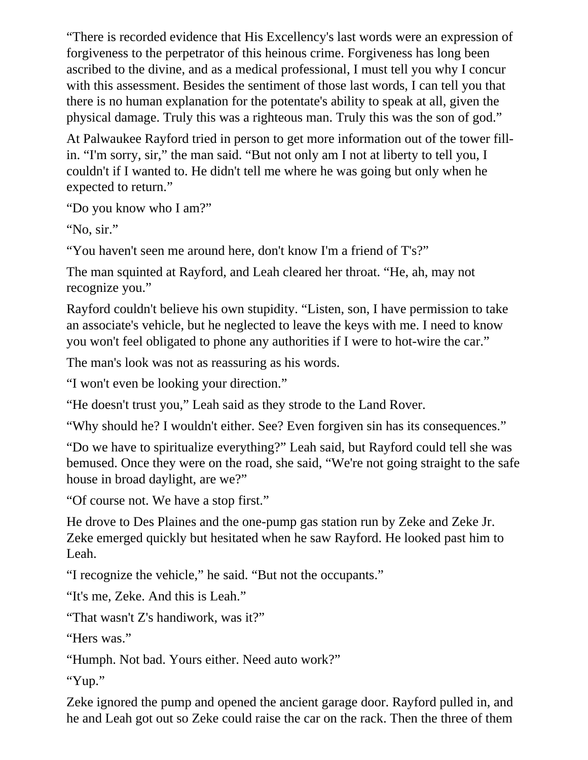"There is recorded evidence that His Excellency's last words were an expression of forgiveness to the perpetrator of this heinous crime. Forgiveness has long been ascribed to the divine, and as a medical professional, I must tell you why I concur with this assessment. Besides the sentiment of those last words, I can tell you that there is no human explanation for the potentate's ability to speak at all, given the physical damage. Truly this was a righteous man. Truly this was the son of god."

At Palwaukee Rayford tried in person to get more information out of the tower fillin. "I'm sorry, sir," the man said. "But not only am I not at liberty to tell you, I couldn't if I wanted to. He didn't tell me where he was going but only when he expected to return."

"Do you know who I am?"

"No, sir."

"You haven't seen me around here, don't know I'm a friend of T's?"

The man squinted at Rayford, and Leah cleared her throat. "He, ah, may not recognize you."

Rayford couldn't believe his own stupidity. "Listen, son, I have permission to take an associate's vehicle, but he neglected to leave the keys with me. I need to know you won't feel obligated to phone any authorities if I were to hot-wire the car."

The man's look was not as reassuring as his words.

"I won't even be looking your direction."

"He doesn't trust you," Leah said as they strode to the Land Rover.

"Why should he? I wouldn't either. See? Even forgiven sin has its consequences."

"Do we have to spiritualize everything?" Leah said, but Rayford could tell she was bemused. Once they were on the road, she said, "We're not going straight to the safe house in broad daylight, are we?"

"Of course not. We have a stop first."

He drove to Des Plaines and the one-pump gas station run by Zeke and Zeke Jr. Zeke emerged quickly but hesitated when he saw Rayford. He looked past him to Leah.

"I recognize the vehicle," he said. "But not the occupants."

"It's me, Zeke. And this is Leah."

"That wasn't Z's handiwork, was it?"

"Hers was."

"Humph. Not bad. Yours either. Need auto work?"

"Yup."

Zeke ignored the pump and opened the ancient garage door. Rayford pulled in, and he and Leah got out so Zeke could raise the car on the rack. Then the three of them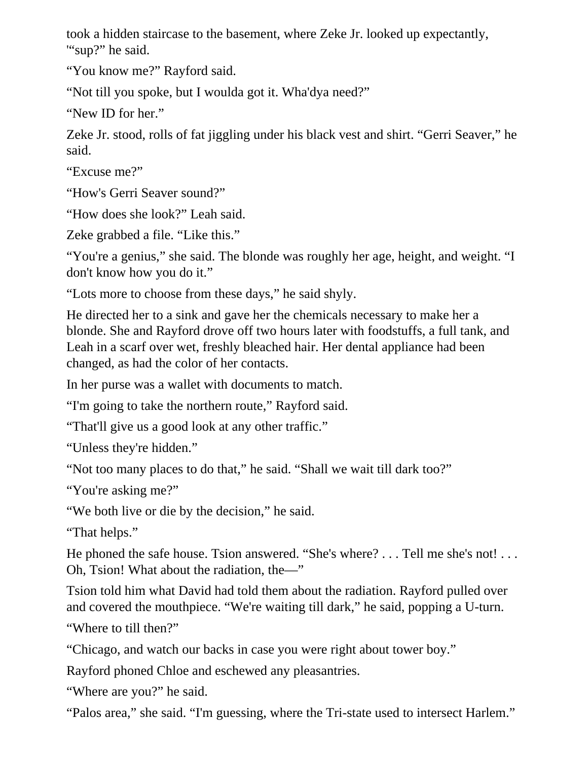took a hidden staircase to the basement, where Zeke Jr. looked up expectantly, "sup?" he said.

"You know me?" Rayford said.

"Not till you spoke, but I woulda got it. Wha'dya need?"

"New ID for her."

Zeke Jr. stood, rolls of fat jiggling under his black vest and shirt. "Gerri Seaver," he said.

"Excuse me?"

"How's Gerri Seaver sound?"

"How does she look?" Leah said.

Zeke grabbed a file. "Like this."

"You're a genius," she said. The blonde was roughly her age, height, and weight. "I don't know how you do it."

"Lots more to choose from these days," he said shyly.

He directed her to a sink and gave her the chemicals necessary to make her a blonde. She and Rayford drove off two hours later with foodstuffs, a full tank, and Leah in a scarf over wet, freshly bleached hair. Her dental appliance had been changed, as had the color of her contacts.

In her purse was a wallet with documents to match.

"I'm going to take the northern route," Rayford said.

"That'll give us a good look at any other traffic."

"Unless they're hidden."

"Not too many places to do that," he said. "Shall we wait till dark too?"

"You're asking me?"

"We both live or die by the decision," he said.

"That helps."

He phoned the safe house. Tsion answered. "She's where? . . . Tell me she's not! . . . Oh, Tsion! What about the radiation, the—"

Tsion told him what David had told them about the radiation. Rayford pulled over and covered the mouthpiece. "We're waiting till dark," he said, popping a U-turn. "Where to till then?"

"Chicago, and watch our backs in case you were right about tower boy."

Rayford phoned Chloe and eschewed any pleasantries.

"Where are you?" he said.

"Palos area," she said. "I'm guessing, where the Tri-state used to intersect Harlem."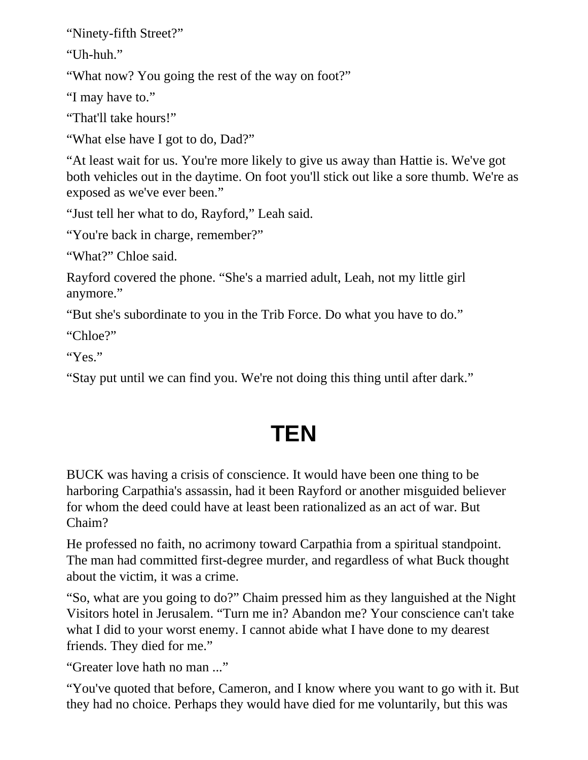"Ninety-fifth Street?"

"Uh-huh."

"What now? You going the rest of the way on foot?"

"I may have to."

"That'll take hours!"

"What else have I got to do, Dad?"

"At least wait for us. You're more likely to give us away than Hattie is. We've got both vehicles out in the daytime. On foot you'll stick out like a sore thumb. We're as exposed as we've ever been."

"Just tell her what to do, Rayford," Leah said.

"You're back in charge, remember?"

"What?" Chloe said.

Rayford covered the phone. "She's a married adult, Leah, not my little girl anymore."

"But she's subordinate to you in the Trib Force. Do what you have to do."

"Chloe?"

"Yes."

"Stay put until we can find you. We're not doing this thing until after dark."

## **TEN**

BUCK was having a crisis of conscience. It would have been one thing to be harboring Carpathia's assassin, had it been Rayford or another misguided believer for whom the deed could have at least been rationalized as an act of war. But Chaim?

He professed no faith, no acrimony toward Carpathia from a spiritual standpoint. The man had committed first-degree murder, and regardless of what Buck thought about the victim, it was a crime.

"So, what are you going to do?" Chaim pressed him as they languished at the Night Visitors hotel in Jerusalem. "Turn me in? Abandon me? Your conscience can't take what I did to your worst enemy. I cannot abide what I have done to my dearest friends. They died for me."

"Greater love hath no man ..."

"You've quoted that before, Cameron, and I know where you want to go with it. But they had no choice. Perhaps they would have died for me voluntarily, but this was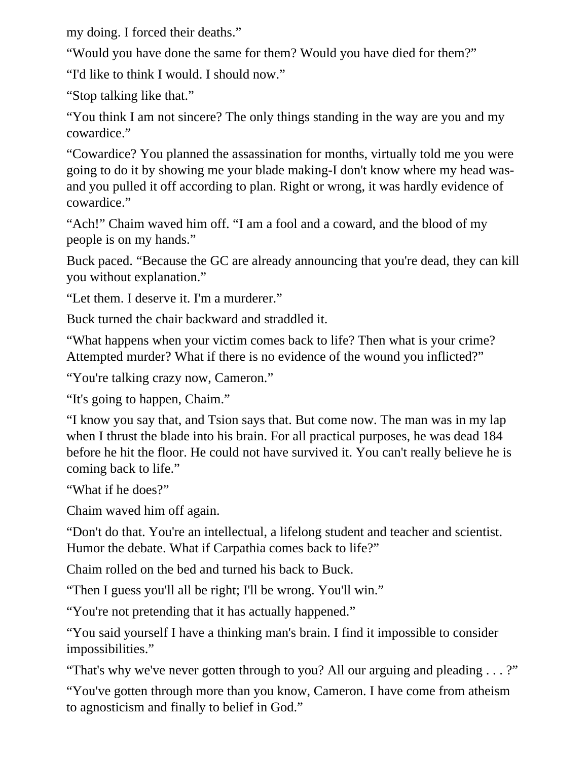my doing. I forced their deaths."

"Would you have done the same for them? Would you have died for them?"

"I'd like to think I would. I should now."

"Stop talking like that."

"You think I am not sincere? The only things standing in the way are you and my cowardice."

"Cowardice? You planned the assassination for months, virtually told me you were going to do it by showing me your blade making-I don't know where my head wasand you pulled it off according to plan. Right or wrong, it was hardly evidence of cowardice."

"Ach!" Chaim waved him off. "I am a fool and a coward, and the blood of my people is on my hands."

Buck paced. "Because the GC are already announcing that you're dead, they can kill you without explanation."

"Let them. I deserve it. I'm a murderer."

Buck turned the chair backward and straddled it.

"What happens when your victim comes back to life? Then what is your crime? Attempted murder? What if there is no evidence of the wound you inflicted?"

"You're talking crazy now, Cameron."

"It's going to happen, Chaim."

"I know you say that, and Tsion says that. But come now. The man was in my lap when I thrust the blade into his brain. For all practical purposes, he was dead 184 before he hit the floor. He could not have survived it. You can't really believe he is coming back to life."

"What if he does?"

Chaim waved him off again.

"Don't do that. You're an intellectual, a lifelong student and teacher and scientist. Humor the debate. What if Carpathia comes back to life?"

Chaim rolled on the bed and turned his back to Buck.

"Then I guess you'll all be right; I'll be wrong. You'll win."

"You're not pretending that it has actually happened."

"You said yourself I have a thinking man's brain. I find it impossible to consider impossibilities."

"That's why we've never gotten through to you? All our arguing and pleading . . . ?"

"You've gotten through more than you know, Cameron. I have come from atheism to agnosticism and finally to belief in God."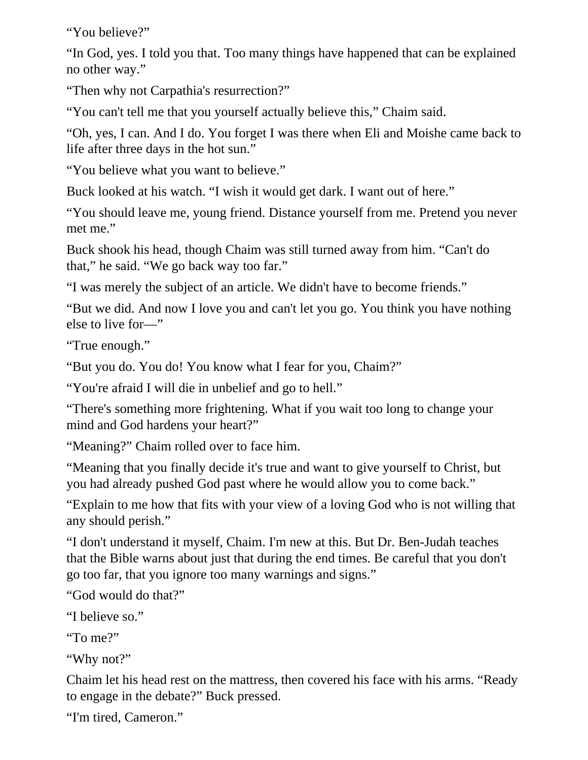"You believe?"

"In God, yes. I told you that. Too many things have happened that can be explained no other way."

"Then why not Carpathia's resurrection?"

"You can't tell me that you yourself actually believe this," Chaim said.

"Oh, yes, I can. And I do. You forget I was there when Eli and Moishe came back to life after three days in the hot sun."

"You believe what you want to believe."

Buck looked at his watch. "I wish it would get dark. I want out of here."

"You should leave me, young friend. Distance yourself from me. Pretend you never met me."

Buck shook his head, though Chaim was still turned away from him. "Can't do that," he said. "We go back way too far."

"I was merely the subject of an article. We didn't have to become friends."

"But we did. And now I love you and can't let you go. You think you have nothing else to live for—"

"True enough."

"But you do. You do! You know what I fear for you, Chaim?"

"You're afraid I will die in unbelief and go to hell."

"There's something more frightening. What if you wait too long to change your mind and God hardens your heart?"

"Meaning?" Chaim rolled over to face him.

"Meaning that you finally decide it's true and want to give yourself to Christ, but you had already pushed God past where he would allow you to come back."

"Explain to me how that fits with your view of a loving God who is not willing that any should perish."

"I don't understand it myself, Chaim. I'm new at this. But Dr. Ben-Judah teaches that the Bible warns about just that during the end times. Be careful that you don't go too far, that you ignore too many warnings and signs."

"God would do that?"

"I believe so."

"To me?"

```
"Why not?"
```
Chaim let his head rest on the mattress, then covered his face with his arms. "Ready to engage in the debate?" Buck pressed.

"I'm tired, Cameron."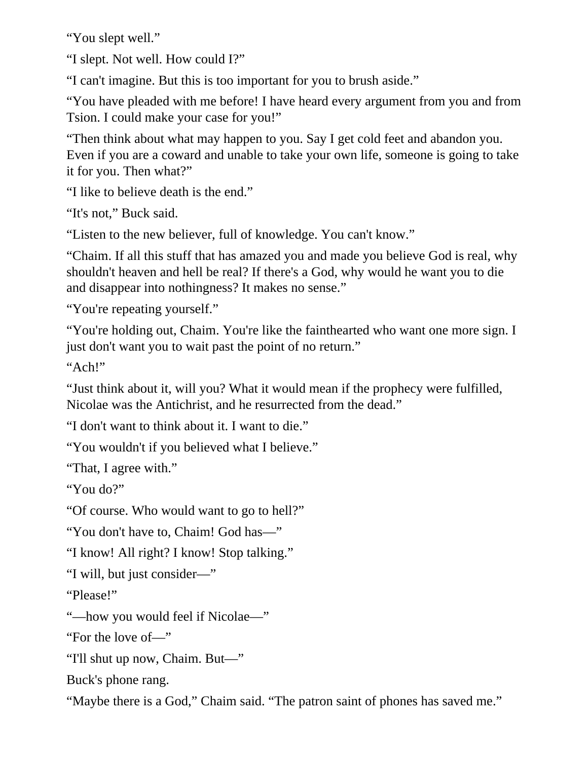"You slept well."

"I slept. Not well. How could I?"

"I can't imagine. But this is too important for you to brush aside."

"You have pleaded with me before! I have heard every argument from you and from Tsion. I could make your case for you!"

"Then think about what may happen to you. Say I get cold feet and abandon you. Even if you are a coward and unable to take your own life, someone is going to take it for you. Then what?"

"I like to believe death is the end."

"It's not," Buck said.

"Listen to the new believer, full of knowledge. You can't know."

"Chaim. If all this stuff that has amazed you and made you believe God is real, why shouldn't heaven and hell be real? If there's a God, why would he want you to die and disappear into nothingness? It makes no sense."

"You're repeating yourself."

"You're holding out, Chaim. You're like the fainthearted who want one more sign. I just don't want you to wait past the point of no return."

"Ach!"

"Just think about it, will you? What it would mean if the prophecy were fulfilled, Nicolae was the Antichrist, and he resurrected from the dead."

"I don't want to think about it. I want to die."

"You wouldn't if you believed what I believe."

"That, I agree with."

"You do?"

"Of course. Who would want to go to hell?"

"You don't have to, Chaim! God has—"

"I know! All right? I know! Stop talking."

"I will, but just consider—"

"Please!"

"—how you would feel if Nicolae—"

"For the love of—"

"I'll shut up now, Chaim. But—"

Buck's phone rang.

"Maybe there is a God," Chaim said. "The patron saint of phones has saved me."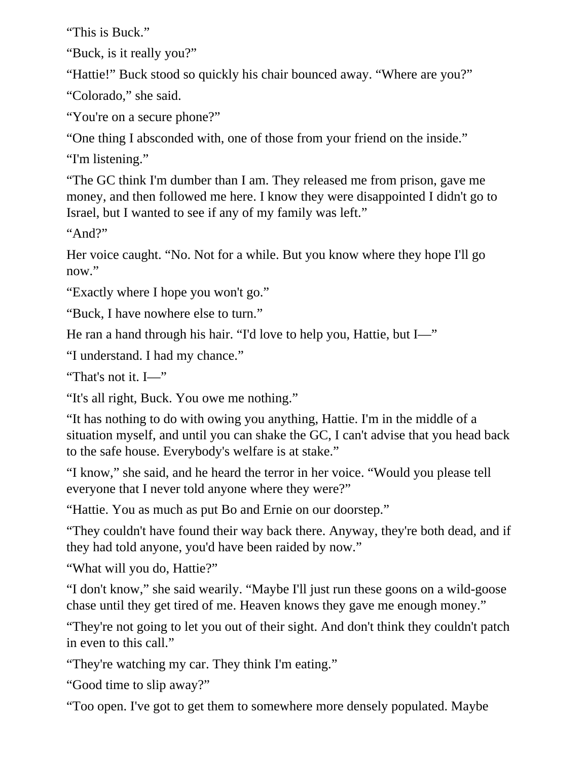"This is Buck."

"Buck, is it really you?"

"Hattie!" Buck stood so quickly his chair bounced away. "Where are you?"

"Colorado," she said.

"You're on a secure phone?"

"One thing I absconded with, one of those from your friend on the inside."

"I'm listening."

"The GC think I'm dumber than I am. They released me from prison, gave me money, and then followed me here. I know they were disappointed I didn't go to Israel, but I wanted to see if any of my family was left."

"And?"

Her voice caught. "No. Not for a while. But you know where they hope I'll go now."

"Exactly where I hope you won't go."

"Buck, I have nowhere else to turn."

He ran a hand through his hair. "I'd love to help you, Hattie, but I—"

"I understand. I had my chance."

"That's not it. I—"

"It's all right, Buck. You owe me nothing."

"It has nothing to do with owing you anything, Hattie. I'm in the middle of a situation myself, and until you can shake the GC, I can't advise that you head back to the safe house. Everybody's welfare is at stake."

"I know," she said, and he heard the terror in her voice. "Would you please tell everyone that I never told anyone where they were?"

"Hattie. You as much as put Bo and Ernie on our doorstep."

"They couldn't have found their way back there. Anyway, they're both dead, and if they had told anyone, you'd have been raided by now."

"What will you do, Hattie?"

"I don't know," she said wearily. "Maybe I'll just run these goons on a wild-goose chase until they get tired of me. Heaven knows they gave me enough money."

"They're not going to let you out of their sight. And don't think they couldn't patch in even to this call."

"They're watching my car. They think I'm eating."

"Good time to slip away?"

"Too open. I've got to get them to somewhere more densely populated. Maybe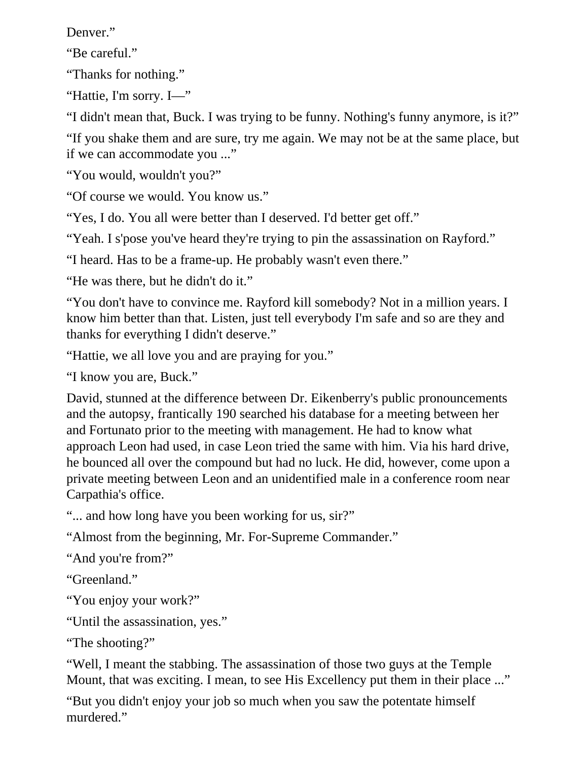Denver."

"Be careful."

"Thanks for nothing."

"Hattie, I'm sorry. I—"

"I didn't mean that, Buck. I was trying to be funny. Nothing's funny anymore, is it?"

"If you shake them and are sure, try me again. We may not be at the same place, but if we can accommodate you ..."

"You would, wouldn't you?"

"Of course we would. You know us."

"Yes, I do. You all were better than I deserved. I'd better get off."

"Yeah. I s'pose you've heard they're trying to pin the assassination on Rayford."

"I heard. Has to be a frame-up. He probably wasn't even there."

"He was there, but he didn't do it."

"You don't have to convince me. Rayford kill somebody? Not in a million years. I know him better than that. Listen, just tell everybody I'm safe and so are they and thanks for everything I didn't deserve."

"Hattie, we all love you and are praying for you."

"I know you are, Buck."

David, stunned at the difference between Dr. Eikenberry's public pronouncements and the autopsy, frantically 190 searched his database for a meeting between her and Fortunato prior to the meeting with management. He had to know what approach Leon had used, in case Leon tried the same with him. Via his hard drive, he bounced all over the compound but had no luck. He did, however, come upon a private meeting between Leon and an unidentified male in a conference room near Carpathia's office.

"... and how long have you been working for us, sir?"

"Almost from the beginning, Mr. For-Supreme Commander."

"And you're from?"

"Greenland."

"You enjoy your work?"

"Until the assassination, yes."

"The shooting?"

"Well, I meant the stabbing. The assassination of those two guys at the Temple Mount, that was exciting. I mean, to see His Excellency put them in their place ..."

"But you didn't enjoy your job so much when you saw the potentate himself murdered."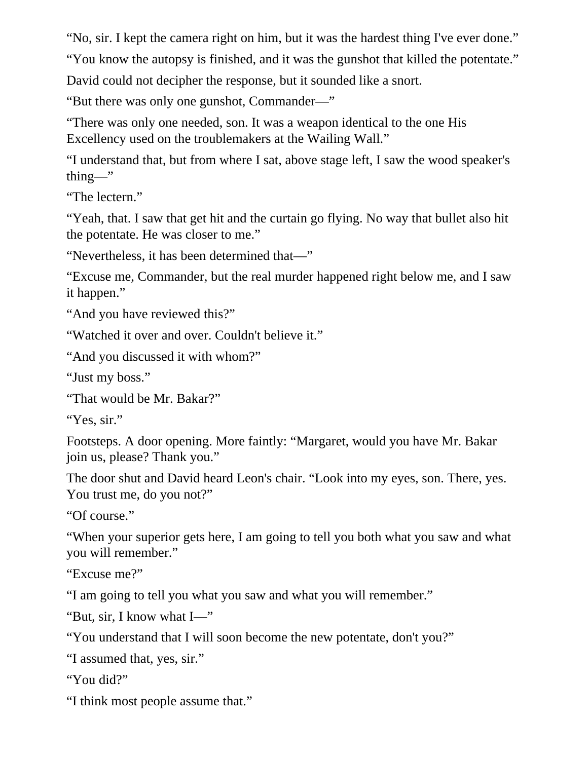"No, sir. I kept the camera right on him, but it was the hardest thing I've ever done."

"You know the autopsy is finished, and it was the gunshot that killed the potentate."

David could not decipher the response, but it sounded like a snort.

"But there was only one gunshot, Commander—"

"There was only one needed, son. It was a weapon identical to the one His Excellency used on the troublemakers at the Wailing Wall."

"I understand that, but from where I sat, above stage left, I saw the wood speaker's thing—"

"The lectern."

"Yeah, that. I saw that get hit and the curtain go flying. No way that bullet also hit the potentate. He was closer to me."

"Nevertheless, it has been determined that—"

"Excuse me, Commander, but the real murder happened right below me, and I saw it happen."

"And you have reviewed this?"

"Watched it over and over. Couldn't believe it."

"And you discussed it with whom?"

"Just my boss."

"That would be Mr. Bakar?"

"Yes, sir."

Footsteps. A door opening. More faintly: "Margaret, would you have Mr. Bakar join us, please? Thank you."

The door shut and David heard Leon's chair. "Look into my eyes, son. There, yes. You trust me, do you not?"

"Of course."

"When your superior gets here, I am going to tell you both what you saw and what you will remember."

"Excuse me?"

"I am going to tell you what you saw and what you will remember."

"But, sir, I know what I—"

"You understand that I will soon become the new potentate, don't you?"

"I assumed that, yes, sir."

"You did?"

"I think most people assume that."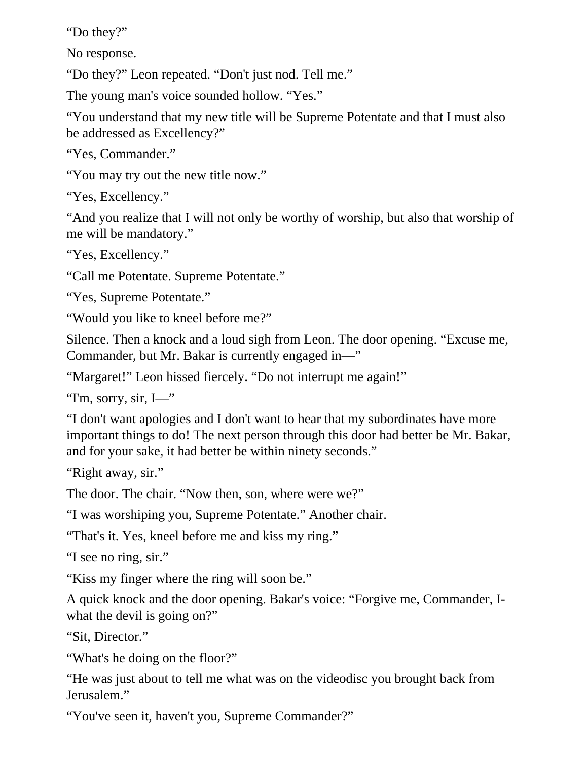"Do they?"

No response.

"Do they?" Leon repeated. "Don't just nod. Tell me."

The young man's voice sounded hollow. "Yes."

"You understand that my new title will be Supreme Potentate and that I must also be addressed as Excellency?"

"Yes, Commander."

"You may try out the new title now."

"Yes, Excellency."

"And you realize that I will not only be worthy of worship, but also that worship of me will be mandatory."

"Yes, Excellency."

"Call me Potentate. Supreme Potentate."

"Yes, Supreme Potentate."

"Would you like to kneel before me?"

Silence. Then a knock and a loud sigh from Leon. The door opening. "Excuse me, Commander, but Mr. Bakar is currently engaged in—"

"Margaret!" Leon hissed fiercely. "Do not interrupt me again!"

"I'm, sorry, sir,  $I$ —"

"I don't want apologies and I don't want to hear that my subordinates have more important things to do! The next person through this door had better be Mr. Bakar, and for your sake, it had better be within ninety seconds."

"Right away, sir."

The door. The chair. "Now then, son, where were we?"

"I was worshiping you, Supreme Potentate." Another chair.

"That's it. Yes, kneel before me and kiss my ring."

"I see no ring, sir."

"Kiss my finger where the ring will soon be."

A quick knock and the door opening. Bakar's voice: "Forgive me, Commander, Iwhat the devil is going on?"

"Sit, Director."

"What's he doing on the floor?"

"He was just about to tell me what was on the videodisc you brought back from Jerusalem."

"You've seen it, haven't you, Supreme Commander?"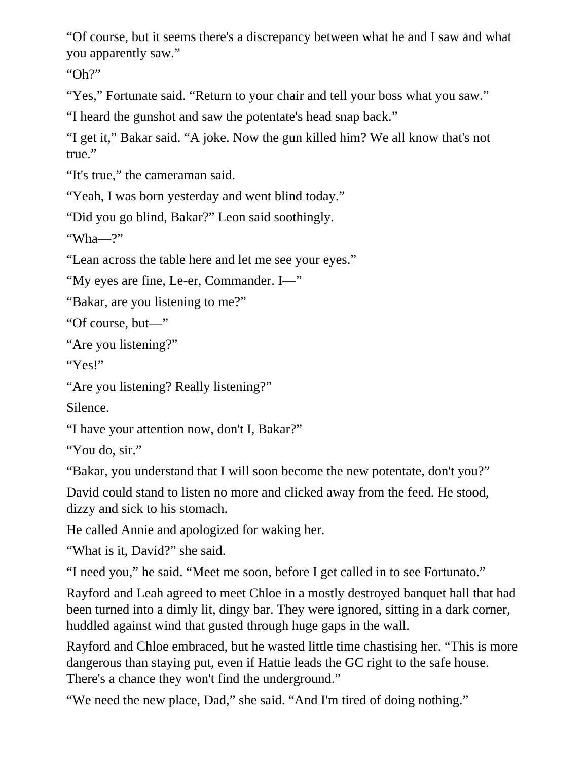"Of course, but it seems there's a discrepancy between what he and I saw and what you apparently saw."

"Oh?"

"Yes," Fortunate said. "Return to your chair and tell your boss what you saw."

"I heard the gunshot and saw the potentate's head snap back."

"I get it," Bakar said. "A joke. Now the gun killed him? We all know that's not true."

"It's true," the cameraman said.

"Yeah, I was born yesterday and went blind today."

"Did you go blind, Bakar?" Leon said soothingly.

"Wha $-$ ?"

"Lean across the table here and let me see your eyes."

"My eyes are fine, Le-er, Commander. I—"

"Bakar, are you listening to me?"

"Of course, but—"

"Are you listening?"

"Yes!"

"Are you listening? Really listening?"

Silence.

"I have your attention now, don't I, Bakar?"

"You do, sir."

"Bakar, you understand that I will soon become the new potentate, don't you?"

David could stand to listen no more and clicked away from the feed. He stood, dizzy and sick to his stomach.

He called Annie and apologized for waking her.

"What is it, David?" she said.

"I need you," he said. "Meet me soon, before I get called in to see Fortunato."

Rayford and Leah agreed to meet Chloe in a mostly destroyed banquet hall that had been turned into a dimly lit, dingy bar. They were ignored, sitting in a dark corner, huddled against wind that gusted through huge gaps in the wall.

Rayford and Chloe embraced, but he wasted little time chastising her. "This is more dangerous than staying put, even if Hattie leads the GC right to the safe house. There's a chance they won't find the underground."

"We need the new place, Dad," she said. "And I'm tired of doing nothing."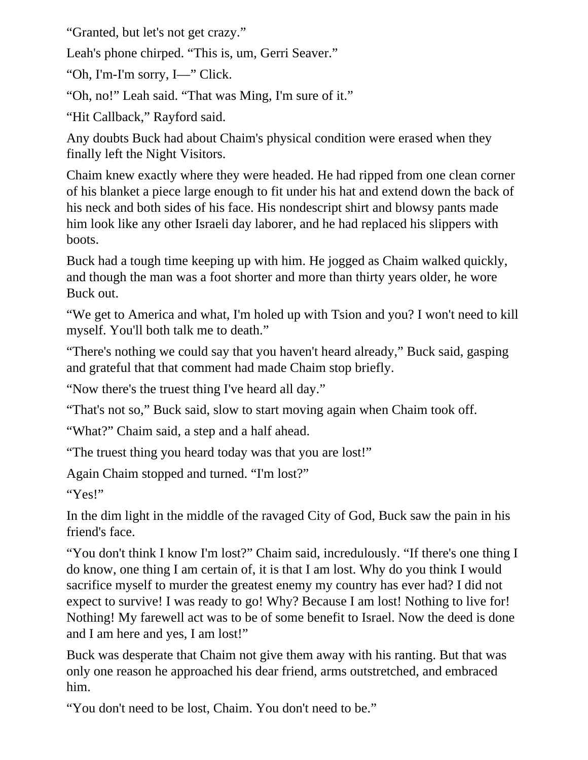"Granted, but let's not get crazy."

Leah's phone chirped. "This is, um, Gerri Seaver."

"Oh, I'm-I'm sorry, I—" Click.

"Oh, no!" Leah said. "That was Ming, I'm sure of it."

"Hit Callback," Rayford said.

Any doubts Buck had about Chaim's physical condition were erased when they finally left the Night Visitors.

Chaim knew exactly where they were headed. He had ripped from one clean corner of his blanket a piece large enough to fit under his hat and extend down the back of his neck and both sides of his face. His nondescript shirt and blowsy pants made him look like any other Israeli day laborer, and he had replaced his slippers with boots.

Buck had a tough time keeping up with him. He jogged as Chaim walked quickly, and though the man was a foot shorter and more than thirty years older, he wore Buck out.

"We get to America and what, I'm holed up with Tsion and you? I won't need to kill myself. You'll both talk me to death."

"There's nothing we could say that you haven't heard already," Buck said, gasping and grateful that that comment had made Chaim stop briefly.

"Now there's the truest thing I've heard all day."

"That's not so," Buck said, slow to start moving again when Chaim took off.

"What?" Chaim said, a step and a half ahead.

"The truest thing you heard today was that you are lost!"

Again Chaim stopped and turned. "I'm lost?"

"Yes!"

In the dim light in the middle of the ravaged City of God, Buck saw the pain in his friend's face.

"You don't think I know I'm lost?" Chaim said, incredulously. "If there's one thing I do know, one thing I am certain of, it is that I am lost. Why do you think I would sacrifice myself to murder the greatest enemy my country has ever had? I did not expect to survive! I was ready to go! Why? Because I am lost! Nothing to live for! Nothing! My farewell act was to be of some benefit to Israel. Now the deed is done and I am here and yes, I am lost!"

Buck was desperate that Chaim not give them away with his ranting. But that was only one reason he approached his dear friend, arms outstretched, and embraced him.

"You don't need to be lost, Chaim. You don't need to be."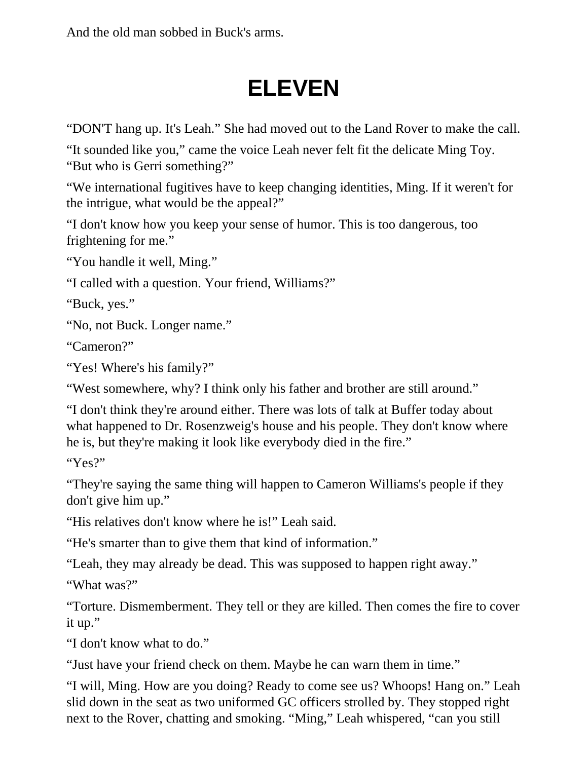And the old man sobbed in Buck's arms.

## **ELEVEN**

"DON'T hang up. It's Leah." She had moved out to the Land Rover to make the call.

"It sounded like you," came the voice Leah never felt fit the delicate Ming Toy. "But who is Gerri something?"

"We international fugitives have to keep changing identities, Ming. If it weren't for the intrigue, what would be the appeal?"

"I don't know how you keep your sense of humor. This is too dangerous, too frightening for me."

"You handle it well, Ming."

"I called with a question. Your friend, Williams?"

"Buck, yes."

"No, not Buck. Longer name."

"Cameron?"

"Yes! Where's his family?"

"West somewhere, why? I think only his father and brother are still around."

"I don't think they're around either. There was lots of talk at Buffer today about what happened to Dr. Rosenzweig's house and his people. They don't know where he is, but they're making it look like everybody died in the fire."

"Yes?"

"They're saying the same thing will happen to Cameron Williams's people if they don't give him up."

"His relatives don't know where he is!" Leah said.

"He's smarter than to give them that kind of information."

"Leah, they may already be dead. This was supposed to happen right away."

"What was?"

"Torture. Dismemberment. They tell or they are killed. Then comes the fire to cover it up."

"I don't know what to do."

"Just have your friend check on them. Maybe he can warn them in time."

"I will, Ming. How are you doing? Ready to come see us? Whoops! Hang on." Leah slid down in the seat as two uniformed GC officers strolled by. They stopped right next to the Rover, chatting and smoking. "Ming," Leah whispered, "can you still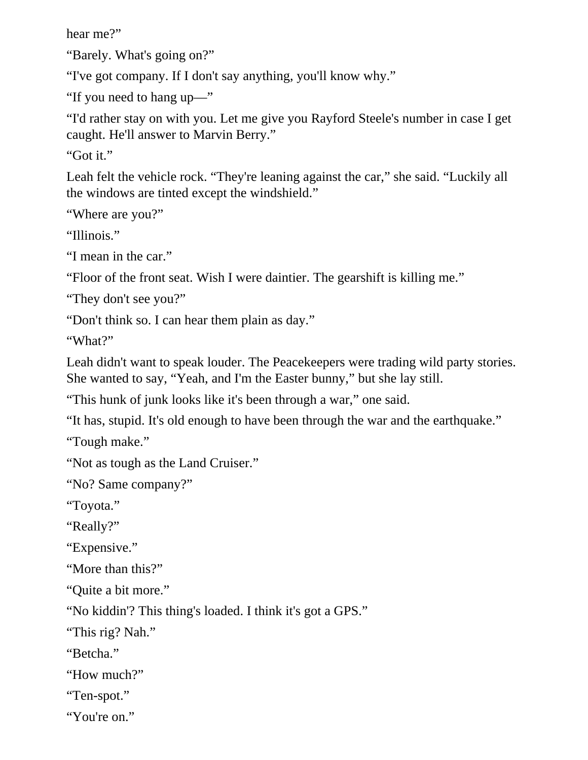hear me?"

"Barely. What's going on?"

"I've got company. If I don't say anything, you'll know why."

"If you need to hang up—"

"I'd rather stay on with you. Let me give you Rayford Steele's number in case I get caught. He'll answer to Marvin Berry."

"Got it."

Leah felt the vehicle rock. "They're leaning against the car," she said. "Luckily all the windows are tinted except the windshield."

"Where are you?"

"Illinois."

"I mean in the car."

"Floor of the front seat. Wish I were daintier. The gearshift is killing me."

"They don't see you?"

"Don't think so. I can hear them plain as day."

"What?"

Leah didn't want to speak louder. The Peacekeepers were trading wild party stories. She wanted to say, "Yeah, and I'm the Easter bunny," but she lay still.

"This hunk of junk looks like it's been through a war," one said.

"It has, stupid. It's old enough to have been through the war and the earthquake."

"Tough make."

"Not as tough as the Land Cruiser."

"No? Same company?"

"Toyota."

"Really?"

"Expensive."

"More than this?"

"Quite a bit more."

"No kiddin'? This thing's loaded. I think it's got a GPS."

"This rig? Nah."

"Betcha."

"How much?"

"Ten-spot."

"You're on."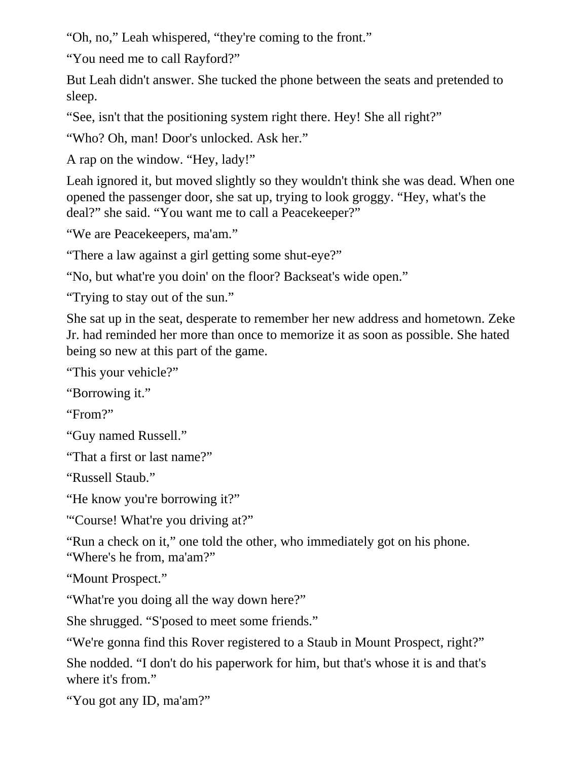"Oh, no," Leah whispered, "they're coming to the front."

"You need me to call Rayford?"

But Leah didn't answer. She tucked the phone between the seats and pretended to sleep.

"See, isn't that the positioning system right there. Hey! She all right?"

"Who? Oh, man! Door's unlocked. Ask her."

A rap on the window. "Hey, lady!"

Leah ignored it, but moved slightly so they wouldn't think she was dead. When one opened the passenger door, she sat up, trying to look groggy. "Hey, what's the deal?" she said. "You want me to call a Peacekeeper?"

"We are Peacekeepers, ma'am."

"There a law against a girl getting some shut-eye?"

"No, but what're you doin' on the floor? Backseat's wide open."

"Trying to stay out of the sun."

She sat up in the seat, desperate to remember her new address and hometown. Zeke Jr. had reminded her more than once to memorize it as soon as possible. She hated being so new at this part of the game.

"This your vehicle?"

"Borrowing it."

"From?"

"Guy named Russell."

"That a first or last name?"

"Russell Staub."

"He know you're borrowing it?"

'"Course! What're you driving at?"

"Run a check on it," one told the other, who immediately got on his phone.

"Where's he from, ma'am?"

"Mount Prospect."

"What're you doing all the way down here?"

She shrugged. "S'posed to meet some friends."

"We're gonna find this Rover registered to a Staub in Mount Prospect, right?"

She nodded. "I don't do his paperwork for him, but that's whose it is and that's where it's from."

"You got any ID, ma'am?"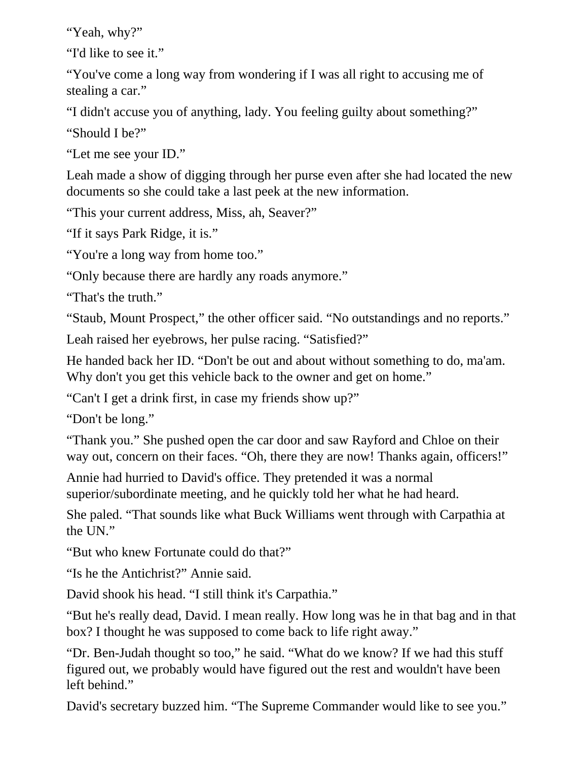"Yeah, why?"

"I'd like to see it."

"You've come a long way from wondering if I was all right to accusing me of stealing a car."

"I didn't accuse you of anything, lady. You feeling guilty about something?"

"Should I be?"

"Let me see your ID."

Leah made a show of digging through her purse even after she had located the new documents so she could take a last peek at the new information.

"This your current address, Miss, ah, Seaver?"

"If it says Park Ridge, it is."

"You're a long way from home too."

"Only because there are hardly any roads anymore."

"That's the truth."

"Staub, Mount Prospect," the other officer said. "No outstandings and no reports."

Leah raised her eyebrows, her pulse racing. "Satisfied?"

He handed back her ID. "Don't be out and about without something to do, ma'am. Why don't you get this vehicle back to the owner and get on home."

"Can't I get a drink first, in case my friends show up?"

"Don't be long."

"Thank you." She pushed open the car door and saw Rayford and Chloe on their way out, concern on their faces. "Oh, there they are now! Thanks again, officers!"

Annie had hurried to David's office. They pretended it was a normal superior/subordinate meeting, and he quickly told her what he had heard.

She paled. "That sounds like what Buck Williams went through with Carpathia at the UN."

"But who knew Fortunate could do that?"

"Is he the Antichrist?" Annie said.

David shook his head. "I still think it's Carpathia."

"But he's really dead, David. I mean really. How long was he in that bag and in that box? I thought he was supposed to come back to life right away."

"Dr. Ben-Judah thought so too," he said. "What do we know? If we had this stuff figured out, we probably would have figured out the rest and wouldn't have been left behind."

David's secretary buzzed him. "The Supreme Commander would like to see you."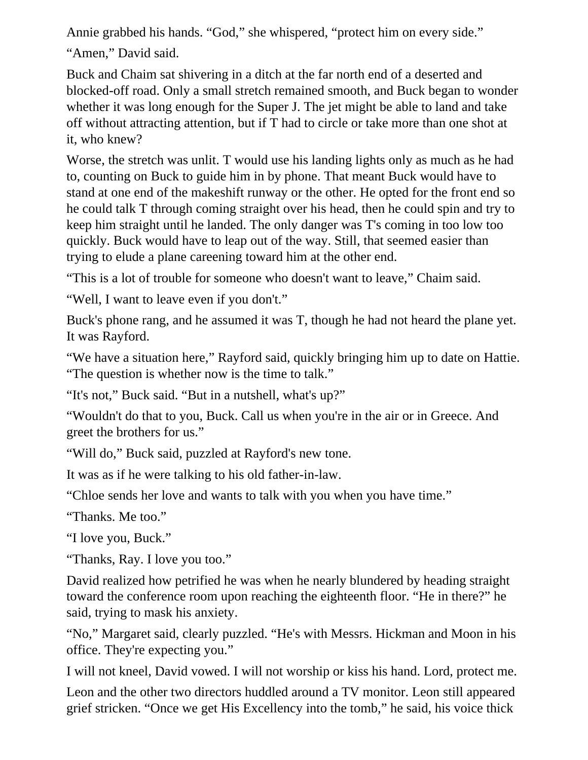Annie grabbed his hands. "God," she whispered, "protect him on every side."

"Amen," David said.

Buck and Chaim sat shivering in a ditch at the far north end of a deserted and blocked-off road. Only a small stretch remained smooth, and Buck began to wonder whether it was long enough for the Super J. The jet might be able to land and take off without attracting attention, but if T had to circle or take more than one shot at it, who knew?

Worse, the stretch was unlit. T would use his landing lights only as much as he had to, counting on Buck to guide him in by phone. That meant Buck would have to stand at one end of the makeshift runway or the other. He opted for the front end so he could talk T through coming straight over his head, then he could spin and try to keep him straight until he landed. The only danger was T's coming in too low too quickly. Buck would have to leap out of the way. Still, that seemed easier than trying to elude a plane careening toward him at the other end.

"This is a lot of trouble for someone who doesn't want to leave," Chaim said.

"Well, I want to leave even if you don't."

Buck's phone rang, and he assumed it was T, though he had not heard the plane yet. It was Rayford.

"We have a situation here," Rayford said, quickly bringing him up to date on Hattie. "The question is whether now is the time to talk."

"It's not," Buck said. "But in a nutshell, what's up?"

"Wouldn't do that to you, Buck. Call us when you're in the air or in Greece. And greet the brothers for us."

"Will do," Buck said, puzzled at Rayford's new tone.

It was as if he were talking to his old father-in-law.

"Chloe sends her love and wants to talk with you when you have time."

"Thanks. Me too."

"I love you, Buck."

"Thanks, Ray. I love you too."

David realized how petrified he was when he nearly blundered by heading straight toward the conference room upon reaching the eighteenth floor. "He in there?" he said, trying to mask his anxiety.

"No," Margaret said, clearly puzzled. "He's with Messrs. Hickman and Moon in his office. They're expecting you."

I will not kneel, David vowed. I will not worship or kiss his hand. Lord, protect me.

Leon and the other two directors huddled around a TV monitor. Leon still appeared grief stricken. "Once we get His Excellency into the tomb," he said, his voice thick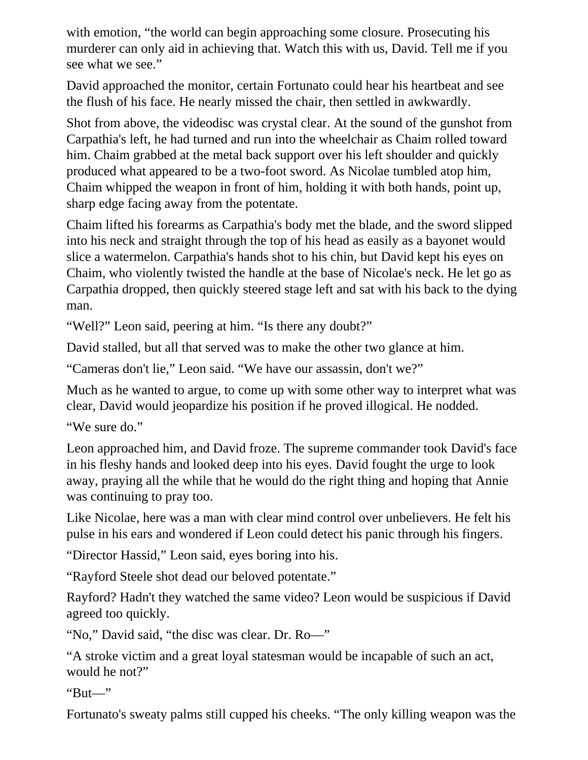with emotion, "the world can begin approaching some closure. Prosecuting his murderer can only aid in achieving that. Watch this with us, David. Tell me if you see what we see."

David approached the monitor, certain Fortunato could hear his heartbeat and see the flush of his face. He nearly missed the chair, then settled in awkwardly.

Shot from above, the videodisc was crystal clear. At the sound of the gunshot from Carpathia's left, he had turned and run into the wheelchair as Chaim rolled toward him. Chaim grabbed at the metal back support over his left shoulder and quickly produced what appeared to be a two-foot sword. As Nicolae tumbled atop him, Chaim whipped the weapon in front of him, holding it with both hands, point up, sharp edge facing away from the potentate.

Chaim lifted his forearms as Carpathia's body met the blade, and the sword slipped into his neck and straight through the top of his head as easily as a bayonet would slice a watermelon. Carpathia's hands shot to his chin, but David kept his eyes on Chaim, who violently twisted the handle at the base of Nicolae's neck. He let go as Carpathia dropped, then quickly steered stage left and sat with his back to the dying man.

"Well?" Leon said, peering at him. "Is there any doubt?"

David stalled, but all that served was to make the other two glance at him.

"Cameras don't lie," Leon said. "We have our assassin, don't we?"

Much as he wanted to argue, to come up with some other way to interpret what was clear, David would jeopardize his position if he proved illogical. He nodded.

"We sure do."

Leon approached him, and David froze. The supreme commander took David's face in his fleshy hands and looked deep into his eyes. David fought the urge to look away, praying all the while that he would do the right thing and hoping that Annie was continuing to pray too.

Like Nicolae, here was a man with clear mind control over unbelievers. He felt his pulse in his ears and wondered if Leon could detect his panic through his fingers.

"Director Hassid," Leon said, eyes boring into his.

"Rayford Steele shot dead our beloved potentate."

Rayford? Hadn't they watched the same video? Leon would be suspicious if David agreed too quickly.

"No," David said, "the disc was clear. Dr. Ro—"

"A stroke victim and a great loyal statesman would be incapable of such an act, would he not?"

" $But$ —"

Fortunato's sweaty palms still cupped his cheeks. "The only killing weapon was the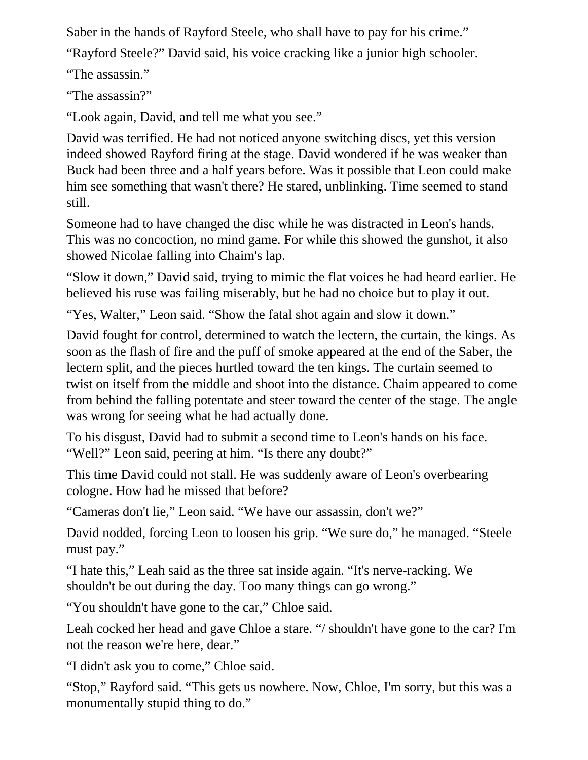Saber in the hands of Rayford Steele, who shall have to pay for his crime."

"Rayford Steele?" David said, his voice cracking like a junior high schooler.

"The assassin."

"The assassin?"

"Look again, David, and tell me what you see."

David was terrified. He had not noticed anyone switching discs, yet this version indeed showed Rayford firing at the stage. David wondered if he was weaker than Buck had been three and a half years before. Was it possible that Leon could make him see something that wasn't there? He stared, unblinking. Time seemed to stand still.

Someone had to have changed the disc while he was distracted in Leon's hands. This was no concoction, no mind game. For while this showed the gunshot, it also showed Nicolae falling into Chaim's lap.

"Slow it down," David said, trying to mimic the flat voices he had heard earlier. He believed his ruse was failing miserably, but he had no choice but to play it out.

"Yes, Walter," Leon said. "Show the fatal shot again and slow it down."

David fought for control, determined to watch the lectern, the curtain, the kings. As soon as the flash of fire and the puff of smoke appeared at the end of the Saber, the lectern split, and the pieces hurtled toward the ten kings. The curtain seemed to twist on itself from the middle and shoot into the distance. Chaim appeared to come from behind the falling potentate and steer toward the center of the stage. The angle was wrong for seeing what he had actually done.

To his disgust, David had to submit a second time to Leon's hands on his face. "Well?" Leon said, peering at him. "Is there any doubt?"

This time David could not stall. He was suddenly aware of Leon's overbearing cologne. How had he missed that before?

"Cameras don't lie," Leon said. "We have our assassin, don't we?"

David nodded, forcing Leon to loosen his grip. "We sure do," he managed. "Steele must pay."

"I hate this," Leah said as the three sat inside again. "It's nerve-racking. We shouldn't be out during the day. Too many things can go wrong."

"You shouldn't have gone to the car," Chloe said.

Leah cocked her head and gave Chloe a stare. "/ shouldn't have gone to the car? I'm not the reason we're here, dear."

"I didn't ask you to come," Chloe said.

"Stop," Rayford said. "This gets us nowhere. Now, Chloe, I'm sorry, but this was a monumentally stupid thing to do."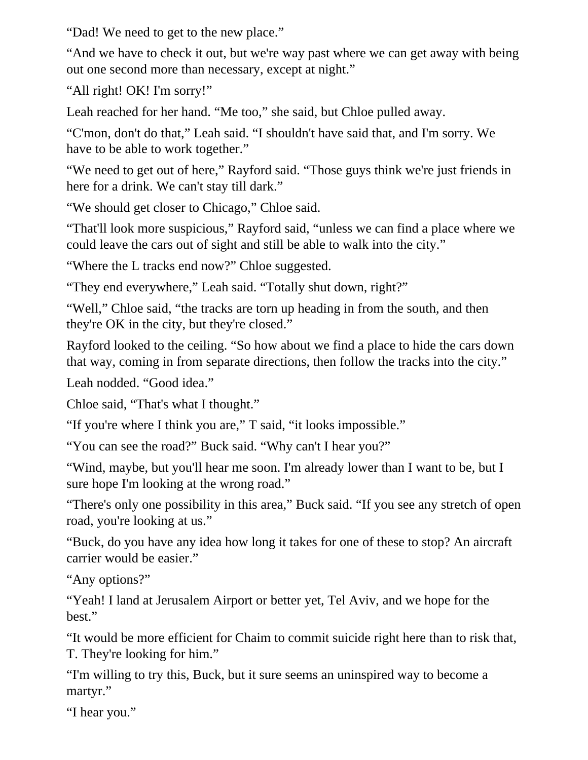"Dad! We need to get to the new place."

"And we have to check it out, but we're way past where we can get away with being out one second more than necessary, except at night."

"All right! OK! I'm sorry!"

Leah reached for her hand. "Me too," she said, but Chloe pulled away.

"C'mon, don't do that," Leah said. "I shouldn't have said that, and I'm sorry. We have to be able to work together."

"We need to get out of here," Rayford said. "Those guys think we're just friends in here for a drink. We can't stay till dark."

"We should get closer to Chicago," Chloe said.

"That'll look more suspicious," Rayford said, "unless we can find a place where we could leave the cars out of sight and still be able to walk into the city."

"Where the L tracks end now?" Chloe suggested.

"They end everywhere," Leah said. "Totally shut down, right?"

"Well," Chloe said, "the tracks are torn up heading in from the south, and then they're OK in the city, but they're closed."

Rayford looked to the ceiling. "So how about we find a place to hide the cars down that way, coming in from separate directions, then follow the tracks into the city."

Leah nodded. "Good idea."

Chloe said, "That's what I thought."

"If you're where I think you are," T said, "it looks impossible."

"You can see the road?" Buck said. "Why can't I hear you?"

"Wind, maybe, but you'll hear me soon. I'm already lower than I want to be, but I sure hope I'm looking at the wrong road."

"There's only one possibility in this area," Buck said. "If you see any stretch of open road, you're looking at us."

"Buck, do you have any idea how long it takes for one of these to stop? An aircraft carrier would be easier."

"Any options?"

"Yeah! I land at Jerusalem Airport or better yet, Tel Aviv, and we hope for the best."

"It would be more efficient for Chaim to commit suicide right here than to risk that, T. They're looking for him."

"I'm willing to try this, Buck, but it sure seems an uninspired way to become a martyr."

"I hear you."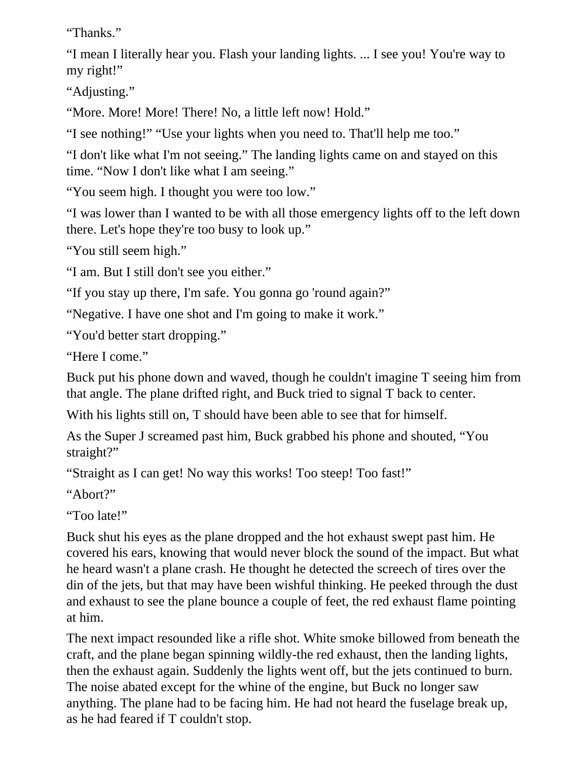"Thanks."

"I mean I literally hear you. Flash your landing lights. ... I see you! You're way to my right!"

"Adjusting."

"More. More! More! There! No, a little left now! Hold."

"I see nothing!" "Use your lights when you need to. That'll help me too."

"I don't like what I'm not seeing." The landing lights came on and stayed on this time. "Now I don't like what I am seeing."

"You seem high. I thought you were too low."

"I was lower than I wanted to be with all those emergency lights off to the left down there. Let's hope they're too busy to look up."

"You still seem high."

"I am. But I still don't see you either."

"If you stay up there, I'm safe. You gonna go 'round again?"

"Negative. I have one shot and I'm going to make it work."

"You'd better start dropping."

"Here I come."

Buck put his phone down and waved, though he couldn't imagine T seeing him from that angle. The plane drifted right, and Buck tried to signal T back to center.

With his lights still on, T should have been able to see that for himself.

As the Super J screamed past him, Buck grabbed his phone and shouted, "You straight?"

"Straight as I can get! No way this works! Too steep! Too fast!"

"Abort?"

"Too late!"

Buck shut his eyes as the plane dropped and the hot exhaust swept past him. He covered his ears, knowing that would never block the sound of the impact. But what he heard wasn't a plane crash. He thought he detected the screech of tires over the din of the jets, but that may have been wishful thinking. He peeked through the dust and exhaust to see the plane bounce a couple of feet, the red exhaust flame pointing at him.

The next impact resounded like a rifle shot. White smoke billowed from beneath the craft, and the plane began spinning wildly-the red exhaust, then the landing lights, then the exhaust again. Suddenly the lights went off, but the jets continued to burn. The noise abated except for the whine of the engine, but Buck no longer saw anything. The plane had to be facing him. He had not heard the fuselage break up, as he had feared if T couldn't stop.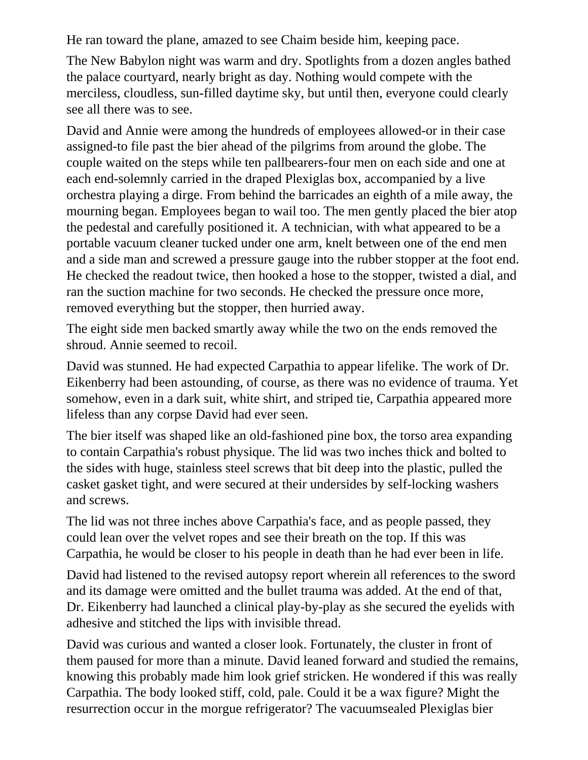He ran toward the plane, amazed to see Chaim beside him, keeping pace.

The New Babylon night was warm and dry. Spotlights from a dozen angles bathed the palace courtyard, nearly bright as day. Nothing would compete with the merciless, cloudless, sun-filled daytime sky, but until then, everyone could clearly see all there was to see.

David and Annie were among the hundreds of employees allowed-or in their case assigned-to file past the bier ahead of the pilgrims from around the globe. The couple waited on the steps while ten pallbearers-four men on each side and one at each end-solemnly carried in the draped Plexiglas box, accompanied by a live orchestra playing a dirge. From behind the barricades an eighth of a mile away, the mourning began. Employees began to wail too. The men gently placed the bier atop the pedestal and carefully positioned it. A technician, with what appeared to be a portable vacuum cleaner tucked under one arm, knelt between one of the end men and a side man and screwed a pressure gauge into the rubber stopper at the foot end. He checked the readout twice, then hooked a hose to the stopper, twisted a dial, and ran the suction machine for two seconds. He checked the pressure once more, removed everything but the stopper, then hurried away.

The eight side men backed smartly away while the two on the ends removed the shroud. Annie seemed to recoil.

David was stunned. He had expected Carpathia to appear lifelike. The work of Dr. Eikenberry had been astounding, of course, as there was no evidence of trauma. Yet somehow, even in a dark suit, white shirt, and striped tie, Carpathia appeared more lifeless than any corpse David had ever seen.

The bier itself was shaped like an old-fashioned pine box, the torso area expanding to contain Carpathia's robust physique. The lid was two inches thick and bolted to the sides with huge, stainless steel screws that bit deep into the plastic, pulled the casket gasket tight, and were secured at their undersides by self-locking washers and screws.

The lid was not three inches above Carpathia's face, and as people passed, they could lean over the velvet ropes and see their breath on the top. If this was Carpathia, he would be closer to his people in death than he had ever been in life.

David had listened to the revised autopsy report wherein all references to the sword and its damage were omitted and the bullet trauma was added. At the end of that, Dr. Eikenberry had launched a clinical play-by-play as she secured the eyelids with adhesive and stitched the lips with invisible thread.

David was curious and wanted a closer look. Fortunately, the cluster in front of them paused for more than a minute. David leaned forward and studied the remains, knowing this probably made him look grief stricken. He wondered if this was really Carpathia. The body looked stiff, cold, pale. Could it be a wax figure? Might the resurrection occur in the morgue refrigerator? The vacuumsealed Plexiglas bier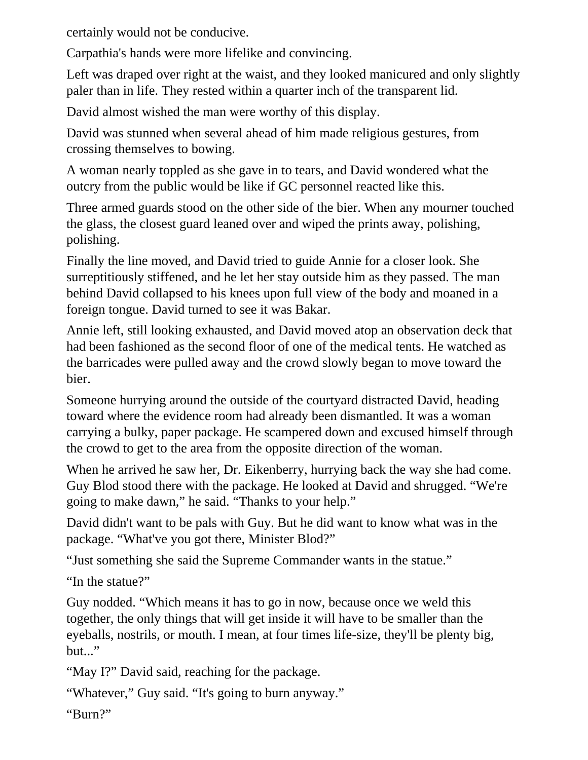certainly would not be conducive.

Carpathia's hands were more lifelike and convincing.

Left was draped over right at the waist, and they looked manicured and only slightly paler than in life. They rested within a quarter inch of the transparent lid.

David almost wished the man were worthy of this display.

David was stunned when several ahead of him made religious gestures, from crossing themselves to bowing.

A woman nearly toppled as she gave in to tears, and David wondered what the outcry from the public would be like if GC personnel reacted like this.

Three armed guards stood on the other side of the bier. When any mourner touched the glass, the closest guard leaned over and wiped the prints away, polishing, polishing.

Finally the line moved, and David tried to guide Annie for a closer look. She surreptitiously stiffened, and he let her stay outside him as they passed. The man behind David collapsed to his knees upon full view of the body and moaned in a foreign tongue. David turned to see it was Bakar.

Annie left, still looking exhausted, and David moved atop an observation deck that had been fashioned as the second floor of one of the medical tents. He watched as the barricades were pulled away and the crowd slowly began to move toward the bier.

Someone hurrying around the outside of the courtyard distracted David, heading toward where the evidence room had already been dismantled. It was a woman carrying a bulky, paper package. He scampered down and excused himself through the crowd to get to the area from the opposite direction of the woman.

When he arrived he saw her, Dr. Eikenberry, hurrying back the way she had come. Guy Blod stood there with the package. He looked at David and shrugged. "We're going to make dawn," he said. "Thanks to your help."

David didn't want to be pals with Guy. But he did want to know what was in the package. "What've you got there, Minister Blod?"

"Just something she said the Supreme Commander wants in the statue."

"In the statue?"

Guy nodded. "Which means it has to go in now, because once we weld this together, the only things that will get inside it will have to be smaller than the eyeballs, nostrils, or mouth. I mean, at four times life-size, they'll be plenty big,  $but..."$ 

"May I?" David said, reaching for the package.

"Whatever," Guy said. "It's going to burn anyway."

"Burn?"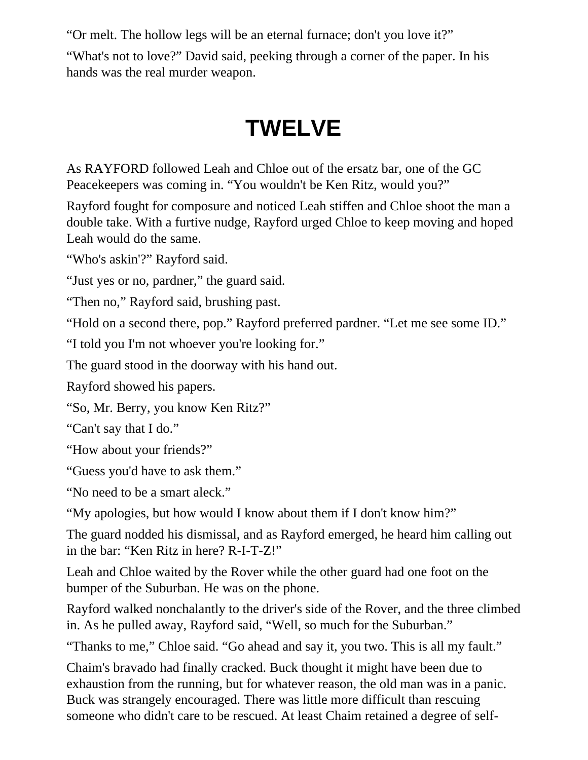"Or melt. The hollow legs will be an eternal furnace; don't you love it?" "What's not to love?" David said, peeking through a corner of the paper. In his hands was the real murder weapon.

## **TWELVE**

As RAYFORD followed Leah and Chloe out of the ersatz bar, one of the GC Peacekeepers was coming in. "You wouldn't be Ken Ritz, would you?"

Rayford fought for composure and noticed Leah stiffen and Chloe shoot the man a double take. With a furtive nudge, Rayford urged Chloe to keep moving and hoped Leah would do the same.

"Who's askin'?" Rayford said.

"Just yes or no, pardner," the guard said.

"Then no," Rayford said, brushing past.

"Hold on a second there, pop." Rayford preferred pardner. "Let me see some ID."

"I told you I'm not whoever you're looking for."

The guard stood in the doorway with his hand out.

Rayford showed his papers.

"So, Mr. Berry, you know Ken Ritz?"

"Can't say that I do."

"How about your friends?"

"Guess you'd have to ask them."

"No need to be a smart aleck."

"My apologies, but how would I know about them if I don't know him?"

The guard nodded his dismissal, and as Rayford emerged, he heard him calling out in the bar: "Ken Ritz in here? R-I-T-Z!"

Leah and Chloe waited by the Rover while the other guard had one foot on the bumper of the Suburban. He was on the phone.

Rayford walked nonchalantly to the driver's side of the Rover, and the three climbed in. As he pulled away, Rayford said, "Well, so much for the Suburban."

"Thanks to me," Chloe said. "Go ahead and say it, you two. This is all my fault."

Chaim's bravado had finally cracked. Buck thought it might have been due to exhaustion from the running, but for whatever reason, the old man was in a panic. Buck was strangely encouraged. There was little more difficult than rescuing someone who didn't care to be rescued. At least Chaim retained a degree of self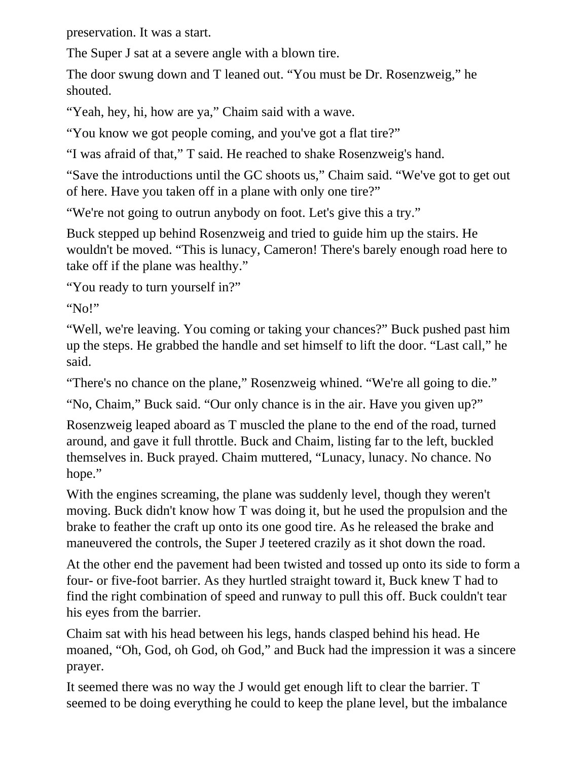preservation. It was a start.

The Super J sat at a severe angle with a blown tire.

The door swung down and T leaned out. "You must be Dr. Rosenzweig," he shouted.

"Yeah, hey, hi, how are ya," Chaim said with a wave.

"You know we got people coming, and you've got a flat tire?"

"I was afraid of that," T said. He reached to shake Rosenzweig's hand.

"Save the introductions until the GC shoots us," Chaim said. "We've got to get out of here. Have you taken off in a plane with only one tire?"

"We're not going to outrun anybody on foot. Let's give this a try."

Buck stepped up behind Rosenzweig and tried to guide him up the stairs. He wouldn't be moved. "This is lunacy, Cameron! There's barely enough road here to take off if the plane was healthy."

"You ready to turn yourself in?"

"No!"

"Well, we're leaving. You coming or taking your chances?" Buck pushed past him up the steps. He grabbed the handle and set himself to lift the door. "Last call," he said.

"There's no chance on the plane," Rosenzweig whined. "We're all going to die."

"No, Chaim," Buck said. "Our only chance is in the air. Have you given up?"

Rosenzweig leaped aboard as T muscled the plane to the end of the road, turned around, and gave it full throttle. Buck and Chaim, listing far to the left, buckled themselves in. Buck prayed. Chaim muttered, "Lunacy, lunacy. No chance. No hope."

With the engines screaming, the plane was suddenly level, though they weren't moving. Buck didn't know how T was doing it, but he used the propulsion and the brake to feather the craft up onto its one good tire. As he released the brake and maneuvered the controls, the Super J teetered crazily as it shot down the road.

At the other end the pavement had been twisted and tossed up onto its side to form a four- or five-foot barrier. As they hurtled straight toward it, Buck knew T had to find the right combination of speed and runway to pull this off. Buck couldn't tear his eyes from the barrier.

Chaim sat with his head between his legs, hands clasped behind his head. He moaned, "Oh, God, oh God, oh God," and Buck had the impression it was a sincere prayer.

It seemed there was no way the J would get enough lift to clear the barrier. T seemed to be doing everything he could to keep the plane level, but the imbalance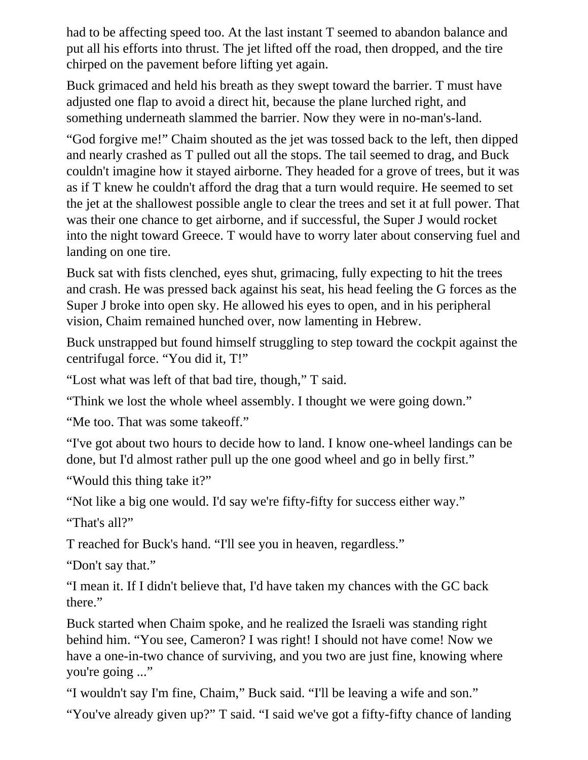had to be affecting speed too. At the last instant T seemed to abandon balance and put all his efforts into thrust. The jet lifted off the road, then dropped, and the tire chirped on the pavement before lifting yet again.

Buck grimaced and held his breath as they swept toward the barrier. T must have adjusted one flap to avoid a direct hit, because the plane lurched right, and something underneath slammed the barrier. Now they were in no-man's-land.

"God forgive me!" Chaim shouted as the jet was tossed back to the left, then dipped and nearly crashed as T pulled out all the stops. The tail seemed to drag, and Buck couldn't imagine how it stayed airborne. They headed for a grove of trees, but it was as if T knew he couldn't afford the drag that a turn would require. He seemed to set the jet at the shallowest possible angle to clear the trees and set it at full power. That was their one chance to get airborne, and if successful, the Super J would rocket into the night toward Greece. T would have to worry later about conserving fuel and landing on one tire.

Buck sat with fists clenched, eyes shut, grimacing, fully expecting to hit the trees and crash. He was pressed back against his seat, his head feeling the G forces as the Super J broke into open sky. He allowed his eyes to open, and in his peripheral vision, Chaim remained hunched over, now lamenting in Hebrew.

Buck unstrapped but found himself struggling to step toward the cockpit against the centrifugal force. "You did it, T!"

"Lost what was left of that bad tire, though," T said.

"Think we lost the whole wheel assembly. I thought we were going down."

"Me too. That was some takeoff."

"I've got about two hours to decide how to land. I know one-wheel landings can be done, but I'd almost rather pull up the one good wheel and go in belly first."

"Would this thing take it?"

"Not like a big one would. I'd say we're fifty-fifty for success either way."

"That's all?"

T reached for Buck's hand. "I'll see you in heaven, regardless."

"Don't say that."

"I mean it. If I didn't believe that, I'd have taken my chances with the GC back there."

Buck started when Chaim spoke, and he realized the Israeli was standing right behind him. "You see, Cameron? I was right! I should not have come! Now we have a one-in-two chance of surviving, and you two are just fine, knowing where you're going ..."

"I wouldn't say I'm fine, Chaim," Buck said. "I'll be leaving a wife and son."

"You've already given up?" T said. "I said we've got a fifty-fifty chance of landing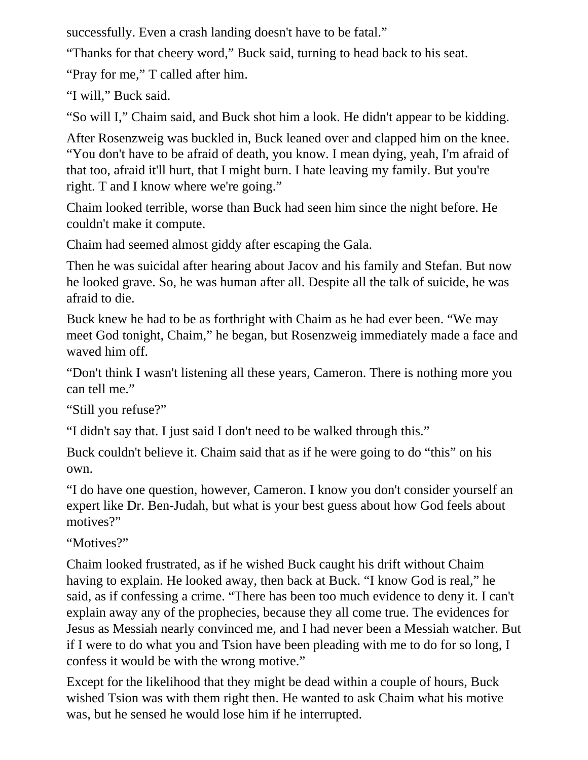successfully. Even a crash landing doesn't have to be fatal."

"Thanks for that cheery word," Buck said, turning to head back to his seat.

"Pray for me," T called after him.

"I will," Buck said.

"So will I," Chaim said, and Buck shot him a look. He didn't appear to be kidding.

After Rosenzweig was buckled in, Buck leaned over and clapped him on the knee. "You don't have to be afraid of death, you know. I mean dying, yeah, I'm afraid of that too, afraid it'll hurt, that I might burn. I hate leaving my family. But you're right. T and I know where we're going."

Chaim looked terrible, worse than Buck had seen him since the night before. He couldn't make it compute.

Chaim had seemed almost giddy after escaping the Gala.

Then he was suicidal after hearing about Jacov and his family and Stefan. But now he looked grave. So, he was human after all. Despite all the talk of suicide, he was afraid to die.

Buck knew he had to be as forthright with Chaim as he had ever been. "We may meet God tonight, Chaim," he began, but Rosenzweig immediately made a face and waved him off.

"Don't think I wasn't listening all these years, Cameron. There is nothing more you can tell me."

"Still you refuse?"

"I didn't say that. I just said I don't need to be walked through this."

Buck couldn't believe it. Chaim said that as if he were going to do "this" on his own.

"I do have one question, however, Cameron. I know you don't consider yourself an expert like Dr. Ben-Judah, but what is your best guess about how God feels about motives?"

"Motives?"

Chaim looked frustrated, as if he wished Buck caught his drift without Chaim having to explain. He looked away, then back at Buck. "I know God is real," he said, as if confessing a crime. "There has been too much evidence to deny it. I can't explain away any of the prophecies, because they all come true. The evidences for Jesus as Messiah nearly convinced me, and I had never been a Messiah watcher. But if I were to do what you and Tsion have been pleading with me to do for so long, I confess it would be with the wrong motive."

Except for the likelihood that they might be dead within a couple of hours, Buck wished Tsion was with them right then. He wanted to ask Chaim what his motive was, but he sensed he would lose him if he interrupted.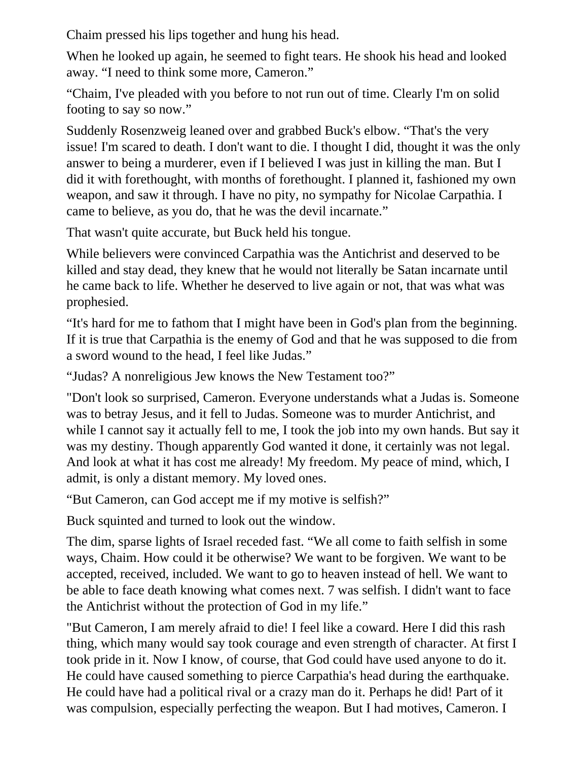Chaim pressed his lips together and hung his head.

When he looked up again, he seemed to fight tears. He shook his head and looked away. "I need to think some more, Cameron."

"Chaim, I've pleaded with you before to not run out of time. Clearly I'm on solid footing to say so now."

Suddenly Rosenzweig leaned over and grabbed Buck's elbow. "That's the very issue! I'm scared to death. I don't want to die. I thought I did, thought it was the only answer to being a murderer, even if I believed I was just in killing the man. But I did it with forethought, with months of forethought. I planned it, fashioned my own weapon, and saw it through. I have no pity, no sympathy for Nicolae Carpathia. I came to believe, as you do, that he was the devil incarnate."

That wasn't quite accurate, but Buck held his tongue.

While believers were convinced Carpathia was the Antichrist and deserved to be killed and stay dead, they knew that he would not literally be Satan incarnate until he came back to life. Whether he deserved to live again or not, that was what was prophesied.

"It's hard for me to fathom that I might have been in God's plan from the beginning. If it is true that Carpathia is the enemy of God and that he was supposed to die from a sword wound to the head, I feel like Judas."

"Judas? A nonreligious Jew knows the New Testament too?"

"Don't look so surprised, Cameron. Everyone understands what a Judas is. Someone was to betray Jesus, and it fell to Judas. Someone was to murder Antichrist, and while I cannot say it actually fell to me, I took the job into my own hands. But say it was my destiny. Though apparently God wanted it done, it certainly was not legal. And look at what it has cost me already! My freedom. My peace of mind, which, I admit, is only a distant memory. My loved ones.

"But Cameron, can God accept me if my motive is selfish?"

Buck squinted and turned to look out the window.

The dim, sparse lights of Israel receded fast. "We all come to faith selfish in some ways, Chaim. How could it be otherwise? We want to be forgiven. We want to be accepted, received, included. We want to go to heaven instead of hell. We want to be able to face death knowing what comes next. 7 was selfish. I didn't want to face the Antichrist without the protection of God in my life."

"But Cameron, I am merely afraid to die! I feel like a coward. Here I did this rash thing, which many would say took courage and even strength of character. At first I took pride in it. Now I know, of course, that God could have used anyone to do it. He could have caused something to pierce Carpathia's head during the earthquake. He could have had a political rival or a crazy man do it. Perhaps he did! Part of it was compulsion, especially perfecting the weapon. But I had motives, Cameron. I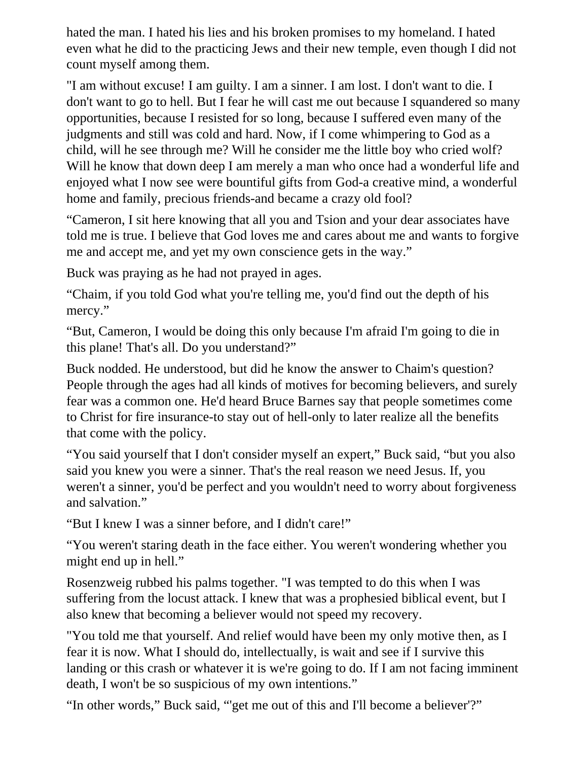hated the man. I hated his lies and his broken promises to my homeland. I hated even what he did to the practicing Jews and their new temple, even though I did not count myself among them.

"I am without excuse! I am guilty. I am a sinner. I am lost. I don't want to die. I don't want to go to hell. But I fear he will cast me out because I squandered so many opportunities, because I resisted for so long, because I suffered even many of the judgments and still was cold and hard. Now, if I come whimpering to God as a child, will he see through me? Will he consider me the little boy who cried wolf? Will he know that down deep I am merely a man who once had a wonderful life and enjoyed what I now see were bountiful gifts from God-a creative mind, a wonderful home and family, precious friends-and became a crazy old fool?

"Cameron, I sit here knowing that all you and Tsion and your dear associates have told me is true. I believe that God loves me and cares about me and wants to forgive me and accept me, and yet my own conscience gets in the way."

Buck was praying as he had not prayed in ages.

"Chaim, if you told God what you're telling me, you'd find out the depth of his mercy."

"But, Cameron, I would be doing this only because I'm afraid I'm going to die in this plane! That's all. Do you understand?"

Buck nodded. He understood, but did he know the answer to Chaim's question? People through the ages had all kinds of motives for becoming believers, and surely fear was a common one. He'd heard Bruce Barnes say that people sometimes come to Christ for fire insurance-to stay out of hell-only to later realize all the benefits that come with the policy.

"You said yourself that I don't consider myself an expert," Buck said, "but you also said you knew you were a sinner. That's the real reason we need Jesus. If, you weren't a sinner, you'd be perfect and you wouldn't need to worry about forgiveness and salvation."

"But I knew I was a sinner before, and I didn't care!"

"You weren't staring death in the face either. You weren't wondering whether you might end up in hell."

Rosenzweig rubbed his palms together. "I was tempted to do this when I was suffering from the locust attack. I knew that was a prophesied biblical event, but I also knew that becoming a believer would not speed my recovery.

"You told me that yourself. And relief would have been my only motive then, as I fear it is now. What I should do, intellectually, is wait and see if I survive this landing or this crash or whatever it is we're going to do. If I am not facing imminent death, I won't be so suspicious of my own intentions."

"In other words," Buck said, "'get me out of this and I'll become a believer'?"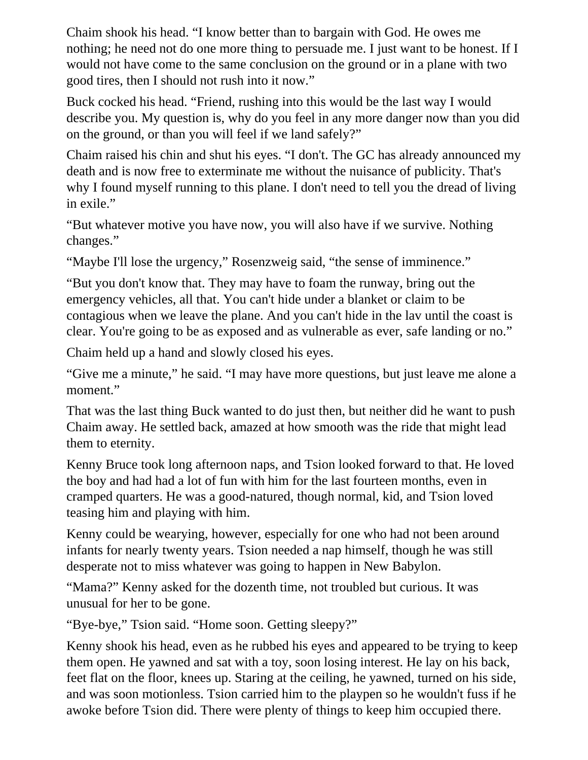Chaim shook his head. "I know better than to bargain with God. He owes me nothing; he need not do one more thing to persuade me. I just want to be honest. If I would not have come to the same conclusion on the ground or in a plane with two good tires, then I should not rush into it now."

Buck cocked his head. "Friend, rushing into this would be the last way I would describe you. My question is, why do you feel in any more danger now than you did on the ground, or than you will feel if we land safely?"

Chaim raised his chin and shut his eyes. "I don't. The GC has already announced my death and is now free to exterminate me without the nuisance of publicity. That's why I found myself running to this plane. I don't need to tell you the dread of living in exile."

"But whatever motive you have now, you will also have if we survive. Nothing changes."

"Maybe I'll lose the urgency," Rosenzweig said, "the sense of imminence."

"But you don't know that. They may have to foam the runway, bring out the emergency vehicles, all that. You can't hide under a blanket or claim to be contagious when we leave the plane. And you can't hide in the lav until the coast is clear. You're going to be as exposed and as vulnerable as ever, safe landing or no."

Chaim held up a hand and slowly closed his eyes.

"Give me a minute," he said. "I may have more questions, but just leave me alone a moment."

That was the last thing Buck wanted to do just then, but neither did he want to push Chaim away. He settled back, amazed at how smooth was the ride that might lead them to eternity.

Kenny Bruce took long afternoon naps, and Tsion looked forward to that. He loved the boy and had had a lot of fun with him for the last fourteen months, even in cramped quarters. He was a good-natured, though normal, kid, and Tsion loved teasing him and playing with him.

Kenny could be wearying, however, especially for one who had not been around infants for nearly twenty years. Tsion needed a nap himself, though he was still desperate not to miss whatever was going to happen in New Babylon.

"Mama?" Kenny asked for the dozenth time, not troubled but curious. It was unusual for her to be gone.

"Bye-bye," Tsion said. "Home soon. Getting sleepy?"

Kenny shook his head, even as he rubbed his eyes and appeared to be trying to keep them open. He yawned and sat with a toy, soon losing interest. He lay on his back, feet flat on the floor, knees up. Staring at the ceiling, he yawned, turned on his side, and was soon motionless. Tsion carried him to the playpen so he wouldn't fuss if he awoke before Tsion did. There were plenty of things to keep him occupied there.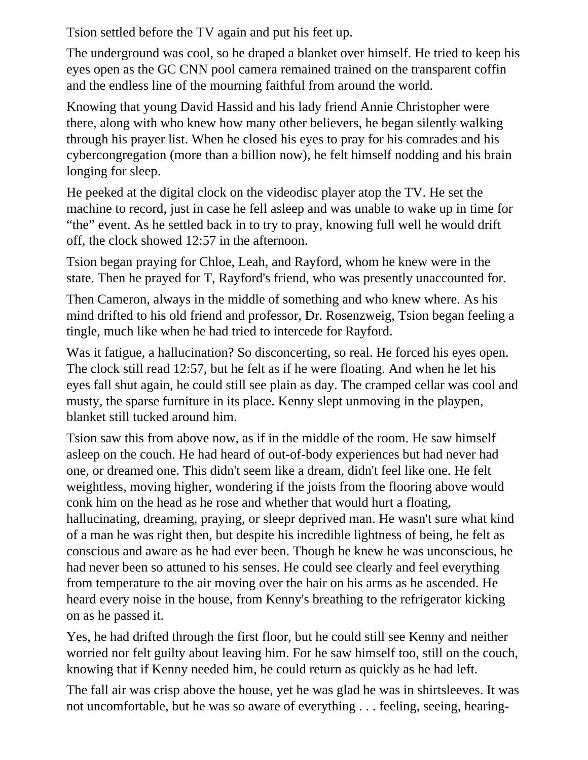Tsion settled before the TV again and put his feet up.

The underground was cool, so he draped a blanket over himself. He tried to keep his eyes open as the GC CNN pool camera remained trained on the transparent coffin and the endless line of the mourning faithful from around the world.

Knowing that young David Hassid and his lady friend Annie Christopher were there, along with who knew how many other believers, he began silently walking through his prayer list. When he closed his eyes to pray for his comrades and his cybercongregation (more than a billion now), he felt himself nodding and his brain longing for sleep.

He peeked at the digital clock on the videodisc player atop the TV. He set the machine to record, just in case he fell asleep and was unable to wake up in time for "the" event. As he settled back in to try to pray, knowing full well he would drift off, the clock showed 12:57 in the afternoon.

Tsion began praying for Chloe, Leah, and Rayford, whom he knew were in the state. Then he prayed for T, Rayford's friend, who was presently unaccounted for.

Then Cameron, always in the middle of something and who knew where. As his mind drifted to his old friend and professor, Dr. Rosenzweig, Tsion began feeling a tingle, much like when he had tried to intercede for Rayford.

Was it fatigue, a hallucination? So disconcerting, so real. He forced his eyes open. The clock still read 12:57, but he felt as if he were floating. And when he let his eyes fall shut again, he could still see plain as day. The cramped cellar was cool and musty, the sparse furniture in its place. Kenny slept unmoving in the playpen, blanket still tucked around him.

Tsion saw this from above now, as if in the middle of the room. He saw himself asleep on the couch. He had heard of out-of-body experiences but had never had one, or dreamed one. This didn't seem like a dream, didn't feel like one. He felt weightless, moving higher, wondering if the joists from the flooring above would conk him on the head as he rose and whether that would hurt a floating, hallucinating, dreaming, praying, or sleepr deprived man. He wasn't sure what kind of a man he was right then, but despite his incredible lightness of being, he felt as conscious and aware as he had ever been. Though he knew he was unconscious, he had never been so attuned to his senses. He could see clearly and feel everything from temperature to the air moving over the hair on his arms as he ascended. He heard every noise in the house, from Kenny's breathing to the refrigerator kicking on as he passed it.

Yes, he had drifted through the first floor, but he could still see Kenny and neither worried nor felt guilty about leaving him. For he saw himself too, still on the couch, knowing that if Kenny needed him, he could return as quickly as he had left.

The fall air was crisp above the house, yet he was glad he was in shirtsleeves. It was not uncomfortable, but he was so aware of everything . . . feeling, seeing, hearing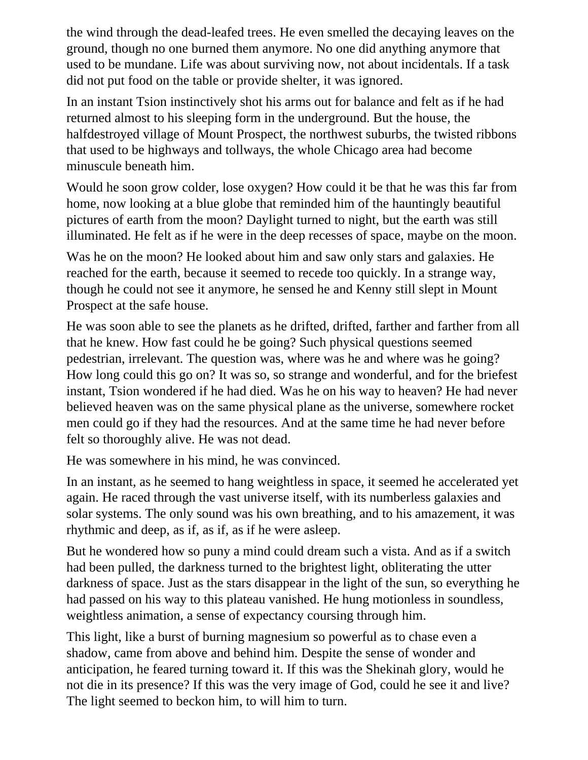the wind through the dead-leafed trees. He even smelled the decaying leaves on the ground, though no one burned them anymore. No one did anything anymore that used to be mundane. Life was about surviving now, not about incidentals. If a task did not put food on the table or provide shelter, it was ignored.

In an instant Tsion instinctively shot his arms out for balance and felt as if he had returned almost to his sleeping form in the underground. But the house, the halfdestroyed village of Mount Prospect, the northwest suburbs, the twisted ribbons that used to be highways and tollways, the whole Chicago area had become minuscule beneath him.

Would he soon grow colder, lose oxygen? How could it be that he was this far from home, now looking at a blue globe that reminded him of the hauntingly beautiful pictures of earth from the moon? Daylight turned to night, but the earth was still illuminated. He felt as if he were in the deep recesses of space, maybe on the moon.

Was he on the moon? He looked about him and saw only stars and galaxies. He reached for the earth, because it seemed to recede too quickly. In a strange way, though he could not see it anymore, he sensed he and Kenny still slept in Mount Prospect at the safe house.

He was soon able to see the planets as he drifted, drifted, farther and farther from all that he knew. How fast could he be going? Such physical questions seemed pedestrian, irrelevant. The question was, where was he and where was he going? How long could this go on? It was so, so strange and wonderful, and for the briefest instant, Tsion wondered if he had died. Was he on his way to heaven? He had never believed heaven was on the same physical plane as the universe, somewhere rocket men could go if they had the resources. And at the same time he had never before felt so thoroughly alive. He was not dead.

He was somewhere in his mind, he was convinced.

In an instant, as he seemed to hang weightless in space, it seemed he accelerated yet again. He raced through the vast universe itself, with its numberless galaxies and solar systems. The only sound was his own breathing, and to his amazement, it was rhythmic and deep, as if, as if, as if he were asleep.

But he wondered how so puny a mind could dream such a vista. And as if a switch had been pulled, the darkness turned to the brightest light, obliterating the utter darkness of space. Just as the stars disappear in the light of the sun, so everything he had passed on his way to this plateau vanished. He hung motionless in soundless, weightless animation, a sense of expectancy coursing through him.

This light, like a burst of burning magnesium so powerful as to chase even a shadow, came from above and behind him. Despite the sense of wonder and anticipation, he feared turning toward it. If this was the Shekinah glory, would he not die in its presence? If this was the very image of God, could he see it and live? The light seemed to beckon him, to will him to turn.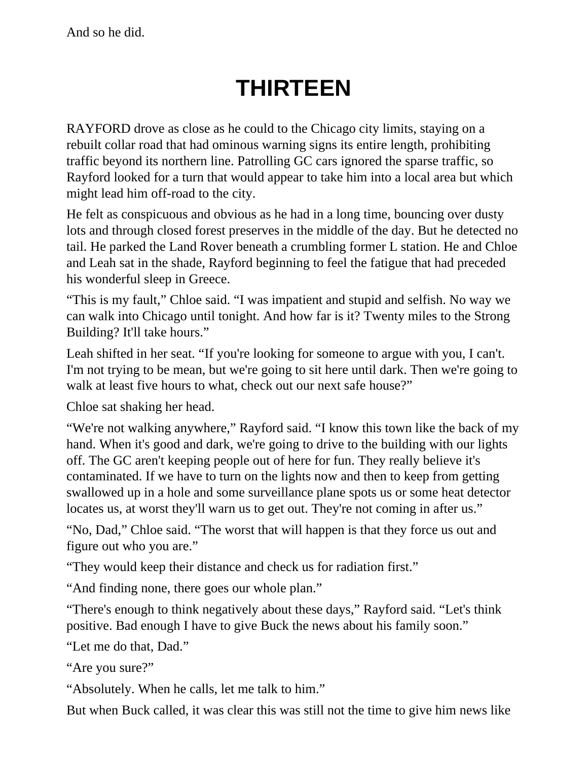And so he did.

## **THIRTEEN**

RAYFORD drove as close as he could to the Chicago city limits, staying on a rebuilt collar road that had ominous warning signs its entire length, prohibiting traffic beyond its northern line. Patrolling GC cars ignored the sparse traffic, so Rayford looked for a turn that would appear to take him into a local area but which might lead him off-road to the city.

He felt as conspicuous and obvious as he had in a long time, bouncing over dusty lots and through closed forest preserves in the middle of the day. But he detected no tail. He parked the Land Rover beneath a crumbling former L station. He and Chloe and Leah sat in the shade, Rayford beginning to feel the fatigue that had preceded his wonderful sleep in Greece.

"This is my fault," Chloe said. "I was impatient and stupid and selfish. No way we can walk into Chicago until tonight. And how far is it? Twenty miles to the Strong Building? It'll take hours."

Leah shifted in her seat. "If you're looking for someone to argue with you, I can't. I'm not trying to be mean, but we're going to sit here until dark. Then we're going to walk at least five hours to what, check out our next safe house?"

Chloe sat shaking her head.

"We're not walking anywhere," Rayford said. "I know this town like the back of my hand. When it's good and dark, we're going to drive to the building with our lights off. The GC aren't keeping people out of here for fun. They really believe it's contaminated. If we have to turn on the lights now and then to keep from getting swallowed up in a hole and some surveillance plane spots us or some heat detector locates us, at worst they'll warn us to get out. They're not coming in after us."

"No, Dad," Chloe said. "The worst that will happen is that they force us out and figure out who you are."

"They would keep their distance and check us for radiation first."

"And finding none, there goes our whole plan."

"There's enough to think negatively about these days," Rayford said. "Let's think positive. Bad enough I have to give Buck the news about his family soon."

"Let me do that, Dad."

"Are you sure?"

"Absolutely. When he calls, let me talk to him."

But when Buck called, it was clear this was still not the time to give him news like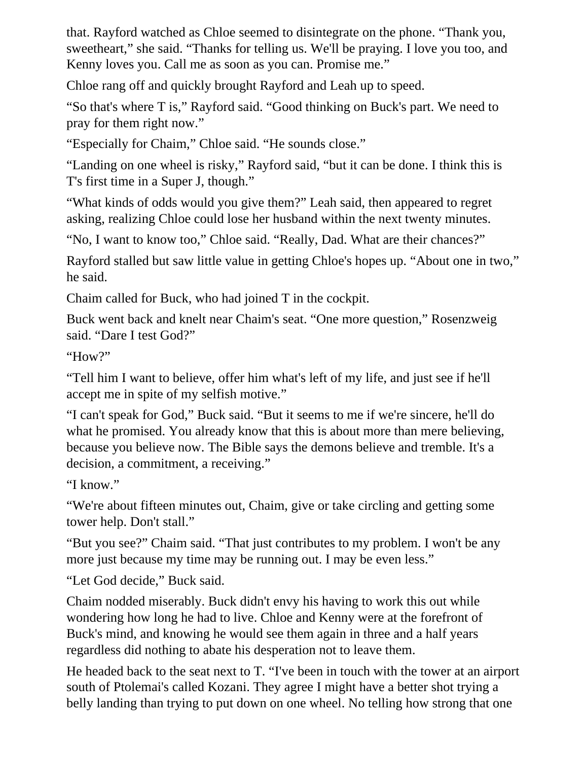that. Rayford watched as Chloe seemed to disintegrate on the phone. "Thank you, sweetheart," she said. "Thanks for telling us. We'll be praying. I love you too, and Kenny loves you. Call me as soon as you can. Promise me."

Chloe rang off and quickly brought Rayford and Leah up to speed.

"So that's where T is," Rayford said. "Good thinking on Buck's part. We need to pray for them right now."

"Especially for Chaim," Chloe said. "He sounds close."

"Landing on one wheel is risky," Rayford said, "but it can be done. I think this is T's first time in a Super J, though."

"What kinds of odds would you give them?" Leah said, then appeared to regret asking, realizing Chloe could lose her husband within the next twenty minutes.

"No, I want to know too," Chloe said. "Really, Dad. What are their chances?"

Rayford stalled but saw little value in getting Chloe's hopes up. "About one in two," he said.

Chaim called for Buck, who had joined T in the cockpit.

Buck went back and knelt near Chaim's seat. "One more question," Rosenzweig said. "Dare I test God?"

"How?"

"Tell him I want to believe, offer him what's left of my life, and just see if he'll accept me in spite of my selfish motive."

"I can't speak for God," Buck said. "But it seems to me if we're sincere, he'll do what he promised. You already know that this is about more than mere believing, because you believe now. The Bible says the demons believe and tremble. It's a decision, a commitment, a receiving."

"I know."

"We're about fifteen minutes out, Chaim, give or take circling and getting some tower help. Don't stall."

"But you see?" Chaim said. "That just contributes to my problem. I won't be any more just because my time may be running out. I may be even less."

"Let God decide," Buck said.

Chaim nodded miserably. Buck didn't envy his having to work this out while wondering how long he had to live. Chloe and Kenny were at the forefront of Buck's mind, and knowing he would see them again in three and a half years regardless did nothing to abate his desperation not to leave them.

He headed back to the seat next to T. "I've been in touch with the tower at an airport south of Ptolemai's called Kozani. They agree I might have a better shot trying a belly landing than trying to put down on one wheel. No telling how strong that one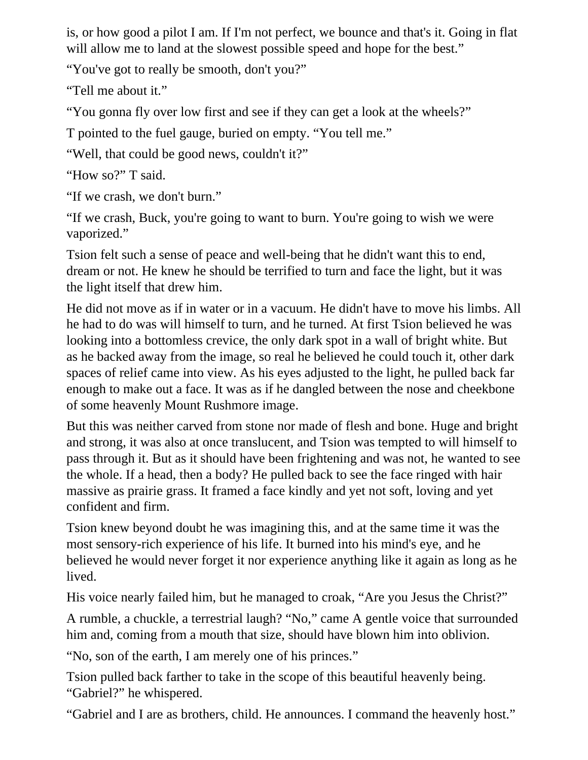is, or how good a pilot I am. If I'm not perfect, we bounce and that's it. Going in flat will allow me to land at the slowest possible speed and hope for the best."

"You've got to really be smooth, don't you?"

"Tell me about it."

"You gonna fly over low first and see if they can get a look at the wheels?"

T pointed to the fuel gauge, buried on empty. "You tell me."

"Well, that could be good news, couldn't it?"

"How so?" T said.

"If we crash, we don't burn."

"If we crash, Buck, you're going to want to burn. You're going to wish we were vaporized."

Tsion felt such a sense of peace and well-being that he didn't want this to end, dream or not. He knew he should be terrified to turn and face the light, but it was the light itself that drew him.

He did not move as if in water or in a vacuum. He didn't have to move his limbs. All he had to do was will himself to turn, and he turned. At first Tsion believed he was looking into a bottomless crevice, the only dark spot in a wall of bright white. But as he backed away from the image, so real he believed he could touch it, other dark spaces of relief came into view. As his eyes adjusted to the light, he pulled back far enough to make out a face. It was as if he dangled between the nose and cheekbone of some heavenly Mount Rushmore image.

But this was neither carved from stone nor made of flesh and bone. Huge and bright and strong, it was also at once translucent, and Tsion was tempted to will himself to pass through it. But as it should have been frightening and was not, he wanted to see the whole. If a head, then a body? He pulled back to see the face ringed with hair massive as prairie grass. It framed a face kindly and yet not soft, loving and yet confident and firm.

Tsion knew beyond doubt he was imagining this, and at the same time it was the most sensory-rich experience of his life. It burned into his mind's eye, and he believed he would never forget it nor experience anything like it again as long as he lived.

His voice nearly failed him, but he managed to croak, "Are you Jesus the Christ?"

A rumble, a chuckle, a terrestrial laugh? "No," came A gentle voice that surrounded him and, coming from a mouth that size, should have blown him into oblivion.

"No, son of the earth, I am merely one of his princes."

Tsion pulled back farther to take in the scope of this beautiful heavenly being. "Gabriel?" he whispered.

"Gabriel and I are as brothers, child. He announces. I command the heavenly host."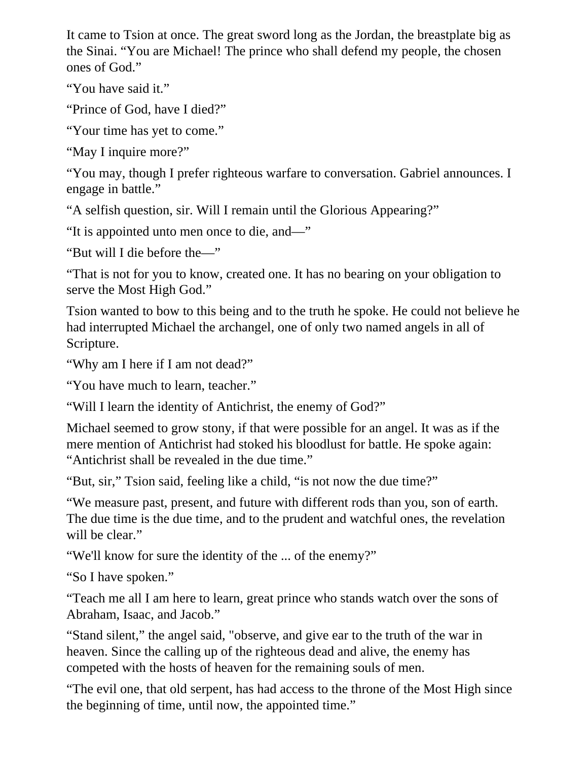It came to Tsion at once. The great sword long as the Jordan, the breastplate big as the Sinai. "You are Michael! The prince who shall defend my people, the chosen ones of God."

"You have said it."

"Prince of God, have I died?"

"Your time has yet to come."

"May I inquire more?"

"You may, though I prefer righteous warfare to conversation. Gabriel announces. I engage in battle."

"A selfish question, sir. Will I remain until the Glorious Appearing?"

"It is appointed unto men once to die, and—"

"But will I die before the—"

"That is not for you to know, created one. It has no bearing on your obligation to serve the Most High God."

Tsion wanted to bow to this being and to the truth he spoke. He could not believe he had interrupted Michael the archangel, one of only two named angels in all of Scripture.

"Why am I here if I am not dead?"

"You have much to learn, teacher."

"Will I learn the identity of Antichrist, the enemy of God?"

Michael seemed to grow stony, if that were possible for an angel. It was as if the mere mention of Antichrist had stoked his bloodlust for battle. He spoke again: "Antichrist shall be revealed in the due time."

"But, sir," Tsion said, feeling like a child, "is not now the due time?"

"We measure past, present, and future with different rods than you, son of earth. The due time is the due time, and to the prudent and watchful ones, the revelation will be clear."

"We'll know for sure the identity of the ... of the enemy?"

"So I have spoken."

"Teach me all I am here to learn, great prince who stands watch over the sons of Abraham, Isaac, and Jacob."

"Stand silent," the angel said, "observe, and give ear to the truth of the war in heaven. Since the calling up of the righteous dead and alive, the enemy has competed with the hosts of heaven for the remaining souls of men.

"The evil one, that old serpent, has had access to the throne of the Most High since the beginning of time, until now, the appointed time."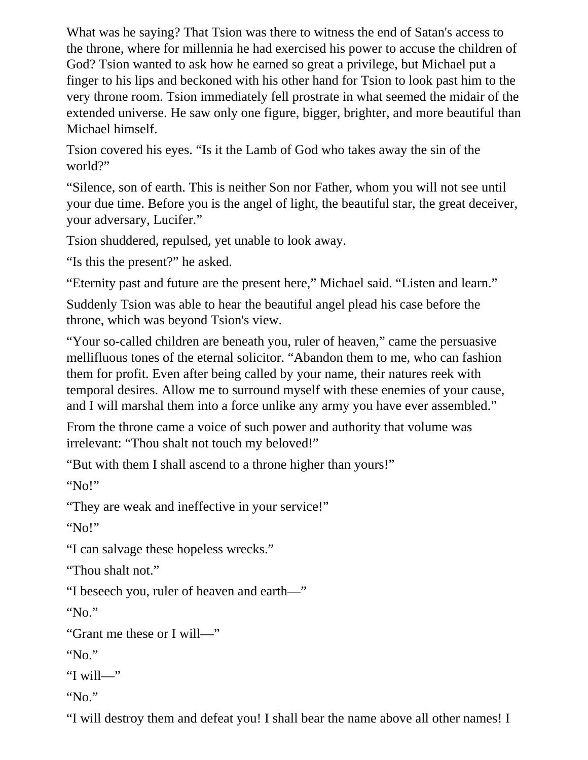What was he saying? That Tsion was there to witness the end of Satan's access to the throne, where for millennia he had exercised his power to accuse the children of God? Tsion wanted to ask how he earned so great a privilege, but Michael put a finger to his lips and beckoned with his other hand for Tsion to look past him to the very throne room. Tsion immediately fell prostrate in what seemed the midair of the extended universe. He saw only one figure, bigger, brighter, and more beautiful than Michael himself.

Tsion covered his eyes. "Is it the Lamb of God who takes away the sin of the world?"

"Silence, son of earth. This is neither Son nor Father, whom you will not see until your due time. Before you is the angel of light, the beautiful star, the great deceiver, your adversary, Lucifer."

Tsion shuddered, repulsed, yet unable to look away.

"Is this the present?" he asked.

"Eternity past and future are the present here," Michael said. "Listen and learn."

Suddenly Tsion was able to hear the beautiful angel plead his case before the throne, which was beyond Tsion's view.

"Your so-called children are beneath you, ruler of heaven," came the persuasive mellifluous tones of the eternal solicitor. "Abandon them to me, who can fashion them for profit. Even after being called by your name, their natures reek with temporal desires. Allow me to surround myself with these enemies of your cause, and I will marshal them into a force unlike any army you have ever assembled."

From the throne came a voice of such power and authority that volume was irrelevant: "Thou shalt not touch my beloved!"

"But with them I shall ascend to a throne higher than yours!"

"No!"

"They are weak and ineffective in your service!"

"No!"

"I can salvage these hopeless wrecks."

"Thou shalt not."

"I beseech you, ruler of heaven and earth—"

"No."

"Grant me these or I will—"

"No."

"I will—"

"No."

"I will destroy them and defeat you! I shall bear the name above all other names! I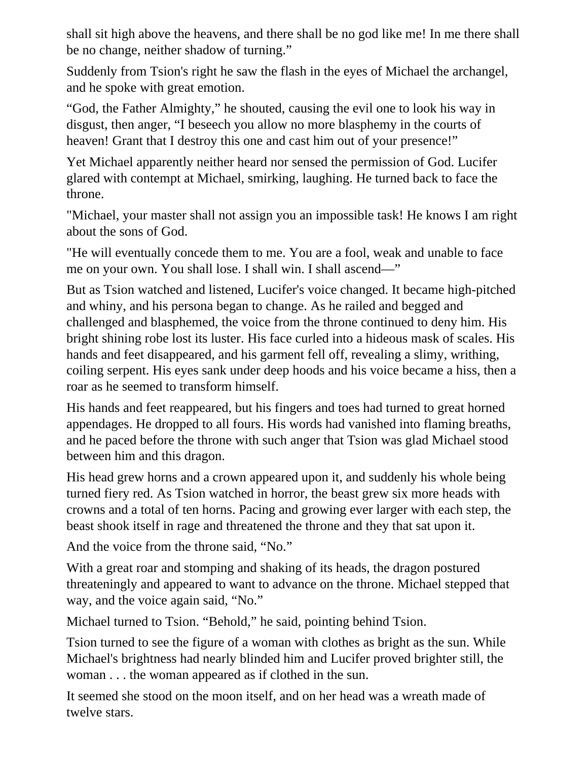shall sit high above the heavens, and there shall be no god like me! In me there shall be no change, neither shadow of turning."

Suddenly from Tsion's right he saw the flash in the eyes of Michael the archangel, and he spoke with great emotion.

"God, the Father Almighty," he shouted, causing the evil one to look his way in disgust, then anger, "I beseech you allow no more blasphemy in the courts of heaven! Grant that I destroy this one and cast him out of your presence!"

Yet Michael apparently neither heard nor sensed the permission of God. Lucifer glared with contempt at Michael, smirking, laughing. He turned back to face the throne.

"Michael, your master shall not assign you an impossible task! He knows I am right about the sons of God.

"He will eventually concede them to me. You are a fool, weak and unable to face me on your own. You shall lose. I shall win. I shall ascend—"

But as Tsion watched and listened, Lucifer's voice changed. It became high-pitched and whiny, and his persona began to change. As he railed and begged and challenged and blasphemed, the voice from the throne continued to deny him. His bright shining robe lost its luster. His face curled into a hideous mask of scales. His hands and feet disappeared, and his garment fell off, revealing a slimy, writhing, coiling serpent. His eyes sank under deep hoods and his voice became a hiss, then a roar as he seemed to transform himself.

His hands and feet reappeared, but his fingers and toes had turned to great horned appendages. He dropped to all fours. His words had vanished into flaming breaths, and he paced before the throne with such anger that Tsion was glad Michael stood between him and this dragon.

His head grew horns and a crown appeared upon it, and suddenly his whole being turned fiery red. As Tsion watched in horror, the beast grew six more heads with crowns and a total of ten horns. Pacing and growing ever larger with each step, the beast shook itself in rage and threatened the throne and they that sat upon it.

And the voice from the throne said, "No."

With a great roar and stomping and shaking of its heads, the dragon postured threateningly and appeared to want to advance on the throne. Michael stepped that way, and the voice again said, "No."

Michael turned to Tsion. "Behold," he said, pointing behind Tsion.

Tsion turned to see the figure of a woman with clothes as bright as the sun. While Michael's brightness had nearly blinded him and Lucifer proved brighter still, the woman . . . the woman appeared as if clothed in the sun.

It seemed she stood on the moon itself, and on her head was a wreath made of twelve stars.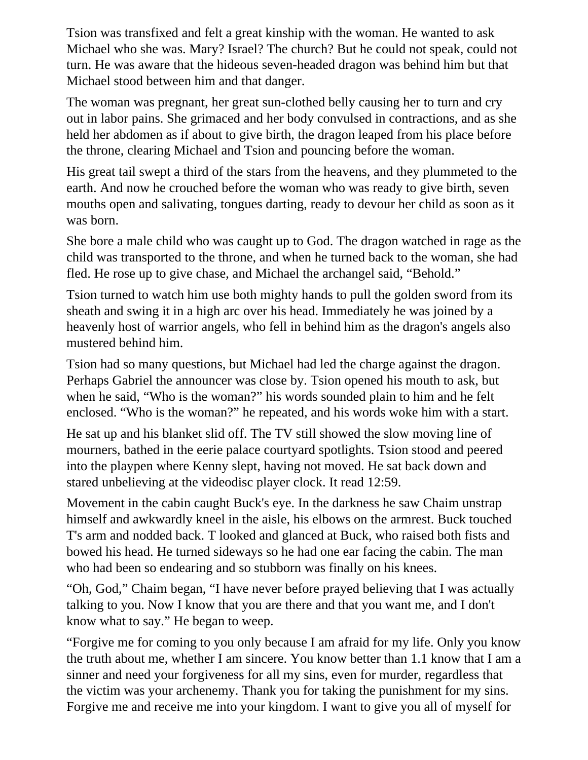Tsion was transfixed and felt a great kinship with the woman. He wanted to ask Michael who she was. Mary? Israel? The church? But he could not speak, could not turn. He was aware that the hideous seven-headed dragon was behind him but that Michael stood between him and that danger.

The woman was pregnant, her great sun-clothed belly causing her to turn and cry out in labor pains. She grimaced and her body convulsed in contractions, and as she held her abdomen as if about to give birth, the dragon leaped from his place before the throne, clearing Michael and Tsion and pouncing before the woman.

His great tail swept a third of the stars from the heavens, and they plummeted to the earth. And now he crouched before the woman who was ready to give birth, seven mouths open and salivating, tongues darting, ready to devour her child as soon as it was born.

She bore a male child who was caught up to God. The dragon watched in rage as the child was transported to the throne, and when he turned back to the woman, she had fled. He rose up to give chase, and Michael the archangel said, "Behold."

Tsion turned to watch him use both mighty hands to pull the golden sword from its sheath and swing it in a high arc over his head. Immediately he was joined by a heavenly host of warrior angels, who fell in behind him as the dragon's angels also mustered behind him.

Tsion had so many questions, but Michael had led the charge against the dragon. Perhaps Gabriel the announcer was close by. Tsion opened his mouth to ask, but when he said, "Who is the woman?" his words sounded plain to him and he felt enclosed. "Who is the woman?" he repeated, and his words woke him with a start.

He sat up and his blanket slid off. The TV still showed the slow moving line of mourners, bathed in the eerie palace courtyard spotlights. Tsion stood and peered into the playpen where Kenny slept, having not moved. He sat back down and stared unbelieving at the videodisc player clock. It read 12:59.

Movement in the cabin caught Buck's eye. In the darkness he saw Chaim unstrap himself and awkwardly kneel in the aisle, his elbows on the armrest. Buck touched T's arm and nodded back. T looked and glanced at Buck, who raised both fists and bowed his head. He turned sideways so he had one ear facing the cabin. The man who had been so endearing and so stubborn was finally on his knees.

"Oh, God," Chaim began, "I have never before prayed believing that I was actually talking to you. Now I know that you are there and that you want me, and I don't know what to say." He began to weep.

"Forgive me for coming to you only because I am afraid for my life. Only you know the truth about me, whether I am sincere. You know better than 1.1 know that I am a sinner and need your forgiveness for all my sins, even for murder, regardless that the victim was your archenemy. Thank you for taking the punishment for my sins. Forgive me and receive me into your kingdom. I want to give you all of myself for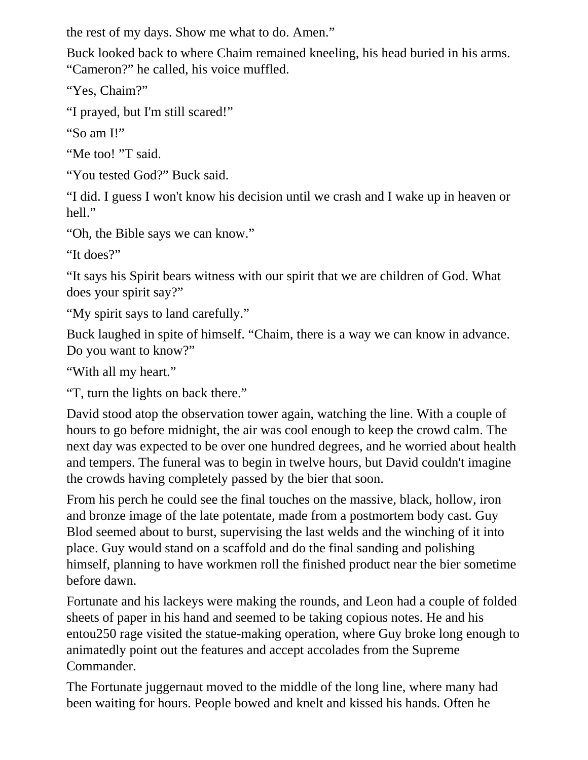the rest of my days. Show me what to do. Amen."

Buck looked back to where Chaim remained kneeling, his head buried in his arms. "Cameron?" he called, his voice muffled.

"Yes, Chaim?"

"I prayed, but I'm still scared!"

"So am I!"

"Me too! "T said.

"You tested God?" Buck said.

"I did. I guess I won't know his decision until we crash and I wake up in heaven or hell."

"Oh, the Bible says we can know."

"It does?"

"It says his Spirit bears witness with our spirit that we are children of God. What does your spirit say?"

"My spirit says to land carefully."

Buck laughed in spite of himself. "Chaim, there is a way we can know in advance. Do you want to know?"

"With all my heart."

"T, turn the lights on back there."

David stood atop the observation tower again, watching the line. With a couple of hours to go before midnight, the air was cool enough to keep the crowd calm. The next day was expected to be over one hundred degrees, and he worried about health and tempers. The funeral was to begin in twelve hours, but David couldn't imagine the crowds having completely passed by the bier that soon.

From his perch he could see the final touches on the massive, black, hollow, iron and bronze image of the late potentate, made from a postmortem body cast. Guy Blod seemed about to burst, supervising the last welds and the winching of it into place. Guy would stand on a scaffold and do the final sanding and polishing himself, planning to have workmen roll the finished product near the bier sometime before dawn.

Fortunate and his lackeys were making the rounds, and Leon had a couple of folded sheets of paper in his hand and seemed to be taking copious notes. He and his entou250 rage visited the statue-making operation, where Guy broke long enough to animatedly point out the features and accept accolades from the Supreme Commander.

The Fortunate juggernaut moved to the middle of the long line, where many had been waiting for hours. People bowed and knelt and kissed his hands. Often he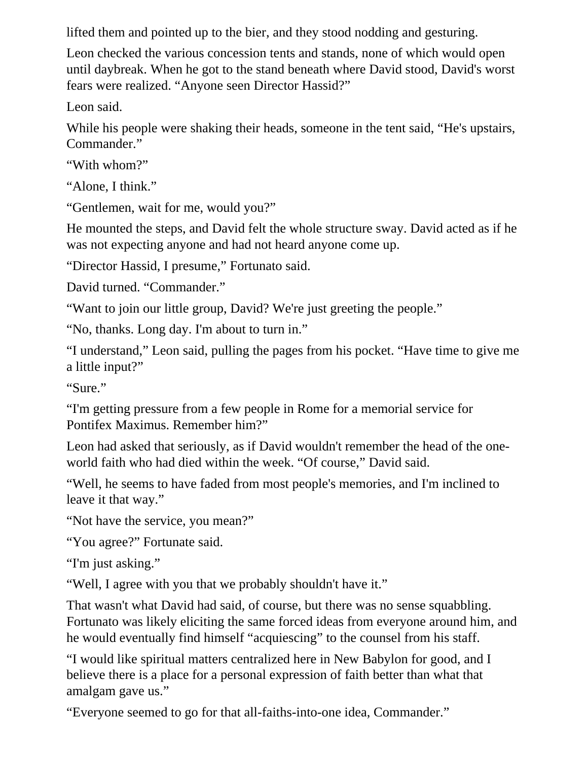lifted them and pointed up to the bier, and they stood nodding and gesturing.

Leon checked the various concession tents and stands, none of which would open until daybreak. When he got to the stand beneath where David stood, David's worst fears were realized. "Anyone seen Director Hassid?"

Leon said.

While his people were shaking their heads, someone in the tent said, "He's upstairs, Commander."

"With whom?"

"Alone, I think."

"Gentlemen, wait for me, would you?"

He mounted the steps, and David felt the whole structure sway. David acted as if he was not expecting anyone and had not heard anyone come up.

"Director Hassid, I presume," Fortunato said.

David turned. "Commander."

"Want to join our little group, David? We're just greeting the people."

"No, thanks. Long day. I'm about to turn in."

"I understand," Leon said, pulling the pages from his pocket. "Have time to give me a little input?"

"Sure."

"I'm getting pressure from a few people in Rome for a memorial service for Pontifex Maximus. Remember him?"

Leon had asked that seriously, as if David wouldn't remember the head of the oneworld faith who had died within the week. "Of course," David said.

"Well, he seems to have faded from most people's memories, and I'm inclined to leave it that way."

"Not have the service, you mean?"

"You agree?" Fortunate said.

"I'm just asking."

"Well, I agree with you that we probably shouldn't have it."

That wasn't what David had said, of course, but there was no sense squabbling. Fortunato was likely eliciting the same forced ideas from everyone around him, and he would eventually find himself "acquiescing" to the counsel from his staff.

"I would like spiritual matters centralized here in New Babylon for good, and I believe there is a place for a personal expression of faith better than what that amalgam gave us."

"Everyone seemed to go for that all-faiths-into-one idea, Commander."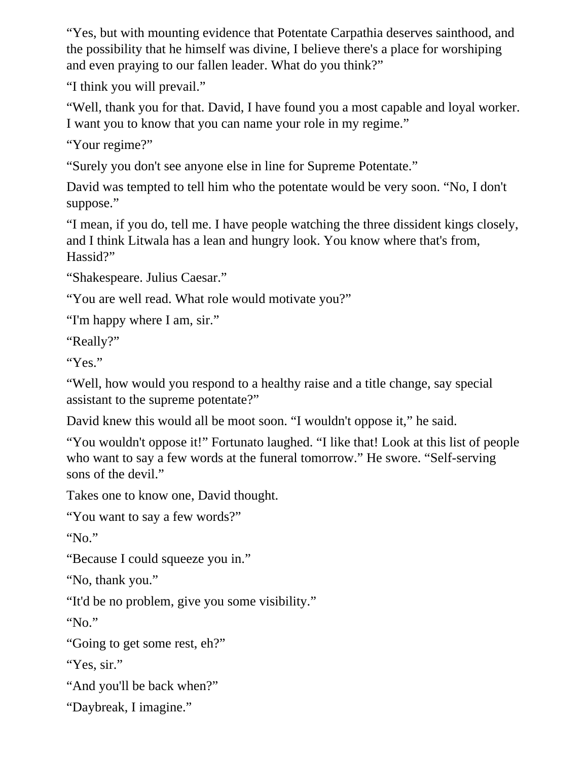"Yes, but with mounting evidence that Potentate Carpathia deserves sainthood, and the possibility that he himself was divine, I believe there's a place for worshiping and even praying to our fallen leader. What do you think?"

"I think you will prevail."

"Well, thank you for that. David, I have found you a most capable and loyal worker. I want you to know that you can name your role in my regime."

"Your regime?"

"Surely you don't see anyone else in line for Supreme Potentate."

David was tempted to tell him who the potentate would be very soon. "No, I don't suppose."

"I mean, if you do, tell me. I have people watching the three dissident kings closely, and I think Litwala has a lean and hungry look. You know where that's from, Hassid?"

"Shakespeare. Julius Caesar."

"You are well read. What role would motivate you?"

"I'm happy where I am, sir."

"Really?"

"Yes."

"Well, how would you respond to a healthy raise and a title change, say special assistant to the supreme potentate?"

David knew this would all be moot soon. "I wouldn't oppose it," he said.

"You wouldn't oppose it!" Fortunato laughed. "I like that! Look at this list of people who want to say a few words at the funeral tomorrow." He swore. "Self-serving sons of the devil."

Takes one to know one, David thought.

"You want to say a few words?"

"No."

"Because I could squeeze you in."

"No, thank you."

"It'd be no problem, give you some visibility."

"No."

"Going to get some rest, eh?"

"Yes, sir."

"And you'll be back when?"

"Daybreak, I imagine."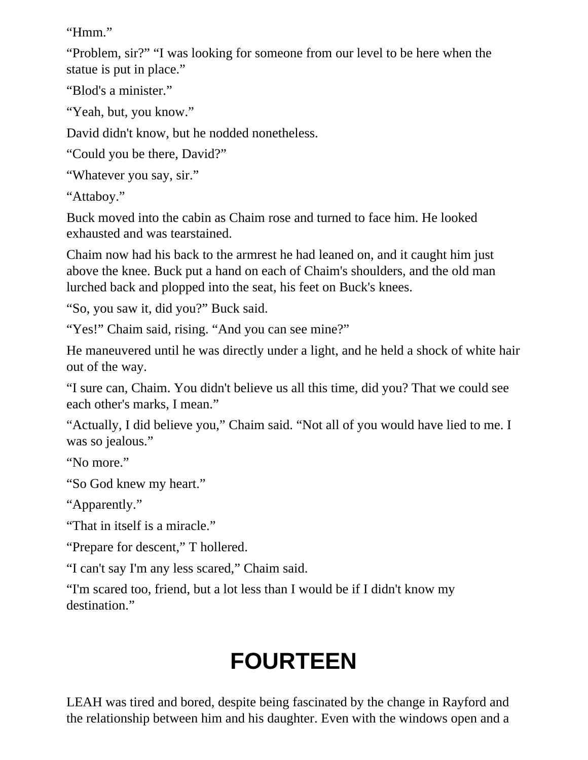"Hmm."

"Problem, sir?" "I was looking for someone from our level to be here when the statue is put in place."

"Blod's a minister."

"Yeah, but, you know."

David didn't know, but he nodded nonetheless.

"Could you be there, David?"

"Whatever you say, sir."

"Attaboy."

Buck moved into the cabin as Chaim rose and turned to face him. He looked exhausted and was tearstained.

Chaim now had his back to the armrest he had leaned on, and it caught him just above the knee. Buck put a hand on each of Chaim's shoulders, and the old man lurched back and plopped into the seat, his feet on Buck's knees.

"So, you saw it, did you?" Buck said.

"Yes!" Chaim said, rising. "And you can see mine?"

He maneuvered until he was directly under a light, and he held a shock of white hair out of the way.

"I sure can, Chaim. You didn't believe us all this time, did you? That we could see each other's marks, I mean."

"Actually, I did believe you," Chaim said. "Not all of you would have lied to me. I was so jealous."

"No more."

"So God knew my heart."

"Apparently."

"That in itself is a miracle."

"Prepare for descent," T hollered.

"I can't say I'm any less scared," Chaim said.

"I'm scared too, friend, but a lot less than I would be if I didn't know my destination."

## **FOURTEEN**

LEAH was tired and bored, despite being fascinated by the change in Rayford and the relationship between him and his daughter. Even with the windows open and a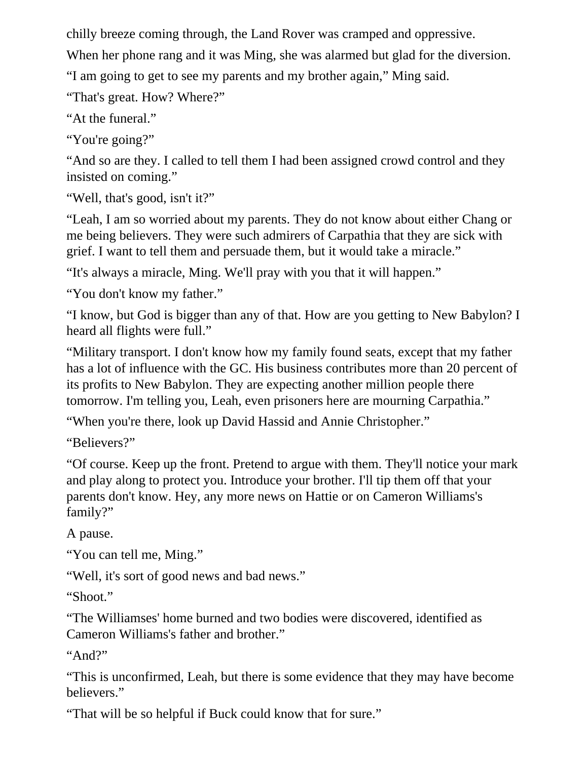chilly breeze coming through, the Land Rover was cramped and oppressive.

When her phone rang and it was Ming, she was alarmed but glad for the diversion.

"I am going to get to see my parents and my brother again," Ming said.

"That's great. How? Where?"

"At the funeral."

"You're going?"

"And so are they. I called to tell them I had been assigned crowd control and they insisted on coming."

"Well, that's good, isn't it?"

"Leah, I am so worried about my parents. They do not know about either Chang or me being believers. They were such admirers of Carpathia that they are sick with grief. I want to tell them and persuade them, but it would take a miracle."

"It's always a miracle, Ming. We'll pray with you that it will happen."

"You don't know my father."

"I know, but God is bigger than any of that. How are you getting to New Babylon? I heard all flights were full."

"Military transport. I don't know how my family found seats, except that my father has a lot of influence with the GC. His business contributes more than 20 percent of its profits to New Babylon. They are expecting another million people there tomorrow. I'm telling you, Leah, even prisoners here are mourning Carpathia."

"When you're there, look up David Hassid and Annie Christopher."

"Believers?"

"Of course. Keep up the front. Pretend to argue with them. They'll notice your mark and play along to protect you. Introduce your brother. I'll tip them off that your parents don't know. Hey, any more news on Hattie or on Cameron Williams's family?"

A pause.

"You can tell me, Ming."

"Well, it's sort of good news and bad news."

"Shoot."

"The Williamses' home burned and two bodies were discovered, identified as Cameron Williams's father and brother."

"And?"

"This is unconfirmed, Leah, but there is some evidence that they may have become believers."

"That will be so helpful if Buck could know that for sure."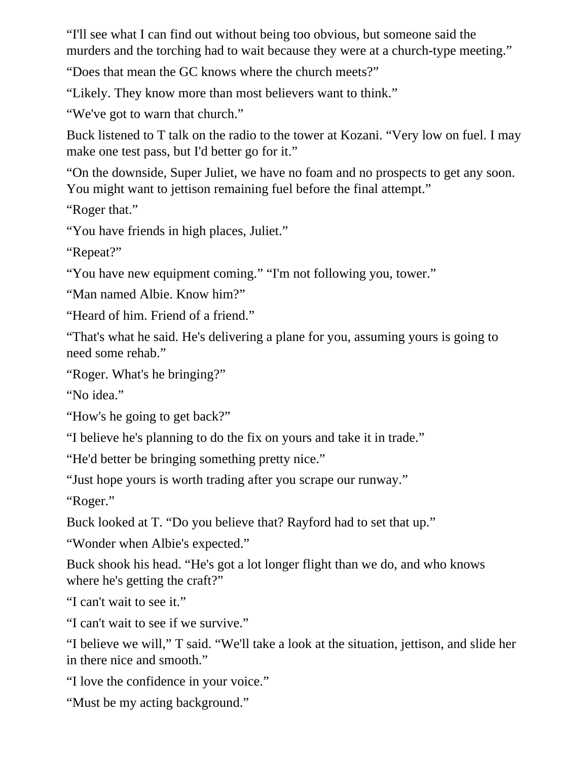"I'll see what I can find out without being too obvious, but someone said the murders and the torching had to wait because they were at a church-type meeting."

"Does that mean the GC knows where the church meets?"

"Likely. They know more than most believers want to think."

"We've got to warn that church."

Buck listened to T talk on the radio to the tower at Kozani. "Very low on fuel. I may make one test pass, but I'd better go for it."

"On the downside, Super Juliet, we have no foam and no prospects to get any soon. You might want to jettison remaining fuel before the final attempt."

"Roger that."

"You have friends in high places, Juliet."

"Repeat?"

"You have new equipment coming." "I'm not following you, tower."

"Man named Albie. Know him?"

"Heard of him. Friend of a friend."

"That's what he said. He's delivering a plane for you, assuming yours is going to need some rehab."

"Roger. What's he bringing?"

"No idea."

"How's he going to get back?"

"I believe he's planning to do the fix on yours and take it in trade."

"He'd better be bringing something pretty nice."

"Just hope yours is worth trading after you scrape our runway."

"Roger."

Buck looked at T. "Do you believe that? Rayford had to set that up."

"Wonder when Albie's expected."

Buck shook his head. "He's got a lot longer flight than we do, and who knows where he's getting the craft?"

"I can't wait to see it."

"I can't wait to see if we survive."

"I believe we will," T said. "We'll take a look at the situation, jettison, and slide her in there nice and smooth."

"I love the confidence in your voice."

"Must be my acting background."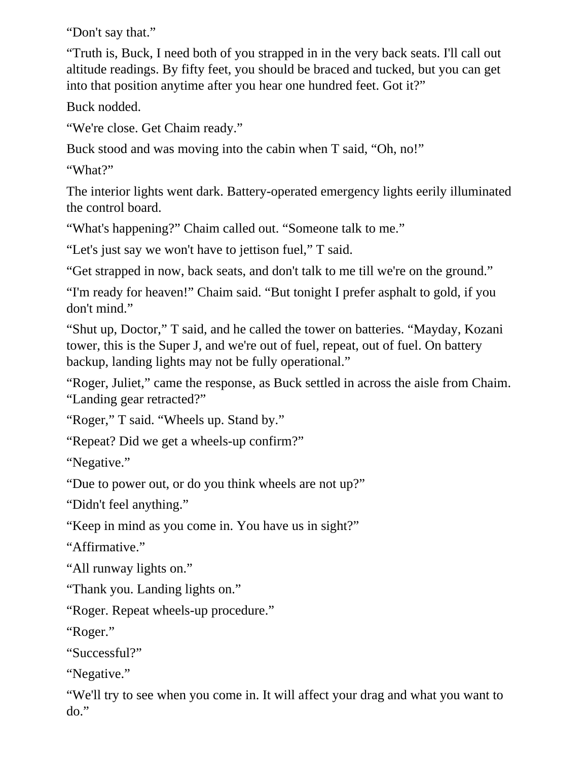"Don't say that."

"Truth is, Buck, I need both of you strapped in in the very back seats. I'll call out altitude readings. By fifty feet, you should be braced and tucked, but you can get into that position anytime after you hear one hundred feet. Got it?"

Buck nodded.

"We're close. Get Chaim ready."

Buck stood and was moving into the cabin when T said, "Oh, no!"

"What?"

The interior lights went dark. Battery-operated emergency lights eerily illuminated the control board.

"What's happening?" Chaim called out. "Someone talk to me."

"Let's just say we won't have to jettison fuel," T said.

"Get strapped in now, back seats, and don't talk to me till we're on the ground."

"I'm ready for heaven!" Chaim said. "But tonight I prefer asphalt to gold, if you don't mind."

"Shut up, Doctor," T said, and he called the tower on batteries. "Mayday, Kozani tower, this is the Super J, and we're out of fuel, repeat, out of fuel. On battery backup, landing lights may not be fully operational."

"Roger, Juliet," came the response, as Buck settled in across the aisle from Chaim. "Landing gear retracted?"

"Roger," T said. "Wheels up. Stand by."

"Repeat? Did we get a wheels-up confirm?"

"Negative."

"Due to power out, or do you think wheels are not up?"

"Didn't feel anything."

"Keep in mind as you come in. You have us in sight?"

"Affirmative."

"All runway lights on."

"Thank you. Landing lights on."

"Roger. Repeat wheels-up procedure."

"Roger."

"Successful?"

"Negative."

"We'll try to see when you come in. It will affect your drag and what you want to do."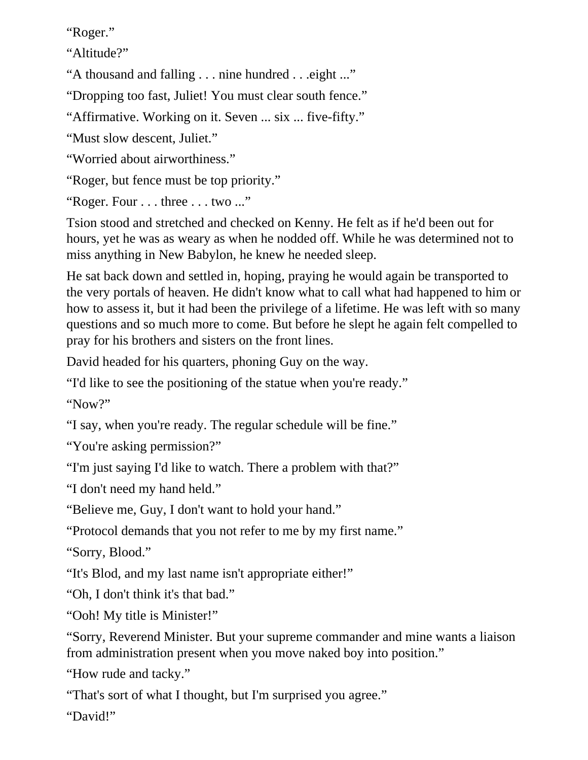"Roger."

"Altitude?"

"A thousand and falling . . . nine hundred . . .eight ..."

"Dropping too fast, Juliet! You must clear south fence."

"Affirmative. Working on it. Seven ... six ... five-fifty."

"Must slow descent, Juliet."

"Worried about airworthiness."

"Roger, but fence must be top priority."

"Roger. Four . . . three . . . two ..."

Tsion stood and stretched and checked on Kenny. He felt as if he'd been out for hours, yet he was as weary as when he nodded off. While he was determined not to miss anything in New Babylon, he knew he needed sleep.

He sat back down and settled in, hoping, praying he would again be transported to the very portals of heaven. He didn't know what to call what had happened to him or how to assess it, but it had been the privilege of a lifetime. He was left with so many questions and so much more to come. But before he slept he again felt compelled to pray for his brothers and sisters on the front lines.

David headed for his quarters, phoning Guy on the way.

"I'd like to see the positioning of the statue when you're ready."

"Now?"

"I say, when you're ready. The regular schedule will be fine."

"You're asking permission?"

"I'm just saying I'd like to watch. There a problem with that?"

"I don't need my hand held."

"Believe me, Guy, I don't want to hold your hand."

"Protocol demands that you not refer to me by my first name."

"Sorry, Blood."

"It's Blod, and my last name isn't appropriate either!"

"Oh, I don't think it's that bad."

"Ooh! My title is Minister!"

"Sorry, Reverend Minister. But your supreme commander and mine wants a liaison from administration present when you move naked boy into position."

"How rude and tacky."

"That's sort of what I thought, but I'm surprised you agree."

"David!"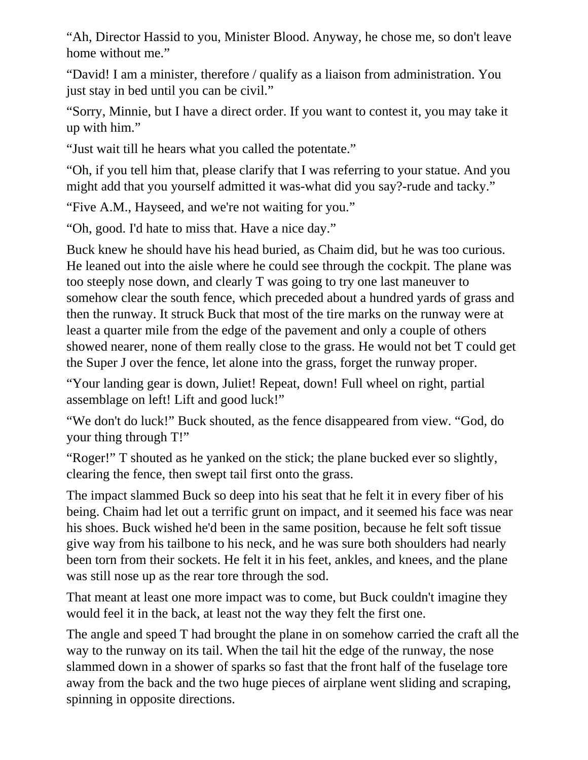"Ah, Director Hassid to you, Minister Blood. Anyway, he chose me, so don't leave home without me."

"David! I am a minister, therefore / qualify as a liaison from administration. You just stay in bed until you can be civil."

"Sorry, Minnie, but I have a direct order. If you want to contest it, you may take it up with him."

"Just wait till he hears what you called the potentate."

"Oh, if you tell him that, please clarify that I was referring to your statue. And you might add that you yourself admitted it was-what did you say?-rude and tacky."

"Five A.M., Hayseed, and we're not waiting for you."

"Oh, good. I'd hate to miss that. Have a nice day."

Buck knew he should have his head buried, as Chaim did, but he was too curious. He leaned out into the aisle where he could see through the cockpit. The plane was too steeply nose down, and clearly T was going to try one last maneuver to somehow clear the south fence, which preceded about a hundred yards of grass and then the runway. It struck Buck that most of the tire marks on the runway were at least a quarter mile from the edge of the pavement and only a couple of others showed nearer, none of them really close to the grass. He would not bet T could get the Super J over the fence, let alone into the grass, forget the runway proper.

"Your landing gear is down, Juliet! Repeat, down! Full wheel on right, partial assemblage on left! Lift and good luck!"

"We don't do luck!" Buck shouted, as the fence disappeared from view. "God, do your thing through T!"

"Roger!" T shouted as he yanked on the stick; the plane bucked ever so slightly, clearing the fence, then swept tail first onto the grass.

The impact slammed Buck so deep into his seat that he felt it in every fiber of his being. Chaim had let out a terrific grunt on impact, and it seemed his face was near his shoes. Buck wished he'd been in the same position, because he felt soft tissue give way from his tailbone to his neck, and he was sure both shoulders had nearly been torn from their sockets. He felt it in his feet, ankles, and knees, and the plane was still nose up as the rear tore through the sod.

That meant at least one more impact was to come, but Buck couldn't imagine they would feel it in the back, at least not the way they felt the first one.

The angle and speed T had brought the plane in on somehow carried the craft all the way to the runway on its tail. When the tail hit the edge of the runway, the nose slammed down in a shower of sparks so fast that the front half of the fuselage tore away from the back and the two huge pieces of airplane went sliding and scraping, spinning in opposite directions.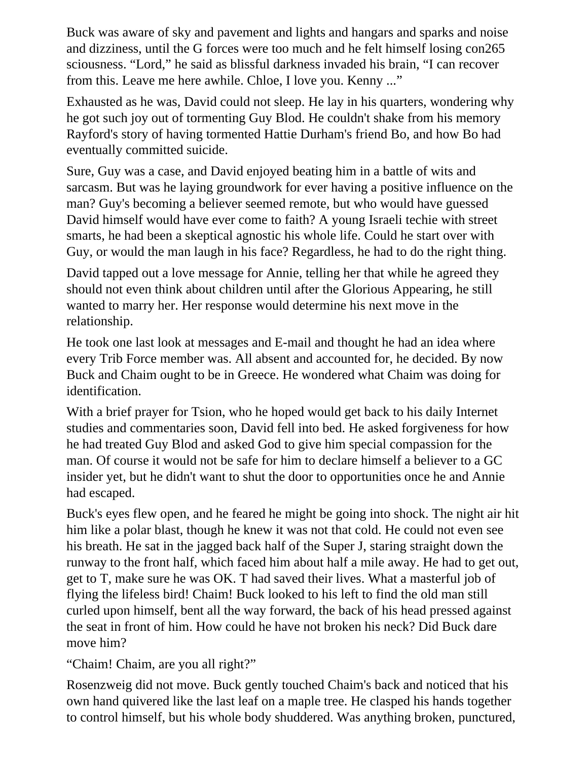Buck was aware of sky and pavement and lights and hangars and sparks and noise and dizziness, until the G forces were too much and he felt himself losing con265 sciousness. "Lord," he said as blissful darkness invaded his brain, "I can recover from this. Leave me here awhile. Chloe, I love you. Kenny ..."

Exhausted as he was, David could not sleep. He lay in his quarters, wondering why he got such joy out of tormenting Guy Blod. He couldn't shake from his memory Rayford's story of having tormented Hattie Durham's friend Bo, and how Bo had eventually committed suicide.

Sure, Guy was a case, and David enjoyed beating him in a battle of wits and sarcasm. But was he laying groundwork for ever having a positive influence on the man? Guy's becoming a believer seemed remote, but who would have guessed David himself would have ever come to faith? A young Israeli techie with street smarts, he had been a skeptical agnostic his whole life. Could he start over with Guy, or would the man laugh in his face? Regardless, he had to do the right thing.

David tapped out a love message for Annie, telling her that while he agreed they should not even think about children until after the Glorious Appearing, he still wanted to marry her. Her response would determine his next move in the relationship.

He took one last look at messages and E-mail and thought he had an idea where every Trib Force member was. All absent and accounted for, he decided. By now Buck and Chaim ought to be in Greece. He wondered what Chaim was doing for identification.

With a brief prayer for Tsion, who he hoped would get back to his daily Internet studies and commentaries soon, David fell into bed. He asked forgiveness for how he had treated Guy Blod and asked God to give him special compassion for the man. Of course it would not be safe for him to declare himself a believer to a GC insider yet, but he didn't want to shut the door to opportunities once he and Annie had escaped.

Buck's eyes flew open, and he feared he might be going into shock. The night air hit him like a polar blast, though he knew it was not that cold. He could not even see his breath. He sat in the jagged back half of the Super J, staring straight down the runway to the front half, which faced him about half a mile away. He had to get out, get to T, make sure he was OK. T had saved their lives. What a masterful job of flying the lifeless bird! Chaim! Buck looked to his left to find the old man still curled upon himself, bent all the way forward, the back of his head pressed against the seat in front of him. How could he have not broken his neck? Did Buck dare move him?

"Chaim! Chaim, are you all right?"

Rosenzweig did not move. Buck gently touched Chaim's back and noticed that his own hand quivered like the last leaf on a maple tree. He clasped his hands together to control himself, but his whole body shuddered. Was anything broken, punctured,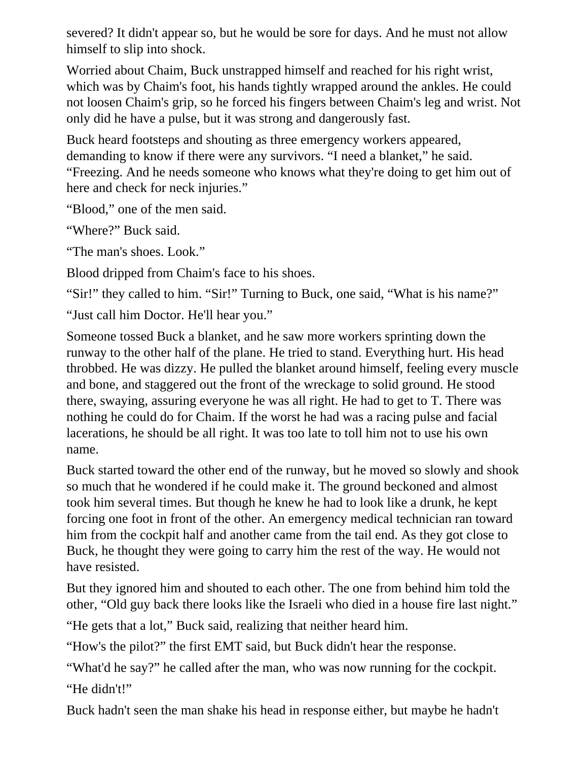severed? It didn't appear so, but he would be sore for days. And he must not allow himself to slip into shock.

Worried about Chaim, Buck unstrapped himself and reached for his right wrist, which was by Chaim's foot, his hands tightly wrapped around the ankles. He could not loosen Chaim's grip, so he forced his fingers between Chaim's leg and wrist. Not only did he have a pulse, but it was strong and dangerously fast.

Buck heard footsteps and shouting as three emergency workers appeared, demanding to know if there were any survivors. "I need a blanket," he said. "Freezing. And he needs someone who knows what they're doing to get him out of here and check for neck injuries."

"Blood," one of the men said.

"Where?" Buck said.

"The man's shoes. Look."

Blood dripped from Chaim's face to his shoes.

"Sir!" they called to him. "Sir!" Turning to Buck, one said, "What is his name?"

"Just call him Doctor. He'll hear you."

Someone tossed Buck a blanket, and he saw more workers sprinting down the runway to the other half of the plane. He tried to stand. Everything hurt. His head throbbed. He was dizzy. He pulled the blanket around himself, feeling every muscle and bone, and staggered out the front of the wreckage to solid ground. He stood there, swaying, assuring everyone he was all right. He had to get to T. There was nothing he could do for Chaim. If the worst he had was a racing pulse and facial lacerations, he should be all right. It was too late to toll him not to use his own name.

Buck started toward the other end of the runway, but he moved so slowly and shook so much that he wondered if he could make it. The ground beckoned and almost took him several times. But though he knew he had to look like a drunk, he kept forcing one foot in front of the other. An emergency medical technician ran toward him from the cockpit half and another came from the tail end. As they got close to Buck, he thought they were going to carry him the rest of the way. He would not have resisted.

But they ignored him and shouted to each other. The one from behind him told the other, "Old guy back there looks like the Israeli who died in a house fire last night."

"He gets that a lot," Buck said, realizing that neither heard him.

"How's the pilot?" the first EMT said, but Buck didn't hear the response.

"What'd he say?" he called after the man, who was now running for the cockpit. "He didn't!"

Buck hadn't seen the man shake his head in response either, but maybe he hadn't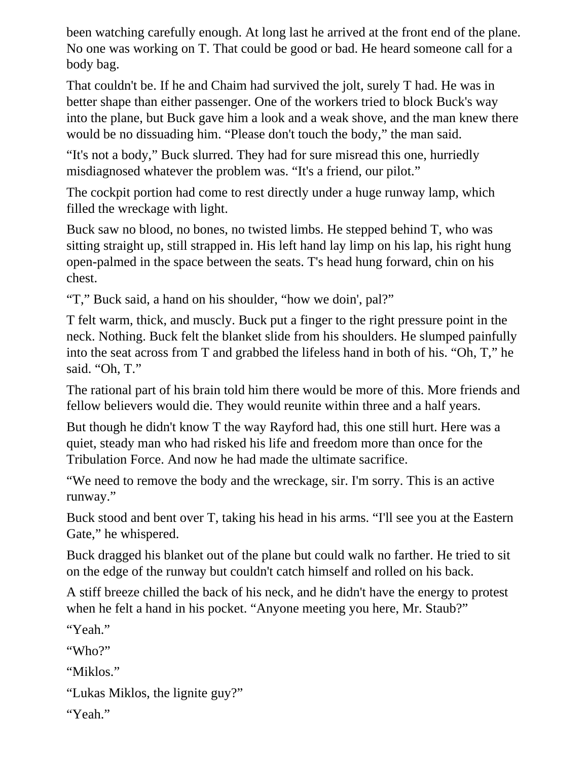been watching carefully enough. At long last he arrived at the front end of the plane. No one was working on T. That could be good or bad. He heard someone call for a body bag.

That couldn't be. If he and Chaim had survived the jolt, surely T had. He was in better shape than either passenger. One of the workers tried to block Buck's way into the plane, but Buck gave him a look and a weak shove, and the man knew there would be no dissuading him. "Please don't touch the body," the man said.

"It's not a body," Buck slurred. They had for sure misread this one, hurriedly misdiagnosed whatever the problem was. "It's a friend, our pilot."

The cockpit portion had come to rest directly under a huge runway lamp, which filled the wreckage with light.

Buck saw no blood, no bones, no twisted limbs. He stepped behind T, who was sitting straight up, still strapped in. His left hand lay limp on his lap, his right hung open-palmed in the space between the seats. T's head hung forward, chin on his chest.

"T," Buck said, a hand on his shoulder, "how we doin', pal?"

T felt warm, thick, and muscly. Buck put a finger to the right pressure point in the neck. Nothing. Buck felt the blanket slide from his shoulders. He slumped painfully into the seat across from T and grabbed the lifeless hand in both of his. "Oh, T," he said. "Oh, T."

The rational part of his brain told him there would be more of this. More friends and fellow believers would die. They would reunite within three and a half years.

But though he didn't know T the way Rayford had, this one still hurt. Here was a quiet, steady man who had risked his life and freedom more than once for the Tribulation Force. And now he had made the ultimate sacrifice.

"We need to remove the body and the wreckage, sir. I'm sorry. This is an active runway."

Buck stood and bent over T, taking his head in his arms. "I'll see you at the Eastern Gate," he whispered.

Buck dragged his blanket out of the plane but could walk no farther. He tried to sit on the edge of the runway but couldn't catch himself and rolled on his back.

A stiff breeze chilled the back of his neck, and he didn't have the energy to protest when he felt a hand in his pocket. "Anyone meeting you here, Mr. Staub?"

"Yeah."

"Who?"

"Miklos."

```
"Lukas Miklos, the lignite guy?"
```
"Yeah."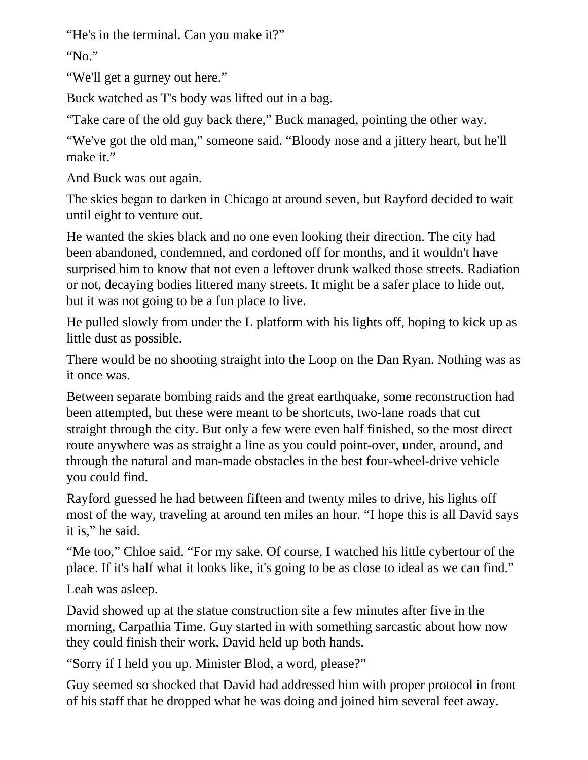"He's in the terminal. Can you make it?"

"No."

"We'll get a gurney out here."

Buck watched as T's body was lifted out in a bag.

"Take care of the old guy back there," Buck managed, pointing the other way.

"We've got the old man," someone said. "Bloody nose and a jittery heart, but he'll make it."

And Buck was out again.

The skies began to darken in Chicago at around seven, but Rayford decided to wait until eight to venture out.

He wanted the skies black and no one even looking their direction. The city had been abandoned, condemned, and cordoned off for months, and it wouldn't have surprised him to know that not even a leftover drunk walked those streets. Radiation or not, decaying bodies littered many streets. It might be a safer place to hide out, but it was not going to be a fun place to live.

He pulled slowly from under the L platform with his lights off, hoping to kick up as little dust as possible.

There would be no shooting straight into the Loop on the Dan Ryan. Nothing was as it once was.

Between separate bombing raids and the great earthquake, some reconstruction had been attempted, but these were meant to be shortcuts, two-lane roads that cut straight through the city. But only a few were even half finished, so the most direct route anywhere was as straight a line as you could point-over, under, around, and through the natural and man-made obstacles in the best four-wheel-drive vehicle you could find.

Rayford guessed he had between fifteen and twenty miles to drive, his lights off most of the way, traveling at around ten miles an hour. "I hope this is all David says it is," he said.

"Me too," Chloe said. "For my sake. Of course, I watched his little cybertour of the place. If it's half what it looks like, it's going to be as close to ideal as we can find."

Leah was asleep.

David showed up at the statue construction site a few minutes after five in the morning, Carpathia Time. Guy started in with something sarcastic about how now they could finish their work. David held up both hands.

"Sorry if I held you up. Minister Blod, a word, please?"

Guy seemed so shocked that David had addressed him with proper protocol in front of his staff that he dropped what he was doing and joined him several feet away.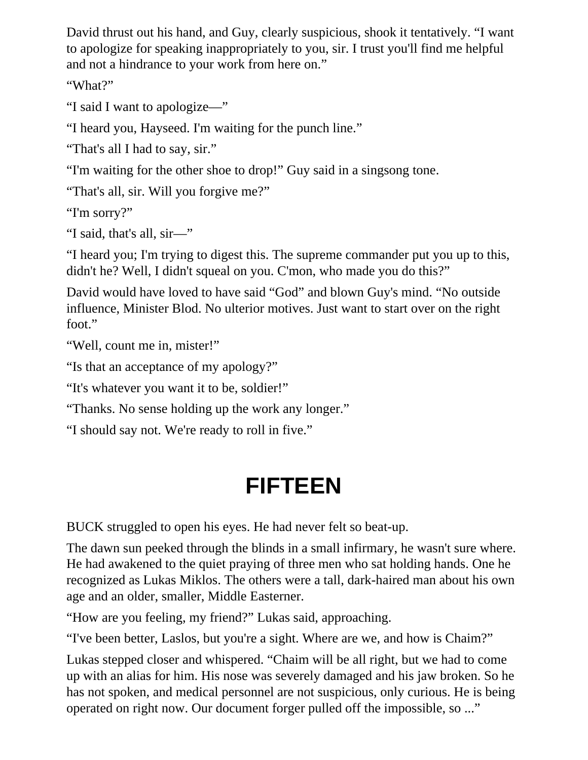David thrust out his hand, and Guy, clearly suspicious, shook it tentatively. "I want to apologize for speaking inappropriately to you, sir. I trust you'll find me helpful and not a hindrance to your work from here on."

"What?"

"I said I want to apologize—"

"I heard you, Hayseed. I'm waiting for the punch line."

"That's all I had to say, sir."

"I'm waiting for the other shoe to drop!" Guy said in a singsong tone.

"That's all, sir. Will you forgive me?"

"I'm sorry?"

"I said, that's all, sir—"

"I heard you; I'm trying to digest this. The supreme commander put you up to this, didn't he? Well, I didn't squeal on you. C'mon, who made you do this?"

David would have loved to have said "God" and blown Guy's mind. "No outside influence, Minister Blod. No ulterior motives. Just want to start over on the right foot."

"Well, count me in, mister!"

"Is that an acceptance of my apology?"

"It's whatever you want it to be, soldier!"

"Thanks. No sense holding up the work any longer."

"I should say not. We're ready to roll in five."

## **FIFTEEN**

BUCK struggled to open his eyes. He had never felt so beat-up.

The dawn sun peeked through the blinds in a small infirmary, he wasn't sure where. He had awakened to the quiet praying of three men who sat holding hands. One he recognized as Lukas Miklos. The others were a tall, dark-haired man about his own age and an older, smaller, Middle Easterner.

"How are you feeling, my friend?" Lukas said, approaching.

"I've been better, Laslos, but you're a sight. Where are we, and how is Chaim?"

Lukas stepped closer and whispered. "Chaim will be all right, but we had to come up with an alias for him. His nose was severely damaged and his jaw broken. So he has not spoken, and medical personnel are not suspicious, only curious. He is being operated on right now. Our document forger pulled off the impossible, so ..."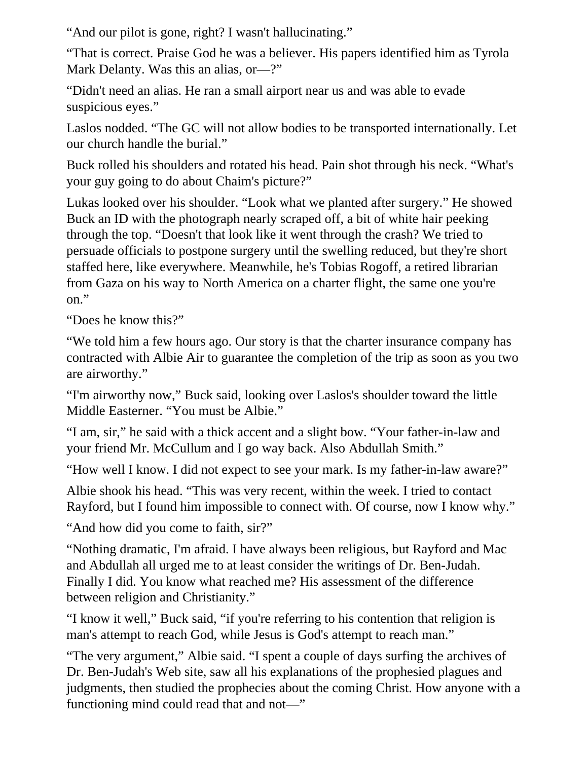"And our pilot is gone, right? I wasn't hallucinating."

"That is correct. Praise God he was a believer. His papers identified him as Tyrola Mark Delanty. Was this an alias, or—?"

"Didn't need an alias. He ran a small airport near us and was able to evade suspicious eyes."

Laslos nodded. "The GC will not allow bodies to be transported internationally. Let our church handle the burial."

Buck rolled his shoulders and rotated his head. Pain shot through his neck. "What's your guy going to do about Chaim's picture?"

Lukas looked over his shoulder. "Look what we planted after surgery." He showed Buck an ID with the photograph nearly scraped off, a bit of white hair peeking through the top. "Doesn't that look like it went through the crash? We tried to persuade officials to postpone surgery until the swelling reduced, but they're short staffed here, like everywhere. Meanwhile, he's Tobias Rogoff, a retired librarian from Gaza on his way to North America on a charter flight, the same one you're on."

"Does he know this?"

"We told him a few hours ago. Our story is that the charter insurance company has contracted with Albie Air to guarantee the completion of the trip as soon as you two are airworthy."

"I'm airworthy now," Buck said, looking over Laslos's shoulder toward the little Middle Easterner. "You must be Albie."

"I am, sir," he said with a thick accent and a slight bow. "Your father-in-law and your friend Mr. McCullum and I go way back. Also Abdullah Smith."

"How well I know. I did not expect to see your mark. Is my father-in-law aware?"

Albie shook his head. "This was very recent, within the week. I tried to contact Rayford, but I found him impossible to connect with. Of course, now I know why."

"And how did you come to faith, sir?"

"Nothing dramatic, I'm afraid. I have always been religious, but Rayford and Mac and Abdullah all urged me to at least consider the writings of Dr. Ben-Judah. Finally I did. You know what reached me? His assessment of the difference between religion and Christianity."

"I know it well," Buck said, "if you're referring to his contention that religion is man's attempt to reach God, while Jesus is God's attempt to reach man."

"The very argument," Albie said. "I spent a couple of days surfing the archives of Dr. Ben-Judah's Web site, saw all his explanations of the prophesied plagues and judgments, then studied the prophecies about the coming Christ. How anyone with a functioning mind could read that and not—"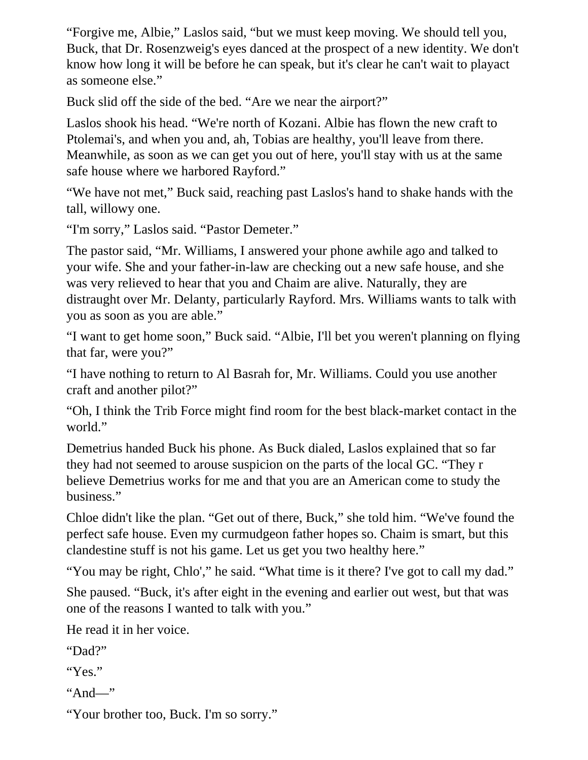"Forgive me, Albie," Laslos said, "but we must keep moving. We should tell you, Buck, that Dr. Rosenzweig's eyes danced at the prospect of a new identity. We don't know how long it will be before he can speak, but it's clear he can't wait to playact as someone else."

Buck slid off the side of the bed. "Are we near the airport?"

Laslos shook his head. "We're north of Kozani. Albie has flown the new craft to Ptolemai's, and when you and, ah, Tobias are healthy, you'll leave from there. Meanwhile, as soon as we can get you out of here, you'll stay with us at the same safe house where we harbored Rayford."

"We have not met," Buck said, reaching past Laslos's hand to shake hands with the tall, willowy one.

"I'm sorry," Laslos said. "Pastor Demeter."

The pastor said, "Mr. Williams, I answered your phone awhile ago and talked to your wife. She and your father-in-law are checking out a new safe house, and she was very relieved to hear that you and Chaim are alive. Naturally, they are distraught over Mr. Delanty, particularly Rayford. Mrs. Williams wants to talk with you as soon as you are able."

"I want to get home soon," Buck said. "Albie, I'll bet you weren't planning on flying that far, were you?"

"I have nothing to return to Al Basrah for, Mr. Williams. Could you use another craft and another pilot?"

"Oh, I think the Trib Force might find room for the best black-market contact in the world."

Demetrius handed Buck his phone. As Buck dialed, Laslos explained that so far they had not seemed to arouse suspicion on the parts of the local GC. "They r believe Demetrius works for me and that you are an American come to study the business."

Chloe didn't like the plan. "Get out of there, Buck," she told him. "We've found the perfect safe house. Even my curmudgeon father hopes so. Chaim is smart, but this clandestine stuff is not his game. Let us get you two healthy here."

"You may be right, Chlo'," he said. "What time is it there? I've got to call my dad." She paused. "Buck, it's after eight in the evening and earlier out west, but that was one of the reasons I wanted to talk with you."

He read it in her voice.

"Dad?"

"Yes."

" $And$ "

"Your brother too, Buck. I'm so sorry."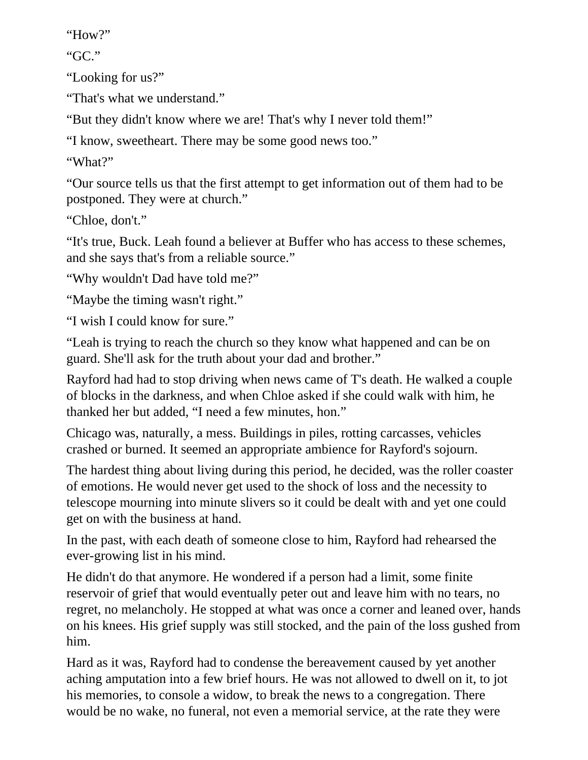"How?"

" $GC$ "

"Looking for us?"

"That's what we understand."

"But they didn't know where we are! That's why I never told them!"

"I know, sweetheart. There may be some good news too."

"What?"

"Our source tells us that the first attempt to get information out of them had to be postponed. They were at church."

"Chloe, don't."

"It's true, Buck. Leah found a believer at Buffer who has access to these schemes, and she says that's from a reliable source."

"Why wouldn't Dad have told me?"

"Maybe the timing wasn't right."

"I wish I could know for sure."

"Leah is trying to reach the church so they know what happened and can be on guard. She'll ask for the truth about your dad and brother."

Rayford had had to stop driving when news came of T's death. He walked a couple of blocks in the darkness, and when Chloe asked if she could walk with him, he thanked her but added, "I need a few minutes, hon."

Chicago was, naturally, a mess. Buildings in piles, rotting carcasses, vehicles crashed or burned. It seemed an appropriate ambience for Rayford's sojourn.

The hardest thing about living during this period, he decided, was the roller coaster of emotions. He would never get used to the shock of loss and the necessity to telescope mourning into minute slivers so it could be dealt with and yet one could get on with the business at hand.

In the past, with each death of someone close to him, Rayford had rehearsed the ever-growing list in his mind.

He didn't do that anymore. He wondered if a person had a limit, some finite reservoir of grief that would eventually peter out and leave him with no tears, no regret, no melancholy. He stopped at what was once a corner and leaned over, hands on his knees. His grief supply was still stocked, and the pain of the loss gushed from him.

Hard as it was, Rayford had to condense the bereavement caused by yet another aching amputation into a few brief hours. He was not allowed to dwell on it, to jot his memories, to console a widow, to break the news to a congregation. There would be no wake, no funeral, not even a memorial service, at the rate they were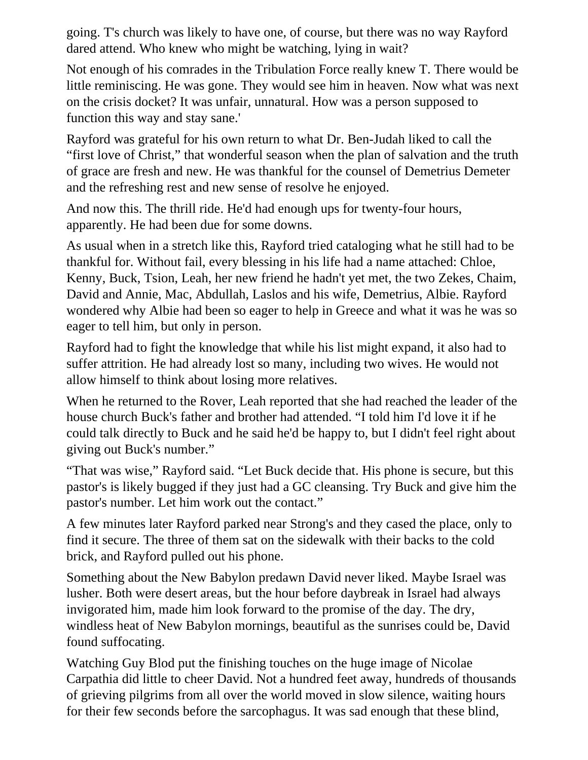going. T's church was likely to have one, of course, but there was no way Rayford dared attend. Who knew who might be watching, lying in wait?

Not enough of his comrades in the Tribulation Force really knew T. There would be little reminiscing. He was gone. They would see him in heaven. Now what was next on the crisis docket? It was unfair, unnatural. How was a person supposed to function this way and stay sane.'

Rayford was grateful for his own return to what Dr. Ben-Judah liked to call the "first love of Christ," that wonderful season when the plan of salvation and the truth of grace are fresh and new. He was thankful for the counsel of Demetrius Demeter and the refreshing rest and new sense of resolve he enjoyed.

And now this. The thrill ride. He'd had enough ups for twenty-four hours, apparently. He had been due for some downs.

As usual when in a stretch like this, Rayford tried cataloging what he still had to be thankful for. Without fail, every blessing in his life had a name attached: Chloe, Kenny, Buck, Tsion, Leah, her new friend he hadn't yet met, the two Zekes, Chaim, David and Annie, Mac, Abdullah, Laslos and his wife, Demetrius, Albie. Rayford wondered why Albie had been so eager to help in Greece and what it was he was so eager to tell him, but only in person.

Rayford had to fight the knowledge that while his list might expand, it also had to suffer attrition. He had already lost so many, including two wives. He would not allow himself to think about losing more relatives.

When he returned to the Rover, Leah reported that she had reached the leader of the house church Buck's father and brother had attended. "I told him I'd love it if he could talk directly to Buck and he said he'd be happy to, but I didn't feel right about giving out Buck's number."

"That was wise," Rayford said. "Let Buck decide that. His phone is secure, but this pastor's is likely bugged if they just had a GC cleansing. Try Buck and give him the pastor's number. Let him work out the contact."

A few minutes later Rayford parked near Strong's and they cased the place, only to find it secure. The three of them sat on the sidewalk with their backs to the cold brick, and Rayford pulled out his phone.

Something about the New Babylon predawn David never liked. Maybe Israel was lusher. Both were desert areas, but the hour before daybreak in Israel had always invigorated him, made him look forward to the promise of the day. The dry, windless heat of New Babylon mornings, beautiful as the sunrises could be, David found suffocating.

Watching Guy Blod put the finishing touches on the huge image of Nicolae Carpathia did little to cheer David. Not a hundred feet away, hundreds of thousands of grieving pilgrims from all over the world moved in slow silence, waiting hours for their few seconds before the sarcophagus. It was sad enough that these blind,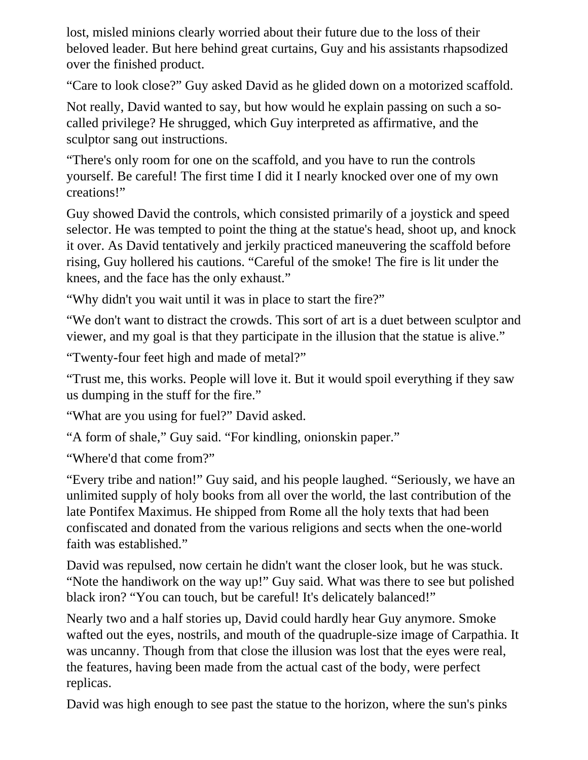lost, misled minions clearly worried about their future due to the loss of their beloved leader. But here behind great curtains, Guy and his assistants rhapsodized over the finished product.

"Care to look close?" Guy asked David as he glided down on a motorized scaffold.

Not really, David wanted to say, but how would he explain passing on such a socalled privilege? He shrugged, which Guy interpreted as affirmative, and the sculptor sang out instructions.

"There's only room for one on the scaffold, and you have to run the controls yourself. Be careful! The first time I did it I nearly knocked over one of my own creations!"

Guy showed David the controls, which consisted primarily of a joystick and speed selector. He was tempted to point the thing at the statue's head, shoot up, and knock it over. As David tentatively and jerkily practiced maneuvering the scaffold before rising, Guy hollered his cautions. "Careful of the smoke! The fire is lit under the knees, and the face has the only exhaust."

"Why didn't you wait until it was in place to start the fire?"

"We don't want to distract the crowds. This sort of art is a duet between sculptor and viewer, and my goal is that they participate in the illusion that the statue is alive."

"Twenty-four feet high and made of metal?"

"Trust me, this works. People will love it. But it would spoil everything if they saw us dumping in the stuff for the fire."

"What are you using for fuel?" David asked.

"A form of shale," Guy said. "For kindling, onionskin paper."

"Where'd that come from?"

"Every tribe and nation!" Guy said, and his people laughed. "Seriously, we have an unlimited supply of holy books from all over the world, the last contribution of the late Pontifex Maximus. He shipped from Rome all the holy texts that had been confiscated and donated from the various religions and sects when the one-world faith was established."

David was repulsed, now certain he didn't want the closer look, but he was stuck. "Note the handiwork on the way up!" Guy said. What was there to see but polished black iron? "You can touch, but be careful! It's delicately balanced!"

Nearly two and a half stories up, David could hardly hear Guy anymore. Smoke wafted out the eyes, nostrils, and mouth of the quadruple-size image of Carpathia. It was uncanny. Though from that close the illusion was lost that the eyes were real, the features, having been made from the actual cast of the body, were perfect replicas.

David was high enough to see past the statue to the horizon, where the sun's pinks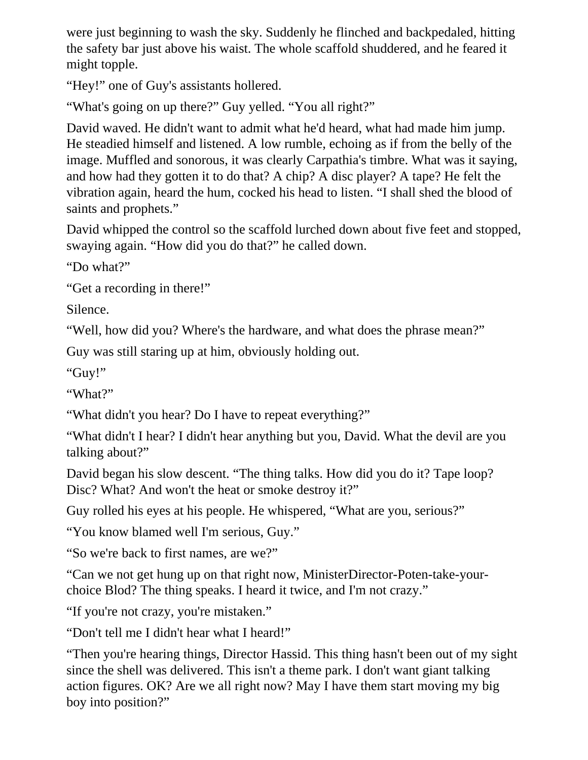were just beginning to wash the sky. Suddenly he flinched and backpedaled, hitting the safety bar just above his waist. The whole scaffold shuddered, and he feared it might topple.

"Hey!" one of Guy's assistants hollered.

"What's going on up there?" Guy yelled. "You all right?"

David waved. He didn't want to admit what he'd heard, what had made him jump. He steadied himself and listened. A low rumble, echoing as if from the belly of the image. Muffled and sonorous, it was clearly Carpathia's timbre. What was it saying, and how had they gotten it to do that? A chip? A disc player? A tape? He felt the vibration again, heard the hum, cocked his head to listen. "I shall shed the blood of saints and prophets."

David whipped the control so the scaffold lurched down about five feet and stopped, swaying again. "How did you do that?" he called down.

"Do what?"

"Get a recording in there!"

Silence.

"Well, how did you? Where's the hardware, and what does the phrase mean?"

Guy was still staring up at him, obviously holding out.

"Guy!"

"What?"

"What didn't you hear? Do I have to repeat everything?"

"What didn't I hear? I didn't hear anything but you, David. What the devil are you talking about?"

David began his slow descent. "The thing talks. How did you do it? Tape loop? Disc? What? And won't the heat or smoke destroy it?"

Guy rolled his eyes at his people. He whispered, "What are you, serious?"

"You know blamed well I'm serious, Guy."

"So we're back to first names, are we?"

"Can we not get hung up on that right now, MinisterDirector-Poten-take-yourchoice Blod? The thing speaks. I heard it twice, and I'm not crazy."

"If you're not crazy, you're mistaken."

"Don't tell me I didn't hear what I heard!"

"Then you're hearing things, Director Hassid. This thing hasn't been out of my sight since the shell was delivered. This isn't a theme park. I don't want giant talking action figures. OK? Are we all right now? May I have them start moving my big boy into position?"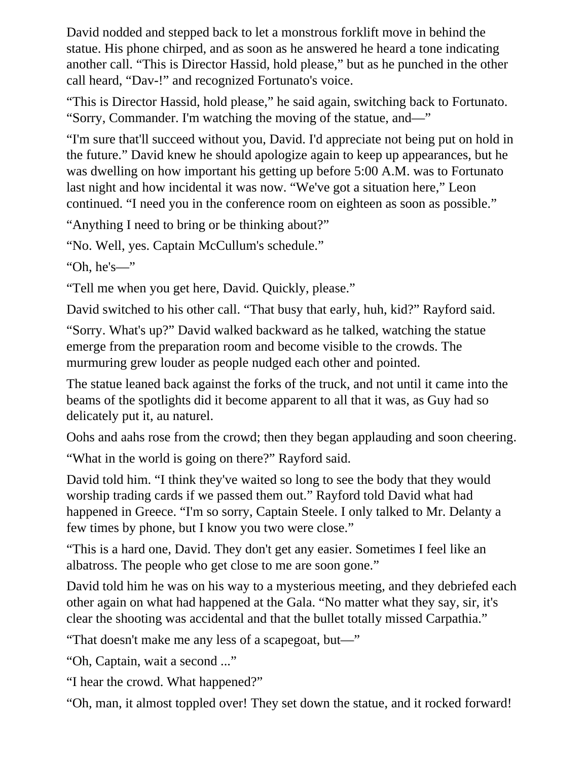David nodded and stepped back to let a monstrous forklift move in behind the statue. His phone chirped, and as soon as he answered he heard a tone indicating another call. "This is Director Hassid, hold please," but as he punched in the other call heard, "Dav-!" and recognized Fortunato's voice.

"This is Director Hassid, hold please," he said again, switching back to Fortunato. "Sorry, Commander. I'm watching the moving of the statue, and—"

"I'm sure that'll succeed without you, David. I'd appreciate not being put on hold in the future." David knew he should apologize again to keep up appearances, but he was dwelling on how important his getting up before 5:00 A.M. was to Fortunato last night and how incidental it was now. "We've got a situation here," Leon continued. "I need you in the conference room on eighteen as soon as possible."

"Anything I need to bring or be thinking about?"

"No. Well, yes. Captain McCullum's schedule."

"Oh, he's—"

"Tell me when you get here, David. Quickly, please."

David switched to his other call. "That busy that early, huh, kid?" Rayford said.

"Sorry. What's up?" David walked backward as he talked, watching the statue emerge from the preparation room and become visible to the crowds. The murmuring grew louder as people nudged each other and pointed.

The statue leaned back against the forks of the truck, and not until it came into the beams of the spotlights did it become apparent to all that it was, as Guy had so delicately put it, au naturel.

Oohs and aahs rose from the crowd; then they began applauding and soon cheering.

"What in the world is going on there?" Rayford said.

David told him. "I think they've waited so long to see the body that they would worship trading cards if we passed them out." Rayford told David what had happened in Greece. "I'm so sorry, Captain Steele. I only talked to Mr. Delanty a few times by phone, but I know you two were close."

"This is a hard one, David. They don't get any easier. Sometimes I feel like an albatross. The people who get close to me are soon gone."

David told him he was on his way to a mysterious meeting, and they debriefed each other again on what had happened at the Gala. "No matter what they say, sir, it's clear the shooting was accidental and that the bullet totally missed Carpathia."

"That doesn't make me any less of a scapegoat, but—"

"Oh, Captain, wait a second ..."

"I hear the crowd. What happened?"

"Oh, man, it almost toppled over! They set down the statue, and it rocked forward!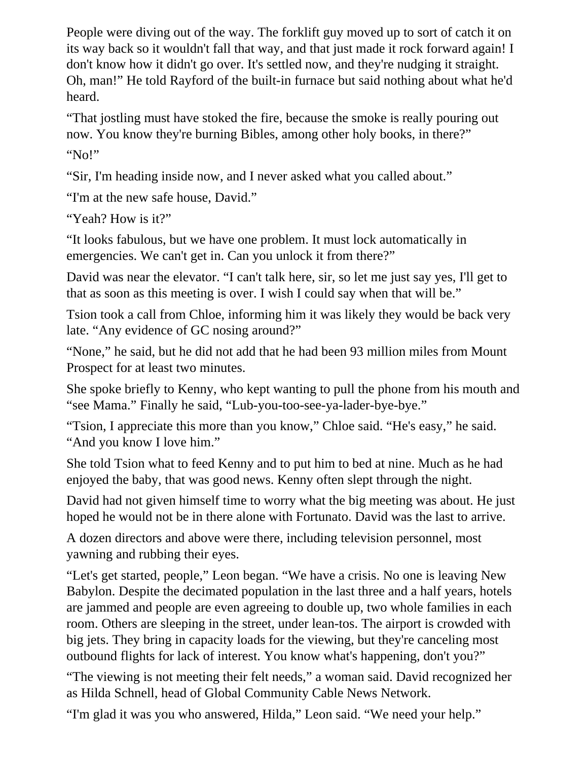People were diving out of the way. The forklift guy moved up to sort of catch it on its way back so it wouldn't fall that way, and that just made it rock forward again! I don't know how it didn't go over. It's settled now, and they're nudging it straight. Oh, man!" He told Rayford of the built-in furnace but said nothing about what he'd heard.

"That jostling must have stoked the fire, because the smoke is really pouring out now. You know they're burning Bibles, among other holy books, in there?"

"No!"

"Sir, I'm heading inside now, and I never asked what you called about."

"I'm at the new safe house, David."

"Yeah? How is it?"

"It looks fabulous, but we have one problem. It must lock automatically in emergencies. We can't get in. Can you unlock it from there?"

David was near the elevator. "I can't talk here, sir, so let me just say yes, I'll get to that as soon as this meeting is over. I wish I could say when that will be."

Tsion took a call from Chloe, informing him it was likely they would be back very late. "Any evidence of GC nosing around?"

"None," he said, but he did not add that he had been 93 million miles from Mount Prospect for at least two minutes.

She spoke briefly to Kenny, who kept wanting to pull the phone from his mouth and "see Mama." Finally he said, "Lub-you-too-see-ya-lader-bye-bye."

"Tsion, I appreciate this more than you know," Chloe said. "He's easy," he said. "And you know I love him."

She told Tsion what to feed Kenny and to put him to bed at nine. Much as he had enjoyed the baby, that was good news. Kenny often slept through the night.

David had not given himself time to worry what the big meeting was about. He just hoped he would not be in there alone with Fortunato. David was the last to arrive.

A dozen directors and above were there, including television personnel, most yawning and rubbing their eyes.

"Let's get started, people," Leon began. "We have a crisis. No one is leaving New Babylon. Despite the decimated population in the last three and a half years, hotels are jammed and people are even agreeing to double up, two whole families in each room. Others are sleeping in the street, under lean-tos. The airport is crowded with big jets. They bring in capacity loads for the viewing, but they're canceling most outbound flights for lack of interest. You know what's happening, don't you?"

"The viewing is not meeting their felt needs," a woman said. David recognized her as Hilda Schnell, head of Global Community Cable News Network.

"I'm glad it was you who answered, Hilda," Leon said. "We need your help."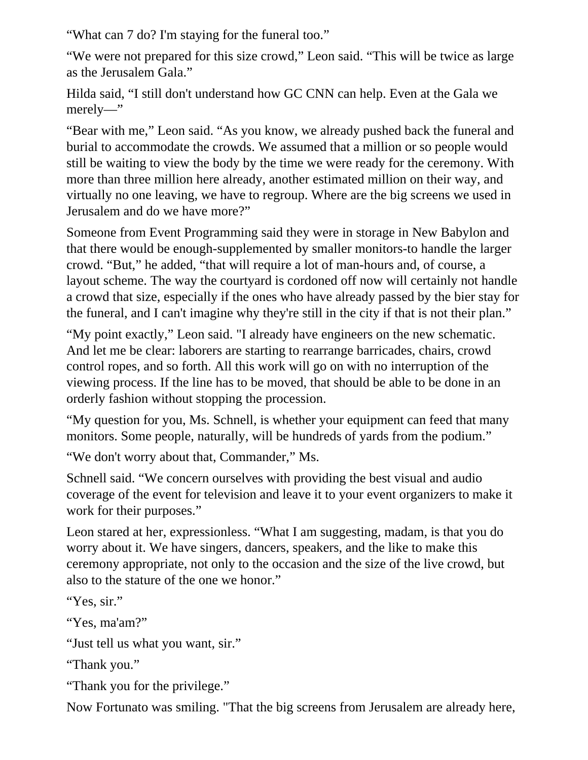"What can 7 do? I'm staying for the funeral too."

"We were not prepared for this size crowd," Leon said. "This will be twice as large as the Jerusalem Gala."

Hilda said, "I still don't understand how GC CNN can help. Even at the Gala we merely—"

"Bear with me," Leon said. "As you know, we already pushed back the funeral and burial to accommodate the crowds. We assumed that a million or so people would still be waiting to view the body by the time we were ready for the ceremony. With more than three million here already, another estimated million on their way, and virtually no one leaving, we have to regroup. Where are the big screens we used in Jerusalem and do we have more?"

Someone from Event Programming said they were in storage in New Babylon and that there would be enough-supplemented by smaller monitors-to handle the larger crowd. "But," he added, "that will require a lot of man-hours and, of course, a layout scheme. The way the courtyard is cordoned off now will certainly not handle a crowd that size, especially if the ones who have already passed by the bier stay for the funeral, and I can't imagine why they're still in the city if that is not their plan."

"My point exactly," Leon said. "I already have engineers on the new schematic. And let me be clear: laborers are starting to rearrange barricades, chairs, crowd control ropes, and so forth. All this work will go on with no interruption of the viewing process. If the line has to be moved, that should be able to be done in an orderly fashion without stopping the procession.

"My question for you, Ms. Schnell, is whether your equipment can feed that many monitors. Some people, naturally, will be hundreds of yards from the podium."

"We don't worry about that, Commander," Ms.

Schnell said. "We concern ourselves with providing the best visual and audio coverage of the event for television and leave it to your event organizers to make it work for their purposes."

Leon stared at her, expressionless. "What I am suggesting, madam, is that you do worry about it. We have singers, dancers, speakers, and the like to make this ceremony appropriate, not only to the occasion and the size of the live crowd, but also to the stature of the one we honor."

"Yes, sir."

"Yes, ma'am?"

"Just tell us what you want, sir."

"Thank you."

"Thank you for the privilege."

Now Fortunato was smiling. "That the big screens from Jerusalem are already here,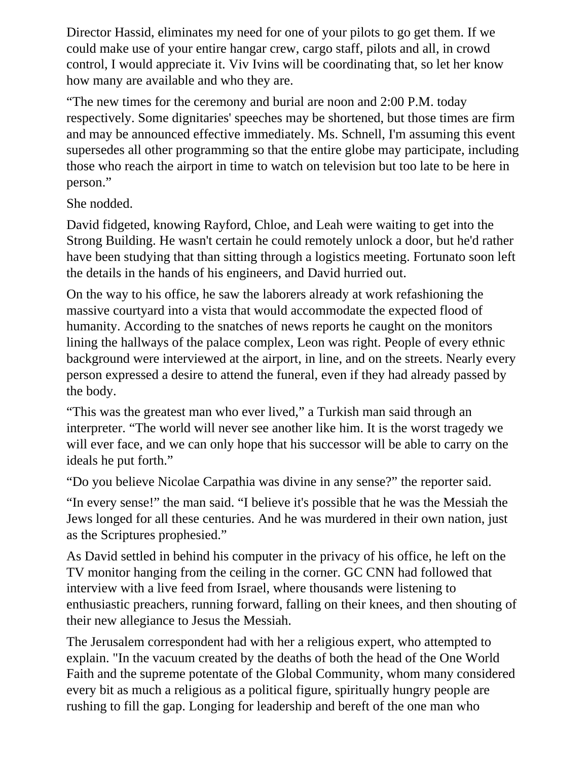Director Hassid, eliminates my need for one of your pilots to go get them. If we could make use of your entire hangar crew, cargo staff, pilots and all, in crowd control, I would appreciate it. Viv Ivins will be coordinating that, so let her know how many are available and who they are.

"The new times for the ceremony and burial are noon and 2:00 P.M. today respectively. Some dignitaries' speeches may be shortened, but those times are firm and may be announced effective immediately. Ms. Schnell, I'm assuming this event supersedes all other programming so that the entire globe may participate, including those who reach the airport in time to watch on television but too late to be here in person."

She nodded.

David fidgeted, knowing Rayford, Chloe, and Leah were waiting to get into the Strong Building. He wasn't certain he could remotely unlock a door, but he'd rather have been studying that than sitting through a logistics meeting. Fortunato soon left the details in the hands of his engineers, and David hurried out.

On the way to his office, he saw the laborers already at work refashioning the massive courtyard into a vista that would accommodate the expected flood of humanity. According to the snatches of news reports he caught on the monitors lining the hallways of the palace complex, Leon was right. People of every ethnic background were interviewed at the airport, in line, and on the streets. Nearly every person expressed a desire to attend the funeral, even if they had already passed by the body.

"This was the greatest man who ever lived," a Turkish man said through an interpreter. "The world will never see another like him. It is the worst tragedy we will ever face, and we can only hope that his successor will be able to carry on the ideals he put forth."

"Do you believe Nicolae Carpathia was divine in any sense?" the reporter said.

"In every sense!" the man said. "I believe it's possible that he was the Messiah the Jews longed for all these centuries. And he was murdered in their own nation, just as the Scriptures prophesied."

As David settled in behind his computer in the privacy of his office, he left on the TV monitor hanging from the ceiling in the corner. GC CNN had followed that interview with a live feed from Israel, where thousands were listening to enthusiastic preachers, running forward, falling on their knees, and then shouting of their new allegiance to Jesus the Messiah.

The Jerusalem correspondent had with her a religious expert, who attempted to explain. "In the vacuum created by the deaths of both the head of the One World Faith and the supreme potentate of the Global Community, whom many considered every bit as much a religious as a political figure, spiritually hungry people are rushing to fill the gap. Longing for leadership and bereft of the one man who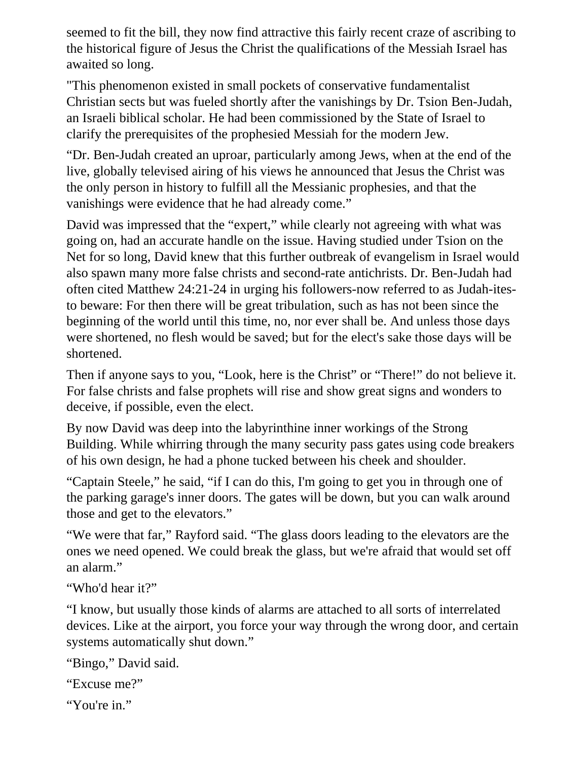seemed to fit the bill, they now find attractive this fairly recent craze of ascribing to the historical figure of Jesus the Christ the qualifications of the Messiah Israel has awaited so long.

"This phenomenon existed in small pockets of conservative fundamentalist Christian sects but was fueled shortly after the vanishings by Dr. Tsion Ben-Judah, an Israeli biblical scholar. He had been commissioned by the State of Israel to clarify the prerequisites of the prophesied Messiah for the modern Jew.

"Dr. Ben-Judah created an uproar, particularly among Jews, when at the end of the live, globally televised airing of his views he announced that Jesus the Christ was the only person in history to fulfill all the Messianic prophesies, and that the vanishings were evidence that he had already come."

David was impressed that the "expert," while clearly not agreeing with what was going on, had an accurate handle on the issue. Having studied under Tsion on the Net for so long, David knew that this further outbreak of evangelism in Israel would also spawn many more false christs and second-rate antichrists. Dr. Ben-Judah had often cited Matthew 24:21-24 in urging his followers-now referred to as Judah-itesto beware: For then there will be great tribulation, such as has not been since the beginning of the world until this time, no, nor ever shall be. And unless those days were shortened, no flesh would be saved; but for the elect's sake those days will be shortened.

Then if anyone says to you, "Look, here is the Christ" or "There!" do not believe it. For false christs and false prophets will rise and show great signs and wonders to deceive, if possible, even the elect.

By now David was deep into the labyrinthine inner workings of the Strong Building. While whirring through the many security pass gates using code breakers of his own design, he had a phone tucked between his cheek and shoulder.

"Captain Steele," he said, "if I can do this, I'm going to get you in through one of the parking garage's inner doors. The gates will be down, but you can walk around those and get to the elevators."

"We were that far," Rayford said. "The glass doors leading to the elevators are the ones we need opened. We could break the glass, but we're afraid that would set off an alarm."

"Who'd hear it?"

"I know, but usually those kinds of alarms are attached to all sorts of interrelated devices. Like at the airport, you force your way through the wrong door, and certain systems automatically shut down."

"Bingo," David said.

```
"Excuse me?"
```
"You're in."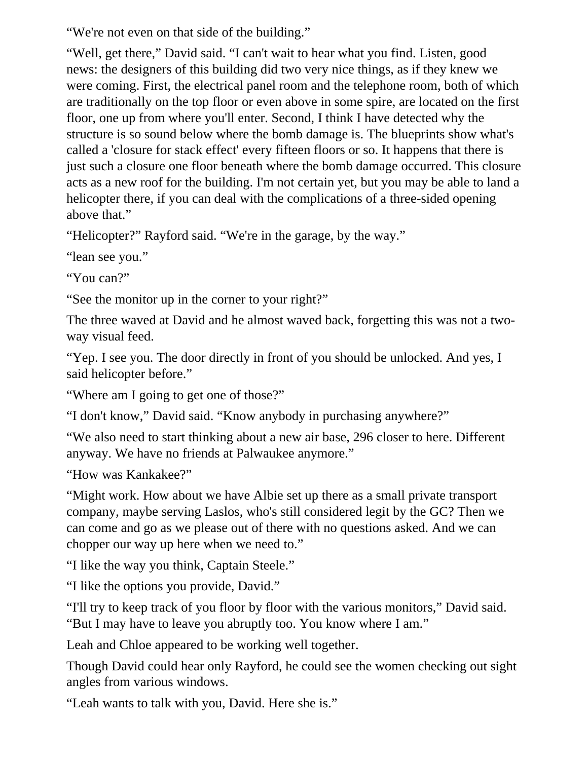"We're not even on that side of the building."

"Well, get there," David said. "I can't wait to hear what you find. Listen, good news: the designers of this building did two very nice things, as if they knew we were coming. First, the electrical panel room and the telephone room, both of which are traditionally on the top floor or even above in some spire, are located on the first floor, one up from where you'll enter. Second, I think I have detected why the structure is so sound below where the bomb damage is. The blueprints show what's called a 'closure for stack effect' every fifteen floors or so. It happens that there is just such a closure one floor beneath where the bomb damage occurred. This closure acts as a new roof for the building. I'm not certain yet, but you may be able to land a helicopter there, if you can deal with the complications of a three-sided opening above that."

"Helicopter?" Rayford said. "We're in the garage, by the way."

"lean see you."

"You can?"

"See the monitor up in the corner to your right?"

The three waved at David and he almost waved back, forgetting this was not a twoway visual feed.

"Yep. I see you. The door directly in front of you should be unlocked. And yes, I said helicopter before."

"Where am I going to get one of those?"

"I don't know," David said. "Know anybody in purchasing anywhere?"

"We also need to start thinking about a new air base, 296 closer to here. Different anyway. We have no friends at Palwaukee anymore."

"How was Kankakee?"

"Might work. How about we have Albie set up there as a small private transport company, maybe serving Laslos, who's still considered legit by the GC? Then we can come and go as we please out of there with no questions asked. And we can chopper our way up here when we need to."

"I like the way you think, Captain Steele."

"I like the options you provide, David."

"I'll try to keep track of you floor by floor with the various monitors," David said. "But I may have to leave you abruptly too. You know where I am."

Leah and Chloe appeared to be working well together.

Though David could hear only Rayford, he could see the women checking out sight angles from various windows.

"Leah wants to talk with you, David. Here she is."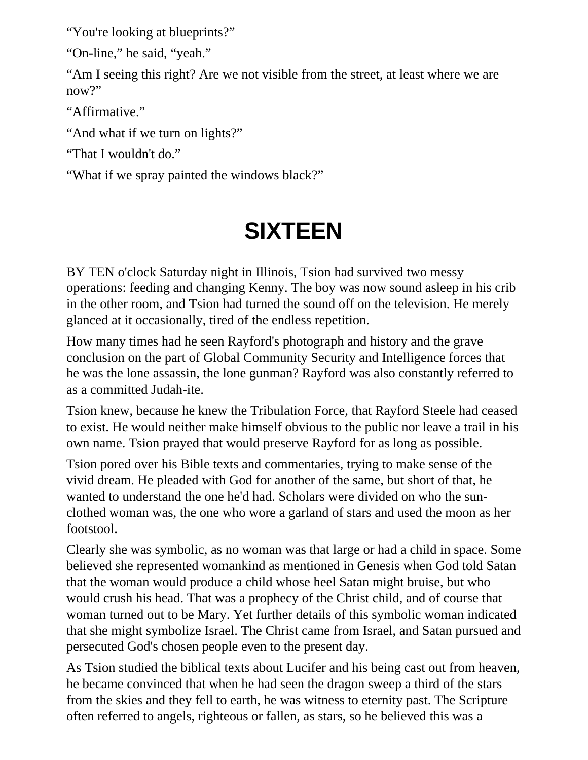"You're looking at blueprints?"

"On-line," he said, "yeah."

"Am I seeing this right? Are we not visible from the street, at least where we are now?"

"Affirmative."

"And what if we turn on lights?"

"That I wouldn't do."

"What if we spray painted the windows black?"

## **SIXTEEN**

BY TEN o'clock Saturday night in Illinois, Tsion had survived two messy operations: feeding and changing Kenny. The boy was now sound asleep in his crib in the other room, and Tsion had turned the sound off on the television. He merely glanced at it occasionally, tired of the endless repetition.

How many times had he seen Rayford's photograph and history and the grave conclusion on the part of Global Community Security and Intelligence forces that he was the lone assassin, the lone gunman? Rayford was also constantly referred to as a committed Judah-ite.

Tsion knew, because he knew the Tribulation Force, that Rayford Steele had ceased to exist. He would neither make himself obvious to the public nor leave a trail in his own name. Tsion prayed that would preserve Rayford for as long as possible.

Tsion pored over his Bible texts and commentaries, trying to make sense of the vivid dream. He pleaded with God for another of the same, but short of that, he wanted to understand the one he'd had. Scholars were divided on who the sunclothed woman was, the one who wore a garland of stars and used the moon as her footstool.

Clearly she was symbolic, as no woman was that large or had a child in space. Some believed she represented womankind as mentioned in Genesis when God told Satan that the woman would produce a child whose heel Satan might bruise, but who would crush his head. That was a prophecy of the Christ child, and of course that woman turned out to be Mary. Yet further details of this symbolic woman indicated that she might symbolize Israel. The Christ came from Israel, and Satan pursued and persecuted God's chosen people even to the present day.

As Tsion studied the biblical texts about Lucifer and his being cast out from heaven, he became convinced that when he had seen the dragon sweep a third of the stars from the skies and they fell to earth, he was witness to eternity past. The Scripture often referred to angels, righteous or fallen, as stars, so he believed this was a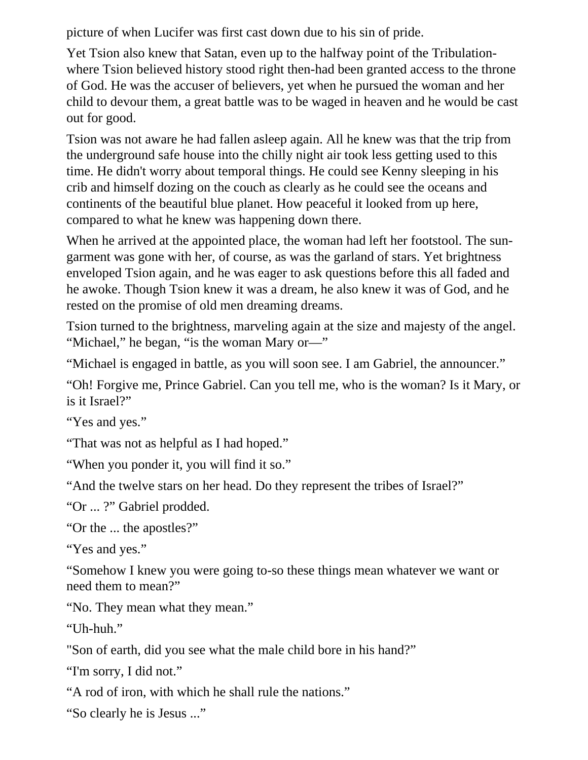picture of when Lucifer was first cast down due to his sin of pride.

Yet Tsion also knew that Satan, even up to the halfway point of the Tribulationwhere Tsion believed history stood right then-had been granted access to the throne of God. He was the accuser of believers, yet when he pursued the woman and her child to devour them, a great battle was to be waged in heaven and he would be cast out for good.

Tsion was not aware he had fallen asleep again. All he knew was that the trip from the underground safe house into the chilly night air took less getting used to this time. He didn't worry about temporal things. He could see Kenny sleeping in his crib and himself dozing on the couch as clearly as he could see the oceans and continents of the beautiful blue planet. How peaceful it looked from up here, compared to what he knew was happening down there.

When he arrived at the appointed place, the woman had left her footstool. The sungarment was gone with her, of course, as was the garland of stars. Yet brightness enveloped Tsion again, and he was eager to ask questions before this all faded and he awoke. Though Tsion knew it was a dream, he also knew it was of God, and he rested on the promise of old men dreaming dreams.

Tsion turned to the brightness, marveling again at the size and majesty of the angel. "Michael," he began, "is the woman Mary or—"

"Michael is engaged in battle, as you will soon see. I am Gabriel, the announcer."

"Oh! Forgive me, Prince Gabriel. Can you tell me, who is the woman? Is it Mary, or is it Israel?"

"Yes and yes."

"That was not as helpful as I had hoped."

"When you ponder it, you will find it so."

"And the twelve stars on her head. Do they represent the tribes of Israel?"

"Or ... ?" Gabriel prodded.

"Or the ... the apostles?"

"Yes and yes."

"Somehow I knew you were going to-so these things mean whatever we want or need them to mean?"

"No. They mean what they mean."

"Uh-huh."

"Son of earth, did you see what the male child bore in his hand?"

"I'm sorry, I did not."

"A rod of iron, with which he shall rule the nations."

"So clearly he is Jesus ..."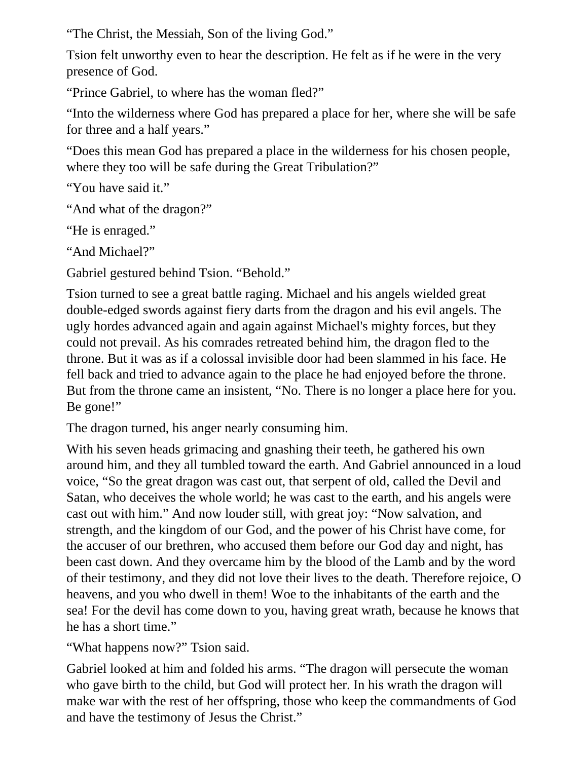"The Christ, the Messiah, Son of the living God."

Tsion felt unworthy even to hear the description. He felt as if he were in the very presence of God.

"Prince Gabriel, to where has the woman fled?"

"Into the wilderness where God has prepared a place for her, where she will be safe for three and a half years."

"Does this mean God has prepared a place in the wilderness for his chosen people, where they too will be safe during the Great Tribulation?"

"You have said it."

"And what of the dragon?"

"He is enraged."

"And Michael?"

Gabriel gestured behind Tsion. "Behold."

Tsion turned to see a great battle raging. Michael and his angels wielded great double-edged swords against fiery darts from the dragon and his evil angels. The ugly hordes advanced again and again against Michael's mighty forces, but they could not prevail. As his comrades retreated behind him, the dragon fled to the throne. But it was as if a colossal invisible door had been slammed in his face. He fell back and tried to advance again to the place he had enjoyed before the throne. But from the throne came an insistent, "No. There is no longer a place here for you. Be gone!"

The dragon turned, his anger nearly consuming him.

With his seven heads grimacing and gnashing their teeth, he gathered his own around him, and they all tumbled toward the earth. And Gabriel announced in a loud voice, "So the great dragon was cast out, that serpent of old, called the Devil and Satan, who deceives the whole world; he was cast to the earth, and his angels were cast out with him." And now louder still, with great joy: "Now salvation, and strength, and the kingdom of our God, and the power of his Christ have come, for the accuser of our brethren, who accused them before our God day and night, has been cast down. And they overcame him by the blood of the Lamb and by the word of their testimony, and they did not love their lives to the death. Therefore rejoice, O heavens, and you who dwell in them! Woe to the inhabitants of the earth and the sea! For the devil has come down to you, having great wrath, because he knows that he has a short time."

"What happens now?" Tsion said.

Gabriel looked at him and folded his arms. "The dragon will persecute the woman who gave birth to the child, but God will protect her. In his wrath the dragon will make war with the rest of her offspring, those who keep the commandments of God and have the testimony of Jesus the Christ."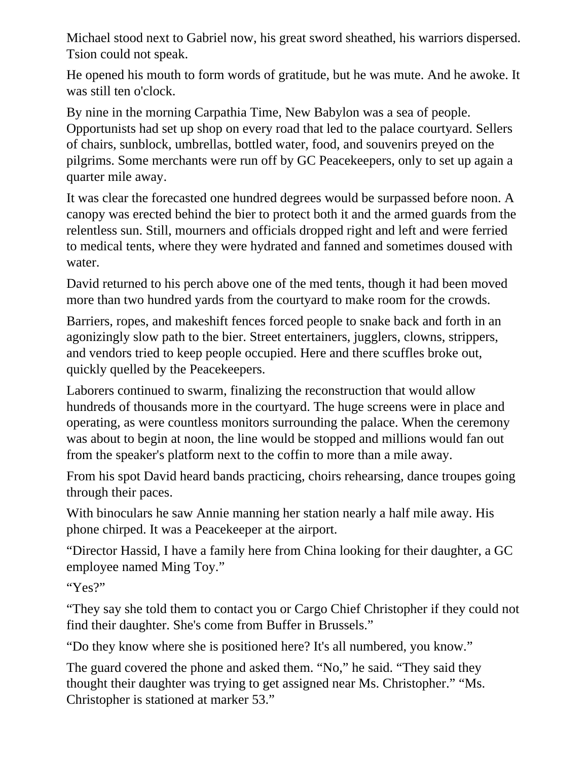Michael stood next to Gabriel now, his great sword sheathed, his warriors dispersed. Tsion could not speak.

He opened his mouth to form words of gratitude, but he was mute. And he awoke. It was still ten o'clock.

By nine in the morning Carpathia Time, New Babylon was a sea of people. Opportunists had set up shop on every road that led to the palace courtyard. Sellers of chairs, sunblock, umbrellas, bottled water, food, and souvenirs preyed on the pilgrims. Some merchants were run off by GC Peacekeepers, only to set up again a quarter mile away.

It was clear the forecasted one hundred degrees would be surpassed before noon. A canopy was erected behind the bier to protect both it and the armed guards from the relentless sun. Still, mourners and officials dropped right and left and were ferried to medical tents, where they were hydrated and fanned and sometimes doused with water.

David returned to his perch above one of the med tents, though it had been moved more than two hundred yards from the courtyard to make room for the crowds.

Barriers, ropes, and makeshift fences forced people to snake back and forth in an agonizingly slow path to the bier. Street entertainers, jugglers, clowns, strippers, and vendors tried to keep people occupied. Here and there scuffles broke out, quickly quelled by the Peacekeepers.

Laborers continued to swarm, finalizing the reconstruction that would allow hundreds of thousands more in the courtyard. The huge screens were in place and operating, as were countless monitors surrounding the palace. When the ceremony was about to begin at noon, the line would be stopped and millions would fan out from the speaker's platform next to the coffin to more than a mile away.

From his spot David heard bands practicing, choirs rehearsing, dance troupes going through their paces.

With binoculars he saw Annie manning her station nearly a half mile away. His phone chirped. It was a Peacekeeper at the airport.

"Director Hassid, I have a family here from China looking for their daughter, a GC employee named Ming Toy."

"Yes?"

"They say she told them to contact you or Cargo Chief Christopher if they could not find their daughter. She's come from Buffer in Brussels."

"Do they know where she is positioned here? It's all numbered, you know."

The guard covered the phone and asked them. "No," he said. "They said they thought their daughter was trying to get assigned near Ms. Christopher." "Ms. Christopher is stationed at marker 53."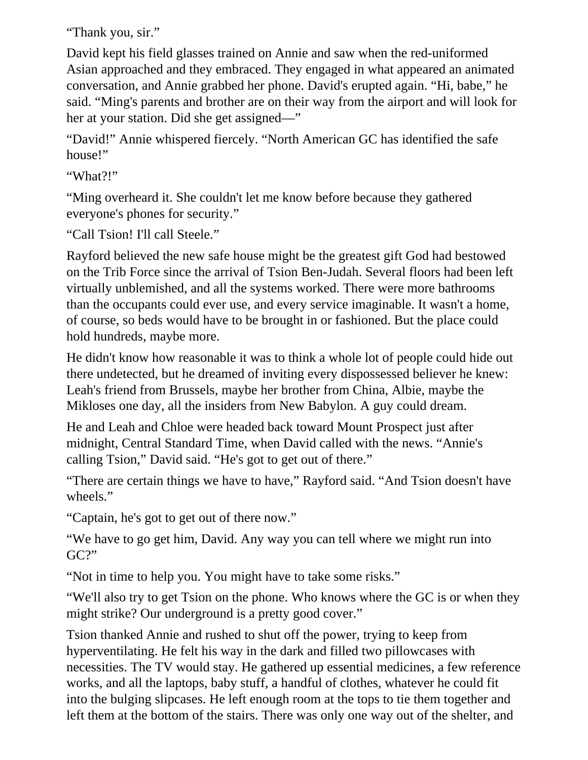"Thank you, sir."

David kept his field glasses trained on Annie and saw when the red-uniformed Asian approached and they embraced. They engaged in what appeared an animated conversation, and Annie grabbed her phone. David's erupted again. "Hi, babe," he said. "Ming's parents and brother are on their way from the airport and will look for her at your station. Did she get assigned—"

"David!" Annie whispered fiercely. "North American GC has identified the safe house!"

"What?!"

"Ming overheard it. She couldn't let me know before because they gathered everyone's phones for security."

"Call Tsion! I'll call Steele."

Rayford believed the new safe house might be the greatest gift God had bestowed on the Trib Force since the arrival of Tsion Ben-Judah. Several floors had been left virtually unblemished, and all the systems worked. There were more bathrooms than the occupants could ever use, and every service imaginable. It wasn't a home, of course, so beds would have to be brought in or fashioned. But the place could hold hundreds, maybe more.

He didn't know how reasonable it was to think a whole lot of people could hide out there undetected, but he dreamed of inviting every dispossessed believer he knew: Leah's friend from Brussels, maybe her brother from China, Albie, maybe the Mikloses one day, all the insiders from New Babylon. A guy could dream.

He and Leah and Chloe were headed back toward Mount Prospect just after midnight, Central Standard Time, when David called with the news. "Annie's calling Tsion," David said. "He's got to get out of there."

"There are certain things we have to have," Rayford said. "And Tsion doesn't have wheels."

"Captain, he's got to get out of there now."

"We have to go get him, David. Any way you can tell where we might run into GC?"

"Not in time to help you. You might have to take some risks."

"We'll also try to get Tsion on the phone. Who knows where the GC is or when they might strike? Our underground is a pretty good cover."

Tsion thanked Annie and rushed to shut off the power, trying to keep from hyperventilating. He felt his way in the dark and filled two pillowcases with necessities. The TV would stay. He gathered up essential medicines, a few reference works, and all the laptops, baby stuff, a handful of clothes, whatever he could fit into the bulging slipcases. He left enough room at the tops to tie them together and left them at the bottom of the stairs. There was only one way out of the shelter, and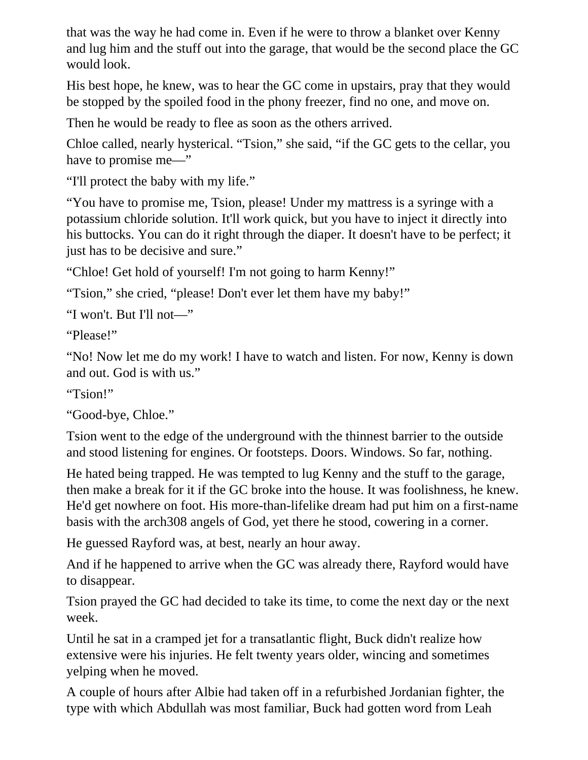that was the way he had come in. Even if he were to throw a blanket over Kenny and lug him and the stuff out into the garage, that would be the second place the GC would look.

His best hope, he knew, was to hear the GC come in upstairs, pray that they would be stopped by the spoiled food in the phony freezer, find no one, and move on.

Then he would be ready to flee as soon as the others arrived.

Chloe called, nearly hysterical. "Tsion," she said, "if the GC gets to the cellar, you have to promise me—"

"I'll protect the baby with my life."

"You have to promise me, Tsion, please! Under my mattress is a syringe with a potassium chloride solution. It'll work quick, but you have to inject it directly into his buttocks. You can do it right through the diaper. It doesn't have to be perfect; it just has to be decisive and sure."

"Chloe! Get hold of yourself! I'm not going to harm Kenny!"

"Tsion," she cried, "please! Don't ever let them have my baby!"

"I won't. But I'll not—"

"Please!"

"No! Now let me do my work! I have to watch and listen. For now, Kenny is down and out. God is with us."

"Tsion!"

"Good-bye, Chloe."

Tsion went to the edge of the underground with the thinnest barrier to the outside and stood listening for engines. Or footsteps. Doors. Windows. So far, nothing.

He hated being trapped. He was tempted to lug Kenny and the stuff to the garage, then make a break for it if the GC broke into the house. It was foolishness, he knew. He'd get nowhere on foot. His more-than-lifelike dream had put him on a first-name basis with the arch308 angels of God, yet there he stood, cowering in a corner.

He guessed Rayford was, at best, nearly an hour away.

And if he happened to arrive when the GC was already there, Rayford would have to disappear.

Tsion prayed the GC had decided to take its time, to come the next day or the next week.

Until he sat in a cramped jet for a transatlantic flight, Buck didn't realize how extensive were his injuries. He felt twenty years older, wincing and sometimes yelping when he moved.

A couple of hours after Albie had taken off in a refurbished Jordanian fighter, the type with which Abdullah was most familiar, Buck had gotten word from Leah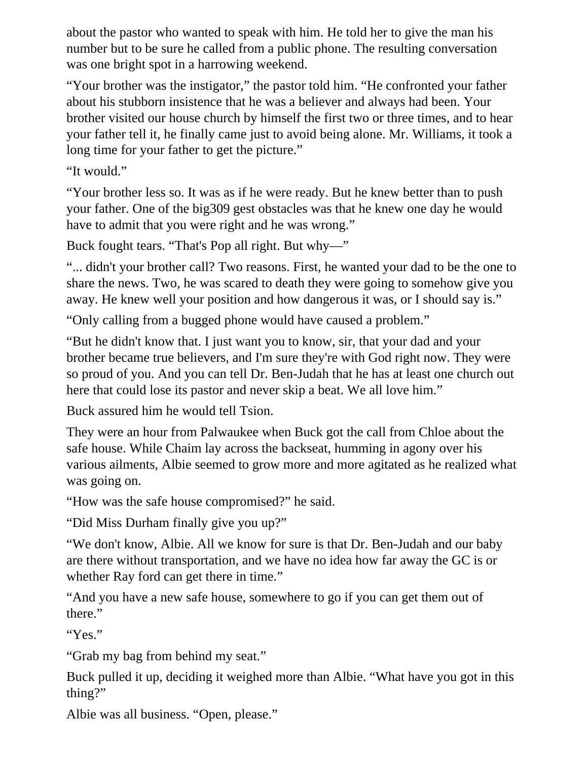about the pastor who wanted to speak with him. He told her to give the man his number but to be sure he called from a public phone. The resulting conversation was one bright spot in a harrowing weekend.

"Your brother was the instigator," the pastor told him. "He confronted your father about his stubborn insistence that he was a believer and always had been. Your brother visited our house church by himself the first two or three times, and to hear your father tell it, he finally came just to avoid being alone. Mr. Williams, it took a long time for your father to get the picture."

"It would."

"Your brother less so. It was as if he were ready. But he knew better than to push your father. One of the big309 gest obstacles was that he knew one day he would have to admit that you were right and he was wrong."

Buck fought tears. "That's Pop all right. But why—"

"... didn't your brother call? Two reasons. First, he wanted your dad to be the one to share the news. Two, he was scared to death they were going to somehow give you away. He knew well your position and how dangerous it was, or I should say is."

"Only calling from a bugged phone would have caused a problem."

"But he didn't know that. I just want you to know, sir, that your dad and your brother became true believers, and I'm sure they're with God right now. They were so proud of you. And you can tell Dr. Ben-Judah that he has at least one church out here that could lose its pastor and never skip a beat. We all love him."

Buck assured him he would tell Tsion.

They were an hour from Palwaukee when Buck got the call from Chloe about the safe house. While Chaim lay across the backseat, humming in agony over his various ailments, Albie seemed to grow more and more agitated as he realized what was going on.

"How was the safe house compromised?" he said.

"Did Miss Durham finally give you up?"

"We don't know, Albie. All we know for sure is that Dr. Ben-Judah and our baby are there without transportation, and we have no idea how far away the GC is or whether Ray ford can get there in time."

"And you have a new safe house, somewhere to go if you can get them out of there."

"Yes."

"Grab my bag from behind my seat."

Buck pulled it up, deciding it weighed more than Albie. "What have you got in this thing?"

Albie was all business. "Open, please."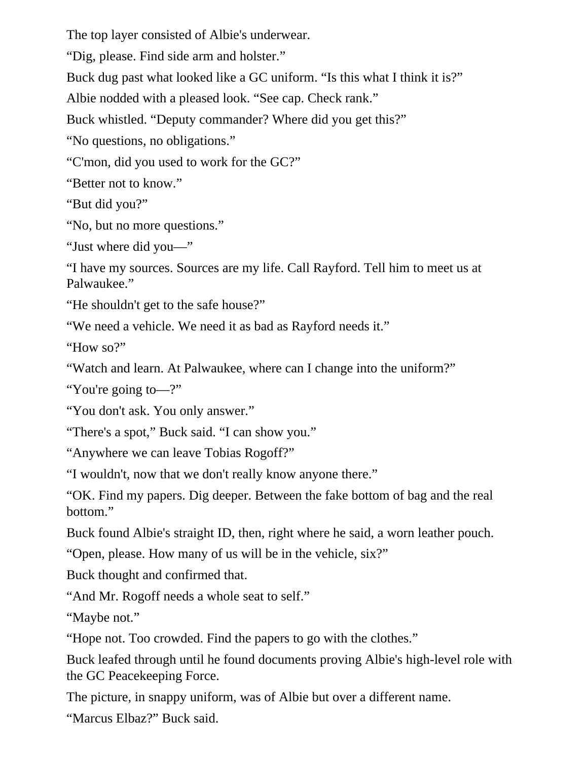The top layer consisted of Albie's underwear.

"Dig, please. Find side arm and holster."

Buck dug past what looked like a GC uniform. "Is this what I think it is?"

Albie nodded with a pleased look. "See cap. Check rank."

Buck whistled. "Deputy commander? Where did you get this?"

"No questions, no obligations."

"C'mon, did you used to work for the GC?"

"Better not to know."

"But did you?"

"No, but no more questions."

"Just where did you—"

"I have my sources. Sources are my life. Call Rayford. Tell him to meet us at Palwaukee."

"He shouldn't get to the safe house?"

"We need a vehicle. We need it as bad as Rayford needs it."

"How so?"

"Watch and learn. At Palwaukee, where can I change into the uniform?"

"You're going to—?"

"You don't ask. You only answer."

"There's a spot," Buck said. "I can show you."

"Anywhere we can leave Tobias Rogoff?"

"I wouldn't, now that we don't really know anyone there."

"OK. Find my papers. Dig deeper. Between the fake bottom of bag and the real bottom."

Buck found Albie's straight ID, then, right where he said, a worn leather pouch.

"Open, please. How many of us will be in the vehicle, six?"

Buck thought and confirmed that.

"And Mr. Rogoff needs a whole seat to self."

"Maybe not."

"Hope not. Too crowded. Find the papers to go with the clothes."

Buck leafed through until he found documents proving Albie's high-level role with the GC Peacekeeping Force.

The picture, in snappy uniform, was of Albie but over a different name.

"Marcus Elbaz?" Buck said.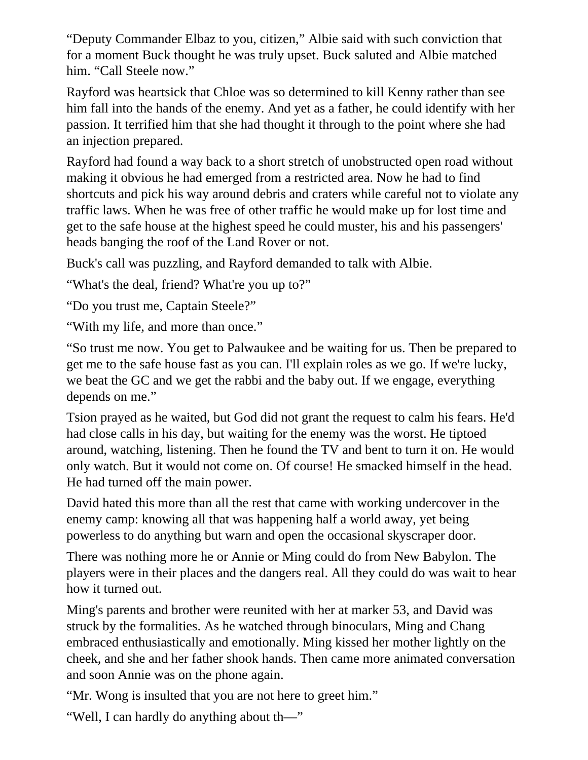"Deputy Commander Elbaz to you, citizen," Albie said with such conviction that for a moment Buck thought he was truly upset. Buck saluted and Albie matched him. "Call Steele now."

Rayford was heartsick that Chloe was so determined to kill Kenny rather than see him fall into the hands of the enemy. And yet as a father, he could identify with her passion. It terrified him that she had thought it through to the point where she had an injection prepared.

Rayford had found a way back to a short stretch of unobstructed open road without making it obvious he had emerged from a restricted area. Now he had to find shortcuts and pick his way around debris and craters while careful not to violate any traffic laws. When he was free of other traffic he would make up for lost time and get to the safe house at the highest speed he could muster, his and his passengers' heads banging the roof of the Land Rover or not.

Buck's call was puzzling, and Rayford demanded to talk with Albie.

"What's the deal, friend? What're you up to?"

"Do you trust me, Captain Steele?"

"With my life, and more than once."

"So trust me now. You get to Palwaukee and be waiting for us. Then be prepared to get me to the safe house fast as you can. I'll explain roles as we go. If we're lucky, we beat the GC and we get the rabbi and the baby out. If we engage, everything depends on me."

Tsion prayed as he waited, but God did not grant the request to calm his fears. He'd had close calls in his day, but waiting for the enemy was the worst. He tiptoed around, watching, listening. Then he found the TV and bent to turn it on. He would only watch. But it would not come on. Of course! He smacked himself in the head. He had turned off the main power.

David hated this more than all the rest that came with working undercover in the enemy camp: knowing all that was happening half a world away, yet being powerless to do anything but warn and open the occasional skyscraper door.

There was nothing more he or Annie or Ming could do from New Babylon. The players were in their places and the dangers real. All they could do was wait to hear how it turned out.

Ming's parents and brother were reunited with her at marker 53, and David was struck by the formalities. As he watched through binoculars, Ming and Chang embraced enthusiastically and emotionally. Ming kissed her mother lightly on the cheek, and she and her father shook hands. Then came more animated conversation and soon Annie was on the phone again.

"Mr. Wong is insulted that you are not here to greet him."

"Well, I can hardly do anything about th—"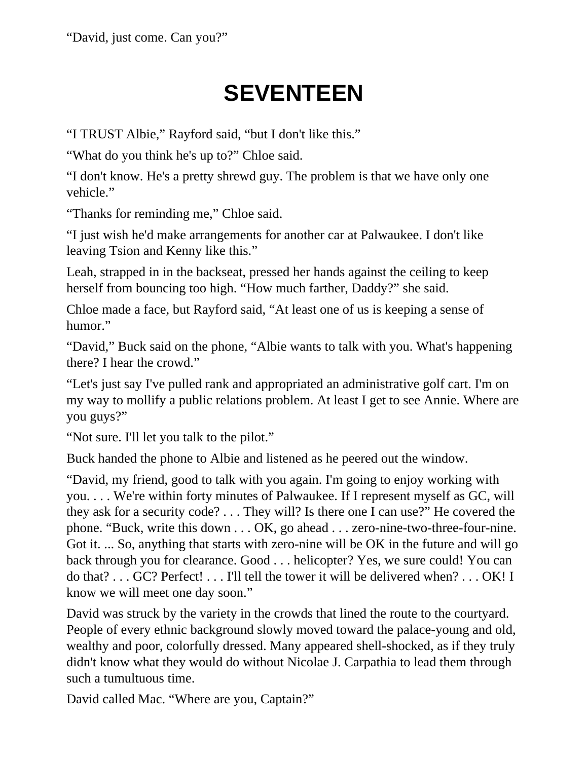"David, just come. Can you?"

## **SEVENTEEN**

"I TRUST Albie," Rayford said, "but I don't like this."

"What do you think he's up to?" Chloe said.

"I don't know. He's a pretty shrewd guy. The problem is that we have only one vehicle."

"Thanks for reminding me," Chloe said.

"I just wish he'd make arrangements for another car at Palwaukee. I don't like leaving Tsion and Kenny like this."

Leah, strapped in in the backseat, pressed her hands against the ceiling to keep herself from bouncing too high. "How much farther, Daddy?" she said.

Chloe made a face, but Rayford said, "At least one of us is keeping a sense of humor."

"David," Buck said on the phone, "Albie wants to talk with you. What's happening there? I hear the crowd."

"Let's just say I've pulled rank and appropriated an administrative golf cart. I'm on my way to mollify a public relations problem. At least I get to see Annie. Where are you guys?"

"Not sure. I'll let you talk to the pilot."

Buck handed the phone to Albie and listened as he peered out the window.

"David, my friend, good to talk with you again. I'm going to enjoy working with you. . . . We're within forty minutes of Palwaukee. If I represent myself as GC, will they ask for a security code? . . . They will? Is there one I can use?" He covered the phone. "Buck, write this down . . . OK, go ahead . . . zero-nine-two-three-four-nine. Got it. ... So, anything that starts with zero-nine will be OK in the future and will go back through you for clearance. Good . . . helicopter? Yes, we sure could! You can do that? . . . GC? Perfect! . . . I'll tell the tower it will be delivered when? . . . OK! I know we will meet one day soon."

David was struck by the variety in the crowds that lined the route to the courtyard. People of every ethnic background slowly moved toward the palace-young and old, wealthy and poor, colorfully dressed. Many appeared shell-shocked, as if they truly didn't know what they would do without Nicolae J. Carpathia to lead them through such a tumultuous time.

David called Mac. "Where are you, Captain?"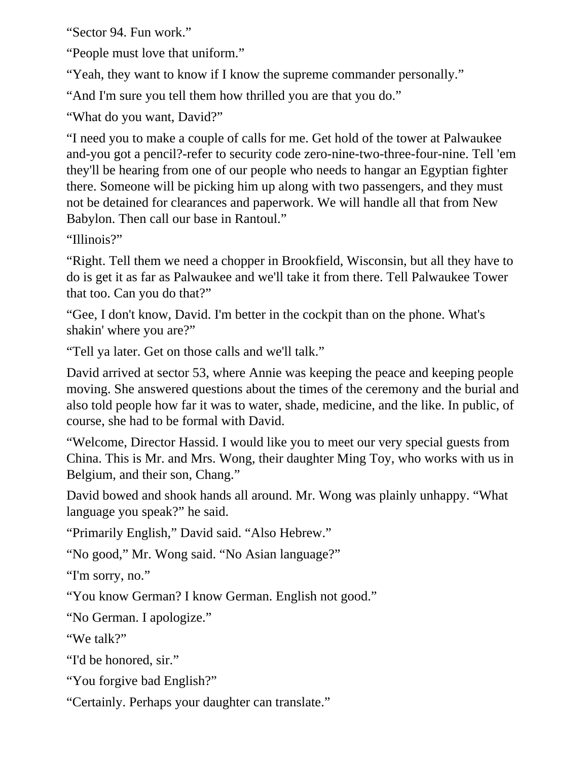"Sector 94. Fun work."

"People must love that uniform."

"Yeah, they want to know if I know the supreme commander personally."

"And I'm sure you tell them how thrilled you are that you do."

"What do you want, David?"

"I need you to make a couple of calls for me. Get hold of the tower at Palwaukee and-you got a pencil?-refer to security code zero-nine-two-three-four-nine. Tell 'em they'll be hearing from one of our people who needs to hangar an Egyptian fighter there. Someone will be picking him up along with two passengers, and they must not be detained for clearances and paperwork. We will handle all that from New Babylon. Then call our base in Rantoul."

"Illinois?"

"Right. Tell them we need a chopper in Brookfield, Wisconsin, but all they have to do is get it as far as Palwaukee and we'll take it from there. Tell Palwaukee Tower that too. Can you do that?"

"Gee, I don't know, David. I'm better in the cockpit than on the phone. What's shakin' where you are?"

"Tell ya later. Get on those calls and we'll talk."

David arrived at sector 53, where Annie was keeping the peace and keeping people moving. She answered questions about the times of the ceremony and the burial and also told people how far it was to water, shade, medicine, and the like. In public, of course, she had to be formal with David.

"Welcome, Director Hassid. I would like you to meet our very special guests from China. This is Mr. and Mrs. Wong, their daughter Ming Toy, who works with us in Belgium, and their son, Chang."

David bowed and shook hands all around. Mr. Wong was plainly unhappy. "What language you speak?" he said.

"Primarily English," David said. "Also Hebrew."

"No good," Mr. Wong said. "No Asian language?"

"I'm sorry, no."

"You know German? I know German. English not good."

"No German. I apologize."

"We talk?"

"I'd be honored, sir."

"You forgive bad English?"

"Certainly. Perhaps your daughter can translate."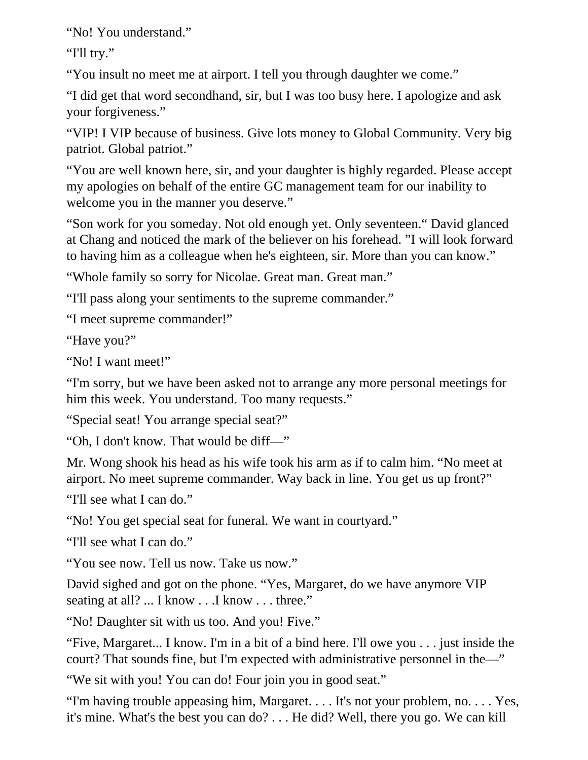"No! You understand."

"I'll try."

"You insult no meet me at airport. I tell you through daughter we come."

"I did get that word secondhand, sir, but I was too busy here. I apologize and ask your forgiveness."

"VIP! I VIP because of business. Give lots money to Global Community. Very big patriot. Global patriot."

"You are well known here, sir, and your daughter is highly regarded. Please accept my apologies on behalf of the entire GC management team for our inability to welcome you in the manner you deserve."

"Son work for you someday. Not old enough yet. Only seventeen." David glanced at Chang and noticed the mark of the believer on his forehead. "I will look forward to having him as a colleague when he's eighteen, sir. More than you can know."

"Whole family so sorry for Nicolae. Great man. Great man."

"I'll pass along your sentiments to the supreme commander."

"I meet supreme commander!"

"Have you?"

"No! I want meet!"

"I'm sorry, but we have been asked not to arrange any more personal meetings for him this week. You understand. Too many requests."

"Special seat! You arrange special seat?"

"Oh, I don't know. That would be diff—"

Mr. Wong shook his head as his wife took his arm as if to calm him. "No meet at airport. No meet supreme commander. Way back in line. You get us up front?"

"I'll see what I can do."

"No! You get special seat for funeral. We want in courtyard."

"I'll see what I can do."

"You see now. Tell us now. Take us now."

David sighed and got on the phone. "Yes, Margaret, do we have anymore VIP seating at all? ... I know . . .I know . . . three."

"No! Daughter sit with us too. And you! Five."

"Five, Margaret... I know. I'm in a bit of a bind here. I'll owe you . . . just inside the court? That sounds fine, but I'm expected with administrative personnel in the—"

"We sit with you! You can do! Four join you in good seat."

"I'm having trouble appeasing him, Margaret. . . . It's not your problem, no. . . . Yes, it's mine. What's the best you can do? . . . He did? Well, there you go. We can kill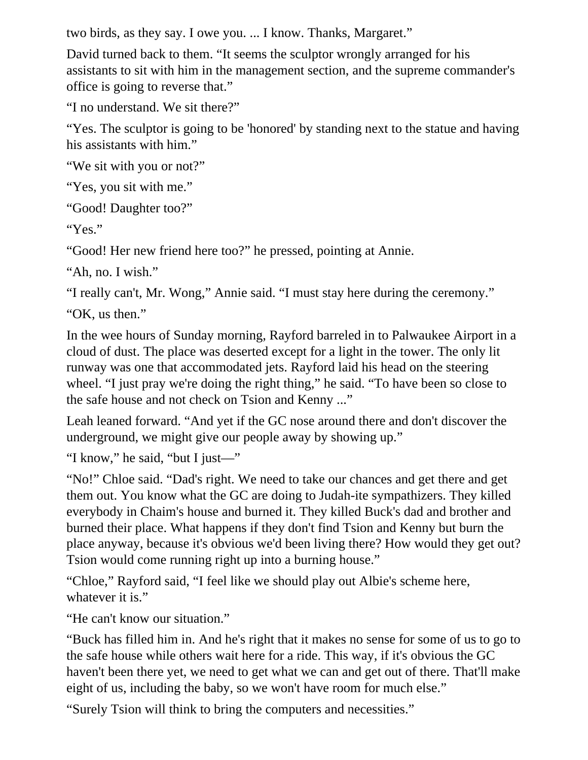two birds, as they say. I owe you. ... I know. Thanks, Margaret."

David turned back to them. "It seems the sculptor wrongly arranged for his assistants to sit with him in the management section, and the supreme commander's office is going to reverse that."

"I no understand. We sit there?"

"Yes. The sculptor is going to be 'honored' by standing next to the statue and having his assistants with him."

"We sit with you or not?"

"Yes, you sit with me."

"Good! Daughter too?"

"Yes."

"Good! Her new friend here too?" he pressed, pointing at Annie.

"Ah, no. I wish."

"I really can't, Mr. Wong," Annie said. "I must stay here during the ceremony."

"OK, us then."

In the wee hours of Sunday morning, Rayford barreled in to Palwaukee Airport in a cloud of dust. The place was deserted except for a light in the tower. The only lit runway was one that accommodated jets. Rayford laid his head on the steering wheel. "I just pray we're doing the right thing," he said. "To have been so close to the safe house and not check on Tsion and Kenny ..."

Leah leaned forward. "And yet if the GC nose around there and don't discover the underground, we might give our people away by showing up."

"I know," he said, "but I just—"

"No!" Chloe said. "Dad's right. We need to take our chances and get there and get them out. You know what the GC are doing to Judah-ite sympathizers. They killed everybody in Chaim's house and burned it. They killed Buck's dad and brother and burned their place. What happens if they don't find Tsion and Kenny but burn the place anyway, because it's obvious we'd been living there? How would they get out? Tsion would come running right up into a burning house."

"Chloe," Rayford said, "I feel like we should play out Albie's scheme here, whatever it is."

"He can't know our situation."

"Buck has filled him in. And he's right that it makes no sense for some of us to go to the safe house while others wait here for a ride. This way, if it's obvious the GC haven't been there yet, we need to get what we can and get out of there. That'll make eight of us, including the baby, so we won't have room for much else."

"Surely Tsion will think to bring the computers and necessities."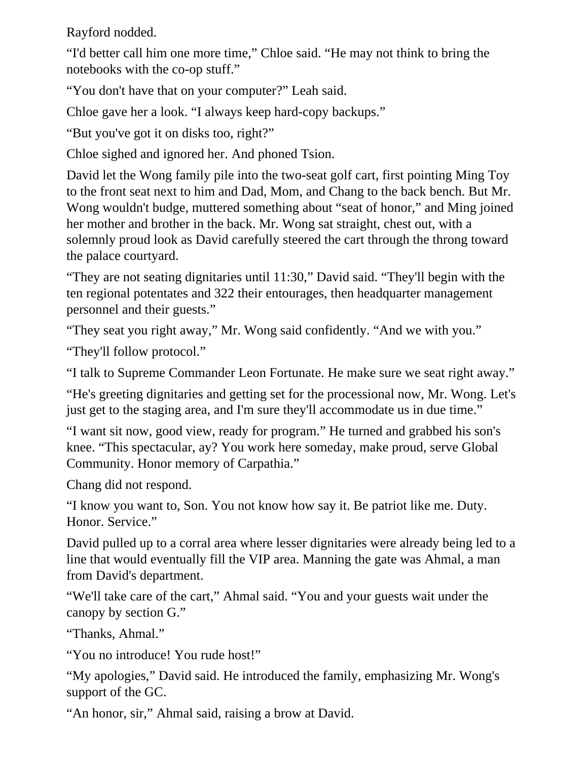Rayford nodded.

"I'd better call him one more time," Chloe said. "He may not think to bring the notebooks with the co-op stuff."

"You don't have that on your computer?" Leah said.

Chloe gave her a look. "I always keep hard-copy backups."

"But you've got it on disks too, right?"

Chloe sighed and ignored her. And phoned Tsion.

David let the Wong family pile into the two-seat golf cart, first pointing Ming Toy to the front seat next to him and Dad, Mom, and Chang to the back bench. But Mr. Wong wouldn't budge, muttered something about "seat of honor," and Ming joined her mother and brother in the back. Mr. Wong sat straight, chest out, with a solemnly proud look as David carefully steered the cart through the throng toward the palace courtyard.

"They are not seating dignitaries until 11:30," David said. "They'll begin with the ten regional potentates and 322 their entourages, then headquarter management personnel and their guests."

"They seat you right away," Mr. Wong said confidently. "And we with you."

"They'll follow protocol."

"I talk to Supreme Commander Leon Fortunate. He make sure we seat right away."

"He's greeting dignitaries and getting set for the processional now, Mr. Wong. Let's just get to the staging area, and I'm sure they'll accommodate us in due time."

"I want sit now, good view, ready for program." He turned and grabbed his son's knee. "This spectacular, ay? You work here someday, make proud, serve Global Community. Honor memory of Carpathia."

Chang did not respond.

"I know you want to, Son. You not know how say it. Be patriot like me. Duty. Honor. Service."

David pulled up to a corral area where lesser dignitaries were already being led to a line that would eventually fill the VIP area. Manning the gate was Ahmal, a man from David's department.

"We'll take care of the cart," Ahmal said. "You and your guests wait under the canopy by section G."

"Thanks, Ahmal."

"You no introduce! You rude host!"

"My apologies," David said. He introduced the family, emphasizing Mr. Wong's support of the GC.

"An honor, sir," Ahmal said, raising a brow at David.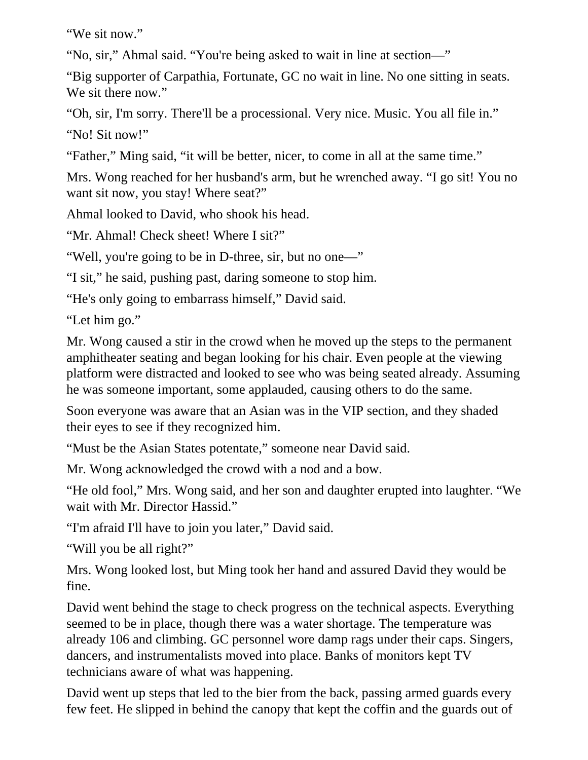"We sit now"

"No, sir," Ahmal said. "You're being asked to wait in line at section—"

"Big supporter of Carpathia, Fortunate, GC no wait in line. No one sitting in seats. We sit there now."

"Oh, sir, I'm sorry. There'll be a processional. Very nice. Music. You all file in." "No! Sit now!"

"Father," Ming said, "it will be better, nicer, to come in all at the same time."

Mrs. Wong reached for her husband's arm, but he wrenched away. "I go sit! You no want sit now, you stay! Where seat?"

Ahmal looked to David, who shook his head.

"Mr. Ahmal! Check sheet! Where I sit?"

"Well, you're going to be in D-three, sir, but no one—"

"I sit," he said, pushing past, daring someone to stop him.

"He's only going to embarrass himself," David said.

"Let him go."

Mr. Wong caused a stir in the crowd when he moved up the steps to the permanent amphitheater seating and began looking for his chair. Even people at the viewing platform were distracted and looked to see who was being seated already. Assuming he was someone important, some applauded, causing others to do the same.

Soon everyone was aware that an Asian was in the VIP section, and they shaded their eyes to see if they recognized him.

"Must be the Asian States potentate," someone near David said.

Mr. Wong acknowledged the crowd with a nod and a bow.

"He old fool," Mrs. Wong said, and her son and daughter erupted into laughter. "We wait with Mr. Director Hassid."

"I'm afraid I'll have to join you later," David said.

"Will you be all right?"

Mrs. Wong looked lost, but Ming took her hand and assured David they would be fine.

David went behind the stage to check progress on the technical aspects. Everything seemed to be in place, though there was a water shortage. The temperature was already 106 and climbing. GC personnel wore damp rags under their caps. Singers, dancers, and instrumentalists moved into place. Banks of monitors kept TV technicians aware of what was happening.

David went up steps that led to the bier from the back, passing armed guards every few feet. He slipped in behind the canopy that kept the coffin and the guards out of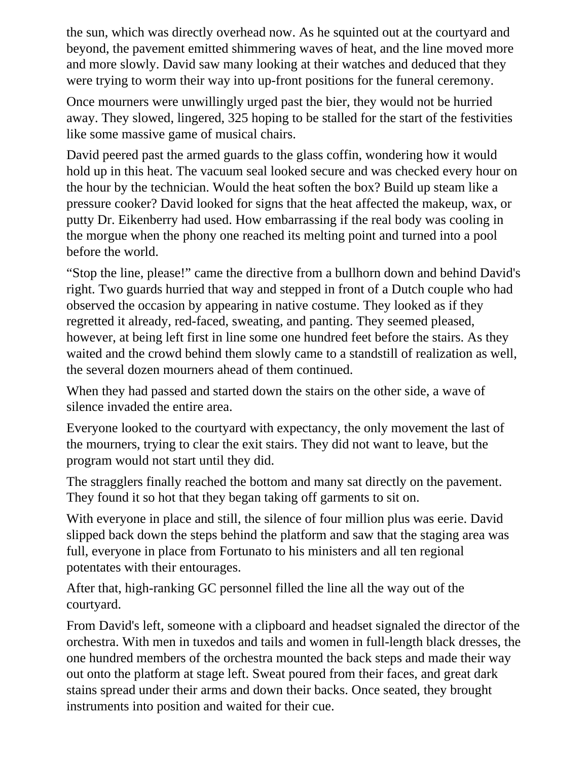the sun, which was directly overhead now. As he squinted out at the courtyard and beyond, the pavement emitted shimmering waves of heat, and the line moved more and more slowly. David saw many looking at their watches and deduced that they were trying to worm their way into up-front positions for the funeral ceremony.

Once mourners were unwillingly urged past the bier, they would not be hurried away. They slowed, lingered, 325 hoping to be stalled for the start of the festivities like some massive game of musical chairs.

David peered past the armed guards to the glass coffin, wondering how it would hold up in this heat. The vacuum seal looked secure and was checked every hour on the hour by the technician. Would the heat soften the box? Build up steam like a pressure cooker? David looked for signs that the heat affected the makeup, wax, or putty Dr. Eikenberry had used. How embarrassing if the real body was cooling in the morgue when the phony one reached its melting point and turned into a pool before the world.

"Stop the line, please!" came the directive from a bullhorn down and behind David's right. Two guards hurried that way and stepped in front of a Dutch couple who had observed the occasion by appearing in native costume. They looked as if they regretted it already, red-faced, sweating, and panting. They seemed pleased, however, at being left first in line some one hundred feet before the stairs. As they waited and the crowd behind them slowly came to a standstill of realization as well, the several dozen mourners ahead of them continued.

When they had passed and started down the stairs on the other side, a wave of silence invaded the entire area.

Everyone looked to the courtyard with expectancy, the only movement the last of the mourners, trying to clear the exit stairs. They did not want to leave, but the program would not start until they did.

The stragglers finally reached the bottom and many sat directly on the pavement. They found it so hot that they began taking off garments to sit on.

With everyone in place and still, the silence of four million plus was eerie. David slipped back down the steps behind the platform and saw that the staging area was full, everyone in place from Fortunato to his ministers and all ten regional potentates with their entourages.

After that, high-ranking GC personnel filled the line all the way out of the courtyard.

From David's left, someone with a clipboard and headset signaled the director of the orchestra. With men in tuxedos and tails and women in full-length black dresses, the one hundred members of the orchestra mounted the back steps and made their way out onto the platform at stage left. Sweat poured from their faces, and great dark stains spread under their arms and down their backs. Once seated, they brought instruments into position and waited for their cue.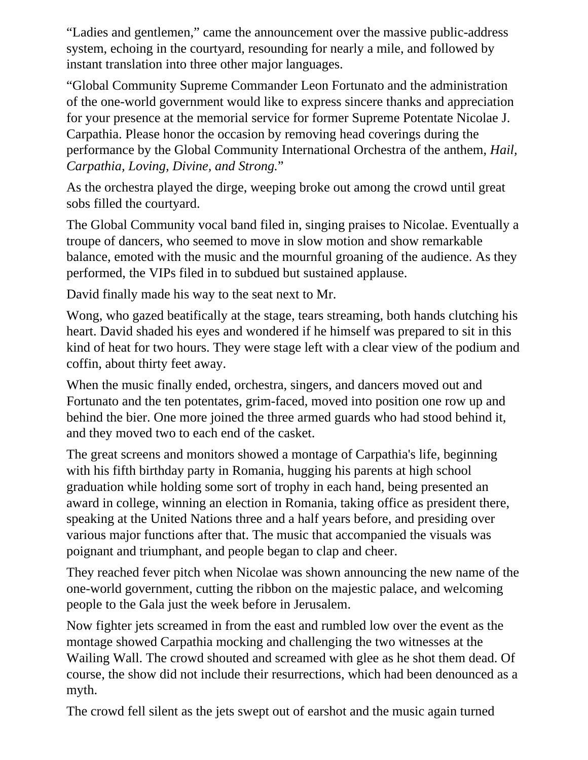"Ladies and gentlemen," came the announcement over the massive public-address system, echoing in the courtyard, resounding for nearly a mile, and followed by instant translation into three other major languages.

"Global Community Supreme Commander Leon Fortunato and the administration of the one-world government would like to express sincere thanks and appreciation for your presence at the memorial service for former Supreme Potentate Nicolae J. Carpathia. Please honor the occasion by removing head coverings during the performance by the Global Community International Orchestra of the anthem, *Hail, Carpathia, Loving, Divine, and Strong.*"

As the orchestra played the dirge, weeping broke out among the crowd until great sobs filled the courtyard.

The Global Community vocal band filed in, singing praises to Nicolae. Eventually a troupe of dancers, who seemed to move in slow motion and show remarkable balance, emoted with the music and the mournful groaning of the audience. As they performed, the VIPs filed in to subdued but sustained applause.

David finally made his way to the seat next to Mr.

Wong, who gazed beatifically at the stage, tears streaming, both hands clutching his heart. David shaded his eyes and wondered if he himself was prepared to sit in this kind of heat for two hours. They were stage left with a clear view of the podium and coffin, about thirty feet away.

When the music finally ended, orchestra, singers, and dancers moved out and Fortunato and the ten potentates, grim-faced, moved into position one row up and behind the bier. One more joined the three armed guards who had stood behind it, and they moved two to each end of the casket.

The great screens and monitors showed a montage of Carpathia's life, beginning with his fifth birthday party in Romania, hugging his parents at high school graduation while holding some sort of trophy in each hand, being presented an award in college, winning an election in Romania, taking office as president there, speaking at the United Nations three and a half years before, and presiding over various major functions after that. The music that accompanied the visuals was poignant and triumphant, and people began to clap and cheer.

They reached fever pitch when Nicolae was shown announcing the new name of the one-world government, cutting the ribbon on the majestic palace, and welcoming people to the Gala just the week before in Jerusalem.

Now fighter jets screamed in from the east and rumbled low over the event as the montage showed Carpathia mocking and challenging the two witnesses at the Wailing Wall. The crowd shouted and screamed with glee as he shot them dead. Of course, the show did not include their resurrections, which had been denounced as a myth.

The crowd fell silent as the jets swept out of earshot and the music again turned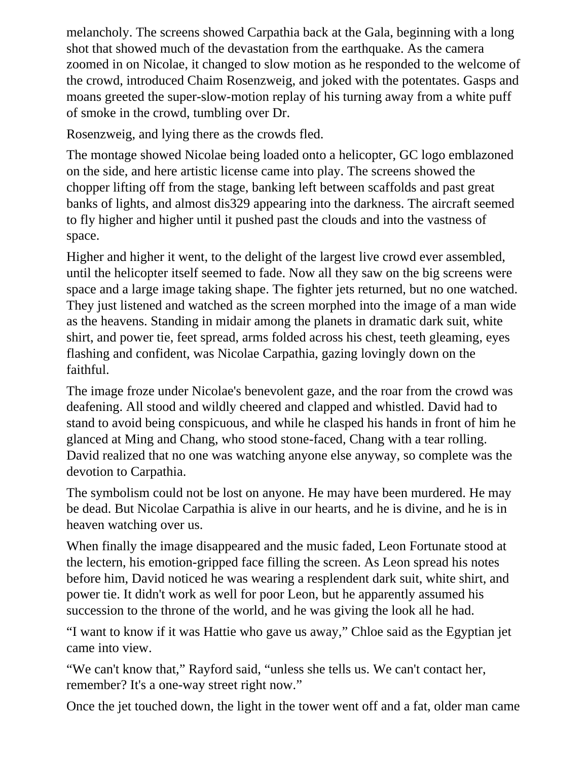melancholy. The screens showed Carpathia back at the Gala, beginning with a long shot that showed much of the devastation from the earthquake. As the camera zoomed in on Nicolae, it changed to slow motion as he responded to the welcome of the crowd, introduced Chaim Rosenzweig, and joked with the potentates. Gasps and moans greeted the super-slow-motion replay of his turning away from a white puff of smoke in the crowd, tumbling over Dr.

Rosenzweig, and lying there as the crowds fled.

The montage showed Nicolae being loaded onto a helicopter, GC logo emblazoned on the side, and here artistic license came into play. The screens showed the chopper lifting off from the stage, banking left between scaffolds and past great banks of lights, and almost dis329 appearing into the darkness. The aircraft seemed to fly higher and higher until it pushed past the clouds and into the vastness of space.

Higher and higher it went, to the delight of the largest live crowd ever assembled, until the helicopter itself seemed to fade. Now all they saw on the big screens were space and a large image taking shape. The fighter jets returned, but no one watched. They just listened and watched as the screen morphed into the image of a man wide as the heavens. Standing in midair among the planets in dramatic dark suit, white shirt, and power tie, feet spread, arms folded across his chest, teeth gleaming, eyes flashing and confident, was Nicolae Carpathia, gazing lovingly down on the faithful.

The image froze under Nicolae's benevolent gaze, and the roar from the crowd was deafening. All stood and wildly cheered and clapped and whistled. David had to stand to avoid being conspicuous, and while he clasped his hands in front of him he glanced at Ming and Chang, who stood stone-faced, Chang with a tear rolling. David realized that no one was watching anyone else anyway, so complete was the devotion to Carpathia.

The symbolism could not be lost on anyone. He may have been murdered. He may be dead. But Nicolae Carpathia is alive in our hearts, and he is divine, and he is in heaven watching over us.

When finally the image disappeared and the music faded, Leon Fortunate stood at the lectern, his emotion-gripped face filling the screen. As Leon spread his notes before him, David noticed he was wearing a resplendent dark suit, white shirt, and power tie. It didn't work as well for poor Leon, but he apparently assumed his succession to the throne of the world, and he was giving the look all he had.

"I want to know if it was Hattie who gave us away," Chloe said as the Egyptian jet came into view.

"We can't know that," Rayford said, "unless she tells us. We can't contact her, remember? It's a one-way street right now."

Once the jet touched down, the light in the tower went off and a fat, older man came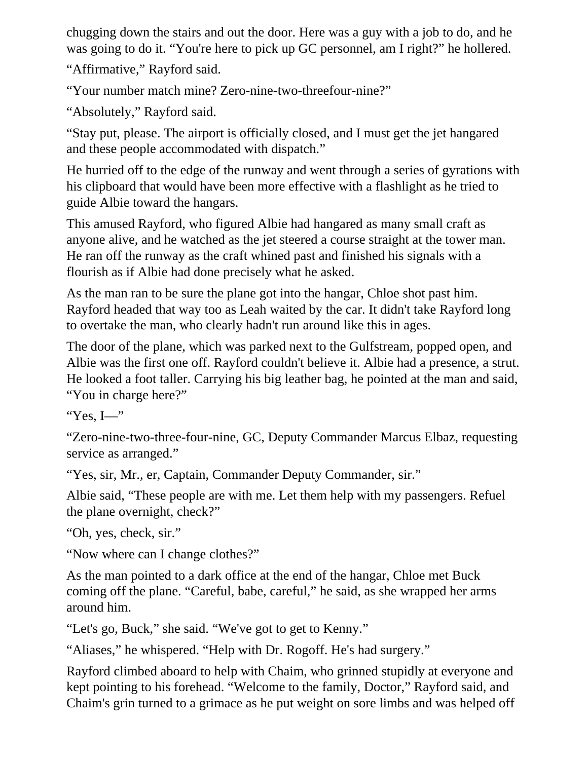chugging down the stairs and out the door. Here was a guy with a job to do, and he was going to do it. "You're here to pick up GC personnel, am I right?" he hollered.

"Affirmative," Rayford said.

"Your number match mine? Zero-nine-two-threefour-nine?"

"Absolutely," Rayford said.

"Stay put, please. The airport is officially closed, and I must get the jet hangared and these people accommodated with dispatch."

He hurried off to the edge of the runway and went through a series of gyrations with his clipboard that would have been more effective with a flashlight as he tried to guide Albie toward the hangars.

This amused Rayford, who figured Albie had hangared as many small craft as anyone alive, and he watched as the jet steered a course straight at the tower man. He ran off the runway as the craft whined past and finished his signals with a flourish as if Albie had done precisely what he asked.

As the man ran to be sure the plane got into the hangar, Chloe shot past him. Rayford headed that way too as Leah waited by the car. It didn't take Rayford long to overtake the man, who clearly hadn't run around like this in ages.

The door of the plane, which was parked next to the Gulfstream, popped open, and Albie was the first one off. Rayford couldn't believe it. Albie had a presence, a strut. He looked a foot taller. Carrying his big leather bag, he pointed at the man and said, "You in charge here?"

"Yes, I—"

"Zero-nine-two-three-four-nine, GC, Deputy Commander Marcus Elbaz, requesting service as arranged."

"Yes, sir, Mr., er, Captain, Commander Deputy Commander, sir."

Albie said, "These people are with me. Let them help with my passengers. Refuel the plane overnight, check?"

```
"Oh, yes, check, sir."
```
"Now where can I change clothes?"

As the man pointed to a dark office at the end of the hangar, Chloe met Buck coming off the plane. "Careful, babe, careful," he said, as she wrapped her arms around him.

"Let's go, Buck," she said. "We've got to get to Kenny."

"Aliases," he whispered. "Help with Dr. Rogoff. He's had surgery."

Rayford climbed aboard to help with Chaim, who grinned stupidly at everyone and kept pointing to his forehead. "Welcome to the family, Doctor," Rayford said, and Chaim's grin turned to a grimace as he put weight on sore limbs and was helped off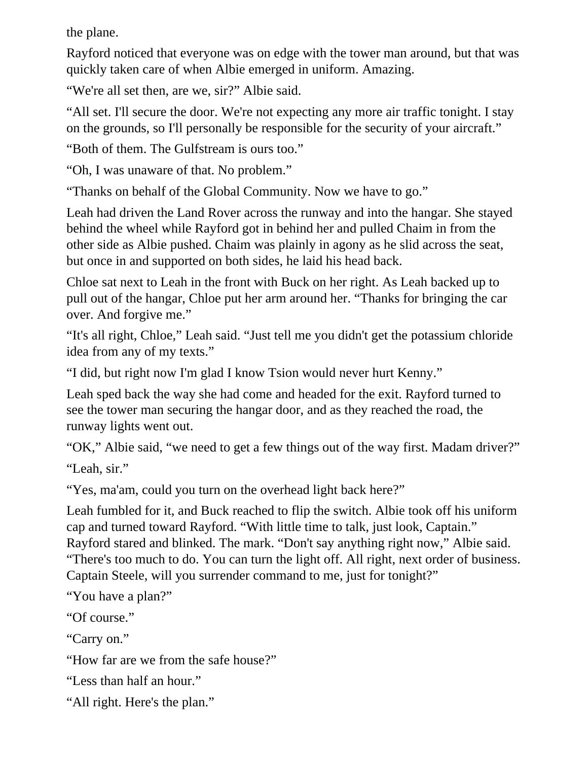the plane.

Rayford noticed that everyone was on edge with the tower man around, but that was quickly taken care of when Albie emerged in uniform. Amazing.

"We're all set then, are we, sir?" Albie said.

"All set. I'll secure the door. We're not expecting any more air traffic tonight. I stay on the grounds, so I'll personally be responsible for the security of your aircraft."

"Both of them. The Gulfstream is ours too."

"Oh, I was unaware of that. No problem."

"Thanks on behalf of the Global Community. Now we have to go."

Leah had driven the Land Rover across the runway and into the hangar. She stayed behind the wheel while Rayford got in behind her and pulled Chaim in from the other side as Albie pushed. Chaim was plainly in agony as he slid across the seat, but once in and supported on both sides, he laid his head back.

Chloe sat next to Leah in the front with Buck on her right. As Leah backed up to pull out of the hangar, Chloe put her arm around her. "Thanks for bringing the car over. And forgive me."

"It's all right, Chloe," Leah said. "Just tell me you didn't get the potassium chloride idea from any of my texts."

"I did, but right now I'm glad I know Tsion would never hurt Kenny."

Leah sped back the way she had come and headed for the exit. Rayford turned to see the tower man securing the hangar door, and as they reached the road, the runway lights went out.

"OK," Albie said, "we need to get a few things out of the way first. Madam driver?" "Leah, sir."

"Yes, ma'am, could you turn on the overhead light back here?"

Leah fumbled for it, and Buck reached to flip the switch. Albie took off his uniform cap and turned toward Rayford. "With little time to talk, just look, Captain." Rayford stared and blinked. The mark. "Don't say anything right now," Albie said. "There's too much to do. You can turn the light off. All right, next order of business. Captain Steele, will you surrender command to me, just for tonight?"

"You have a plan?"

"Of course."

"Carry on."

"How far are we from the safe house?"

"Less than half an hour."

"All right. Here's the plan."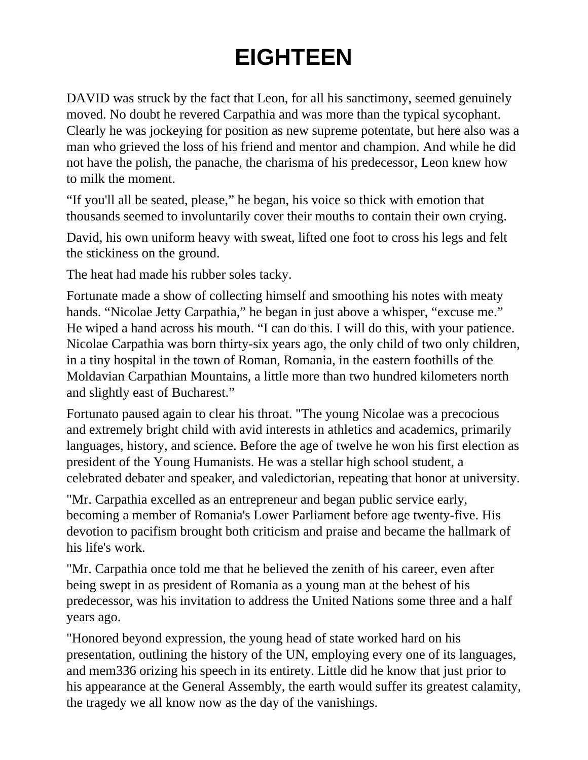## **EIGHTEEN**

DAVID was struck by the fact that Leon, for all his sanctimony, seemed genuinely moved. No doubt he revered Carpathia and was more than the typical sycophant. Clearly he was jockeying for position as new supreme potentate, but here also was a man who grieved the loss of his friend and mentor and champion. And while he did not have the polish, the panache, the charisma of his predecessor, Leon knew how to milk the moment.

"If you'll all be seated, please," he began, his voice so thick with emotion that thousands seemed to involuntarily cover their mouths to contain their own crying.

David, his own uniform heavy with sweat, lifted one foot to cross his legs and felt the stickiness on the ground.

The heat had made his rubber soles tacky.

Fortunate made a show of collecting himself and smoothing his notes with meaty hands. "Nicolae Jetty Carpathia," he began in just above a whisper, "excuse me." He wiped a hand across his mouth. "I can do this. I will do this, with your patience. Nicolae Carpathia was born thirty-six years ago, the only child of two only children, in a tiny hospital in the town of Roman, Romania, in the eastern foothills of the Moldavian Carpathian Mountains, a little more than two hundred kilometers north and slightly east of Bucharest."

Fortunato paused again to clear his throat. "The young Nicolae was a precocious and extremely bright child with avid interests in athletics and academics, primarily languages, history, and science. Before the age of twelve he won his first election as president of the Young Humanists. He was a stellar high school student, a celebrated debater and speaker, and valedictorian, repeating that honor at university.

"Mr. Carpathia excelled as an entrepreneur and began public service early, becoming a member of Romania's Lower Parliament before age twenty-five. His devotion to pacifism brought both criticism and praise and became the hallmark of his life's work.

"Mr. Carpathia once told me that he believed the zenith of his career, even after being swept in as president of Romania as a young man at the behest of his predecessor, was his invitation to address the United Nations some three and a half years ago.

"Honored beyond expression, the young head of state worked hard on his presentation, outlining the history of the UN, employing every one of its languages, and mem336 orizing his speech in its entirety. Little did he know that just prior to his appearance at the General Assembly, the earth would suffer its greatest calamity, the tragedy we all know now as the day of the vanishings.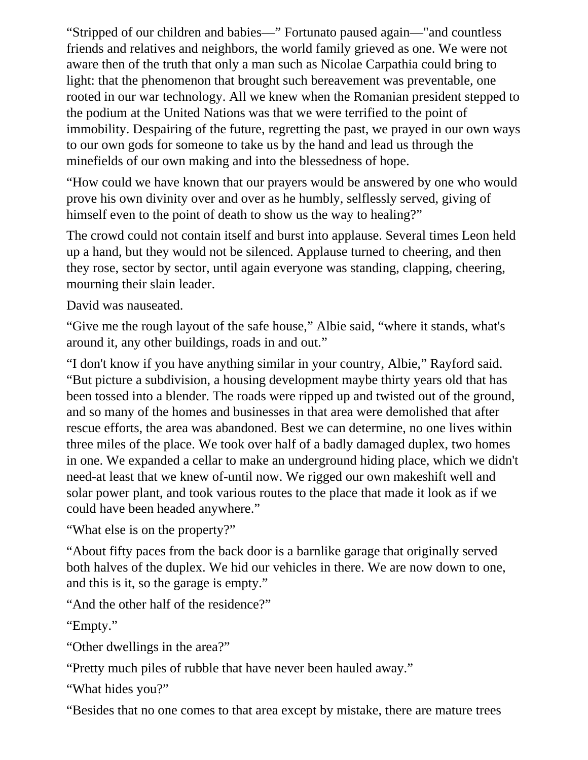"Stripped of our children and babies—" Fortunato paused again—"and countless friends and relatives and neighbors, the world family grieved as one. We were not aware then of the truth that only a man such as Nicolae Carpathia could bring to light: that the phenomenon that brought such bereavement was preventable, one rooted in our war technology. All we knew when the Romanian president stepped to the podium at the United Nations was that we were terrified to the point of immobility. Despairing of the future, regretting the past, we prayed in our own ways to our own gods for someone to take us by the hand and lead us through the minefields of our own making and into the blessedness of hope.

"How could we have known that our prayers would be answered by one who would prove his own divinity over and over as he humbly, selflessly served, giving of himself even to the point of death to show us the way to healing?"

The crowd could not contain itself and burst into applause. Several times Leon held up a hand, but they would not be silenced. Applause turned to cheering, and then they rose, sector by sector, until again everyone was standing, clapping, cheering, mourning their slain leader.

David was nauseated.

"Give me the rough layout of the safe house," Albie said, "where it stands, what's around it, any other buildings, roads in and out."

"I don't know if you have anything similar in your country, Albie," Rayford said. "But picture a subdivision, a housing development maybe thirty years old that has been tossed into a blender. The roads were ripped up and twisted out of the ground, and so many of the homes and businesses in that area were demolished that after rescue efforts, the area was abandoned. Best we can determine, no one lives within three miles of the place. We took over half of a badly damaged duplex, two homes in one. We expanded a cellar to make an underground hiding place, which we didn't need-at least that we knew of-until now. We rigged our own makeshift well and solar power plant, and took various routes to the place that made it look as if we could have been headed anywhere."

"What else is on the property?"

"About fifty paces from the back door is a barnlike garage that originally served both halves of the duplex. We hid our vehicles in there. We are now down to one, and this is it, so the garage is empty."

"And the other half of the residence?"

"Empty."

"Other dwellings in the area?"

"Pretty much piles of rubble that have never been hauled away."

"What hides you?"

"Besides that no one comes to that area except by mistake, there are mature trees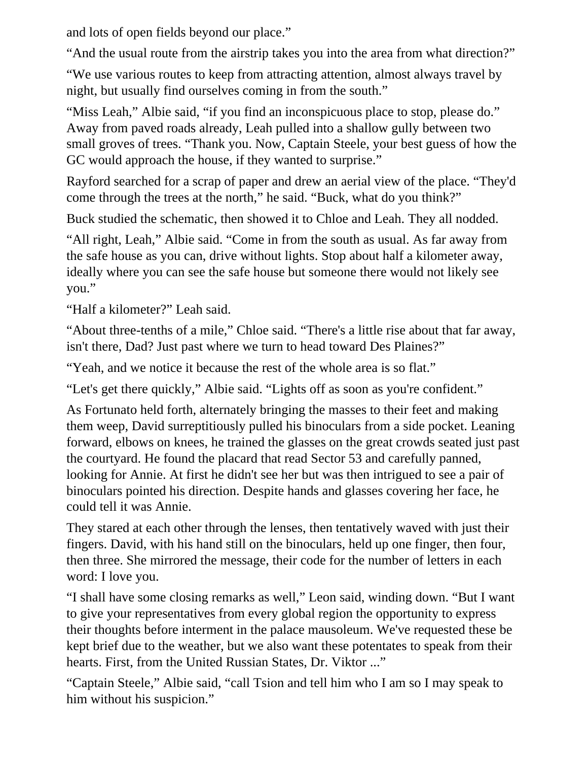and lots of open fields beyond our place."

"And the usual route from the airstrip takes you into the area from what direction?"

"We use various routes to keep from attracting attention, almost always travel by night, but usually find ourselves coming in from the south."

"Miss Leah," Albie said, "if you find an inconspicuous place to stop, please do." Away from paved roads already, Leah pulled into a shallow gully between two small groves of trees. "Thank you. Now, Captain Steele, your best guess of how the GC would approach the house, if they wanted to surprise."

Rayford searched for a scrap of paper and drew an aerial view of the place. "They'd come through the trees at the north," he said. "Buck, what do you think?"

Buck studied the schematic, then showed it to Chloe and Leah. They all nodded.

"All right, Leah," Albie said. "Come in from the south as usual. As far away from the safe house as you can, drive without lights. Stop about half a kilometer away, ideally where you can see the safe house but someone there would not likely see you."

"Half a kilometer?" Leah said.

"About three-tenths of a mile," Chloe said. "There's a little rise about that far away, isn't there, Dad? Just past where we turn to head toward Des Plaines?"

"Yeah, and we notice it because the rest of the whole area is so flat."

"Let's get there quickly," Albie said. "Lights off as soon as you're confident."

As Fortunato held forth, alternately bringing the masses to their feet and making them weep, David surreptitiously pulled his binoculars from a side pocket. Leaning forward, elbows on knees, he trained the glasses on the great crowds seated just past the courtyard. He found the placard that read Sector 53 and carefully panned, looking for Annie. At first he didn't see her but was then intrigued to see a pair of binoculars pointed his direction. Despite hands and glasses covering her face, he could tell it was Annie.

They stared at each other through the lenses, then tentatively waved with just their fingers. David, with his hand still on the binoculars, held up one finger, then four, then three. She mirrored the message, their code for the number of letters in each word: I love you.

"I shall have some closing remarks as well," Leon said, winding down. "But I want to give your representatives from every global region the opportunity to express their thoughts before interment in the palace mausoleum. We've requested these be kept brief due to the weather, but we also want these potentates to speak from their hearts. First, from the United Russian States, Dr. Viktor ..."

"Captain Steele," Albie said, "call Tsion and tell him who I am so I may speak to him without his suspicion."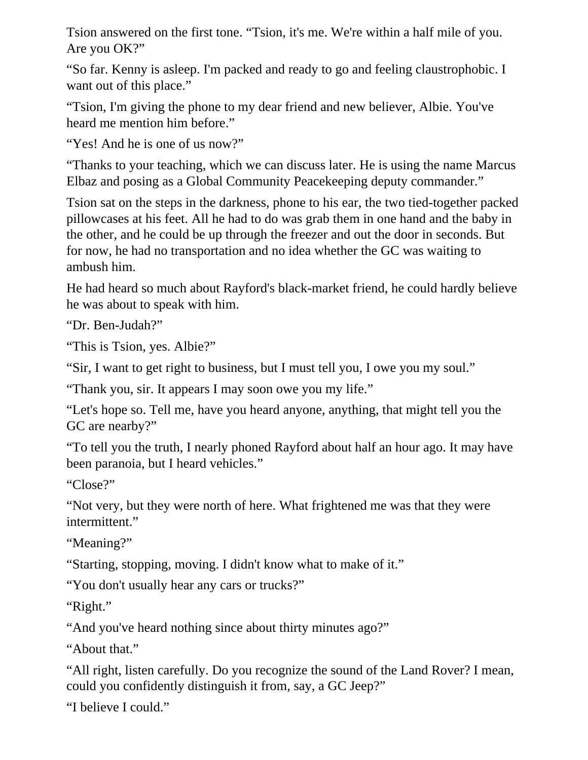Tsion answered on the first tone. "Tsion, it's me. We're within a half mile of you. Are you OK?"

"So far. Kenny is asleep. I'm packed and ready to go and feeling claustrophobic. I want out of this place."

"Tsion, I'm giving the phone to my dear friend and new believer, Albie. You've heard me mention him before."

"Yes! And he is one of us now?"

"Thanks to your teaching, which we can discuss later. He is using the name Marcus Elbaz and posing as a Global Community Peacekeeping deputy commander."

Tsion sat on the steps in the darkness, phone to his ear, the two tied-together packed pillowcases at his feet. All he had to do was grab them in one hand and the baby in the other, and he could be up through the freezer and out the door in seconds. But for now, he had no transportation and no idea whether the GC was waiting to ambush him.

He had heard so much about Rayford's black-market friend, he could hardly believe he was about to speak with him.

"Dr. Ben-Judah?"

"This is Tsion, yes. Albie?"

"Sir, I want to get right to business, but I must tell you, I owe you my soul."

"Thank you, sir. It appears I may soon owe you my life."

"Let's hope so. Tell me, have you heard anyone, anything, that might tell you the GC are nearby?"

"To tell you the truth, I nearly phoned Rayford about half an hour ago. It may have been paranoia, but I heard vehicles."

"Close?"

"Not very, but they were north of here. What frightened me was that they were intermittent."

"Meaning?"

"Starting, stopping, moving. I didn't know what to make of it."

"You don't usually hear any cars or trucks?"

"Right."

"And you've heard nothing since about thirty minutes ago?"

"About that."

"All right, listen carefully. Do you recognize the sound of the Land Rover? I mean, could you confidently distinguish it from, say, a GC Jeep?"

"I believe I could."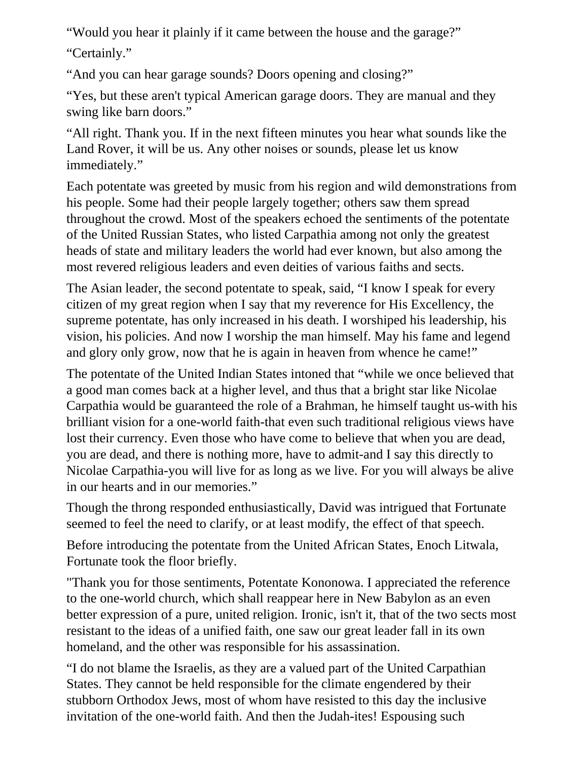"Would you hear it plainly if it came between the house and the garage?"

"Certainly."

"And you can hear garage sounds? Doors opening and closing?"

"Yes, but these aren't typical American garage doors. They are manual and they swing like barn doors."

"All right. Thank you. If in the next fifteen minutes you hear what sounds like the Land Rover, it will be us. Any other noises or sounds, please let us know immediately."

Each potentate was greeted by music from his region and wild demonstrations from his people. Some had their people largely together; others saw them spread throughout the crowd. Most of the speakers echoed the sentiments of the potentate of the United Russian States, who listed Carpathia among not only the greatest heads of state and military leaders the world had ever known, but also among the most revered religious leaders and even deities of various faiths and sects.

The Asian leader, the second potentate to speak, said, "I know I speak for every citizen of my great region when I say that my reverence for His Excellency, the supreme potentate, has only increased in his death. I worshiped his leadership, his vision, his policies. And now I worship the man himself. May his fame and legend and glory only grow, now that he is again in heaven from whence he came!"

The potentate of the United Indian States intoned that "while we once believed that a good man comes back at a higher level, and thus that a bright star like Nicolae Carpathia would be guaranteed the role of a Brahman, he himself taught us-with his brilliant vision for a one-world faith-that even such traditional religious views have lost their currency. Even those who have come to believe that when you are dead, you are dead, and there is nothing more, have to admit-and I say this directly to Nicolae Carpathia-you will live for as long as we live. For you will always be alive in our hearts and in our memories."

Though the throng responded enthusiastically, David was intrigued that Fortunate seemed to feel the need to clarify, or at least modify, the effect of that speech.

Before introducing the potentate from the United African States, Enoch Litwala, Fortunate took the floor briefly.

"Thank you for those sentiments, Potentate Kononowa. I appreciated the reference to the one-world church, which shall reappear here in New Babylon as an even better expression of a pure, united religion. Ironic, isn't it, that of the two sects most resistant to the ideas of a unified faith, one saw our great leader fall in its own homeland, and the other was responsible for his assassination.

"I do not blame the Israelis, as they are a valued part of the United Carpathian States. They cannot be held responsible for the climate engendered by their stubborn Orthodox Jews, most of whom have resisted to this day the inclusive invitation of the one-world faith. And then the Judah-ites! Espousing such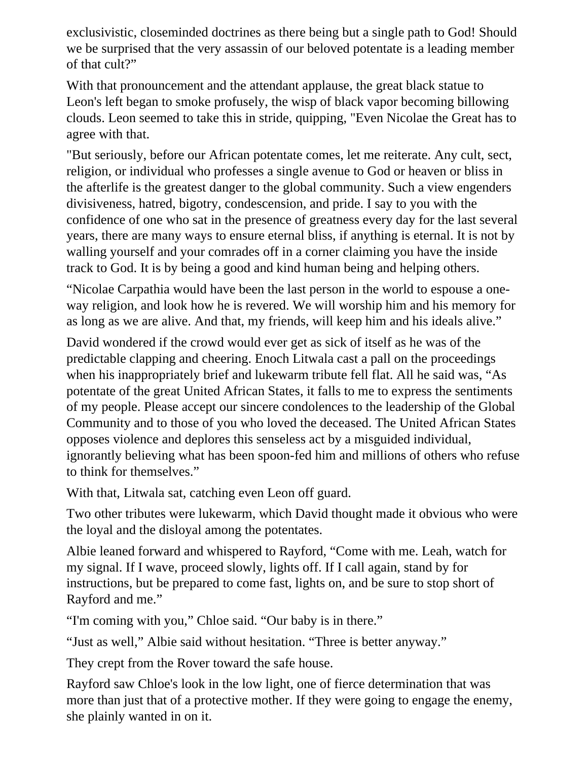exclusivistic, closeminded doctrines as there being but a single path to God! Should we be surprised that the very assassin of our beloved potentate is a leading member of that cult?"

With that pronouncement and the attendant applause, the great black statue to Leon's left began to smoke profusely, the wisp of black vapor becoming billowing clouds. Leon seemed to take this in stride, quipping, "Even Nicolae the Great has to agree with that.

"But seriously, before our African potentate comes, let me reiterate. Any cult, sect, religion, or individual who professes a single avenue to God or heaven or bliss in the afterlife is the greatest danger to the global community. Such a view engenders divisiveness, hatred, bigotry, condescension, and pride. I say to you with the confidence of one who sat in the presence of greatness every day for the last several years, there are many ways to ensure eternal bliss, if anything is eternal. It is not by walling yourself and your comrades off in a corner claiming you have the inside track to God. It is by being a good and kind human being and helping others.

"Nicolae Carpathia would have been the last person in the world to espouse a oneway religion, and look how he is revered. We will worship him and his memory for as long as we are alive. And that, my friends, will keep him and his ideals alive."

David wondered if the crowd would ever get as sick of itself as he was of the predictable clapping and cheering. Enoch Litwala cast a pall on the proceedings when his inappropriately brief and lukewarm tribute fell flat. All he said was, "As potentate of the great United African States, it falls to me to express the sentiments of my people. Please accept our sincere condolences to the leadership of the Global Community and to those of you who loved the deceased. The United African States opposes violence and deplores this senseless act by a misguided individual, ignorantly believing what has been spoon-fed him and millions of others who refuse to think for themselves."

With that, Litwala sat, catching even Leon off guard.

Two other tributes were lukewarm, which David thought made it obvious who were the loyal and the disloyal among the potentates.

Albie leaned forward and whispered to Rayford, "Come with me. Leah, watch for my signal. If I wave, proceed slowly, lights off. If I call again, stand by for instructions, but be prepared to come fast, lights on, and be sure to stop short of Rayford and me."

"I'm coming with you," Chloe said. "Our baby is in there."

"Just as well," Albie said without hesitation. "Three is better anyway."

They crept from the Rover toward the safe house.

Rayford saw Chloe's look in the low light, one of fierce determination that was more than just that of a protective mother. If they were going to engage the enemy, she plainly wanted in on it.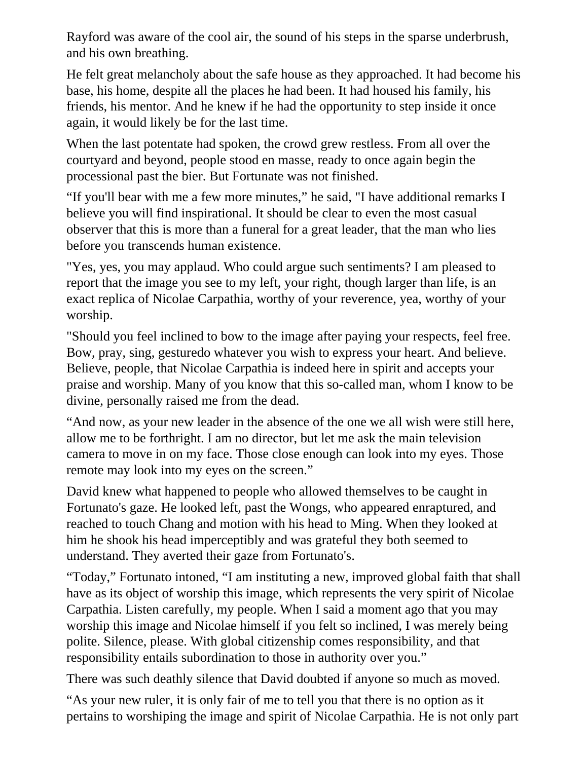Rayford was aware of the cool air, the sound of his steps in the sparse underbrush, and his own breathing.

He felt great melancholy about the safe house as they approached. It had become his base, his home, despite all the places he had been. It had housed his family, his friends, his mentor. And he knew if he had the opportunity to step inside it once again, it would likely be for the last time.

When the last potentate had spoken, the crowd grew restless. From all over the courtyard and beyond, people stood en masse, ready to once again begin the processional past the bier. But Fortunate was not finished.

"If you'll bear with me a few more minutes," he said, "I have additional remarks I believe you will find inspirational. It should be clear to even the most casual observer that this is more than a funeral for a great leader, that the man who lies before you transcends human existence.

"Yes, yes, you may applaud. Who could argue such sentiments? I am pleased to report that the image you see to my left, your right, though larger than life, is an exact replica of Nicolae Carpathia, worthy of your reverence, yea, worthy of your worship.

"Should you feel inclined to bow to the image after paying your respects, feel free. Bow, pray, sing, gesturedo whatever you wish to express your heart. And believe. Believe, people, that Nicolae Carpathia is indeed here in spirit and accepts your praise and worship. Many of you know that this so-called man, whom I know to be divine, personally raised me from the dead.

"And now, as your new leader in the absence of the one we all wish were still here, allow me to be forthright. I am no director, but let me ask the main television camera to move in on my face. Those close enough can look into my eyes. Those remote may look into my eyes on the screen."

David knew what happened to people who allowed themselves to be caught in Fortunato's gaze. He looked left, past the Wongs, who appeared enraptured, and reached to touch Chang and motion with his head to Ming. When they looked at him he shook his head imperceptibly and was grateful they both seemed to understand. They averted their gaze from Fortunato's.

"Today," Fortunato intoned, "I am instituting a new, improved global faith that shall have as its object of worship this image, which represents the very spirit of Nicolae Carpathia. Listen carefully, my people. When I said a moment ago that you may worship this image and Nicolae himself if you felt so inclined, I was merely being polite. Silence, please. With global citizenship comes responsibility, and that responsibility entails subordination to those in authority over you."

There was such deathly silence that David doubted if anyone so much as moved.

"As your new ruler, it is only fair of me to tell you that there is no option as it pertains to worshiping the image and spirit of Nicolae Carpathia. He is not only part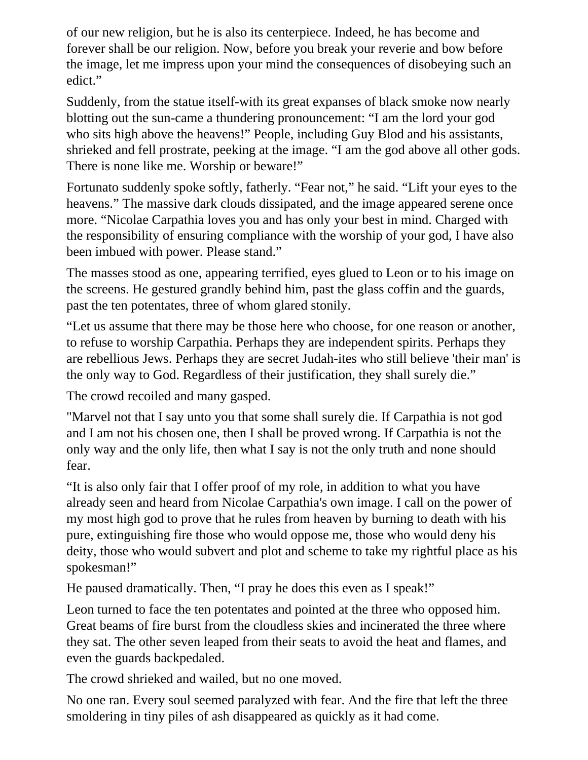of our new religion, but he is also its centerpiece. Indeed, he has become and forever shall be our religion. Now, before you break your reverie and bow before the image, let me impress upon your mind the consequences of disobeying such an edict."

Suddenly, from the statue itself-with its great expanses of black smoke now nearly blotting out the sun-came a thundering pronouncement: "I am the lord your god who sits high above the heavens!" People, including Guy Blod and his assistants, shrieked and fell prostrate, peeking at the image. "I am the god above all other gods. There is none like me. Worship or beware!"

Fortunato suddenly spoke softly, fatherly. "Fear not," he said. "Lift your eyes to the heavens." The massive dark clouds dissipated, and the image appeared serene once more. "Nicolae Carpathia loves you and has only your best in mind. Charged with the responsibility of ensuring compliance with the worship of your god, I have also been imbued with power. Please stand."

The masses stood as one, appearing terrified, eyes glued to Leon or to his image on the screens. He gestured grandly behind him, past the glass coffin and the guards, past the ten potentates, three of whom glared stonily.

"Let us assume that there may be those here who choose, for one reason or another, to refuse to worship Carpathia. Perhaps they are independent spirits. Perhaps they are rebellious Jews. Perhaps they are secret Judah-ites who still believe 'their man' is the only way to God. Regardless of their justification, they shall surely die."

The crowd recoiled and many gasped.

"Marvel not that I say unto you that some shall surely die. If Carpathia is not god and I am not his chosen one, then I shall be proved wrong. If Carpathia is not the only way and the only life, then what I say is not the only truth and none should fear.

"It is also only fair that I offer proof of my role, in addition to what you have already seen and heard from Nicolae Carpathia's own image. I call on the power of my most high god to prove that he rules from heaven by burning to death with his pure, extinguishing fire those who would oppose me, those who would deny his deity, those who would subvert and plot and scheme to take my rightful place as his spokesman!"

He paused dramatically. Then, "I pray he does this even as I speak!"

Leon turned to face the ten potentates and pointed at the three who opposed him. Great beams of fire burst from the cloudless skies and incinerated the three where they sat. The other seven leaped from their seats to avoid the heat and flames, and even the guards backpedaled.

The crowd shrieked and wailed, but no one moved.

No one ran. Every soul seemed paralyzed with fear. And the fire that left the three smoldering in tiny piles of ash disappeared as quickly as it had come.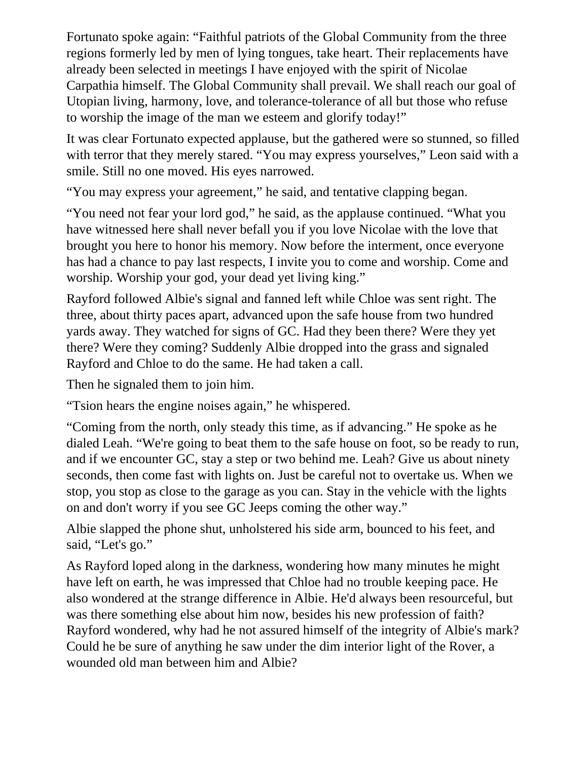Fortunato spoke again: "Faithful patriots of the Global Community from the three regions formerly led by men of lying tongues, take heart. Their replacements have already been selected in meetings I have enjoyed with the spirit of Nicolae Carpathia himself. The Global Community shall prevail. We shall reach our goal of Utopian living, harmony, love, and tolerance-tolerance of all but those who refuse to worship the image of the man we esteem and glorify today!"

It was clear Fortunato expected applause, but the gathered were so stunned, so filled with terror that they merely stared. "You may express yourselves," Leon said with a smile. Still no one moved. His eyes narrowed.

"You may express your agreement," he said, and tentative clapping began.

"You need not fear your lord god," he said, as the applause continued. "What you have witnessed here shall never befall you if you love Nicolae with the love that brought you here to honor his memory. Now before the interment, once everyone has had a chance to pay last respects, I invite you to come and worship. Come and worship. Worship your god, your dead yet living king."

Rayford followed Albie's signal and fanned left while Chloe was sent right. The three, about thirty paces apart, advanced upon the safe house from two hundred yards away. They watched for signs of GC. Had they been there? Were they yet there? Were they coming? Suddenly Albie dropped into the grass and signaled Rayford and Chloe to do the same. He had taken a call.

Then he signaled them to join him.

"Tsion hears the engine noises again," he whispered.

"Coming from the north, only steady this time, as if advancing." He spoke as he dialed Leah. "We're going to beat them to the safe house on foot, so be ready to run, and if we encounter GC, stay a step or two behind me. Leah? Give us about ninety seconds, then come fast with lights on. Just be careful not to overtake us. When we stop, you stop as close to the garage as you can. Stay in the vehicle with the lights on and don't worry if you see GC Jeeps coming the other way."

Albie slapped the phone shut, unholstered his side arm, bounced to his feet, and said, "Let's go."

As Rayford loped along in the darkness, wondering how many minutes he might have left on earth, he was impressed that Chloe had no trouble keeping pace. He also wondered at the strange difference in Albie. He'd always been resourceful, but was there something else about him now, besides his new profession of faith? Rayford wondered, why had he not assured himself of the integrity of Albie's mark? Could he be sure of anything he saw under the dim interior light of the Rover, a wounded old man between him and Albie?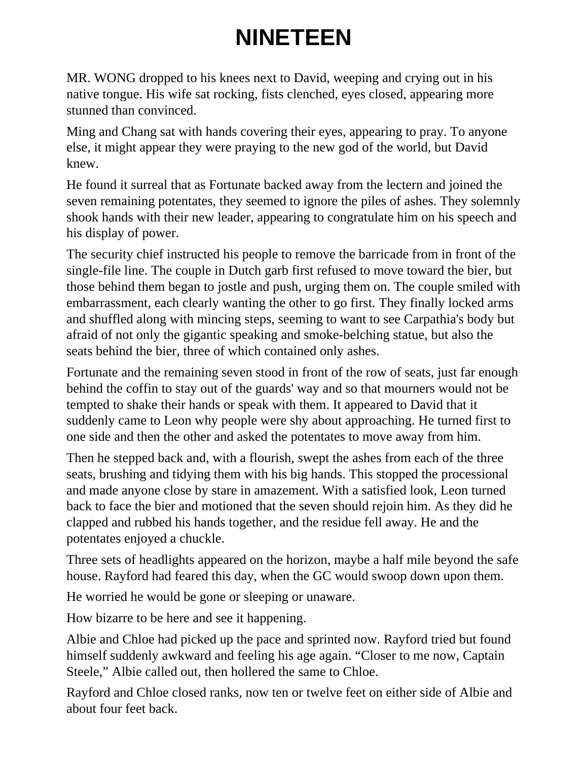## **NINETEEN**

MR. WONG dropped to his knees next to David, weeping and crying out in his native tongue. His wife sat rocking, fists clenched, eyes closed, appearing more stunned than convinced.

Ming and Chang sat with hands covering their eyes, appearing to pray. To anyone else, it might appear they were praying to the new god of the world, but David knew.

He found it surreal that as Fortunate backed away from the lectern and joined the seven remaining potentates, they seemed to ignore the piles of ashes. They solemnly shook hands with their new leader, appearing to congratulate him on his speech and his display of power.

The security chief instructed his people to remove the barricade from in front of the single-file line. The couple in Dutch garb first refused to move toward the bier, but those behind them began to jostle and push, urging them on. The couple smiled with embarrassment, each clearly wanting the other to go first. They finally locked arms and shuffled along with mincing steps, seeming to want to see Carpathia's body but afraid of not only the gigantic speaking and smoke-belching statue, but also the seats behind the bier, three of which contained only ashes.

Fortunate and the remaining seven stood in front of the row of seats, just far enough behind the coffin to stay out of the guards' way and so that mourners would not be tempted to shake their hands or speak with them. It appeared to David that it suddenly came to Leon why people were shy about approaching. He turned first to one side and then the other and asked the potentates to move away from him.

Then he stepped back and, with a flourish, swept the ashes from each of the three seats, brushing and tidying them with his big hands. This stopped the processional and made anyone close by stare in amazement. With a satisfied look, Leon turned back to face the bier and motioned that the seven should rejoin him. As they did he clapped and rubbed his hands together, and the residue fell away. He and the potentates enjoyed a chuckle.

Three sets of headlights appeared on the horizon, maybe a half mile beyond the safe house. Rayford had feared this day, when the GC would swoop down upon them.

He worried he would be gone or sleeping or unaware.

How bizarre to be here and see it happening.

Albie and Chloe had picked up the pace and sprinted now. Rayford tried but found himself suddenly awkward and feeling his age again. "Closer to me now, Captain Steele," Albie called out, then hollered the same to Chloe.

Rayford and Chloe closed ranks, now ten or twelve feet on either side of Albie and about four feet back.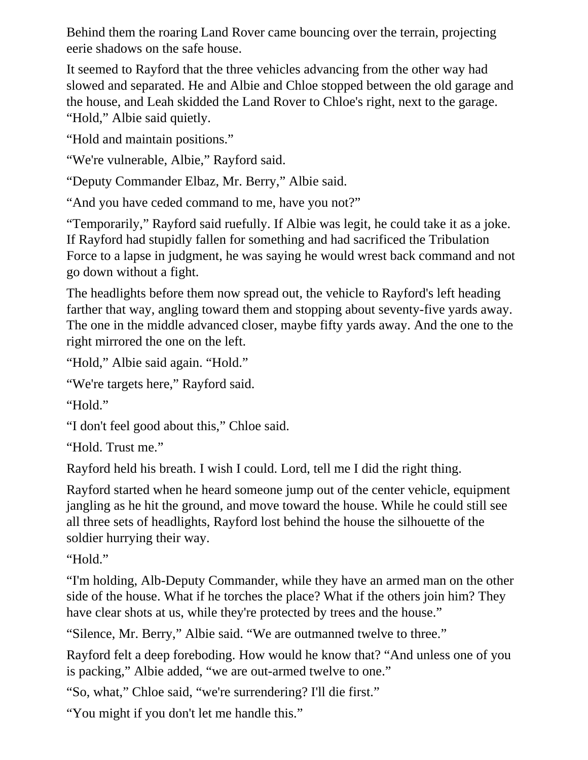Behind them the roaring Land Rover came bouncing over the terrain, projecting eerie shadows on the safe house.

It seemed to Rayford that the three vehicles advancing from the other way had slowed and separated. He and Albie and Chloe stopped between the old garage and the house, and Leah skidded the Land Rover to Chloe's right, next to the garage. "Hold," Albie said quietly.

"Hold and maintain positions."

"We're vulnerable, Albie," Rayford said.

"Deputy Commander Elbaz, Mr. Berry," Albie said.

"And you have ceded command to me, have you not?"

"Temporarily," Rayford said ruefully. If Albie was legit, he could take it as a joke. If Rayford had stupidly fallen for something and had sacrificed the Tribulation Force to a lapse in judgment, he was saying he would wrest back command and not go down without a fight.

The headlights before them now spread out, the vehicle to Rayford's left heading farther that way, angling toward them and stopping about seventy-five yards away. The one in the middle advanced closer, maybe fifty yards away. And the one to the right mirrored the one on the left.

```
"Hold," Albie said again. "Hold."
```
"We're targets here," Rayford said.

"Hold."

"I don't feel good about this," Chloe said.

"Hold. Trust me."

Rayford held his breath. I wish I could. Lord, tell me I did the right thing.

Rayford started when he heard someone jump out of the center vehicle, equipment jangling as he hit the ground, and move toward the house. While he could still see all three sets of headlights, Rayford lost behind the house the silhouette of the soldier hurrying their way.

"Hold."

"I'm holding, Alb-Deputy Commander, while they have an armed man on the other side of the house. What if he torches the place? What if the others join him? They have clear shots at us, while they're protected by trees and the house."

"Silence, Mr. Berry," Albie said. "We are outmanned twelve to three."

Rayford felt a deep foreboding. How would he know that? "And unless one of you is packing," Albie added, "we are out-armed twelve to one."

"So, what," Chloe said, "we're surrendering? I'll die first."

"You might if you don't let me handle this."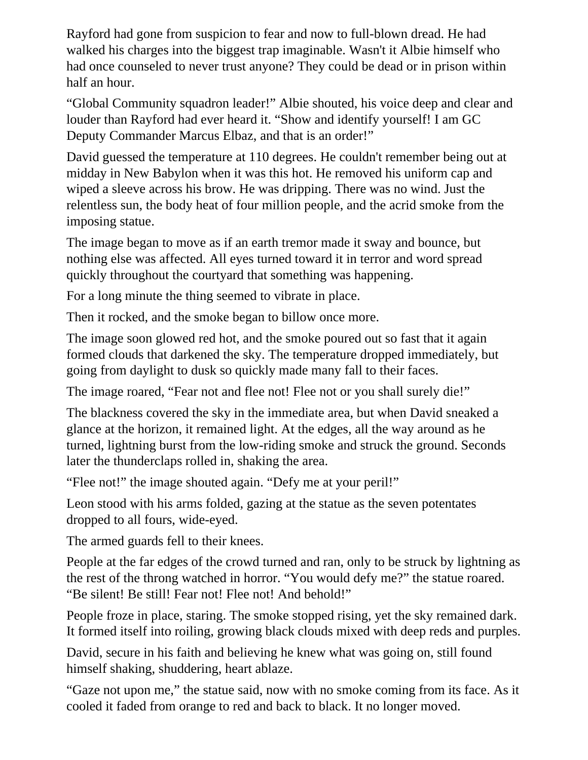Rayford had gone from suspicion to fear and now to full-blown dread. He had walked his charges into the biggest trap imaginable. Wasn't it Albie himself who had once counseled to never trust anyone? They could be dead or in prison within half an hour.

"Global Community squadron leader!" Albie shouted, his voice deep and clear and louder than Rayford had ever heard it. "Show and identify yourself! I am GC Deputy Commander Marcus Elbaz, and that is an order!"

David guessed the temperature at 110 degrees. He couldn't remember being out at midday in New Babylon when it was this hot. He removed his uniform cap and wiped a sleeve across his brow. He was dripping. There was no wind. Just the relentless sun, the body heat of four million people, and the acrid smoke from the imposing statue.

The image began to move as if an earth tremor made it sway and bounce, but nothing else was affected. All eyes turned toward it in terror and word spread quickly throughout the courtyard that something was happening.

For a long minute the thing seemed to vibrate in place.

Then it rocked, and the smoke began to billow once more.

The image soon glowed red hot, and the smoke poured out so fast that it again formed clouds that darkened the sky. The temperature dropped immediately, but going from daylight to dusk so quickly made many fall to their faces.

The image roared, "Fear not and flee not! Flee not or you shall surely die!"

The blackness covered the sky in the immediate area, but when David sneaked a glance at the horizon, it remained light. At the edges, all the way around as he turned, lightning burst from the low-riding smoke and struck the ground. Seconds later the thunderclaps rolled in, shaking the area.

"Flee not!" the image shouted again. "Defy me at your peril!"

Leon stood with his arms folded, gazing at the statue as the seven potentates dropped to all fours, wide-eyed.

The armed guards fell to their knees.

People at the far edges of the crowd turned and ran, only to be struck by lightning as the rest of the throng watched in horror. "You would defy me?" the statue roared. "Be silent! Be still! Fear not! Flee not! And behold!"

People froze in place, staring. The smoke stopped rising, yet the sky remained dark. It formed itself into roiling, growing black clouds mixed with deep reds and purples.

David, secure in his faith and believing he knew what was going on, still found himself shaking, shuddering, heart ablaze.

"Gaze not upon me," the statue said, now with no smoke coming from its face. As it cooled it faded from orange to red and back to black. It no longer moved.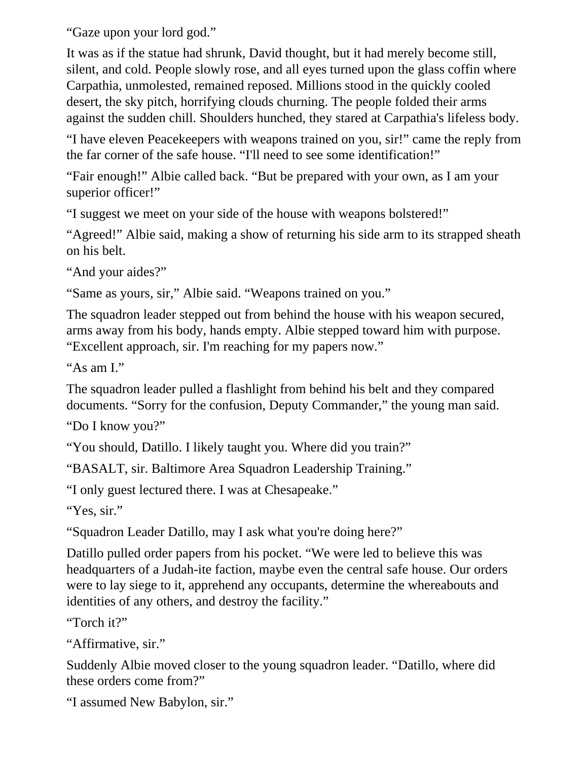"Gaze upon your lord god."

It was as if the statue had shrunk, David thought, but it had merely become still, silent, and cold. People slowly rose, and all eyes turned upon the glass coffin where Carpathia, unmolested, remained reposed. Millions stood in the quickly cooled desert, the sky pitch, horrifying clouds churning. The people folded their arms against the sudden chill. Shoulders hunched, they stared at Carpathia's lifeless body.

"I have eleven Peacekeepers with weapons trained on you, sir!" came the reply from the far corner of the safe house. "I'll need to see some identification!"

"Fair enough!" Albie called back. "But be prepared with your own, as I am your superior officer!"

"I suggest we meet on your side of the house with weapons bolstered!"

"Agreed!" Albie said, making a show of returning his side arm to its strapped sheath on his belt.

"And your aides?"

"Same as yours, sir," Albie said. "Weapons trained on you."

The squadron leader stepped out from behind the house with his weapon secured, arms away from his body, hands empty. Albie stepped toward him with purpose. "Excellent approach, sir. I'm reaching for my papers now."

"As am  $\mathbf{I}$ "

The squadron leader pulled a flashlight from behind his belt and they compared documents. "Sorry for the confusion, Deputy Commander," the young man said.

"Do I know you?"

"You should, Datillo. I likely taught you. Where did you train?"

"BASALT, sir. Baltimore Area Squadron Leadership Training."

"I only guest lectured there. I was at Chesapeake."

"Yes, sir."

"Squadron Leader Datillo, may I ask what you're doing here?"

Datillo pulled order papers from his pocket. "We were led to believe this was headquarters of a Judah-ite faction, maybe even the central safe house. Our orders were to lay siege to it, apprehend any occupants, determine the whereabouts and identities of any others, and destroy the facility."

"Torch it?"

"Affirmative, sir."

Suddenly Albie moved closer to the young squadron leader. "Datillo, where did these orders come from?"

"I assumed New Babylon, sir."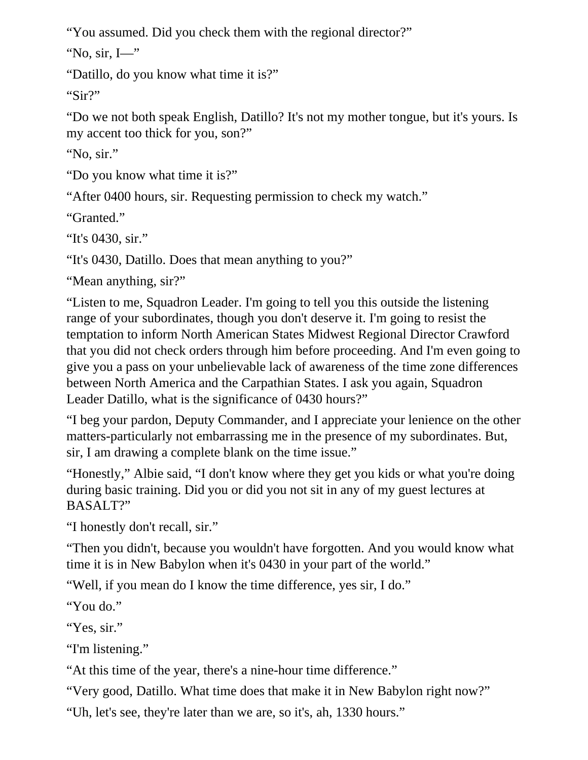"You assumed. Did you check them with the regional director?"

"No, sir, I—"

"Datillo, do you know what time it is?"

"Sir?"

"Do we not both speak English, Datillo? It's not my mother tongue, but it's yours. Is my accent too thick for you, son?"

"No, sir."

"Do you know what time it is?"

"After 0400 hours, sir. Requesting permission to check my watch."

"Granted."

"It's 0430, sir."

"It's 0430, Datillo. Does that mean anything to you?"

"Mean anything, sir?"

"Listen to me, Squadron Leader. I'm going to tell you this outside the listening range of your subordinates, though you don't deserve it. I'm going to resist the temptation to inform North American States Midwest Regional Director Crawford that you did not check orders through him before proceeding. And I'm even going to give you a pass on your unbelievable lack of awareness of the time zone differences between North America and the Carpathian States. I ask you again, Squadron Leader Datillo, what is the significance of 0430 hours?"

"I beg your pardon, Deputy Commander, and I appreciate your lenience on the other matters-particularly not embarrassing me in the presence of my subordinates. But, sir, I am drawing a complete blank on the time issue."

"Honestly," Albie said, "I don't know where they get you kids or what you're doing during basic training. Did you or did you not sit in any of my guest lectures at BASALT?"

"I honestly don't recall, sir."

"Then you didn't, because you wouldn't have forgotten. And you would know what time it is in New Babylon when it's 0430 in your part of the world."

"Well, if you mean do I know the time difference, yes sir, I do."

"You do."

"Yes, sir."

"I'm listening."

"At this time of the year, there's a nine-hour time difference."

"Very good, Datillo. What time does that make it in New Babylon right now?"

"Uh, let's see, they're later than we are, so it's, ah, 1330 hours."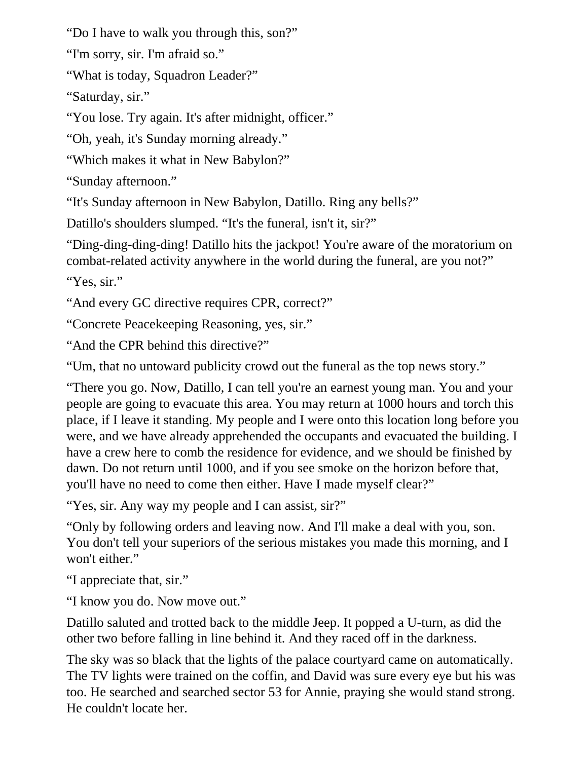"Do I have to walk you through this, son?"

"I'm sorry, sir. I'm afraid so."

"What is today, Squadron Leader?"

"Saturday, sir."

"You lose. Try again. It's after midnight, officer."

"Oh, yeah, it's Sunday morning already."

"Which makes it what in New Babylon?"

"Sunday afternoon."

"It's Sunday afternoon in New Babylon, Datillo. Ring any bells?"

Datillo's shoulders slumped. "It's the funeral, isn't it, sir?"

"Ding-ding-ding-ding! Datillo hits the jackpot! You're aware of the moratorium on combat-related activity anywhere in the world during the funeral, are you not?"

"Yes, sir."

"And every GC directive requires CPR, correct?"

"Concrete Peacekeeping Reasoning, yes, sir."

"And the CPR behind this directive?"

"Um, that no untoward publicity crowd out the funeral as the top news story."

"There you go. Now, Datillo, I can tell you're an earnest young man. You and your people are going to evacuate this area. You may return at 1000 hours and torch this place, if I leave it standing. My people and I were onto this location long before you were, and we have already apprehended the occupants and evacuated the building. I have a crew here to comb the residence for evidence, and we should be finished by dawn. Do not return until 1000, and if you see smoke on the horizon before that, you'll have no need to come then either. Have I made myself clear?"

"Yes, sir. Any way my people and I can assist, sir?"

"Only by following orders and leaving now. And I'll make a deal with you, son. You don't tell your superiors of the serious mistakes you made this morning, and I won't either."

"I appreciate that, sir."

"I know you do. Now move out."

Datillo saluted and trotted back to the middle Jeep. It popped a U-turn, as did the other two before falling in line behind it. And they raced off in the darkness.

The sky was so black that the lights of the palace courtyard came on automatically. The TV lights were trained on the coffin, and David was sure every eye but his was too. He searched and searched sector 53 for Annie, praying she would stand strong. He couldn't locate her.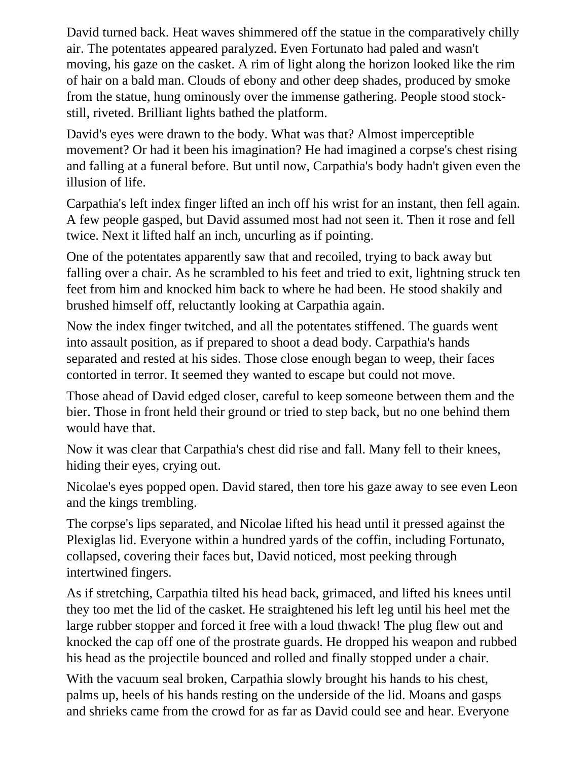David turned back. Heat waves shimmered off the statue in the comparatively chilly air. The potentates appeared paralyzed. Even Fortunato had paled and wasn't moving, his gaze on the casket. A rim of light along the horizon looked like the rim of hair on a bald man. Clouds of ebony and other deep shades, produced by smoke from the statue, hung ominously over the immense gathering. People stood stockstill, riveted. Brilliant lights bathed the platform.

David's eyes were drawn to the body. What was that? Almost imperceptible movement? Or had it been his imagination? He had imagined a corpse's chest rising and falling at a funeral before. But until now, Carpathia's body hadn't given even the illusion of life.

Carpathia's left index finger lifted an inch off his wrist for an instant, then fell again. A few people gasped, but David assumed most had not seen it. Then it rose and fell twice. Next it lifted half an inch, uncurling as if pointing.

One of the potentates apparently saw that and recoiled, trying to back away but falling over a chair. As he scrambled to his feet and tried to exit, lightning struck ten feet from him and knocked him back to where he had been. He stood shakily and brushed himself off, reluctantly looking at Carpathia again.

Now the index finger twitched, and all the potentates stiffened. The guards went into assault position, as if prepared to shoot a dead body. Carpathia's hands separated and rested at his sides. Those close enough began to weep, their faces contorted in terror. It seemed they wanted to escape but could not move.

Those ahead of David edged closer, careful to keep someone between them and the bier. Those in front held their ground or tried to step back, but no one behind them would have that.

Now it was clear that Carpathia's chest did rise and fall. Many fell to their knees, hiding their eyes, crying out.

Nicolae's eyes popped open. David stared, then tore his gaze away to see even Leon and the kings trembling.

The corpse's lips separated, and Nicolae lifted his head until it pressed against the Plexiglas lid. Everyone within a hundred yards of the coffin, including Fortunato, collapsed, covering their faces but, David noticed, most peeking through intertwined fingers.

As if stretching, Carpathia tilted his head back, grimaced, and lifted his knees until they too met the lid of the casket. He straightened his left leg until his heel met the large rubber stopper and forced it free with a loud thwack! The plug flew out and knocked the cap off one of the prostrate guards. He dropped his weapon and rubbed his head as the projectile bounced and rolled and finally stopped under a chair.

With the vacuum seal broken, Carpathia slowly brought his hands to his chest, palms up, heels of his hands resting on the underside of the lid. Moans and gasps and shrieks came from the crowd for as far as David could see and hear. Everyone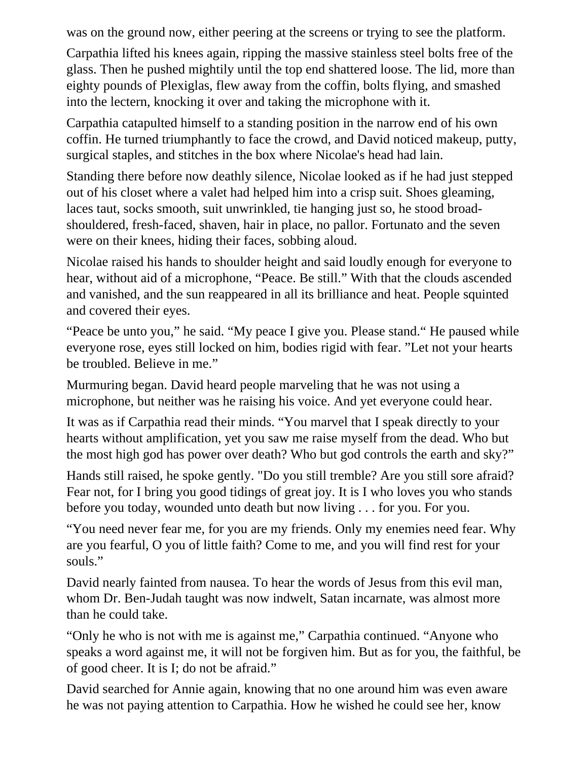was on the ground now, either peering at the screens or trying to see the platform.

Carpathia lifted his knees again, ripping the massive stainless steel bolts free of the glass. Then he pushed mightily until the top end shattered loose. The lid, more than eighty pounds of Plexiglas, flew away from the coffin, bolts flying, and smashed into the lectern, knocking it over and taking the microphone with it.

Carpathia catapulted himself to a standing position in the narrow end of his own coffin. He turned triumphantly to face the crowd, and David noticed makeup, putty, surgical staples, and stitches in the box where Nicolae's head had lain.

Standing there before now deathly silence, Nicolae looked as if he had just stepped out of his closet where a valet had helped him into a crisp suit. Shoes gleaming, laces taut, socks smooth, suit unwrinkled, tie hanging just so, he stood broadshouldered, fresh-faced, shaven, hair in place, no pallor. Fortunato and the seven were on their knees, hiding their faces, sobbing aloud.

Nicolae raised his hands to shoulder height and said loudly enough for everyone to hear, without aid of a microphone, "Peace. Be still." With that the clouds ascended and vanished, and the sun reappeared in all its brilliance and heat. People squinted and covered their eyes.

"Peace be unto you," he said. "My peace I give you. Please stand." He paused while everyone rose, eyes still locked on him, bodies rigid with fear. "Let not your hearts be troubled. Believe in me."

Murmuring began. David heard people marveling that he was not using a microphone, but neither was he raising his voice. And yet everyone could hear.

It was as if Carpathia read their minds. "You marvel that I speak directly to your hearts without amplification, yet you saw me raise myself from the dead. Who but the most high god has power over death? Who but god controls the earth and sky?"

Hands still raised, he spoke gently. "Do you still tremble? Are you still sore afraid? Fear not, for I bring you good tidings of great joy. It is I who loves you who stands before you today, wounded unto death but now living . . . for you. For you.

"You need never fear me, for you are my friends. Only my enemies need fear. Why are you fearful, O you of little faith? Come to me, and you will find rest for your souls."

David nearly fainted from nausea. To hear the words of Jesus from this evil man, whom Dr. Ben-Judah taught was now indwelt, Satan incarnate, was almost more than he could take.

"Only he who is not with me is against me," Carpathia continued. "Anyone who speaks a word against me, it will not be forgiven him. But as for you, the faithful, be of good cheer. It is I; do not be afraid."

David searched for Annie again, knowing that no one around him was even aware he was not paying attention to Carpathia. How he wished he could see her, know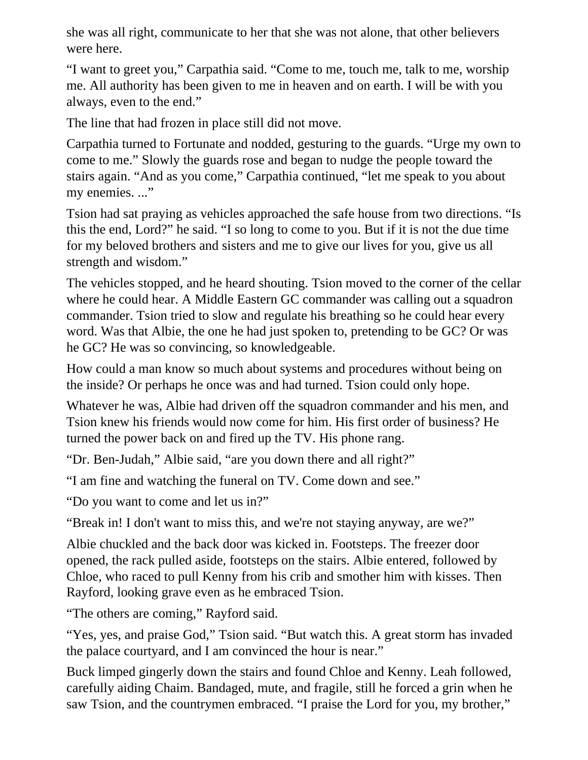she was all right, communicate to her that she was not alone, that other believers were here.

"I want to greet you," Carpathia said. "Come to me, touch me, talk to me, worship me. All authority has been given to me in heaven and on earth. I will be with you always, even to the end."

The line that had frozen in place still did not move.

Carpathia turned to Fortunate and nodded, gesturing to the guards. "Urge my own to come to me." Slowly the guards rose and began to nudge the people toward the stairs again. "And as you come," Carpathia continued, "let me speak to you about my enemies. ..."

Tsion had sat praying as vehicles approached the safe house from two directions. "Is this the end, Lord?" he said. "I so long to come to you. But if it is not the due time for my beloved brothers and sisters and me to give our lives for you, give us all strength and wisdom."

The vehicles stopped, and he heard shouting. Tsion moved to the corner of the cellar where he could hear. A Middle Eastern GC commander was calling out a squadron commander. Tsion tried to slow and regulate his breathing so he could hear every word. Was that Albie, the one he had just spoken to, pretending to be GC? Or was he GC? He was so convincing, so knowledgeable.

How could a man know so much about systems and procedures without being on the inside? Or perhaps he once was and had turned. Tsion could only hope.

Whatever he was, Albie had driven off the squadron commander and his men, and Tsion knew his friends would now come for him. His first order of business? He turned the power back on and fired up the TV. His phone rang.

"Dr. Ben-Judah," Albie said, "are you down there and all right?"

"I am fine and watching the funeral on TV. Come down and see."

"Do you want to come and let us in?"

"Break in! I don't want to miss this, and we're not staying anyway, are we?"

Albie chuckled and the back door was kicked in. Footsteps. The freezer door opened, the rack pulled aside, footsteps on the stairs. Albie entered, followed by Chloe, who raced to pull Kenny from his crib and smother him with kisses. Then Rayford, looking grave even as he embraced Tsion.

"The others are coming," Rayford said.

"Yes, yes, and praise God," Tsion said. "But watch this. A great storm has invaded the palace courtyard, and I am convinced the hour is near."

Buck limped gingerly down the stairs and found Chloe and Kenny. Leah followed, carefully aiding Chaim. Bandaged, mute, and fragile, still he forced a grin when he saw Tsion, and the countrymen embraced. "I praise the Lord for you, my brother,"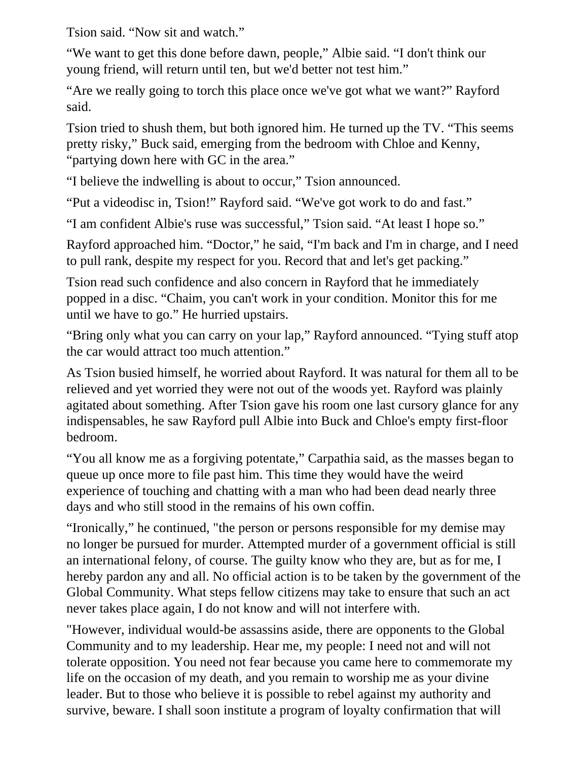Tsion said. "Now sit and watch."

"We want to get this done before dawn, people," Albie said. "I don't think our young friend, will return until ten, but we'd better not test him."

"Are we really going to torch this place once we've got what we want?" Rayford said.

Tsion tried to shush them, but both ignored him. He turned up the TV. "This seems pretty risky," Buck said, emerging from the bedroom with Chloe and Kenny, "partying down here with GC in the area."

"I believe the indwelling is about to occur," Tsion announced.

"Put a videodisc in, Tsion!" Rayford said. "We've got work to do and fast."

"I am confident Albie's ruse was successful," Tsion said. "At least I hope so."

Rayford approached him. "Doctor," he said, "I'm back and I'm in charge, and I need to pull rank, despite my respect for you. Record that and let's get packing."

Tsion read such confidence and also concern in Rayford that he immediately popped in a disc. "Chaim, you can't work in your condition. Monitor this for me until we have to go." He hurried upstairs.

"Bring only what you can carry on your lap," Rayford announced. "Tying stuff atop the car would attract too much attention."

As Tsion busied himself, he worried about Rayford. It was natural for them all to be relieved and yet worried they were not out of the woods yet. Rayford was plainly agitated about something. After Tsion gave his room one last cursory glance for any indispensables, he saw Rayford pull Albie into Buck and Chloe's empty first-floor bedroom.

"You all know me as a forgiving potentate," Carpathia said, as the masses began to queue up once more to file past him. This time they would have the weird experience of touching and chatting with a man who had been dead nearly three days and who still stood in the remains of his own coffin.

"Ironically," he continued, "the person or persons responsible for my demise may no longer be pursued for murder. Attempted murder of a government official is still an international felony, of course. The guilty know who they are, but as for me, I hereby pardon any and all. No official action is to be taken by the government of the Global Community. What steps fellow citizens may take to ensure that such an act never takes place again, I do not know and will not interfere with.

"However, individual would-be assassins aside, there are opponents to the Global Community and to my leadership. Hear me, my people: I need not and will not tolerate opposition. You need not fear because you came here to commemorate my life on the occasion of my death, and you remain to worship me as your divine leader. But to those who believe it is possible to rebel against my authority and survive, beware. I shall soon institute a program of loyalty confirmation that will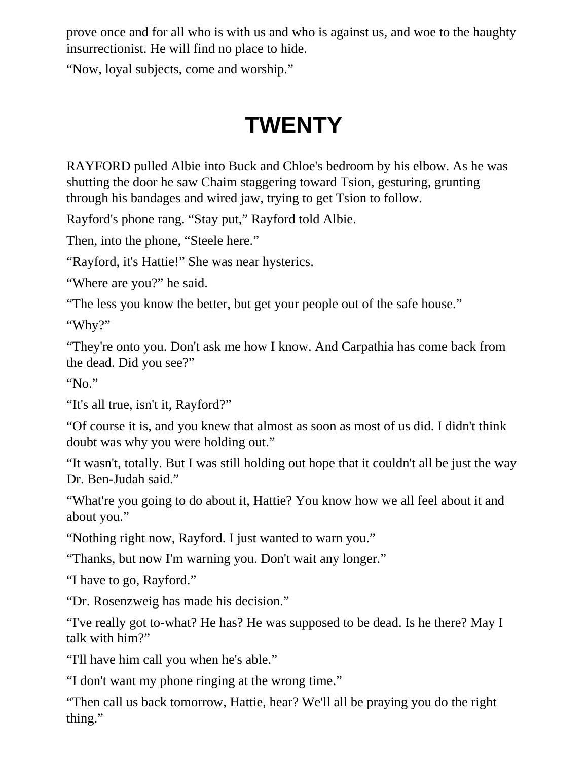prove once and for all who is with us and who is against us, and woe to the haughty insurrectionist. He will find no place to hide.

"Now, loyal subjects, come and worship."

## **TWENTY**

RAYFORD pulled Albie into Buck and Chloe's bedroom by his elbow. As he was shutting the door he saw Chaim staggering toward Tsion, gesturing, grunting through his bandages and wired jaw, trying to get Tsion to follow.

Rayford's phone rang. "Stay put," Rayford told Albie.

Then, into the phone, "Steele here."

"Rayford, it's Hattie!" She was near hysterics.

"Where are you?" he said.

"The less you know the better, but get your people out of the safe house."

"Why?"

"They're onto you. Don't ask me how I know. And Carpathia has come back from the dead. Did you see?"

"No."

"It's all true, isn't it, Rayford?"

"Of course it is, and you knew that almost as soon as most of us did. I didn't think doubt was why you were holding out."

"It wasn't, totally. But I was still holding out hope that it couldn't all be just the way Dr. Ben-Judah said."

"What're you going to do about it, Hattie? You know how we all feel about it and about you."

"Nothing right now, Rayford. I just wanted to warn you."

"Thanks, but now I'm warning you. Don't wait any longer."

"I have to go, Rayford."

"Dr. Rosenzweig has made his decision."

"I've really got to-what? He has? He was supposed to be dead. Is he there? May I talk with him?"

"I'll have him call you when he's able."

"I don't want my phone ringing at the wrong time."

"Then call us back tomorrow, Hattie, hear? We'll all be praying you do the right thing."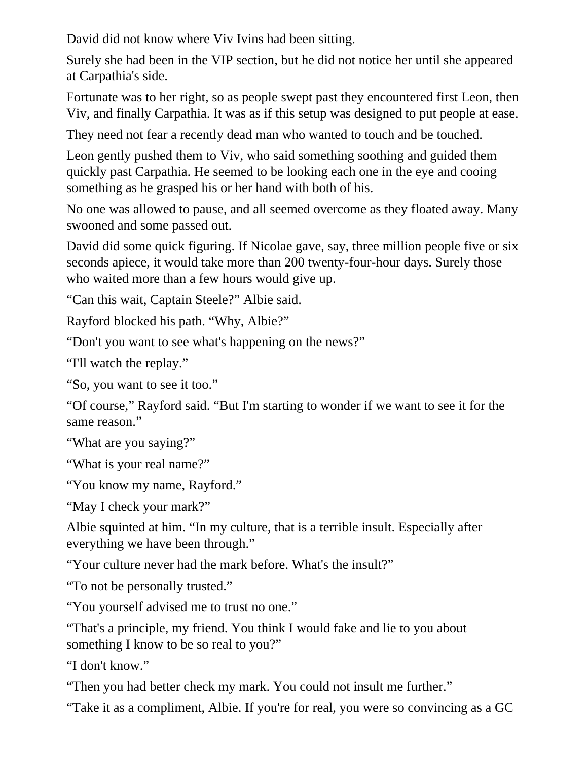David did not know where Viv Ivins had been sitting.

Surely she had been in the VIP section, but he did not notice her until she appeared at Carpathia's side.

Fortunate was to her right, so as people swept past they encountered first Leon, then Viv, and finally Carpathia. It was as if this setup was designed to put people at ease.

They need not fear a recently dead man who wanted to touch and be touched.

Leon gently pushed them to Viv, who said something soothing and guided them quickly past Carpathia. He seemed to be looking each one in the eye and cooing something as he grasped his or her hand with both of his.

No one was allowed to pause, and all seemed overcome as they floated away. Many swooned and some passed out.

David did some quick figuring. If Nicolae gave, say, three million people five or six seconds apiece, it would take more than 200 twenty-four-hour days. Surely those who waited more than a few hours would give up.

"Can this wait, Captain Steele?" Albie said.

Rayford blocked his path. "Why, Albie?"

"Don't you want to see what's happening on the news?"

"I'll watch the replay."

"So, you want to see it too."

"Of course," Rayford said. "But I'm starting to wonder if we want to see it for the same reason."

"What are you saying?"

"What is your real name?"

"You know my name, Rayford."

"May I check your mark?"

Albie squinted at him. "In my culture, that is a terrible insult. Especially after everything we have been through."

"Your culture never had the mark before. What's the insult?"

"To not be personally trusted."

"You yourself advised me to trust no one."

"That's a principle, my friend. You think I would fake and lie to you about something I know to be so real to you?"

"I don't know."

"Then you had better check my mark. You could not insult me further."

"Take it as a compliment, Albie. If you're for real, you were so convincing as a GC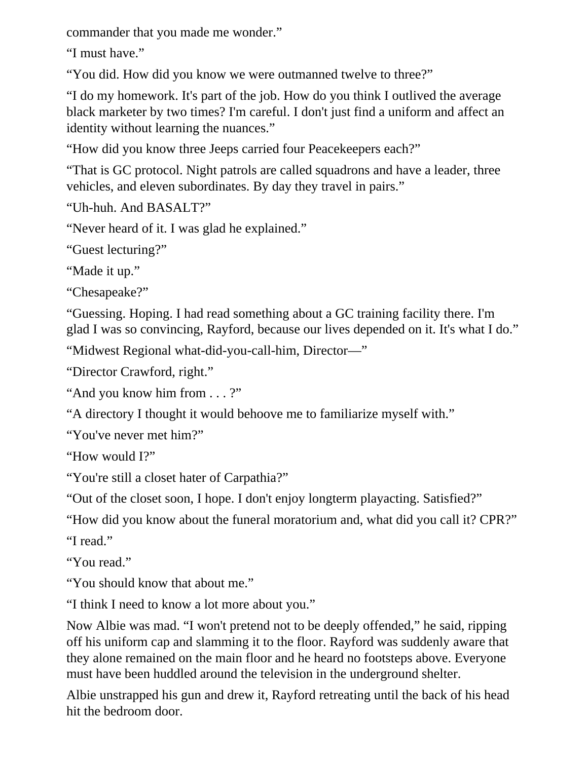commander that you made me wonder."

"I must have."

"You did. How did you know we were outmanned twelve to three?"

"I do my homework. It's part of the job. How do you think I outlived the average black marketer by two times? I'm careful. I don't just find a uniform and affect an identity without learning the nuances."

"How did you know three Jeeps carried four Peacekeepers each?"

"That is GC protocol. Night patrols are called squadrons and have a leader, three vehicles, and eleven subordinates. By day they travel in pairs."

"Uh-huh. And BASALT?"

"Never heard of it. I was glad he explained."

"Guest lecturing?"

"Made it up."

"Chesapeake?"

"Guessing. Hoping. I had read something about a GC training facility there. I'm glad I was so convincing, Rayford, because our lives depended on it. It's what I do."

"Midwest Regional what-did-you-call-him, Director—"

"Director Crawford, right."

"And you know him from . . . ?"

"A directory I thought it would behoove me to familiarize myself with."

"You've never met him?"

"How would I?"

"You're still a closet hater of Carpathia?"

"Out of the closet soon, I hope. I don't enjoy longterm playacting. Satisfied?"

"How did you know about the funeral moratorium and, what did you call it? CPR?"

"I read."

"You read."

"You should know that about me."

"I think I need to know a lot more about you."

Now Albie was mad. "I won't pretend not to be deeply offended," he said, ripping off his uniform cap and slamming it to the floor. Rayford was suddenly aware that they alone remained on the main floor and he heard no footsteps above. Everyone must have been huddled around the television in the underground shelter.

Albie unstrapped his gun and drew it, Rayford retreating until the back of his head hit the bedroom door.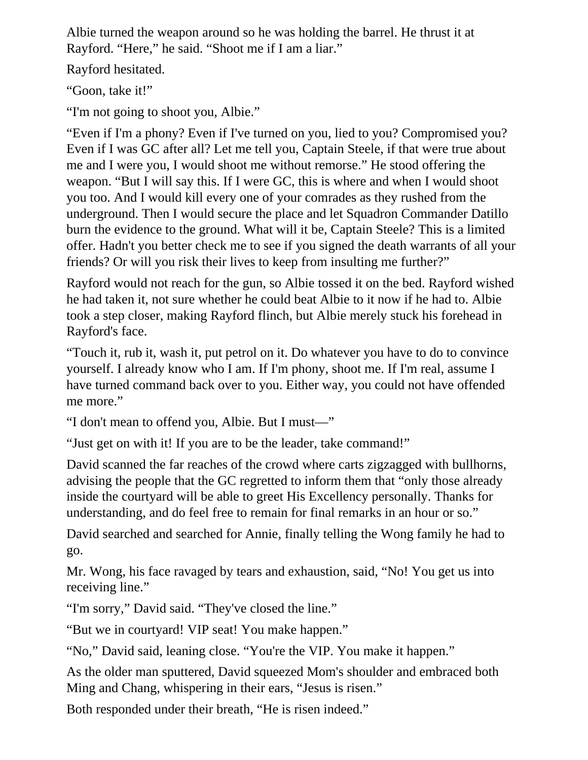Albie turned the weapon around so he was holding the barrel. He thrust it at Rayford. "Here," he said. "Shoot me if I am a liar."

Rayford hesitated.

"Goon, take it!"

"I'm not going to shoot you, Albie."

"Even if I'm a phony? Even if I've turned on you, lied to you? Compromised you? Even if I was GC after all? Let me tell you, Captain Steele, if that were true about me and I were you, I would shoot me without remorse." He stood offering the weapon. "But I will say this. If I were GC, this is where and when I would shoot you too. And I would kill every one of your comrades as they rushed from the underground. Then I would secure the place and let Squadron Commander Datillo burn the evidence to the ground. What will it be, Captain Steele? This is a limited offer. Hadn't you better check me to see if you signed the death warrants of all your friends? Or will you risk their lives to keep from insulting me further?"

Rayford would not reach for the gun, so Albie tossed it on the bed. Rayford wished he had taken it, not sure whether he could beat Albie to it now if he had to. Albie took a step closer, making Rayford flinch, but Albie merely stuck his forehead in Rayford's face.

"Touch it, rub it, wash it, put petrol on it. Do whatever you have to do to convince yourself. I already know who I am. If I'm phony, shoot me. If I'm real, assume I have turned command back over to you. Either way, you could not have offended me more."

"I don't mean to offend you, Albie. But I must—"

"Just get on with it! If you are to be the leader, take command!"

David scanned the far reaches of the crowd where carts zigzagged with bullhorns, advising the people that the GC regretted to inform them that "only those already inside the courtyard will be able to greet His Excellency personally. Thanks for understanding, and do feel free to remain for final remarks in an hour or so."

David searched and searched for Annie, finally telling the Wong family he had to go.

Mr. Wong, his face ravaged by tears and exhaustion, said, "No! You get us into receiving line."

"I'm sorry," David said. "They've closed the line."

"But we in courtyard! VIP seat! You make happen."

"No," David said, leaning close. "You're the VIP. You make it happen."

As the older man sputtered, David squeezed Mom's shoulder and embraced both Ming and Chang, whispering in their ears, "Jesus is risen."

Both responded under their breath, "He is risen indeed."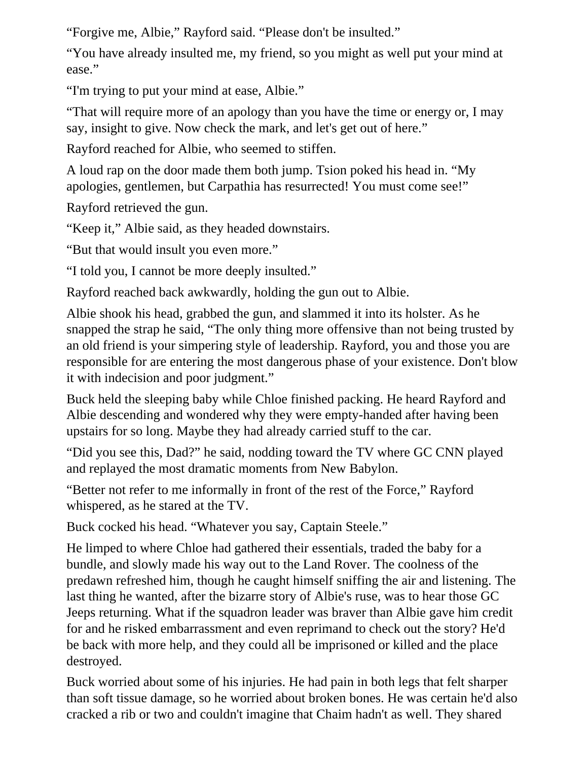"Forgive me, Albie," Rayford said. "Please don't be insulted."

"You have already insulted me, my friend, so you might as well put your mind at ease."

"I'm trying to put your mind at ease, Albie."

"That will require more of an apology than you have the time or energy or, I may say, insight to give. Now check the mark, and let's get out of here."

Rayford reached for Albie, who seemed to stiffen.

A loud rap on the door made them both jump. Tsion poked his head in. "My apologies, gentlemen, but Carpathia has resurrected! You must come see!"

Rayford retrieved the gun.

"Keep it," Albie said, as they headed downstairs.

"But that would insult you even more."

"I told you, I cannot be more deeply insulted."

Rayford reached back awkwardly, holding the gun out to Albie.

Albie shook his head, grabbed the gun, and slammed it into its holster. As he snapped the strap he said, "The only thing more offensive than not being trusted by an old friend is your simpering style of leadership. Rayford, you and those you are responsible for are entering the most dangerous phase of your existence. Don't blow it with indecision and poor judgment."

Buck held the sleeping baby while Chloe finished packing. He heard Rayford and Albie descending and wondered why they were empty-handed after having been upstairs for so long. Maybe they had already carried stuff to the car.

"Did you see this, Dad?" he said, nodding toward the TV where GC CNN played and replayed the most dramatic moments from New Babylon.

"Better not refer to me informally in front of the rest of the Force," Rayford whispered, as he stared at the TV.

Buck cocked his head. "Whatever you say, Captain Steele."

He limped to where Chloe had gathered their essentials, traded the baby for a bundle, and slowly made his way out to the Land Rover. The coolness of the predawn refreshed him, though he caught himself sniffing the air and listening. The last thing he wanted, after the bizarre story of Albie's ruse, was to hear those GC Jeeps returning. What if the squadron leader was braver than Albie gave him credit for and he risked embarrassment and even reprimand to check out the story? He'd be back with more help, and they could all be imprisoned or killed and the place destroyed.

Buck worried about some of his injuries. He had pain in both legs that felt sharper than soft tissue damage, so he worried about broken bones. He was certain he'd also cracked a rib or two and couldn't imagine that Chaim hadn't as well. They shared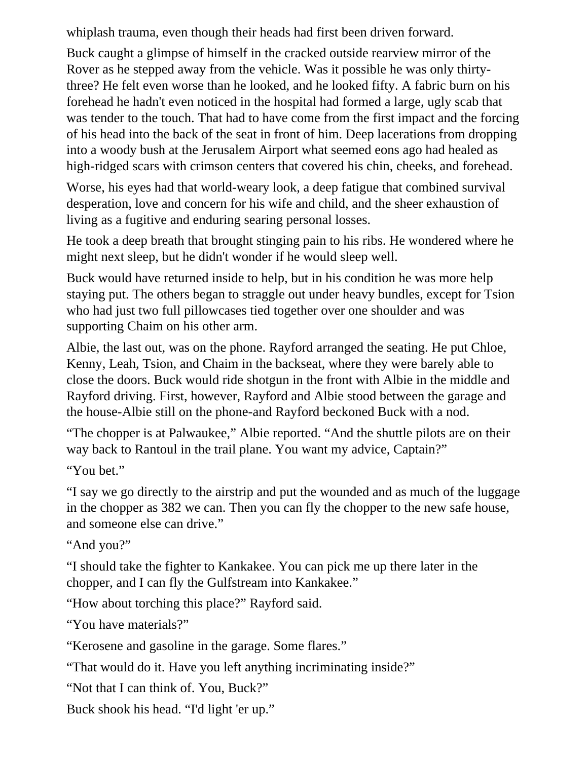whiplash trauma, even though their heads had first been driven forward.

Buck caught a glimpse of himself in the cracked outside rearview mirror of the Rover as he stepped away from the vehicle. Was it possible he was only thirtythree? He felt even worse than he looked, and he looked fifty. A fabric burn on his forehead he hadn't even noticed in the hospital had formed a large, ugly scab that was tender to the touch. That had to have come from the first impact and the forcing of his head into the back of the seat in front of him. Deep lacerations from dropping into a woody bush at the Jerusalem Airport what seemed eons ago had healed as high-ridged scars with crimson centers that covered his chin, cheeks, and forehead.

Worse, his eyes had that world-weary look, a deep fatigue that combined survival desperation, love and concern for his wife and child, and the sheer exhaustion of living as a fugitive and enduring searing personal losses.

He took a deep breath that brought stinging pain to his ribs. He wondered where he might next sleep, but he didn't wonder if he would sleep well.

Buck would have returned inside to help, but in his condition he was more help staying put. The others began to straggle out under heavy bundles, except for Tsion who had just two full pillowcases tied together over one shoulder and was supporting Chaim on his other arm.

Albie, the last out, was on the phone. Rayford arranged the seating. He put Chloe, Kenny, Leah, Tsion, and Chaim in the backseat, where they were barely able to close the doors. Buck would ride shotgun in the front with Albie in the middle and Rayford driving. First, however, Rayford and Albie stood between the garage and the house-Albie still on the phone-and Rayford beckoned Buck with a nod.

"The chopper is at Palwaukee," Albie reported. "And the shuttle pilots are on their way back to Rantoul in the trail plane. You want my advice, Captain?"

"You bet."

"I say we go directly to the airstrip and put the wounded and as much of the luggage in the chopper as 382 we can. Then you can fly the chopper to the new safe house, and someone else can drive."

"And you?"

"I should take the fighter to Kankakee. You can pick me up there later in the chopper, and I can fly the Gulfstream into Kankakee."

"How about torching this place?" Rayford said.

"You have materials?"

"Kerosene and gasoline in the garage. Some flares."

"That would do it. Have you left anything incriminating inside?"

"Not that I can think of. You, Buck?"

Buck shook his head. "I'd light 'er up."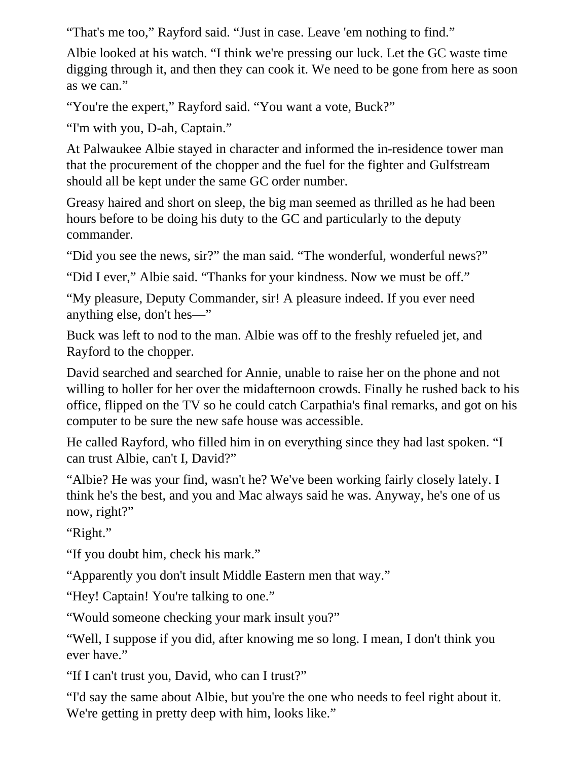"That's me too," Rayford said. "Just in case. Leave 'em nothing to find."

Albie looked at his watch. "I think we're pressing our luck. Let the GC waste time digging through it, and then they can cook it. We need to be gone from here as soon as we can."

"You're the expert," Rayford said. "You want a vote, Buck?"

"I'm with you, D-ah, Captain."

At Palwaukee Albie stayed in character and informed the in-residence tower man that the procurement of the chopper and the fuel for the fighter and Gulfstream should all be kept under the same GC order number.

Greasy haired and short on sleep, the big man seemed as thrilled as he had been hours before to be doing his duty to the GC and particularly to the deputy commander.

"Did you see the news, sir?" the man said. "The wonderful, wonderful news?"

"Did I ever," Albie said. "Thanks for your kindness. Now we must be off."

"My pleasure, Deputy Commander, sir! A pleasure indeed. If you ever need anything else, don't hes—"

Buck was left to nod to the man. Albie was off to the freshly refueled jet, and Rayford to the chopper.

David searched and searched for Annie, unable to raise her on the phone and not willing to holler for her over the midafternoon crowds. Finally he rushed back to his office, flipped on the TV so he could catch Carpathia's final remarks, and got on his computer to be sure the new safe house was accessible.

He called Rayford, who filled him in on everything since they had last spoken. "I can trust Albie, can't I, David?"

"Albie? He was your find, wasn't he? We've been working fairly closely lately. I think he's the best, and you and Mac always said he was. Anyway, he's one of us now, right?"

"Right."

"If you doubt him, check his mark."

"Apparently you don't insult Middle Eastern men that way."

"Hey! Captain! You're talking to one."

"Would someone checking your mark insult you?"

"Well, I suppose if you did, after knowing me so long. I mean, I don't think you ever have."

"If I can't trust you, David, who can I trust?"

"I'd say the same about Albie, but you're the one who needs to feel right about it. We're getting in pretty deep with him, looks like."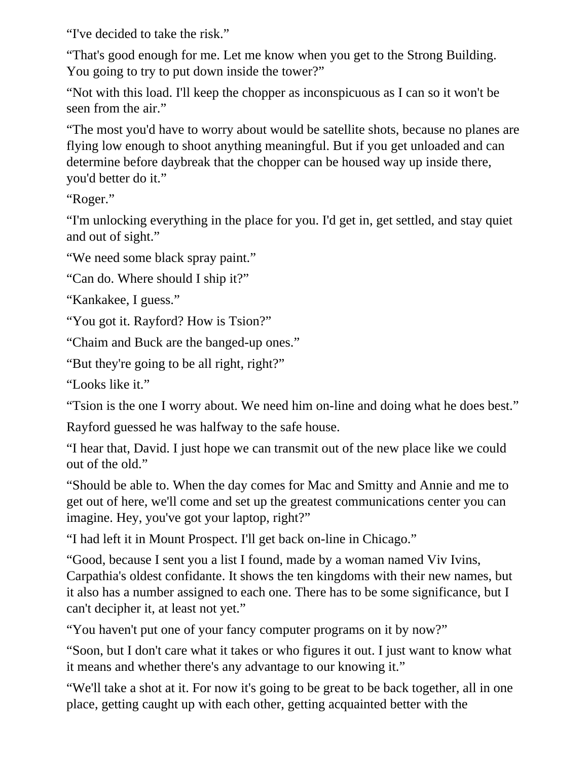"I've decided to take the risk."

"That's good enough for me. Let me know when you get to the Strong Building. You going to try to put down inside the tower?"

"Not with this load. I'll keep the chopper as inconspicuous as I can so it won't be seen from the air."

"The most you'd have to worry about would be satellite shots, because no planes are flying low enough to shoot anything meaningful. But if you get unloaded and can determine before daybreak that the chopper can be housed way up inside there, you'd better do it."

"Roger."

"I'm unlocking everything in the place for you. I'd get in, get settled, and stay quiet and out of sight."

"We need some black spray paint."

"Can do. Where should I ship it?"

"Kankakee, I guess."

"You got it. Rayford? How is Tsion?"

"Chaim and Buck are the banged-up ones."

"But they're going to be all right, right?"

"Looks like it."

"Tsion is the one I worry about. We need him on-line and doing what he does best."

Rayford guessed he was halfway to the safe house.

"I hear that, David. I just hope we can transmit out of the new place like we could out of the old."

"Should be able to. When the day comes for Mac and Smitty and Annie and me to get out of here, we'll come and set up the greatest communications center you can imagine. Hey, you've got your laptop, right?"

"I had left it in Mount Prospect. I'll get back on-line in Chicago."

"Good, because I sent you a list I found, made by a woman named Viv Ivins, Carpathia's oldest confidante. It shows the ten kingdoms with their new names, but it also has a number assigned to each one. There has to be some significance, but I can't decipher it, at least not yet."

"You haven't put one of your fancy computer programs on it by now?"

"Soon, but I don't care what it takes or who figures it out. I just want to know what it means and whether there's any advantage to our knowing it."

"We'll take a shot at it. For now it's going to be great to be back together, all in one place, getting caught up with each other, getting acquainted better with the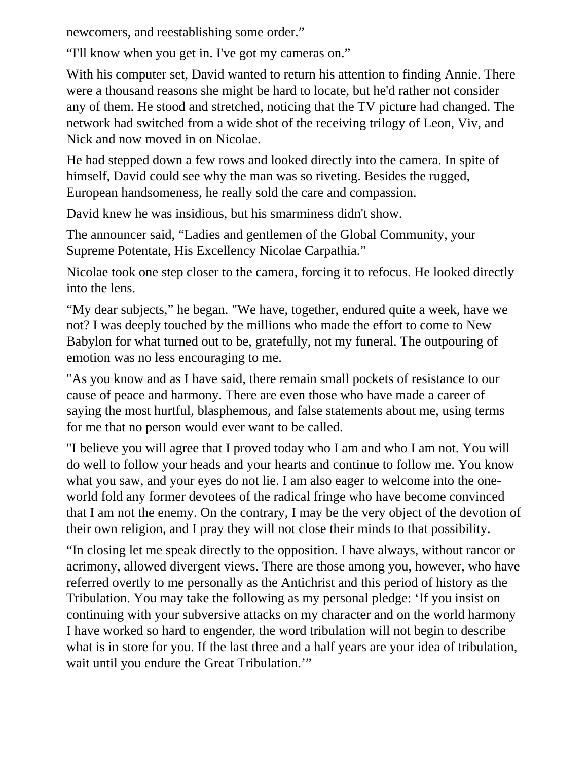newcomers, and reestablishing some order."

"I'll know when you get in. I've got my cameras on."

With his computer set, David wanted to return his attention to finding Annie. There were a thousand reasons she might be hard to locate, but he'd rather not consider any of them. He stood and stretched, noticing that the TV picture had changed. The network had switched from a wide shot of the receiving trilogy of Leon, Viv, and Nick and now moved in on Nicolae.

He had stepped down a few rows and looked directly into the camera. In spite of himself, David could see why the man was so riveting. Besides the rugged, European handsomeness, he really sold the care and compassion.

David knew he was insidious, but his smarminess didn't show.

The announcer said, "Ladies and gentlemen of the Global Community, your Supreme Potentate, His Excellency Nicolae Carpathia."

Nicolae took one step closer to the camera, forcing it to refocus. He looked directly into the lens.

"My dear subjects," he began. "We have, together, endured quite a week, have we not? I was deeply touched by the millions who made the effort to come to New Babylon for what turned out to be, gratefully, not my funeral. The outpouring of emotion was no less encouraging to me.

"As you know and as I have said, there remain small pockets of resistance to our cause of peace and harmony. There are even those who have made a career of saying the most hurtful, blasphemous, and false statements about me, using terms for me that no person would ever want to be called.

"I believe you will agree that I proved today who I am and who I am not. You will do well to follow your heads and your hearts and continue to follow me. You know what you saw, and your eyes do not lie. I am also eager to welcome into the oneworld fold any former devotees of the radical fringe who have become convinced that I am not the enemy. On the contrary, I may be the very object of the devotion of their own religion, and I pray they will not close their minds to that possibility.

"In closing let me speak directly to the opposition. I have always, without rancor or acrimony, allowed divergent views. There are those among you, however, who have referred overtly to me personally as the Antichrist and this period of history as the Tribulation. You may take the following as my personal pledge: 'If you insist on continuing with your subversive attacks on my character and on the world harmony I have worked so hard to engender, the word tribulation will not begin to describe what is in store for you. If the last three and a half years are your idea of tribulation, wait until you endure the Great Tribulation.'"